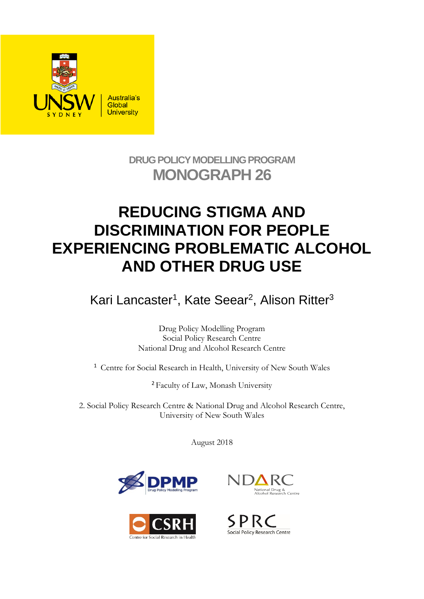

**DRUG POLICY MODELLING PROGRAM MONOGRAPH 26**

# **REDUCING STIGMA AND DISCRIMINATION FOR PEOPLE EXPERIENCING PROBLEMATIC ALCOHOL AND OTHER DRUG USE**

Kari Lancaster<sup>1</sup>, Kate Seear<sup>2</sup>, Alison Ritter<sup>3</sup>

Drug Policy Modelling Program Social Policy Research Centre National Drug and Alcohol Research Centre

<sup>1</sup> Centre for Social Research in Health, University of New South Wales

<sup>2</sup>Faculty of Law, Monash University

2. Social Policy Research Centre & National Drug and Alcohol Research Centre, University of New South Wales

August 2018







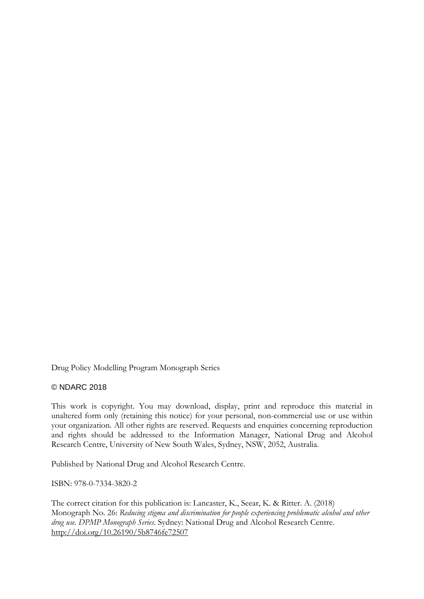Drug Policy Modelling Program Monograph Series

### © NDARC 2018

This work is copyright. You may download, display, print and reproduce this material in unaltered form only (retaining this notice) for your personal, non-commercial use or use within your organization. All other rights are reserved. Requests and enquiries concerning reproduction and rights should be addressed to the Information Manager, National Drug and Alcohol Research Centre, University of New South Wales, Sydney, NSW, 2052, Australia.

Published by National Drug and Alcohol Research Centre.

ISBN: 978-0-7334-3820-2

The correct citation for this publication is: Lancaster, K., Seear, K. & Ritter. A. (2018) Monograph No. 26: *Reducing stigma and discrimination for people experiencing problematic alcohol and other drug use*. *DPMP Monograph Series*. Sydney: National Drug and Alcohol Research Centre. <http://doi.org/10.26190/5b8746fe72507>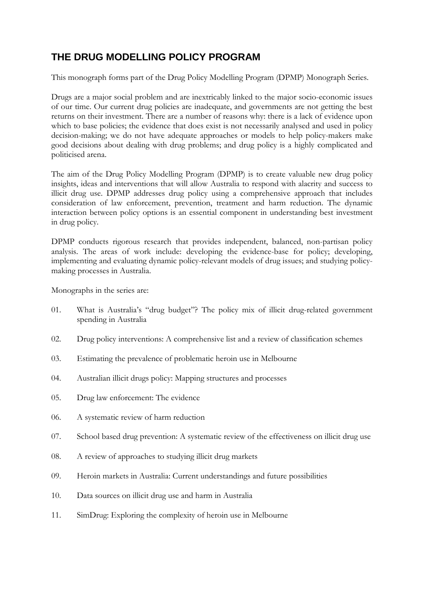### **THE DRUG MODELLING POLICY PROGRAM**

This monograph forms part of the Drug Policy Modelling Program (DPMP) Monograph Series.

Drugs are a major social problem and are inextricably linked to the major socio-economic issues of our time. Our current drug policies are inadequate, and governments are not getting the best returns on their investment. There are a number of reasons why: there is a lack of evidence upon which to base policies; the evidence that does exist is not necessarily analysed and used in policy decision-making; we do not have adequate approaches or models to help policy-makers make good decisions about dealing with drug problems; and drug policy is a highly complicated and politicised arena.

The aim of the Drug Policy Modelling Program (DPMP) is to create valuable new drug policy insights, ideas and interventions that will allow Australia to respond with alacrity and success to illicit drug use. DPMP addresses drug policy using a comprehensive approach that includes consideration of law enforcement, prevention, treatment and harm reduction. The dynamic interaction between policy options is an essential component in understanding best investment in drug policy.

DPMP conducts rigorous research that provides independent, balanced, non-partisan policy analysis. The areas of work include: developing the evidence-base for policy; developing, implementing and evaluating dynamic policy-relevant models of drug issues; and studying policymaking processes in Australia.

Monographs in the series are:

- 01. What is Australia's "drug budget"? The policy mix of illicit drug-related government spending in Australia
- 02. Drug policy interventions: A comprehensive list and a review of classification schemes
- 03. Estimating the prevalence of problematic heroin use in Melbourne
- 04. Australian illicit drugs policy: Mapping structures and processes
- 05. Drug law enforcement: The evidence
- 06. A systematic review of harm reduction
- 07. School based drug prevention: A systematic review of the effectiveness on illicit drug use
- 08. A review of approaches to studying illicit drug markets
- 09. Heroin markets in Australia: Current understandings and future possibilities
- 10. Data sources on illicit drug use and harm in Australia
- 11. SimDrug: Exploring the complexity of heroin use in Melbourne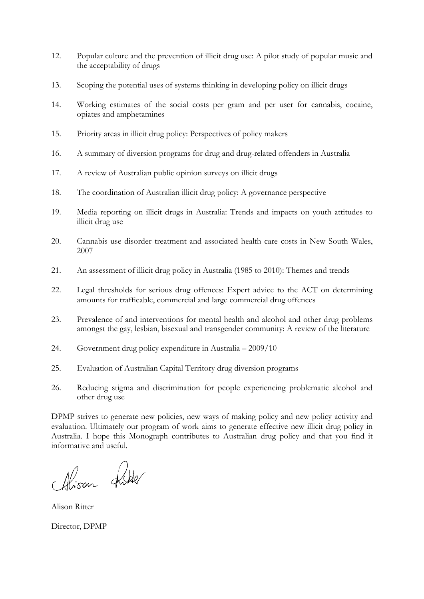- 12. Popular culture and the prevention of illicit drug use: A pilot study of popular music and the acceptability of drugs
- 13. Scoping the potential uses of systems thinking in developing policy on illicit drugs
- 14. Working estimates of the social costs per gram and per user for cannabis, cocaine, opiates and amphetamines
- 15. Priority areas in illicit drug policy: Perspectives of policy makers
- 16. A summary of diversion programs for drug and drug-related offenders in Australia
- 17. A review of Australian public opinion surveys on illicit drugs
- 18. The coordination of Australian illicit drug policy: A governance perspective
- 19. Media reporting on illicit drugs in Australia: Trends and impacts on youth attitudes to illicit drug use
- 20. Cannabis use disorder treatment and associated health care costs in New South Wales, 2007
- 21. An assessment of illicit drug policy in Australia (1985 to 2010): Themes and trends
- 22. Legal thresholds for serious drug offences: Expert advice to the ACT on determining amounts for trafficable, commercial and large commercial drug offences
- 23. Prevalence of and interventions for mental health and alcohol and other drug problems amongst the gay, lesbian, bisexual and transgender community: A review of the literature
- 24. Government drug policy expenditure in Australia 2009/10
- 25. Evaluation of Australian Capital Territory drug diversion programs
- 26. Reducing stigma and discrimination for people experiencing problematic alcohol and other drug use

DPMP strives to generate new policies, new ways of making policy and new policy activity and evaluation. Ultimately our program of work aims to generate effective new illicit drug policy in Australia. I hope this Monograph contributes to Australian drug policy and that you find it informative and useful.

Chison Rite

Alison Ritter

Director, DPMP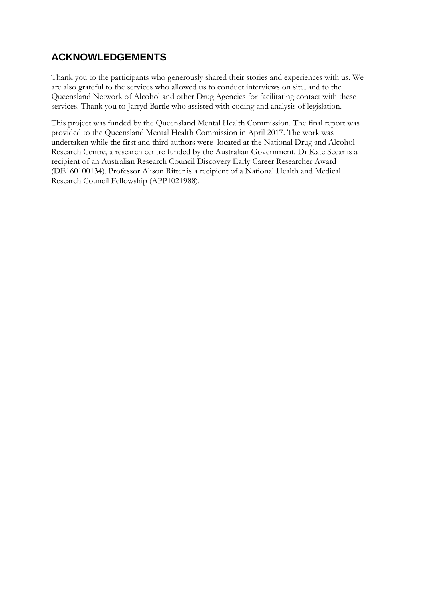### **ACKNOWLEDGEMENTS**

Thank you to the participants who generously shared their stories and experiences with us. We are also grateful to the services who allowed us to conduct interviews on site, and to the Queensland Network of Alcohol and other Drug Agencies for facilitating contact with these services. Thank you to Jarryd Bartle who assisted with coding and analysis of legislation.

This project was funded by the Queensland Mental Health Commission. The final report was provided to the Queensland Mental Health Commission in April 2017. The work was undertaken while the first and third authors were located at the National Drug and Alcohol Research Centre, a research centre funded by the Australian Government. Dr Kate Seear is a recipient of an Australian Research Council Discovery Early Career Researcher Award (DE160100134). Professor Alison Ritter is a recipient of a National Health and Medical Research Council Fellowship (APP1021988).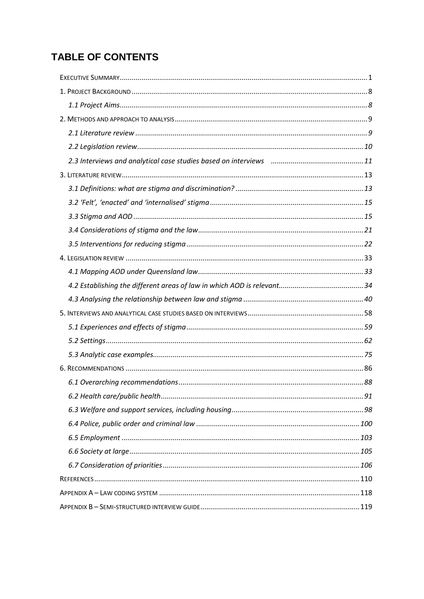## TABLE OF CONTENTS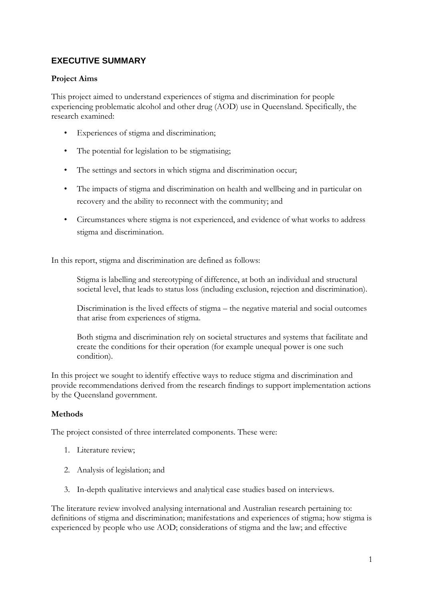### <span id="page-6-0"></span>**EXECUTIVE SUMMARY**

### **Project Aims**

This project aimed to understand experiences of stigma and discrimination for people experiencing problematic alcohol and other drug (AOD) use in Queensland. Specifically, the research examined:

- Experiences of stigma and discrimination;
- The potential for legislation to be stigmatising;
- The settings and sectors in which stigma and discrimination occur;
- The impacts of stigma and discrimination on health and wellbeing and in particular on recovery and the ability to reconnect with the community; and
- Circumstances where stigma is not experienced, and evidence of what works to address stigma and discrimination.

In this report, stigma and discrimination are defined as follows:

Stigma is labelling and stereotyping of difference, at both an individual and structural societal level, that leads to status loss (including exclusion, rejection and discrimination).

Discrimination is the lived effects of stigma – the negative material and social outcomes that arise from experiences of stigma.

Both stigma and discrimination rely on societal structures and systems that facilitate and create the conditions for their operation (for example unequal power is one such condition).

In this project we sought to identify effective ways to reduce stigma and discrimination and provide recommendations derived from the research findings to support implementation actions by the Queensland government.

### **Methods**

The project consisted of three interrelated components. These were:

- 1. Literature review;
- 2. Analysis of legislation; and
- 3. In-depth qualitative interviews and analytical case studies based on interviews.

The literature review involved analysing international and Australian research pertaining to: definitions of stigma and discrimination; manifestations and experiences of stigma; how stigma is experienced by people who use AOD; considerations of stigma and the law; and effective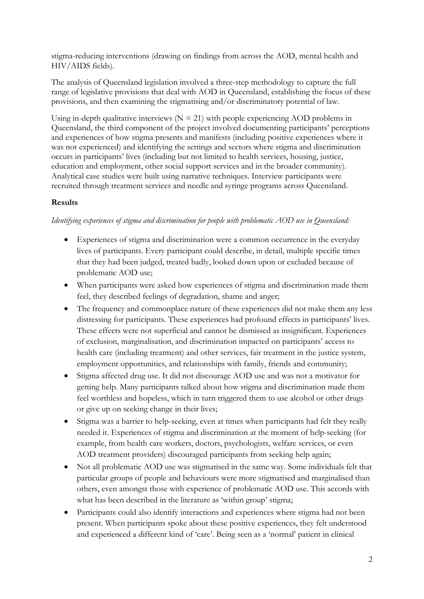stigma-reducing interventions (drawing on findings from across the AOD, mental health and HIV/AIDS fields).

The analysis of Queensland legislation involved a three-step methodology to capture the full range of legislative provisions that deal with AOD in Queensland, establishing the focus of these provisions, and then examining the stigmatising and/or discriminatory potential of law.

Using in-depth qualitative interviews  $(N = 21)$  with people experiencing AOD problems in Queensland, the third component of the project involved documenting participants' perceptions and experiences of how stigma presents and manifests (including positive experiences where it was not experienced) and identifying the settings and sectors where stigma and discrimination occurs in participants' lives (including but not limited to health services, housing, justice, education and employment, other social support services and in the broader community). Analytical case studies were built using narrative techniques. Interview participants were recruited through treatment services and needle and syringe programs across Queensland.

### **Results**

### *Identifying experiences of stigma and discrimination for people with problematic AOD use in Queensland:*

- Experiences of stigma and discrimination were a common occurrence in the everyday lives of participants. Every participant could describe, in detail, multiple specific times that they had been judged, treated badly, looked down upon or excluded because of problematic AOD use;
- When participants were asked how experiences of stigma and discrimination made them feel, they described feelings of degradation, shame and anger;
- The frequency and commonplace nature of these experiences did not make them any less distressing for participants. These experiences had profound effects in participants' lives. These effects were not superficial and cannot be dismissed as insignificant. Experiences of exclusion, marginalisation, and discrimination impacted on participants' access to health care (including treatment) and other services, fair treatment in the justice system, employment opportunities, and relationships with family, friends and community;
- Stigma affected drug use. It did not discourage AOD use and was not a motivator for getting help. Many participants talked about how stigma and discrimination made them feel worthless and hopeless, which in turn triggered them to use alcohol or other drugs or give up on seeking change in their lives;
- Stigma was a barrier to help-seeking, even at times when participants had felt they really needed it. Experiences of stigma and discrimination at the moment of help-seeking (for example, from health care workers, doctors, psychologists, welfare services, or even AOD treatment providers) discouraged participants from seeking help again;
- Not all problematic AOD use was stigmatised in the same way. Some individuals felt that particular groups of people and behaviours were more stigmatised and marginalised than others, even amongst those with experience of problematic AOD use. This accords with what has been described in the literature as 'within group' stigma;
- Participants could also identify interactions and experiences where stigma had not been present. When participants spoke about these positive experiences, they felt understood and experienced a different kind of 'care'. Being seen as a 'normal' patient in clinical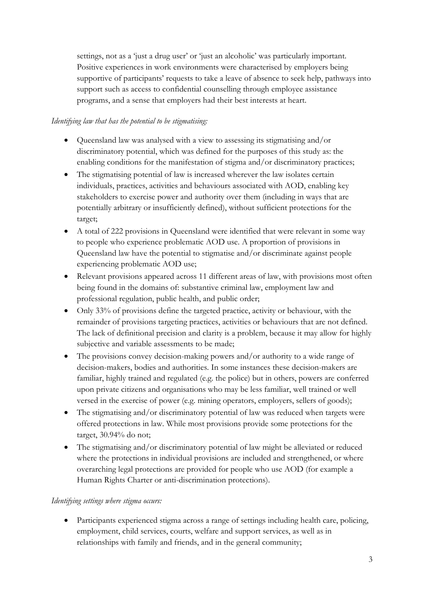settings, not as a 'just a drug user' or 'just an alcoholic' was particularly important. Positive experiences in work environments were characterised by employers being supportive of participants' requests to take a leave of absence to seek help, pathways into support such as access to confidential counselling through employee assistance programs, and a sense that employers had their best interests at heart.

### *Identifying law that has the potential to be stigmatising:*

- Queensland law was analysed with a view to assessing its stigmatising and/or discriminatory potential, which was defined for the purposes of this study as: the enabling conditions for the manifestation of stigma and/or discriminatory practices;
- The stigmatising potential of law is increased wherever the law isolates certain individuals, practices, activities and behaviours associated with AOD, enabling key stakeholders to exercise power and authority over them (including in ways that are potentially arbitrary or insufficiently defined), without sufficient protections for the target;
- A total of 222 provisions in Queensland were identified that were relevant in some way to people who experience problematic AOD use. A proportion of provisions in Queensland law have the potential to stigmatise and/or discriminate against people experiencing problematic AOD use;
- Relevant provisions appeared across 11 different areas of law, with provisions most often being found in the domains of: substantive criminal law, employment law and professional regulation, public health, and public order;
- Only 33% of provisions define the targeted practice, activity or behaviour, with the remainder of provisions targeting practices, activities or behaviours that are not defined. The lack of definitional precision and clarity is a problem, because it may allow for highly subjective and variable assessments to be made;
- The provisions convey decision-making powers and/or authority to a wide range of decision-makers, bodies and authorities. In some instances these decision-makers are familiar, highly trained and regulated (e.g. the police) but in others, powers are conferred upon private citizens and organisations who may be less familiar, well trained or well versed in the exercise of power (e.g. mining operators, employers, sellers of goods);
- The stigmatising and/or discriminatory potential of law was reduced when targets were offered protections in law. While most provisions provide some protections for the target, 30.94% do not;
- The stigmatising and/or discriminatory potential of law might be alleviated or reduced where the protections in individual provisions are included and strengthened, or where overarching legal protections are provided for people who use AOD (for example a Human Rights Charter or anti-discrimination protections).

### *Identifying settings where stigma occurs:*

• Participants experienced stigma across a range of settings including health care, policing, employment, child services, courts, welfare and support services, as well as in relationships with family and friends, and in the general community;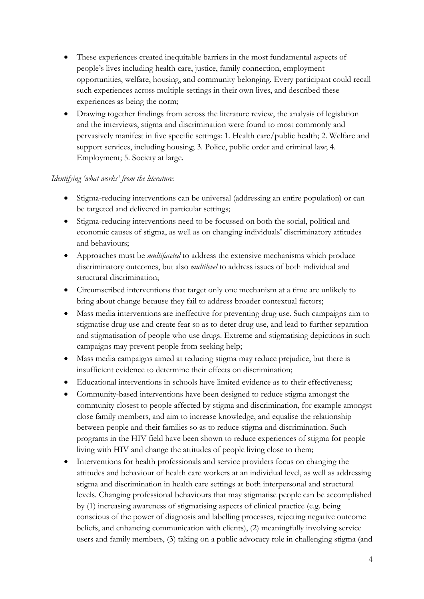- These experiences created inequitable barriers in the most fundamental aspects of people's lives including health care, justice, family connection, employment opportunities, welfare, housing, and community belonging. Every participant could recall such experiences across multiple settings in their own lives, and described these experiences as being the norm;
- Drawing together findings from across the literature review, the analysis of legislation and the interviews, stigma and discrimination were found to most commonly and pervasively manifest in five specific settings: 1. Health care/public health; 2. Welfare and support services, including housing; 3. Police, public order and criminal law; 4. Employment; 5. Society at large.

### *Identifying 'what works' from the literature:*

- Stigma-reducing interventions can be universal (addressing an entire population) or can be targeted and delivered in particular settings;
- Stigma-reducing interventions need to be focussed on both the social, political and economic causes of stigma, as well as on changing individuals' discriminatory attitudes and behaviours;
- Approaches must be *multifaceted* to address the extensive mechanisms which produce discriminatory outcomes, but also *multilevel* to address issues of both individual and structural discrimination;
- Circumscribed interventions that target only one mechanism at a time are unlikely to bring about change because they fail to address broader contextual factors;
- Mass media interventions are ineffective for preventing drug use. Such campaigns aim to stigmatise drug use and create fear so as to deter drug use, and lead to further separation and stigmatisation of people who use drugs. Extreme and stigmatising depictions in such campaigns may prevent people from seeking help;
- Mass media campaigns aimed at reducing stigma may reduce prejudice, but there is insufficient evidence to determine their effects on discrimination;
- Educational interventions in schools have limited evidence as to their effectiveness;
- Community-based interventions have been designed to reduce stigma amongst the community closest to people affected by stigma and discrimination, for example amongst close family members, and aim to increase knowledge, and equalise the relationship between people and their families so as to reduce stigma and discrimination. Such programs in the HIV field have been shown to reduce experiences of stigma for people living with HIV and change the attitudes of people living close to them;
- Interventions for health professionals and service providers focus on changing the attitudes and behaviour of health care workers at an individual level, as well as addressing stigma and discrimination in health care settings at both interpersonal and structural levels. Changing professional behaviours that may stigmatise people can be accomplished by (1) increasing awareness of stigmatising aspects of clinical practice (e.g. being conscious of the power of diagnosis and labelling processes, rejecting negative outcome beliefs, and enhancing communication with clients), (2) meaningfully involving service users and family members, (3) taking on a public advocacy role in challenging stigma (and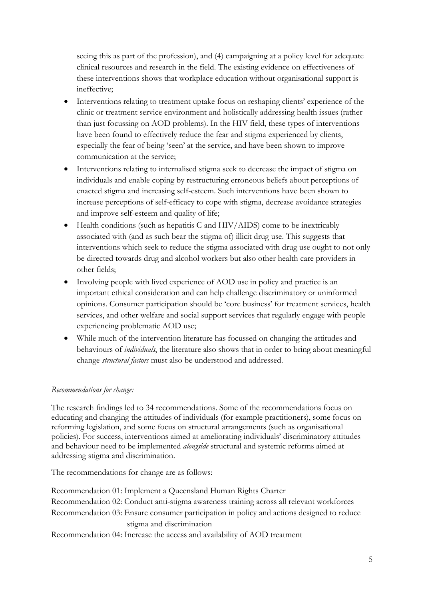seeing this as part of the profession), and (4) campaigning at a policy level for adequate clinical resources and research in the field. The existing evidence on effectiveness of these interventions shows that workplace education without organisational support is ineffective;

- Interventions relating to treatment uptake focus on reshaping clients' experience of the clinic or treatment service environment and holistically addressing health issues (rather than just focussing on AOD problems). In the HIV field, these types of interventions have been found to effectively reduce the fear and stigma experienced by clients, especially the fear of being 'seen' at the service, and have been shown to improve communication at the service;
- Interventions relating to internalised stigma seek to decrease the impact of stigma on individuals and enable coping by restructuring erroneous beliefs about perceptions of enacted stigma and increasing self-esteem. Such interventions have been shown to increase perceptions of self-efficacy to cope with stigma, decrease avoidance strategies and improve self-esteem and quality of life;
- Health conditions (such as hepatitis C and HIV/AIDS) come to be inextricably associated with (and as such bear the stigma of) illicit drug use. This suggests that interventions which seek to reduce the stigma associated with drug use ought to not only be directed towards drug and alcohol workers but also other health care providers in other fields;
- Involving people with lived experience of AOD use in policy and practice is an important ethical consideration and can help challenge discriminatory or uninformed opinions. Consumer participation should be 'core business' for treatment services, health services, and other welfare and social support services that regularly engage with people experiencing problematic AOD use;
- While much of the intervention literature has focussed on changing the attitudes and behaviours of *individuals*, the literature also shows that in order to bring about meaningful change *structural factors* must also be understood and addressed.

### *Recommendations for change:*

The research findings led to 34 recommendations. Some of the recommendations focus on educating and changing the attitudes of individuals (for example practitioners), some focus on reforming legislation, and some focus on structural arrangements (such as organisational policies). For success, interventions aimed at ameliorating individuals' discriminatory attitudes and behaviour need to be implemented *alongside* structural and systemic reforms aimed at addressing stigma and discrimination.

The recommendations for change are as follows:

Recommendation 01: Implement a Queensland Human Rights Charter Recommendation 02: Conduct anti-stigma awareness training across all relevant workforces Recommendation 03: Ensure consumer participation in policy and actions designed to reduce stigma and discrimination

Recommendation 04: Increase the access and availability of AOD treatment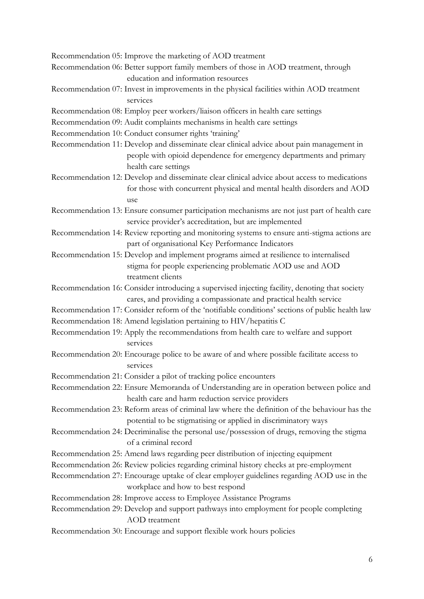- Recommendation 05: Improve the marketing of AOD treatment
- Recommendation 06: Better support family members of those in AOD treatment, through education and information resources
- Recommendation 07: Invest in improvements in the physical facilities within AOD treatment services
- Recommendation 08: Employ peer workers/liaison officers in health care settings
- Recommendation 09: Audit complaints mechanisms in health care settings
- Recommendation 10: Conduct consumer rights 'training'
- Recommendation 11: Develop and disseminate clear clinical advice about pain management in people with opioid dependence for emergency departments and primary health care settings
- Recommendation 12: Develop and disseminate clear clinical advice about access to medications for those with concurrent physical and mental health disorders and AOD use
- Recommendation 13: Ensure consumer participation mechanisms are not just part of health care service provider's accreditation, but are implemented
- Recommendation 14: Review reporting and monitoring systems to ensure anti-stigma actions are part of organisational Key Performance Indicators
- Recommendation 15: Develop and implement programs aimed at resilience to internalised stigma for people experiencing problematic AOD use and AOD treatment clients
- Recommendation 16: Consider introducing a supervised injecting facility, denoting that society cares, and providing a compassionate and practical health service
- Recommendation 17: Consider reform of the 'notifiable conditions' sections of public health law
- Recommendation 18: Amend legislation pertaining to HIV/hepatitis C
- Recommendation 19: Apply the recommendations from health care to welfare and support services
- Recommendation 20: Encourage police to be aware of and where possible facilitate access to services
- Recommendation 21: Consider a pilot of tracking police encounters
- Recommendation 22: Ensure Memoranda of Understanding are in operation between police and health care and harm reduction service providers
- Recommendation 23: Reform areas of criminal law where the definition of the behaviour has the potential to be stigmatising or applied in discriminatory ways
- Recommendation 24: Decriminalise the personal use/possession of drugs, removing the stigma of a criminal record
- Recommendation 25: Amend laws regarding peer distribution of injecting equipment
- Recommendation 26: Review policies regarding criminal history checks at pre-employment
- Recommendation 27: Encourage uptake of clear employer guidelines regarding AOD use in the workplace and how to best respond
- Recommendation 28: Improve access to Employee Assistance Programs
- Recommendation 29: Develop and support pathways into employment for people completing AOD treatment
- Recommendation 30: Encourage and support flexible work hours policies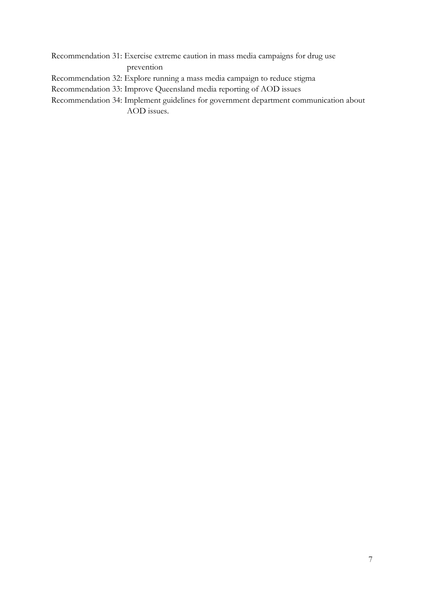Recommendation 31: Exercise extreme caution in mass media campaigns for drug use prevention Recommendation 32: Explore running a mass media campaign to reduce stigma Recommendation 33: Improve Queensland media reporting of AOD issues Recommendation 34: Implement guidelines for government department communication about AOD issues.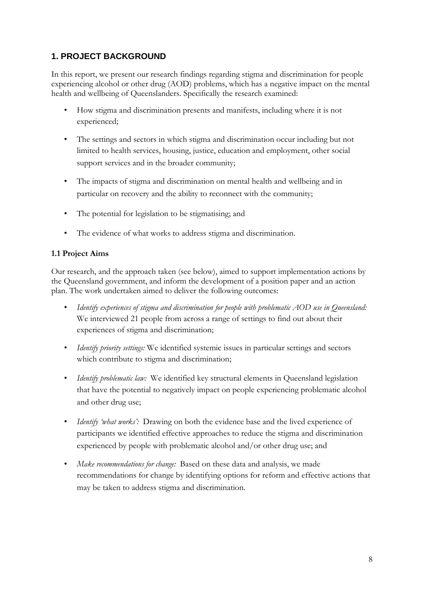### <span id="page-13-0"></span>**1. PROJECT BACKGROUND**

In this report, we present our research findings regarding stigma and discrimination for people experiencing alcohol or other drug (AOD) problems, which has a negative impact on the mental health and wellbeing of Queenslanders. Specifically the research examined:

- How stigma and discrimination presents and manifests, including where it is not experienced;
- The settings and sectors in which stigma and discrimination occur including but not limited to health services, housing, justice, education and employment, other social support services and in the broader community;
- The impacts of stigma and discrimination on mental health and wellbeing and in particular on recovery and the ability to reconnect with the community;
- The potential for legislation to be stigmatising; and
- The evidence of what works to address stigma and discrimination.

### <span id="page-13-1"></span>**1.1 Project Aims**

Our research, and the approach taken (see below), aimed to support implementation actions by the Queensland government, and inform the development of a position paper and an action plan. The work undertaken aimed to deliver the following outcomes:

- *Identify experiences of stigma and discrimination for people with problematic AOD use in Queensland:* We interviewed 21 people from across a range of settings to find out about their experiences of stigma and discrimination;
- *Identify priority settings:* We identified systemic issues in particular settings and sectors which contribute to stigma and discrimination;
- *Identify problematic law*: We identified key structural elements in Queensland legislation that have the potential to negatively impact on people experiencing problematic alcohol and other drug use;
- *Identify 'what works'*: Drawing on both the evidence base and the lived experience of participants we identified effective approaches to reduce the stigma and discrimination experienced by people with problematic alcohol and/or other drug use; and
- *Make recommendations for change:* Based on these data and analysis, we made recommendations for change by identifying options for reform and effective actions that may be taken to address stigma and discrimination.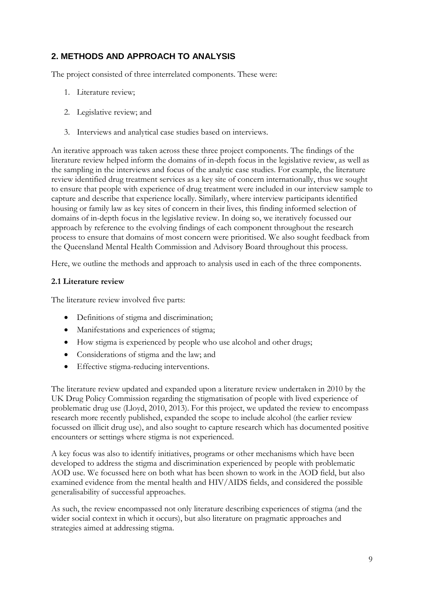### <span id="page-14-0"></span>**2. METHODS AND APPROACH TO ANALYSIS**

The project consisted of three interrelated components. These were:

- 1. Literature review;
- 2. Legislative review; and
- 3. Interviews and analytical case studies based on interviews.

An iterative approach was taken across these three project components. The findings of the literature review helped inform the domains of in-depth focus in the legislative review, as well as the sampling in the interviews and focus of the analytic case studies. For example, the literature review identified drug treatment services as a key site of concern internationally, thus we sought to ensure that people with experience of drug treatment were included in our interview sample to capture and describe that experience locally. Similarly, where interview participants identified housing or family law as key sites of concern in their lives, this finding informed selection of domains of in-depth focus in the legislative review. In doing so, we iteratively focussed our approach by reference to the evolving findings of each component throughout the research process to ensure that domains of most concern were prioritised. We also sought feedback from the Queensland Mental Health Commission and Advisory Board throughout this process.

Here, we outline the methods and approach to analysis used in each of the three components.

### <span id="page-14-1"></span>**2.1 Literature review**

The literature review involved five parts:

- Definitions of stigma and discrimination;
- Manifestations and experiences of stigma;
- How stigma is experienced by people who use alcohol and other drugs;
- Considerations of stigma and the law; and
- Effective stigma-reducing interventions.

The literature review updated and expanded upon a literature review undertaken in 2010 by the UK Drug Policy Commission regarding the stigmatisation of people with lived experience of problematic drug use [\(Lloyd, 2010,](#page-118-0) [2013\)](#page-118-1). For this project, we updated the review to encompass research more recently published, expanded the scope to include alcohol (the earlier review focussed on illicit drug use), and also sought to capture research which has documented positive encounters or settings where stigma is not experienced.

A key focus was also to identify initiatives, programs or other mechanisms which have been developed to address the stigma and discrimination experienced by people with problematic AOD use. We focussed here on both what has been shown to work in the AOD field, but also examined evidence from the mental health and HIV/AIDS fields, and considered the possible generalisability of successful approaches.

As such, the review encompassed not only literature describing experiences of stigma (and the wider social context in which it occurs), but also literature on pragmatic approaches and strategies aimed at addressing stigma.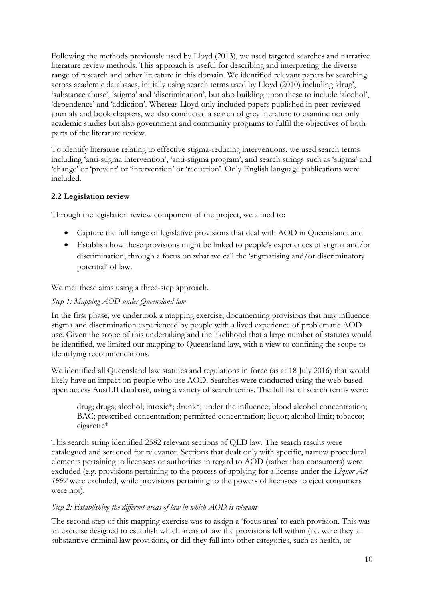Following the methods previously used by Lloyd [\(2013\)](#page-118-1), we used targeted searches and narrative literature review methods. This approach is useful for describing and interpreting the diverse range of research and other literature in this domain. We identified relevant papers by searching across academic databases, initially using search terms used by Lloyd [\(2010\)](#page-118-0) including 'drug', 'substance abuse', 'stigma' and 'discrimination', but also building upon these to include 'alcohol', 'dependence' and 'addiction'. Whereas Lloyd only included papers published in peer-reviewed journals and book chapters, we also conducted a search of grey literature to examine not only academic studies but also government and community programs to fulfil the objectives of both parts of the literature review.

To identify literature relating to effective stigma-reducing interventions, we used search terms including 'anti-stigma intervention', 'anti-stigma program', and search strings such as 'stigma' and 'change' or 'prevent' or 'intervention' or 'reduction'. Only English language publications were included.

### <span id="page-15-0"></span>**2.2 Legislation review**

Through the legislation review component of the project, we aimed to:

- Capture the full range of legislative provisions that deal with AOD in Queensland; and
- Establish how these provisions might be linked to people's experiences of stigma and/or discrimination, through a focus on what we call the 'stigmatising and/or discriminatory potential' of law.

We met these aims using a three-step approach.

### *Step 1: Mapping AOD under Queensland law*

In the first phase, we undertook a mapping exercise, documenting provisions that may influence stigma and discrimination experienced by people with a lived experience of problematic AOD use. Given the scope of this undertaking and the likelihood that a large number of statutes would be identified, we limited our mapping to Queensland law, with a view to confining the scope to identifying recommendations.

We identified all Queensland law statutes and regulations in force (as at 18 July 2016) that would likely have an impact on people who use AOD. Searches were conducted using the web-based open access AustLII database, using a variety of search terms. The full list of search terms were:

drug; drugs; alcohol; intoxic\*; drunk\*; under the influence; blood alcohol concentration; BAC; prescribed concentration; permitted concentration; liquor; alcohol limit; tobacco; cigarette\*

This search string identified 2582 relevant sections of QLD law. The search results were catalogued and screened for relevance. Sections that dealt only with specific, narrow procedural elements pertaining to licensees or authorities in regard to AOD (rather than consumers) were excluded (e.g. provisions pertaining to the process of applying for a license under the *Liquor Act 1992* were excluded, while provisions pertaining to the powers of licensees to eject consumers were not).

### *Step 2: Establishing the different areas of law in which AOD is relevant*

The second step of this mapping exercise was to assign a 'focus area' to each provision. This was an exercise designed to establish which areas of law the provisions fell within (i.e. were they all substantive criminal law provisions, or did they fall into other categories, such as health, or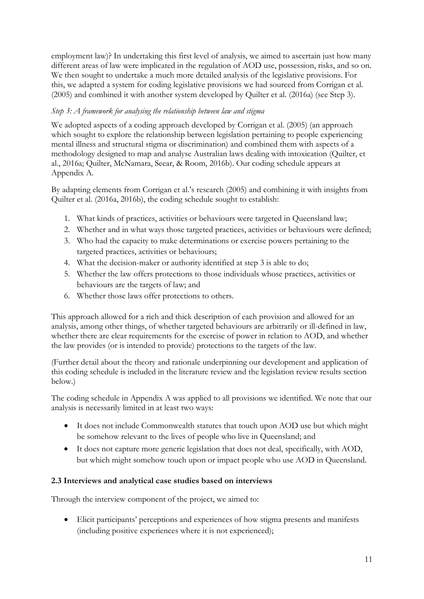employment law)? In undertaking this first level of analysis, we aimed to ascertain just how many different areas of law were implicated in the regulation of AOD use, possession, risks, and so on. We then sought to undertake a much more detailed analysis of the legislative provisions. For this, we adapted a system for coding legislative provisions we had sourced from Corrigan et al. [\(2005\)](#page-116-0) and combined it with another system developed by Quilter et al. [\(2016a\)](#page-120-0) (see Step 3).

### *Step 3: A framework for analysing the relationship between law and stigma*

We adopted aspects of a coding approach developed by Corrigan et al. [\(2005\)](#page-116-0) (an approach which sought to explore the relationship between legislation pertaining to people experiencing mental illness and structural stigma or discrimination) and combined them with aspects of a methodology designed to map and analyse Australian laws dealing with intoxication [\(Quilter, et](#page-120-0)  [al., 2016a;](#page-120-0) [Quilter, McNamara, Seear, & Room, 2016b\)](#page-120-1). Our coding schedule appears at Appendix A.

By adapting elements from Corrigan et al.'s research (2005) and combining it with insights from Quilter et al. (2016a, 2016b), the coding schedule sought to establish:

- 1. What kinds of practices, activities or behaviours were targeted in Queensland law;
- 2. Whether and in what ways those targeted practices, activities or behaviours were defined;
- 3. Who had the capacity to make determinations or exercise powers pertaining to the targeted practices, activities or behaviours;
- 4. What the decision-maker or authority identified at step 3 is able to do;
- 5. Whether the law offers protections to those individuals whose practices, activities or behaviours are the targets of law; and
- 6. Whether those laws offer protections to others.

This approach allowed for a rich and thick description of each provision and allowed for an analysis, among other things, of whether targeted behaviours are arbitrarily or ill-defined in law, whether there are clear requirements for the exercise of power in relation to AOD, and whether the law provides (or is intended to provide) protections to the targets of the law.

(Further detail about the theory and rationale underpinning our development and application of this coding schedule is included in the literature review and the legislation review results section below.)

The coding schedule in Appendix A was applied to all provisions we identified. We note that our analysis is necessarily limited in at least two ways:

- It does not include Commonwealth statutes that touch upon AOD use but which might be somehow relevant to the lives of people who live in Queensland; and
- It does not capture more generic legislation that does not deal, specifically, with AOD, but which might somehow touch upon or impact people who use AOD in Queensland.

### <span id="page-16-0"></span>**2.3 Interviews and analytical case studies based on interviews**

Through the interview component of the project, we aimed to:

• Elicit participants' perceptions and experiences of how stigma presents and manifests (including positive experiences where it is not experienced);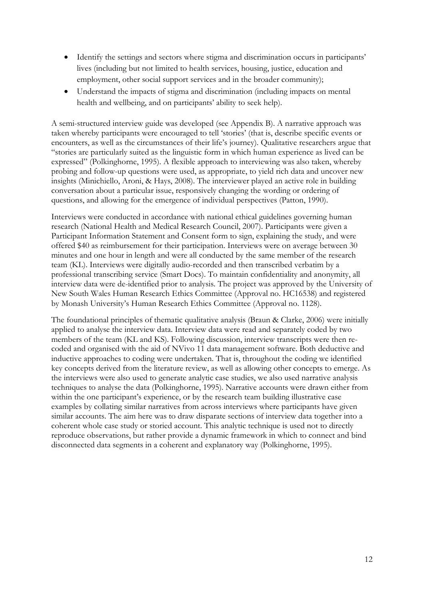- Identify the settings and sectors where stigma and discrimination occurs in participants' lives (including but not limited to health services, housing, justice, education and employment, other social support services and in the broader community);
- Understand the impacts of stigma and discrimination (including impacts on mental health and wellbeing, and on participants' ability to seek help).

A semi-structured interview guide was developed (see Appendix B). A narrative approach was taken whereby participants were encouraged to tell 'stories' (that is, describe specific events or encounters, as well as the circumstances of their life's journey). Qualitative researchers argue that "stories are particularly suited as the linguistic form in which human experience as lived can be expressed" [\(Polkinghorne, 1995\)](#page-120-2). A flexible approach to interviewing was also taken, whereby probing and follow-up questions were used, as appropriate, to yield rich data and uncover new insights [\(Minichiello, Aroni, & Hays, 2008\)](#page-119-0). The interviewer played an active role in building conversation about a particular issue, responsively changing the wording or ordering of questions, and allowing for the emergence of individual perspectives [\(Patton, 1990\)](#page-119-1).

Interviews were conducted in accordance with national ethical guidelines governing human research [\(National Health and Medical Research Council, 2007\)](#page-119-2). Participants were given a Participant Information Statement and Consent form to sign, explaining the study, and were offered \$40 as reimbursement for their participation. Interviews were on average between 30 minutes and one hour in length and were all conducted by the same member of the research team (KL). Interviews were digitally audio-recorded and then transcribed verbatim by a professional transcribing service (Smart Docs). To maintain confidentiality and anonymity, all interview data were de-identified prior to analysis. The project was approved by the University of New South Wales Human Research Ethics Committee (Approval no. HC16538) and registered by Monash University's Human Research Ethics Committee (Approval no. 1128).

<span id="page-17-0"></span>The foundational principles of thematic qualitative analysis [\(Braun & Clarke, 2006\)](#page-115-1) were initially applied to analyse the interview data. Interview data were read and separately coded by two members of the team (KL and KS). Following discussion, interview transcripts were then recoded and organised with the aid of NVivo 11 data management software. Both deductive and inductive approaches to coding were undertaken. That is, throughout the coding we identified key concepts derived from the literature review, as well as allowing other concepts to emerge. As the interviews were also used to generate analytic case studies, we also used narrative analysis techniques to analyse the data [\(Polkinghorne, 1995\)](#page-120-2). Narrative accounts were drawn either from within the one participant's experience, or by the research team building illustrative case examples by collating similar narratives from across interviews where participants have given similar accounts. The aim here was to draw disparate sections of interview data together into a coherent whole case study or storied account. This analytic technique is used not to directly reproduce observations, but rather provide a dynamic framework in which to connect and bind disconnected data segments in a coherent and explanatory way [\(Polkinghorne, 1995\)](#page-120-2).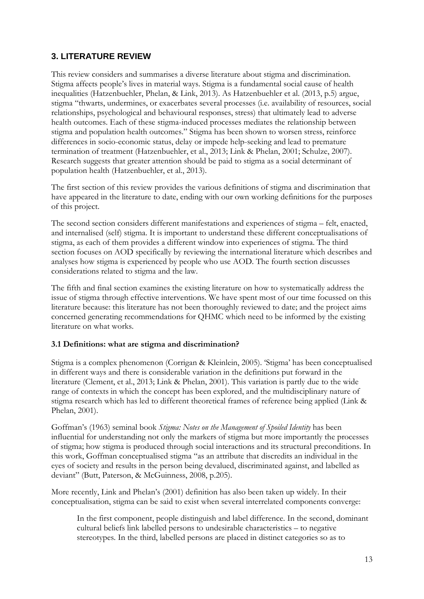### **3. LITERATURE REVIEW**

This review considers and summarises a diverse literature about stigma and discrimination. Stigma affects people's lives in material ways. Stigma is a fundamental social cause of health inequalities [\(Hatzenbuehler, Phelan, & Link, 2013\)](#page-117-0). As Hatzenbuehler et al. [\(2013, p.5\)](#page-117-0) argue, stigma "thwarts, undermines, or exacerbates several processes (i.e. availability of resources, social relationships, psychological and behavioural responses, stress) that ultimately lead to adverse health outcomes. Each of these stigma-induced processes mediates the relationship between stigma and population health outcomes." Stigma has been shown to worsen stress, reinforce differences in socio-economic status, delay or impede help-seeking and lead to premature termination of treatment [\(Hatzenbuehler, et al., 2013;](#page-117-0) [Link & Phelan, 2001;](#page-118-2) [Schulze, 2007\)](#page-121-0). Research suggests that greater attention should be paid to stigma as a social determinant of population health [\(Hatzenbuehler, et al., 2013\)](#page-117-0).

The first section of this review provides the various definitions of stigma and discrimination that have appeared in the literature to date, ending with our own working definitions for the purposes of this project.

The second section considers different manifestations and experiences of stigma – felt, enacted, and internalised (self) stigma. It is important to understand these different conceptualisations of stigma, as each of them provides a different window into experiences of stigma. The third section focuses on AOD specifically by reviewing the international literature which describes and analyses how stigma is experienced by people who use AOD. The fourth section discusses considerations related to stigma and the law.

The fifth and final section examines the existing literature on how to systematically address the issue of stigma through effective interventions. We have spent most of our time focussed on this literature because: this literature has not been thoroughly reviewed to date; and the project aims concerned generating recommendations for QHMC which need to be informed by the existing literature on what works.

### <span id="page-18-0"></span>**3.1 Definitions: what are stigma and discrimination?**

Stigma is a complex phenomenon [\(Corrigan & Kleinlein, 2005\)](#page-116-1). 'Stigma' has been conceptualised in different ways and there is considerable variation in the definitions put forward in the literature [\(Clement, et al., 2013;](#page-116-2) [Link & Phelan, 2001\)](#page-118-2). This variation is partly due to the wide range of contexts in which the concept has been explored, and the multidisciplinary nature of stigma research which has led to different theoretical frames of reference being applied [\(Link &](#page-118-2)  [Phelan, 2001\)](#page-118-2).

Goffman's [\(1963\)](#page-117-1) seminal book *Stigma: Notes on the Management of Spoiled Identity* has been influential for understanding not only the markers of stigma but more importantly the processes of stigma; how stigma is produced through social interactions and its structural preconditions. In this work, Goffman conceptualised stigma "as an attribute that discredits an individual in the eyes of society and results in the person being devalued, discriminated against, and labelled as deviant" [\(Butt, Paterson, & McGuinness, 2008, p.205\)](#page-116-3).

More recently, Link and Phelan's [\(2001\)](#page-118-2) definition has also been taken up widely. In their conceptualisation, stigma can be said to exist when several interrelated components converge:

In the first component, people distinguish and label difference. In the second, dominant cultural beliefs link labelled persons to undesirable characteristics – to negative stereotypes. In the third, labelled persons are placed in distinct categories so as to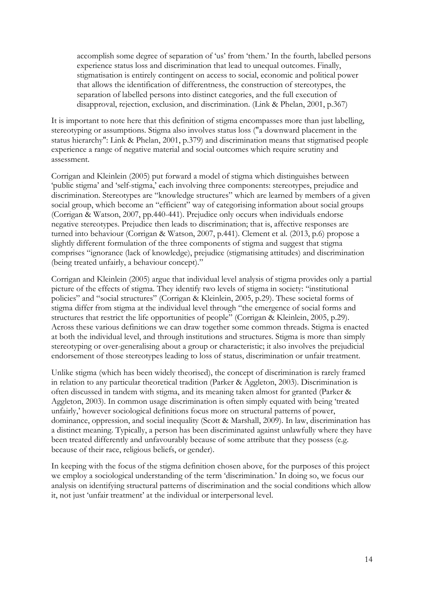accomplish some degree of separation of 'us' from 'them.' In the fourth, labelled persons experience status loss and discrimination that lead to unequal outcomes. Finally, stigmatisation is entirely contingent on access to social, economic and political power that allows the identification of differentness, the construction of stereotypes, the separation of labelled persons into distinct categories, and the full execution of disapproval, rejection, exclusion, and discrimination. [\(Link & Phelan, 2001, p.367\)](#page-118-2)

It is important to note here that this definition of stigma encompasses more than just labelling, stereotyping or assumptions. Stigma also involves status loss [\("a downward placement in the](#page-118-2)  [status hierarchy": Link & Phelan, 2001, p.379\)](#page-118-2) and discrimination means that stigmatised people experience a range of negative material and social outcomes which require scrutiny and assessment.

Corrigan and Kleinlein [\(2005\)](#page-116-1) put forward a model of stigma which distinguishes between 'public stigma' and 'self-stigma,' each involving three components: stereotypes, prejudice and discrimination. Stereotypes are "knowledge structures" which are learned by members of a given social group, which become an "efficient" way of categorising information about social groups [\(Corrigan & Watson, 2007, pp.440-441\)](#page-116-4). Prejudice only occurs when individuals endorse negative stereotypes. Prejudice then leads to discrimination; that is, affective responses are turned into behaviour [\(Corrigan & Watson, 2007, p.441\)](#page-116-4). Clement et al. [\(2013, p.6\)](#page-116-2) propose a slightly different formulation of the three components of stigma and suggest that stigma comprises "ignorance (lack of knowledge), prejudice (stigmatising attitudes) and discrimination (being treated unfairly, a behaviour concept)."

Corrigan and Kleinlein [\(2005\)](#page-116-1) argue that individual level analysis of stigma provides only a partial picture of the effects of stigma. They identify two levels of stigma in society: "institutional policies" and "social structures" [\(Corrigan & Kleinlein, 2005, p.29\)](#page-116-1). These societal forms of stigma differ from stigma at the individual level through "the emergence of social forms and structures that restrict the life opportunities of people" [\(Corrigan & Kleinlein, 2005, p.29\)](#page-116-1). Across these various definitions we can draw together some common threads. Stigma is enacted at both the individual level, and through institutions and structures. Stigma is more than simply stereotyping or over-generalising about a group or characteristic; it also involves the prejudicial endorsement of those stereotypes leading to loss of status, discrimination or unfair treatment.

Unlike stigma (which has been widely theorised), the concept of discrimination is rarely framed in relation to any particular theoretical tradition [\(Parker & Aggleton, 2003\)](#page-119-3). Discrimination is often discussed in tandem with stigma, and its meaning taken almost for granted [\(Parker &](#page-119-3)  [Aggleton, 2003\)](#page-119-3). In common usage discrimination is often simply equated with being 'treated unfairly,' however sociological definitions focus more on structural patterns of power, dominance, oppression, and social inequality [\(Scott & Marshall, 2009\)](#page-121-1). In law, discrimination has a distinct meaning. Typically, a person has been discriminated against unlawfully where they have been treated differently and unfavourably because of some attribute that they possess (e.g. because of their race, religious beliefs, or gender).

In keeping with the focus of the stigma definition chosen above, for the purposes of this project we employ a sociological understanding of the term 'discrimination.' In doing so, we focus our analysis on identifying structural patterns of discrimination and the social conditions which allow it, not just 'unfair treatment' at the individual or interpersonal level.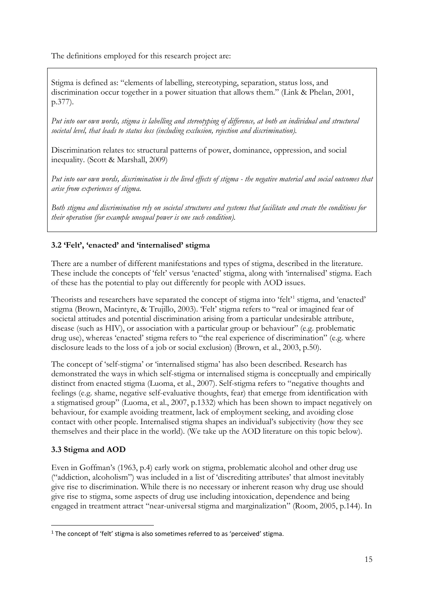The definitions employed for this research project are:

Stigma is defined as: "elements of labelling, stereotyping, separation, status loss, and discrimination occur together in a power situation that allows them." [\(Link & Phelan, 2001,](#page-118-2)  [p.377\)](#page-118-2).

*Put into our own words, stigma is labelling and stereotyping of difference, at both an individual and structural societal level, that leads to status loss (including exclusion, rejection and discrimination).*

Discrimination relates to: structural patterns of power, dominance, oppression, and social inequality. [\(Scott & Marshall, 2009\)](#page-121-1)

*Put into our own words, discrimination is the lived effects of stigma - the negative material and social outcomes that arise from experiences of stigma.*

*Both stigma and discrimination rely on societal structures and systems that facilitate and create the conditions for their operation (for example unequal power is one such condition).*

### <span id="page-20-0"></span>**3.2 'Felt', 'enacted' and 'internalised' stigma**

There are a number of different manifestations and types of stigma, described in the literature. These include the concepts of 'felt' versus 'enacted' stigma, along with 'internalised' stigma. Each of these has the potential to play out differently for people with AOD issues.

Theorists and researchers have separated the concept of stigma into 'felt'<sup>[1](#page-20-2)</sup> stigma, and 'enacted' stigma [\(Brown, Macintyre, & Trujillo, 2003\)](#page-115-2). 'Felt' stigma refers to "real or imagined fear of societal attitudes and potential discrimination arising from a particular undesirable attribute, disease (such as HIV), or association with a particular group or behaviour" (e.g. problematic drug use), whereas 'enacted' stigma refers to "the real experience of discrimination" (e.g. where disclosure leads to the loss of a job or social exclusion) [\(Brown, et al., 2003, p.50\)](#page-115-2).

The concept of 'self-stigma' or 'internalised stigma' has also been described. Research has demonstrated the ways in which self-stigma or internalised stigma is conceptually and empirically distinct from enacted stigma [\(Luoma, et al., 2007\)](#page-119-4). Self-stigma refers to "negative thoughts and feelings (e.g. shame, negative self-evaluative thoughts, fear) that emerge from identification with a stigmatised group" [\(Luoma, et al., 2007, p.1332\)](#page-119-4) which has been shown to impact negatively on behaviour, for example avoiding treatment, lack of employment seeking, and avoiding close contact with other people. Internalised stigma shapes an individual's subjectivity (how they see themselves and their place in the world). (We take up the AOD literature on this topic below).

### <span id="page-20-1"></span>**3.3 Stigma and AOD**

<u>.</u>

Even in Goffman's [\(1963, p.4\)](#page-117-1) early work on stigma, problematic alcohol and other drug use ("addiction, alcoholism") was included in a list of 'discrediting attributes' that almost inevitably give rise to discrimination. While there is no necessary or inherent reason why drug use should give rise to stigma, some aspects of drug use including intoxication, dependence and being engaged in treatment attract "near-universal stigma and marginalization" [\(Room, 2005, p.144\)](#page-120-3). In

<span id="page-20-2"></span> $1$  The concept of 'felt' stigma is also sometimes referred to as 'perceived' stigma.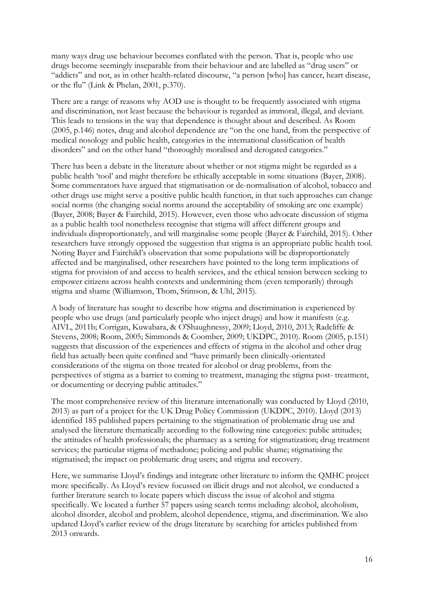many ways drug use behaviour becomes conflated with the person. That is, people who use drugs become seemingly inseparable from their behaviour and are labelled as "drug users" or "addicts" and not, as in other health-related discourse, "a person [who] has cancer, heart disease, or the flu" [\(Link & Phelan, 2001, p.370\)](#page-118-2).

There are a range of reasons why AOD use is thought to be frequently associated with stigma and discrimination, not least because the behaviour is regarded as immoral, illegal, and deviant. This leads to tensions in the way that dependence is thought about and described. As Room [\(2005, p.146\)](#page-120-3) notes, drug and alcohol dependence are "on the one hand, from the perspective of medical nosology and public health, categories in the international classification of health disorders" and on the other hand "thoroughly moralised and derogated categories."

There has been a debate in the literature about whether or not stigma might be regarded as a public health 'tool' and might therefore be ethically acceptable in some situations [\(Bayer, 2008\)](#page-115-3). Some commentators have argued that stigmatisation or de-normalisation of alcohol, tobacco and other drugs use might serve a positive public health function, in that such approaches can change social norms (the changing social norms around the acceptability of smoking are one example) [\(Bayer, 2008;](#page-115-3) Bayer [& Fairchild, 2015\)](#page-115-4). However, even those who advocate discussion of stigma as a public health tool nonetheless recognise that stigma will affect different groups and individuals disproportionately, and will marginalise some people [\(Bayer & Fairchild, 2015\)](#page-115-4). Other researchers have strongly opposed the suggestion that stigma is an appropriate public health tool. Noting Bayer and Fairchild's observation that some populations will be disproportionately affected and be marginalised, other researchers have pointed to the long term implications of stigma for provision of and access to health services, and the ethical tension between seeking to empower citizens across health contexts and undermining them (even temporarily) through stigma and shame [\(Williamson, Thom, Stimson, & Uhl, 2015\)](#page-122-0).

A body of literature has sought to describe how stigma and discrimination is experienced by people who use drugs (and particularly people who inject drugs) and how it manifests (e.g. [AIVL, 2011b;](#page-115-5) [Corrigan, Kuwabara, & O'Shaughnessy, 2009;](#page-116-5) [Lloyd, 2010,](#page-118-0) [2013;](#page-118-1) [Radcliffe &](#page-120-4)  [Stevens, 2008;](#page-120-4) [Room, 2005;](#page-120-3) [Simmonds & Coomber, 2009;](#page-121-2) [UKDPC, 2010\)](#page-121-3). Room [\(2005, p.151\)](#page-120-3) suggests that discussion of the experiences and effects of stigma in the alcohol and other drug field has actually been quite confined and "have primarily been clinically-orientated considerations of the stigma on those treated for alcohol or drug problems, from the perspectives of stigma as a barrier to coming to treatment, managing the stigma post- treatment, or documenting or decrying public attitudes."

The most comprehensive review of this literature internationally was conducted by Lloyd [\(2010,](#page-118-0) [2013\)](#page-118-1) as part of a project for the UK Drug Policy Commission [\(UKDPC, 2010\)](#page-121-3). Lloyd [\(2013\)](#page-118-1) identified 185 published papers pertaining to the stigmatisation of problematic drug use and analysed the literature thematically according to the following nine categories: public attitudes; the attitudes of health professionals; the pharmacy as a setting for stigmatization; drug treatment services; the particular stigma of methadone; policing and public shame; stigmatising the stigmatised; the impact on problematic drug users; and stigma and recovery.

Here, we summarise Lloyd's findings and integrate other literature to inform the QMHC project more specifically. As Lloyd's review focussed on illicit drugs and not alcohol, we conducted a further literature search to locate papers which discuss the issue of alcohol and stigma specifically. We located a further 57 papers using search terms including: alcohol, alcoholism, alcohol disorder, alcohol and problem, alcohol dependence, stigma, and discrimination. We also updated Lloyd's earlier review of the drugs literature by searching for articles published from 2013 onwards.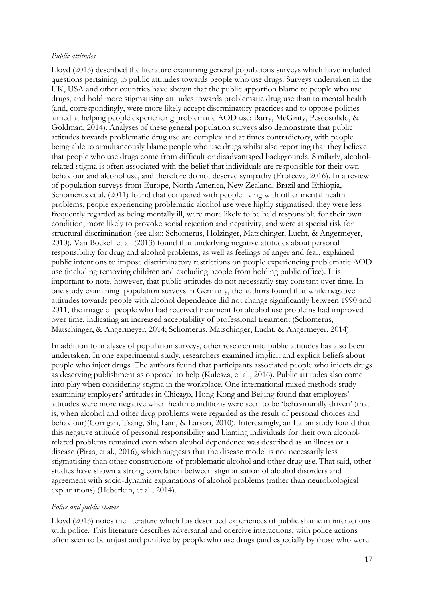#### *Public attitudes*

Lloyd [\(2013\)](#page-118-1) described the literature examining general populations surveys which have included questions pertaining to public attitudes towards people who use drugs. Surveys undertaken in the UK, USA and other countries have shown that the public apportion blame to people who use drugs, and hold more stigmatising attitudes towards problematic drug use than to mental health [\(and, correspondingly, were more likely accept discrminatory practices and to oppose policies](#page-115-6)  [aimed at helping people experiencing problematic AOD use: Barry, McGinty, Pescosolido, &](#page-115-6)  [Goldman, 2014\)](#page-115-6). Analyses of these general population surveys also demonstrate that public attitudes towards problematic drug use are complex and at times contradictory, with people being able to simultaneously blame people who use drugs whilst also reporting that they believe that people who use drugs come from difficult or disadvantaged backgrounds. Similarly, alcoholrelated stigma is often associated with the belief that individuals are responsible for their own behaviour and alcohol use, and therefore do not deserve sympathy [\(Erofeeva, 2016\)](#page-117-2). In a review of population surveys from Europe, North America, New Zealand, Brazil and Ethiopia, Schomerus et al. [\(2011\)](#page-120-5) found that compared with people living with other mental health problems, people experiencing problematic alcohol use were highly stigmatised: they were less frequently regarded as being mentally ill, were more likely to be held responsible for their own condition, more likely to provoke social rejection and negativity, and were at special risk for structural discrimination [\(see also: Schomerus, Holzinger, Matschinger, Lucht, & Angermeyer,](#page-120-6)  [2010\)](#page-120-6). Van Boekel et al. [\(2013\)](#page-121-4) found that underlying negative attitudes about personal responsibility for drug and alcohol problems, as well as feelings of anger and fear, explained public intentions to impose discriminatory restrictions on people experiencing problematic AOD use (including removing children and excluding people from holding public office). It is important to note, however, that public attitudes do not necessarily stay constant over time. In one study examining population surveys in Germany, the authors found that while negative attitudes towards people with alcohol dependence did not change significantly between 1990 and 2011, the image of people who had received treatment for alcohol use problems had improved over time, indicating an increased acceptability of professional treatment [\(Schomerus,](#page-120-7)  [Matschinger, & Angermeyer, 2014;](#page-120-7) [Schomerus, Matschinger, Lucht,](#page-121-5) & Angermeyer, 2014).

In addition to analyses of population surveys, other research into public attitudes has also been undertaken. In one experimental study, researchers examined implicit and explicit beliefs about people who inject drugs. The authors found that participants associated people who injects drugs as deserving publishment as opposed to help [\(Kulesza, et al., 2016\)](#page-118-3). Public attitudes also come into play when considering stigma in the workplace. One international mixed methods study examining employers' attitudes in Chicago, Hong Kong and Beijing found that employers' attitudes were more negative when health conditions were seen to be 'behaviourally driven' (that is, when alcohol and other drug problems were regarded as the result of personal choices and behaviour)[\(Corrigan, Tsang, Shi, Lam, & Larson, 2010\)](#page-116-6). Interestingly, an Italian study found that this negative attitude of personal responsibility and blaming individuals for their own alcoholrelated problems remained even when alcohol dependence was described as an illness or a disease [\(Piras, et al., 2016\)](#page-119-5), which suggests that the disease model is not necessarily less stigmatising than other constructions of problematic alcohol and other drug use. That said, other studies have shown a strong correlation between stigmatisation of alcohol disorders and agreement with socio-dynamic explanations of alcohol problems (rather than neurobiological explanations) [\(Heberlein, et al., 2014\)](#page-118-4).

### *Police and public shame*

Lloyd [\(2013\)](#page-118-1) notes the literature which has described experiences of public shame in interactions with police. This literature describes adversarial and coercive interactions, with police actions often seen to be unjust and punitive by people who use drugs (and especially by those who were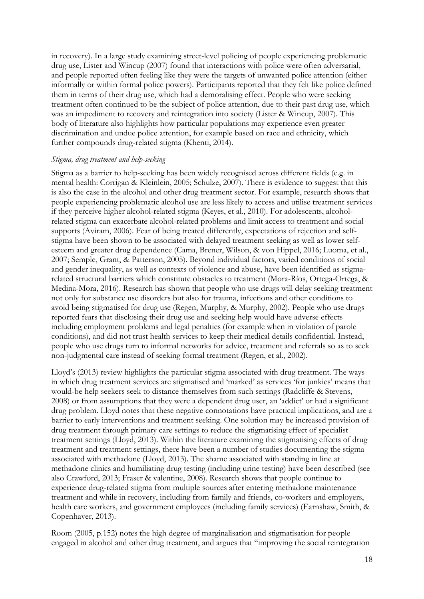in recovery). In a large study examining street-level policing of people experiencing problematic drug use, Lister and Wincup [\(2007\)](#page-118-5) found that interactions with police were often adversarial, and people reported often feeling like they were the targets of unwanted police attention (either informally or within formal police powers). Participants reported that they felt like police defined them in terms of their drug use, which had a demoralising effect. People who were seeking treatment often continued to be the subject of police attention, due to their past drug use, which was an impediment to recovery and reintegration into society [\(Lister & Wincup, 2007\)](#page-118-5). This body of literature also highlights how particular populations may experience even greater discrimination and undue police attention, for example based on race and ethnicity, which further compounds drug-related stigma [\(Khenti, 2014\)](#page-118-6).

#### *Stigma, drug treatment and help-seeking*

Stigma as a barrier to help-seeking has been widely recognised across different fields (e.g. in mental health: [Corrigan & Kleinlein, 2005;](#page-116-1) [Schulze, 2007\)](#page-121-0). There is evidence to suggest that this is also the case in the alcohol and other drug treatment sector. For example, research shows that people experiencing problematic alcohol use are less likely to access and utilise treatment services if they perceive higher alcohol-related stigma [\(Keyes, et al., 2010\)](#page-118-7). For adolescents, alcoholrelated stigma can exacerbate alcohol-related problems and limit access to treatment and social supports [\(Aviram, 2006\)](#page-115-7). Fear of being treated differently, expectations of rejection and selfstigma have been shown to be associated with delayed treatment seeking as well as lower selfesteem and greater drug dependence [\(Cama, Brener, Wilson, & von Hippel, 2016;](#page-116-7) [Luoma, et al.,](#page-119-4)  [2007;](#page-119-4) [Semple, Grant, & Patterson, 2005\)](#page-121-6). Beyond individual factors, varied conditions of social and gender inequality, as well as contexts of violence and abuse, have been identified as stigmarelated structural barriers which constitute obstacles to treatment [\(Mora-Ríos, Ortega-Ortega, &](#page-119-6)  [Medina-Mora, 2016\)](#page-119-6). Research has shown that people who use drugs will delay seeking treatment not only for substance use disorders but also for trauma, infections and other conditions to avoid being stigmatised for drug use [\(Regen, Murphy, & Murphy, 2002\)](#page-120-8). People who use drugs reported fears that disclosing their drug use and seeking help would have adverse effects including employment problems and legal penalties (for example when in violation of parole conditions), and did not trust health services to keep their medical details confidential. Instead, people who use drugs turn to informal networks for advice, treatment and referrals so as to seek non-judgmental care instead of seeking formal treatment [\(Regen, et al., 2002\)](#page-120-8).

Lloyd's [\(2013\)](#page-118-1) review highlights the particular stigma associated with drug treatment. The ways in which drug treatment services are stigmatised and 'marked' as services 'for junkies' means that would-be help seekers seek to distance themselves from such settings [\(Radcliffe & Stevens,](#page-120-4)  [2008\)](#page-120-4) or from assumptions that they were a dependent drug user, an 'addict' or had a significant drug problem. Lloyd notes that these negative connotations have practical implications, and are a barrier to early interventions and treatment seeking. One solution may be increased provision of drug treatment through primary care settings to reduce the stigmatising effect of specialist treatment settings [\(Lloyd, 2013\)](#page-118-1). Within the literature examining the stigmatising effects of drug treatment and treatment settings, there have been a number of studies documenting the stigma associated with methadone [\(Lloyd, 2013\)](#page-118-1). The shame associated with standing in line at methadone clinics and humiliating drug testing (including urine testing) have been described (see also [Crawford, 2013;](#page-117-3) [Fraser & valentine, 2008\)](#page-117-4). Research shows that people continue to experience drug-related stigma from multiple sources after entering methadone maintenance treatment and while in recovery, including from family and friends, co-workers and employers, health care workers, and government employees (including family services) [\(Earnshaw, Smith, &](#page-117-5)  [Copenhaver, 2013\)](#page-117-5).

Room [\(2005, p.152\)](#page-120-3) notes the high degree of marginalisation and stigmatisation for people engaged in alcohol and other drug treatment, and argues that "improving the social reintegration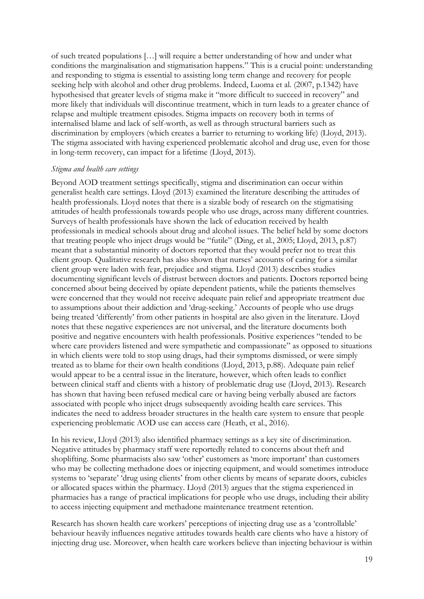of such treated populations […] will require a better understanding of how and under what conditions the marginalisation and stigmatisation happens." This is a crucial point: understanding and responding to stigma is essential to assisting long term change and recovery for people seeking help with alcohol and other drug problems. Indeed, Luoma et al. [\(2007, p.1342\)](#page-119-4) have hypothesised that greater levels of stigma make it "more difficult to succeed in recovery" and more likely that individuals will discontinue treatment, which in turn leads to a greater chance of relapse and multiple treatment episodes. Stigma impacts on recovery both in terms of internalised blame and lack of self-worth, as well as through structural barriers such as discrimination by employers (which creates a barrier to returning to working life) [\(Lloyd, 2013\)](#page-118-1). The stigma associated with having experienced problematic alcohol and drug use, even for those in long-term recovery, can impact for a lifetime [\(Lloyd, 2013\)](#page-118-1).

#### *Stigma and health care settings*

Beyond AOD treatment settings specifically, stigma and discrimination can occur within generalist health care settings. Lloyd [\(2013\)](#page-118-1) examined the literature describing the attitudes of health professionals. Lloyd notes that there is a sizable body of research on the stigmatising attitudes of health professionals towards people who use drugs, across many different countries. Surveys of health professionals have shown the lack of education received by health professionals in medical schools about drug and alcohol issues. The belief held by some doctors that treating people who inject drugs would be "futile" [\(Ding, et al., 2005;](#page-117-6) [Lloyd, 2013, p.87\)](#page-118-1) meant that a substantial minority of doctors reported that they would prefer not to treat this client group. Qualitative research has also shown that nurses' accounts of caring for a similar client group were laden with fear, prejudice and stigma. Lloyd [\(2013\)](#page-118-1) describes studies documenting significant levels of distrust between doctors and patients. Doctors reported being concerned about being deceived by opiate dependent patients, while the patients themselves were concerned that they would not receive adequate pain relief and appropriate treatment due to assumptions about their addiction and 'drug-seeking.' Accounts of people who use drugs being treated 'differently' from other patients in hospital are also given in the literature. Lloyd notes that these negative experiences are not universal, and the literature documents both positive and negative encounters with health professionals. Positive experiences "tended to be where care providers listened and were sympathetic and compassionate" as opposed to situations in which clients were told to stop using drugs, had their symptoms dismissed, or were simply treated as to blame for their own health conditions [\(Lloyd, 2013,](#page-118-1) p.88). Adequate pain relief would appear to be a central issue in the literature, however, which often leads to conflict between clinical staff and clients with a history of problematic drug use [\(Lloyd, 2013\)](#page-118-1). Research has shown that having been refused medical care or having being verbally abused are factors associated with people who inject drugs subsequently avoiding health care services. This indicates the need to address broader structures in the health care system to ensure that people experiencing problematic AOD use can access care [\(Heath, et al., 2016\)](#page-117-7).

In his review, Lloyd [\(2013\)](#page-118-1) also identified pharmacy settings as a key site of discrimination. Negative attitudes by pharmacy staff were reportedly related to concerns about theft and shoplifting. Some pharmacists also saw 'other' customers as 'more important' than customers who may be collecting methadone does or injecting equipment, and would sometimes introduce systems to 'separate' 'drug using clients' from other clients by means of separate doors, cubicles or allocated spaces within the pharmacy. Lloyd [\(2013\)](#page-118-1) argues that the stigma experienced in pharmacies has a range of practical implications for people who use drugs, including their ability to access injecting equipment and methadone maintenance treatment retention.

Research has shown health care workers' perceptions of injecting drug use as a 'controllable' behaviour heavily influences negative attitudes towards health care clients who have a history of injecting drug use. Moreover, when health care workers believe than injecting behaviour is within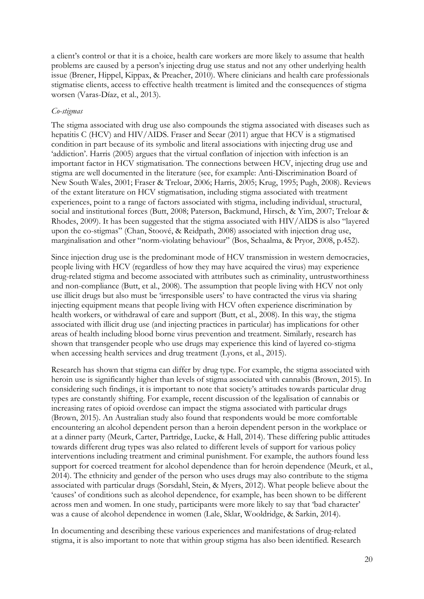a client's control or that it is a choice, health care workers are more likely to assume that health problems are caused by a person's injecting drug use status and not any other underlying health issue [\(Brener, Hippel, Kippax, & Preacher, 2010\)](#page-115-8). Where clinicians and health care professionals stigmatise clients, access to effective health treatment is limited and the consequences of stigma worsen [\(Varas-Díaz, et al., 2013\)](#page-121-7).

### *Co-stigmas*

The stigma associated with drug use also compounds the stigma associated with diseases such as hepatitis C (HCV) and HIV/AIDS. Fraser and Seear [\(2011\)](#page-117-8) argue that HCV is a stigmatised condition in part because of its symbolic and literal associations with injecting drug use and 'addiction'. Harris [\(2005\)](#page-117-9) argues that the virtual conflation of injection with infection is an important factor in HCV stigmatisation. The connections between HCV, injecting drug use and stigma are well documented in the literature [\(see, for example: Anti-Discrimination Board of](#page-115-9)  [New South Wales, 2001;](#page-115-9) [Fraser & Treloar, 2006;](#page-117-10) [Harris, 2005;](#page-117-9) [Krug, 1995;](#page-118-8) [Pugh, 2008\)](#page-120-9). Reviews of the extant literature on HCV stigmatisation, including stigma associated with treatment experiences, point to a range of factors associated with stigma, including individual, structural, social and institutional forces [\(Butt, 2008;](#page-116-8) [Paterson, Backmund, Hirsch, & Yim, 2007;](#page-119-7) [Treloar &](#page-121-8)  [Rhodes, 2009\)](#page-121-8). It has been suggested that the stigma associated with HIV/AIDS is also "layered upon the co-stigmas" [\(Chan, Stoové, & Reidpath, 2008\)](#page-116-9) associated with injection drug use, marginalisation and other "norm-violating behaviour" [\(Bos, Schaalma, & Pryor, 2008, p.452\)](#page-115-10).

Since injection drug use is the predominant mode of HCV transmission in western democracies, people living with HCV (regardless of how they may have acquired the virus) may experience drug-related stigma and become associated with attributes such as criminality, untrustworthiness and non-compliance [\(Butt, et al., 2008\)](#page-116-3). The assumption that people living with HCV not only use illicit drugs but also must be 'irresponsible users' to have contracted the virus via sharing injecting equipment means that people living with HCV often experience discrimination by health workers, or withdrawal of care and support [\(Butt, et al., 2008\)](#page-116-3). In this way, the stigma associated with illicit drug use (and injecting practices in particular) has implications for other areas of health including blood borne virus prevention and treatment. Similarly, research has shown that transgender people who use drugs may experience this kind of layered co-stigma when accessing health services and drug treatment [\(Lyons, et al., 2015\)](#page-119-8).

Research has shown that stigma can differ by drug type. For example, the stigma associated with heroin use is significantly higher than levels of stigma associated with cannabis [\(Brown, 2015\)](#page-115-11). In considering such findings, it is important to note that society's attitudes towards particular drug types are constantly shifting. For example, recent discussion of the legalisation of cannabis or increasing rates of opioid overdose can impact the stigma associated with particular drugs [\(Brown, 2015\)](#page-115-11). An Australian study also found that respondents would be more comfortable encountering an alcohol dependent person than a heroin dependent person in the workplace or at a dinner party [\(Meurk, Carter, Partridge, Lucke, & Hall, 2014\)](#page-119-9). These differing public attitudes towards different drug types was also related to different levels of support for various policy interventions including treatment and criminal punishment. For example, the authors found less support for coerced treatment for alcohol dependence than for heroin dependence [\(Meurk, et al.,](#page-119-9)  [2014\)](#page-119-9). The ethnicity and gender of the person who uses drugs may also contribute to the stigma associated with particular drugs [\(Sorsdahl, Stein, & Myers, 2012\)](#page-121-9). What people believe about the 'causes' of conditions such as alcohol dependence, for example, has been shown to be different across men and women. In one study, participants were more likely to say that 'bad character' was a cause of alcohol dependence in women [\(Lale, Sklar, Wooldridge, & Sarkin, 2014\)](#page-118-9).

In documenting and describing these various experiences and manifestations of drug-related stigma, it is also important to note that within group stigma has also been identified. Research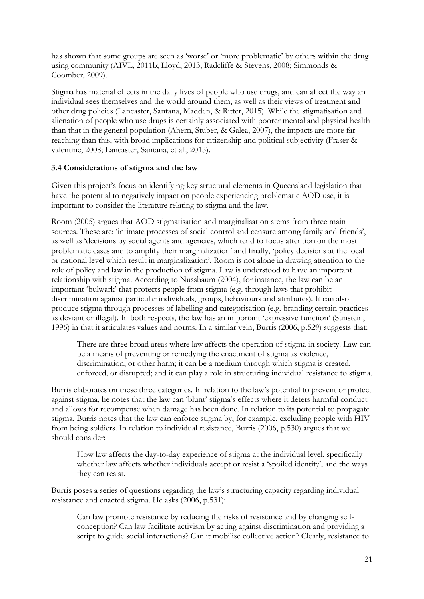has shown that some groups are seen as 'worse' or 'more problematic' by others within the drug using community [\(AIVL, 2011b;](#page-115-5) [Lloyd, 2013;](#page-118-1) [Radcliffe & Stevens, 2008;](#page-120-4) [Simmonds &](#page-121-2)  [Coomber, 2009\)](#page-121-2).

Stigma has material effects in the daily lives of people who use drugs, and can affect the way an individual sees themselves and the world around them, as well as their views of treatment and other drug policies [\(Lancaster, Santana, Madden, & Ritter, 2015\)](#page-118-10). While the stigmatisation and alienation of people who use drugs is certainly associated with poorer mental and physical health than that in the general population [\(Ahern, Stuber, & Galea, 2007\)](#page-115-12), the impacts are more far reaching than this, with broad implications for citizenship and political subjectivity [\(Fraser &](#page-117-4)  [valentine, 2008;](#page-117-4) [Lancaster, Santana, et al., 2015\)](#page-118-10).

### <span id="page-26-0"></span>**3.4 Considerations of stigma and the law**

Given this project's focus on identifying key structural elements in Queensland legislation that have the potential to negatively impact on people experiencing problematic AOD use, it is important to consider the literature relating to stigma and the law.

Room [\(2005\)](#page-120-3) argues that AOD stigmatisation and marginalisation stems from three main sources. These are: 'intimate processes of social control and censure among family and friends', as well as 'decisions by social agents and agencies, which tend to focus attention on the most problematic cases and to amplify their marginalization' and finally, 'policy decisions at the local or national level which result in marginalization'. Room is not alone in drawing attention to the role of policy and law in the production of stigma. Law is understood to have an important relationship with stigma. According to Nussbaum [\(2004\)](#page-119-10), for instance, the law can be an important 'bulwark' that protects people from stigma (e.g. through laws that prohibit discrimination against particular individuals, groups, behaviours and attributes). It can also produce stigma through processes of labelling and categorisation (e.g. branding certain practices as deviant or illegal). In both respects, the law has an important 'expressive function' [\(Sunstein,](#page-121-10)  [1996\)](#page-121-10) in that it articulates values and norms. In a similar vein, Burris [\(2006, p.529\)](#page-116-10) suggests that:

There are three broad areas where law affects the operation of stigma in society. Law can be a means of preventing or remedying the enactment of stigma as violence, discrimination, or other harm; it can be a medium through which stigma is created, enforced, or disrupted; and it can play a role in structuring individual resistance to stigma.

Burris elaborates on these three categories. In relation to the law's potential to prevent or protect against stigma, he notes that the law can 'blunt' stigma's effects where it deters harmful conduct and allows for recompense when damage has been done. In relation to its potential to propagate stigma, Burris notes that the law can enforce stigma by, for example, excluding people with HIV from being soldiers. In relation to individual resistance, Burris [\(2006, p.530\)](#page-116-10) argues that we should consider:

How law affects the day-to-day experience of stigma at the individual level, specifically whether law affects whether individuals accept or resist a 'spoiled identity', and the ways they can resist.

Burris poses a series of questions regarding the law's structuring capacity regarding individual resistance and enacted stigma. He asks [\(2006, p.531\)](#page-116-10):

Can law promote resistance by reducing the risks of resistance and by changing selfconception? Can law facilitate activism by acting against discrimination and providing a script to guide social interactions? Can it mobilise collective action? Clearly, resistance to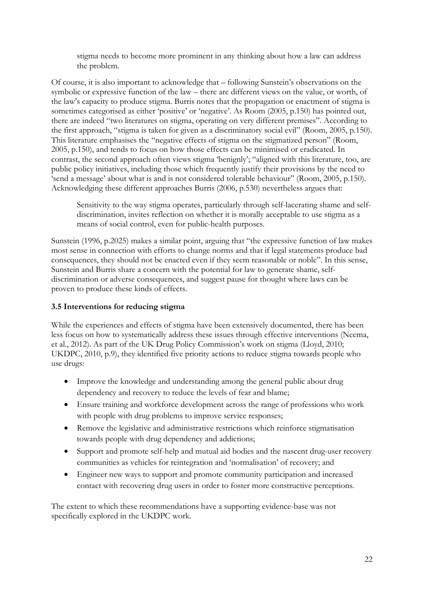stigma needs to become more prominent in any thinking about how a law can address the problem.

Of course, it is also important to acknowledge that – following Sunstein's observations on the symbolic or expressive function of the law – there are different views on the value, or worth, of the law's capacity to produce stigma. Burris notes that the propagation or enactment of stigma is sometimes categorised as either 'positive' or 'negative'. As Room [\(2005, p.150\)](#page-120-3) has pointed out, there are indeed "two literatures on stigma, operating on very different premises". According to the first approach, "stigma is taken for given as a discriminatory social evil" [\(Room, 2005, p.150\)](#page-120-3). This literature emphasises the "negative effects of stigma on the stigmatized person" [\(Room,](#page-120-3)  [2005, p.150\)](#page-120-3), and tends to focus on how those effects can be minimised or eradicated. In contrast, the second approach often views stigma 'benignly'; "aligned with this literature, too, are public policy initiatives, including those which frequently justify their provisions by the need to 'send a message' about what is and is not considered tolerable behaviour" [\(Room, 2005, p.150\)](#page-120-3). Acknowledging these different approaches Burris [\(2006, p.530\)](#page-116-10) nevertheless argues that:

Sensitivity to the way stigma operates, particularly through self-lacerating shame and selfdiscrimination, invites reflection on whether it is morally acceptable to use stigma as a means of social control, even for public-health purposes.

Sunstein [\(1996, p.2025\)](#page-121-10) makes a similar point, arguing that "the expressive function of law makes most sense in connection with efforts to change norms and that if legal statements produce bad consequences, they should not be enacted even if they seem reasonable or noble". In this sense, Sunstein and Burris share a concern with the potential for law to generate shame, selfdiscrimination or adverse consequences, and suggest pause for thought where laws can be proven to produce these kinds of effects.

### <span id="page-27-0"></span>**3.5 Interventions for reducing stigma**

While the experiences and effects of stigma have been extensively documented, there has been less focus on how to systematically address these issues through effective interventions [\(Neema,](#page-119-11)  [et al., 2012\)](#page-119-11). As part of the UK Drug Policy Commission's work on stigma [\(Lloyd, 2010;](#page-118-0) [UKDPC, 2010, p.9\)](#page-121-3), they identified five priority actions to reduce stigma towards people who use drugs:

- Improve the knowledge and understanding among the general public about drug dependency and recovery to reduce the levels of fear and blame;
- Ensure training and workforce development across the range of professions who work with people with drug problems to improve service responses;
- Remove the legislative and administrative restrictions which reinforce stigmatisation towards people with drug dependency and addictions;
- Support and promote self-help and mutual aid bodies and the nascent drug-user recovery communities as vehicles for reintegration and 'normalisation' of recovery; and
- Engineer new ways to support and promote community participation and increased contact with recovering drug users in order to foster more constructive perceptions.

The extent to which these recommendations have a supporting evidence-base was not specifically explored in the UKDPC work.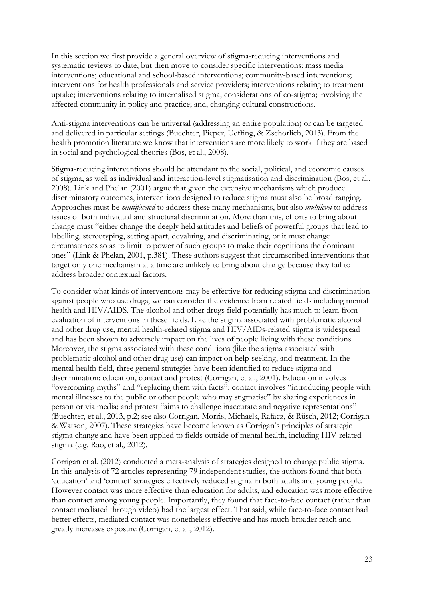In this section we first provide a general overview of stigma-reducing interventions and systematic reviews to date, but then move to consider specific interventions: mass media interventions; educational and school-based interventions; community-based interventions; interventions for health professionals and service providers; interventions relating to treatment uptake; interventions relating to internalised stigma; considerations of co-stigma; involving the affected community in policy and practice; and, changing cultural constructions.

Anti-stigma interventions can be universal (addressing an entire population) or can be targeted and delivered in particular settings [\(Buechter, Pieper, Ueffing, & Zschorlich, 2013\)](#page-116-11). From the health promotion literature we know that interventions are more likely to work if they are based in social and psychological theories [\(Bos, et al., 2008\)](#page-115-10).

Stigma-reducing interventions should be attendant to the social, political, and economic causes of stigma, as well as individual and interaction-level stigmatisation and discrimination [\(Bos, et al.,](#page-115-10)  [2008\)](#page-115-10). Link and Phelan [\(2001\)](#page-118-2) argue that given the extensive mechanisms which produce discriminatory outcomes, interventions designed to reduce stigma must also be broad ranging. Approaches must be *multifaceted* to address these many mechanisms, but also *multilevel* to address issues of both individual and structural discrimination. More than this, efforts to bring about change must "either change the deeply held attitudes and beliefs of powerful groups that lead to labelling, stereotyping, setting apart, devaluing, and discriminating, or it must change circumstances so as to limit to power of such groups to make their cognitions the dominant ones" [\(Link & Phelan, 2001, p.381\)](#page-118-2). These authors suggest that circumscribed interventions that target only one mechanism at a time are unlikely to bring about change because they fail to address broader contextual factors.

To consider what kinds of interventions may be effective for reducing stigma and discrimination against people who use drugs, we can consider the evidence from related fields including mental health and HIV/AIDS. The alcohol and other drugs field potentially has much to learn from evaluation of interventions in these fields. Like the stigma associated with problematic alcohol and other drug use, mental health-related stigma and HIV/AIDs-related stigma is widespread and has been shown to adversely impact on the lives of people living with these conditions. Moreover, the stigma associated with these conditions (like the stigma associated with problematic alcohol and other drug use) can impact on help-seeking, and treatment. In the mental health field, three general strategies have been identified to reduce stigma and discrimination: education, contact and protest [\(Corrigan, et al., 2001\)](#page-116-12). Education involves "overcoming myths" and "replacing them with facts"; contact involves "introducing people with mental illnesses to the public or other people who may stigmatise" by sharing experiences in person or via media; and protest "aims to challenge inaccurate and negative representations" [\(Buechter, et al., 2013, p.2;](#page-116-11) [see also Corrigan, Morris, Michaels, Rafacz, & Rüsch, 2012;](#page-116-13) [Corrigan](#page-116-4)  [& Watson, 2007\)](#page-116-4). These strategies have become known as Corrigan's principles of strategic stigma change and have been applied to fields outside of mental health, including HIV-related stigma [\(e.g. Rao, et al., 2012\)](#page-120-10).

Corrigan et al. [\(2012\)](#page-116-13) conducted a meta-analysis of strategies designed to change public stigma. In this analysis of 72 articles representing 79 independent studies, the authors found that both 'education' and 'contact' strategies effectively reduced stigma in both adults and young people. However contact was more effective than education for adults, and education was more effective than contact among young people. Importantly, they found that face-to-face contact (rather than contact mediated through video) had the largest effect. That said, while face-to-face contact had better effects, mediated contact was nonetheless effective and has much broader reach and greatly increases exposure [\(Corrigan, et al., 2012\)](#page-116-13).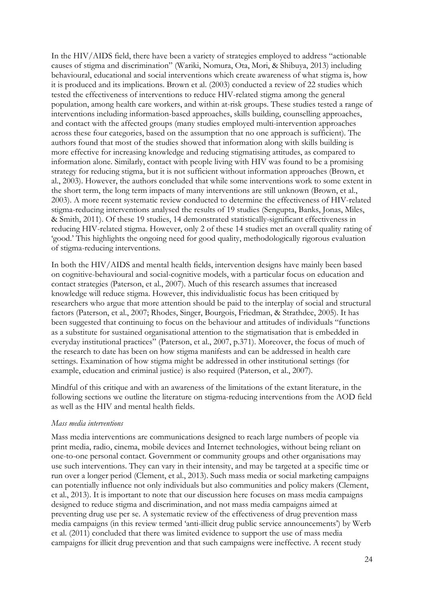In the HIV/AIDS field, there have been a variety of strategies employed to address "actionable causes of stigma and discrimination" [\(Wariki, Nomura, Ota, Mori, & Shibuya, 2013\)](#page-121-11) including behavioural, educational and social interventions which create awareness of what stigma is, how it is produced and its implications. Brown et al. [\(2003\)](#page-115-2) conducted a review of 22 studies which tested the effectiveness of interventions to reduce HIV-related stigma among the general population, among health care workers, and within at-risk groups. These studies tested a range of interventions including information-based approaches, skills building, counselling approaches, and contact with the affected groups (many studies employed multi-intervention approaches across these four categories, based on the assumption that no one approach is sufficient). The authors found that most of the studies showed that information along with skills building is more effective for increasing knowledge and reducing stigmatising attitudes, as compared to information alone. Similarly, contact with people living with HIV was found to be a promising strategy for reducing stigma, but it is not sufficient without information approaches [\(Brown, et](#page-115-2)  [al., 2003\)](#page-115-2). However, the authors concluded that while some interventions work to some extent in the short term, the long term impacts of many interventions are still unknown [\(Brown, et al.,](#page-115-2)  [2003\)](#page-115-2). A more recent systematic review conducted to determine the effectiveness of HIV-related stigma-reducing interventions analysed the results of 19 studies [\(Sengupta, Banks, Jonas, Miles,](#page-121-12)  [& Smith, 2011\)](#page-121-12). Of these 19 studies, 14 demonstrated statistically-significant effectiveness in reducing HIV-related stigma. However, only 2 of these 14 studies met an overall quality rating of 'good.' This highlights the ongoing need for good quality, methodologically rigorous evaluation of stigma-reducing interventions.

In both the HIV/AIDS and mental health fields, intervention designs have mainly been based on cognitive-behavioural and social-cognitive models, with a particular focus on education and contact strategies [\(Paterson, et al., 2007\)](#page-119-7). Much of this research assumes that increased knowledge will reduce stigma. However, this individualistic focus has been critiqued by researchers who argue that more attention should be paid to the interplay of social and structural factors [\(Paterson, et al., 2007;](#page-119-7) [Rhodes, Singer, Bourgois, Friedman, & Strathdee, 2005\)](#page-120-11). It has been suggested that continuing to focus on the behaviour and attitudes of individuals "functions as a substitute for sustained organisational attention to the stigmatisation that is embedded in everyday institutional practices" [\(Paterson, et al., 2007, p.371\)](#page-119-7). Moreover, the focus of much of the research to date has been on how stigma manifests and can be addressed in health care settings. Examination of how stigma might be addressed in other institutional settings (for example, education and criminal justice) is also required [\(Paterson, et al., 2007\)](#page-119-7).

Mindful of this critique and with an awareness of the limitations of the extant literature, in the following sections we outline the literature on stigma-reducing interventions from the AOD field as well as the HIV and mental health fields.

### *Mass media interventions*

Mass media interventions are communications designed to reach large numbers of people via print media, radio, cinema, mobile devices and Internet technologies, without being reliant on one-to-one personal contact. Government or community groups and other organisations may use such interventions. They can vary in their intensity, and may be targeted at a specific time or run over a longer period [\(Clement, et al., 2013\)](#page-116-2). Such mass media or social marketing campaigns can potentially influence not only individuals but also communities and policy makers [\(Clement,](#page-116-2)  [et al., 2013\)](#page-116-2). It is important to note that our discussion here focuses on mass media campaigns designed to reduce stigma and discrimination, and not mass media campaigns aimed at preventing drug use per se. A systematic review of the effectiveness of drug prevention mass media campaigns (in this review termed 'anti-illicit drug public service announcements') by Werb et al. [\(2011\)](#page-122-1) concluded that there was limited evidence to support the use of mass media campaigns for illicit drug prevention and that such campaigns were ineffective. A recent study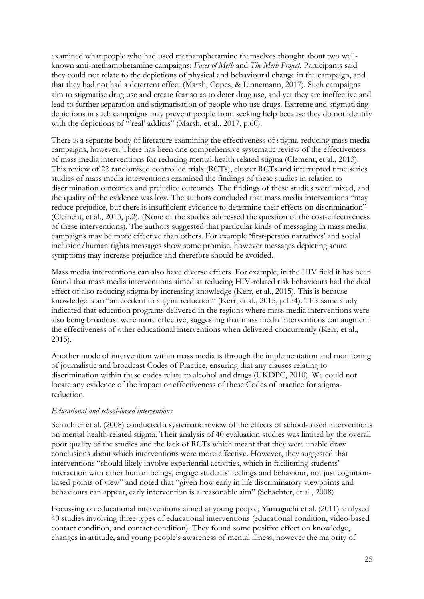examined what people who had used methamphetamine themselves thought about two wellknown anti-methamphetamine campaigns: *Faces of Meth* and *The Meth Project*. Participants said they could not relate to the depictions of physical and behavioural change in the campaign, and that they had not had a deterrent effect [\(Marsh, Copes, & Linnemann, 2017\)](#page-119-12). Such campaigns aim to stigmatise drug use and create fear so as to deter drug use, and yet they are ineffective and lead to further separation and stigmatisation of people who use drugs. Extreme and stigmatising depictions in such campaigns may prevent people from seeking help because they do not identify with the depictions of "real' addicts" [\(Marsh, et al., 2017, p.60\)](#page-119-12).

There is a separate body of literature examining the effectiveness of stigma-reducing mass media campaigns, however. There has been one comprehensive systematic review of the effectiveness of mass media interventions for reducing mental-health related stigma [\(Clement, et al., 2013\)](#page-116-2). This review of 22 randomised controlled trials (RCTs), cluster RCTs and interrupted time series studies of mass media interventions examined the findings of these studies in relation to discrimination outcomes and prejudice outcomes. The findings of these studies were mixed, and the quality of the evidence was low. The authors concluded that mass media interventions "may reduce prejudice, but there is insufficient evidence to determine their effects on discrimination" [\(Clement, et al., 2013, p.2\)](#page-116-2). (None of the studies addressed the question of the cost-effectiveness of these interventions). The authors suggested that particular kinds of messaging in mass media campaigns may be more effective than others. For example 'first-person narratives' and social inclusion/human rights messages show some promise, however messages depicting acute symptoms may increase prejudice and therefore should be avoided.

Mass media interventions can also have diverse effects. For example, in the HIV field it has been found that mass media interventions aimed at reducing HIV-related risk behaviours had the dual effect of also reducing stigma by increasing knowledge [\(Kerr, et al., 2015\)](#page-118-11). This is because knowledge is an "antecedent to stigma reduction" [\(Kerr, et al., 2015, p.154\)](#page-118-11). This same study indicated that education programs delivered in the regions where mass media interventions were also being broadcast were more effective, suggesting that mass media interventions can augment the effectiveness of other educational interventions when delivered concurrently [\(Kerr, et al.,](#page-118-11)  [2015\)](#page-118-11).

Another mode of intervention within mass media is through the implementation and monitoring of journalistic and broadcast Codes of Practice, ensuring that any clauses relating to discrimination within these codes relate to alcohol and drugs [\(UKDPC, 2010\)](#page-121-3). We could not locate any evidence of the impact or effectiveness of these Codes of practice for stigmareduction.

### *Educational and school-based interventions*

Schachter et al. [\(2008\)](#page-120-12) conducted a systematic review of the effects of school-based interventions on mental health-related stigma. Their analysis of 40 evaluation studies was limited by the overall poor quality of the studies and the lack of RCTs which meant that they were unable draw conclusions about which interventions were more effective. However, they suggested that interventions "should likely involve experiential activities, which in facilitating students' interaction with other human beings, engage students' feelings and behaviour, not just cognitionbased points of view" and noted that "given how early in life discriminatory viewpoints and behaviours can appear, early intervention is a reasonable aim" [\(Schachter, et al., 2008\)](#page-120-12).

Focussing on educational interventions aimed at young people, Yamaguchi et al. [\(2011\)](#page-122-2) analysed 40 studies involving three types of educational interventions (educational condition, video-based contact condition, and contact condition). They found some positive effect on knowledge, changes in attitude, and young people's awareness of mental illness, however the majority of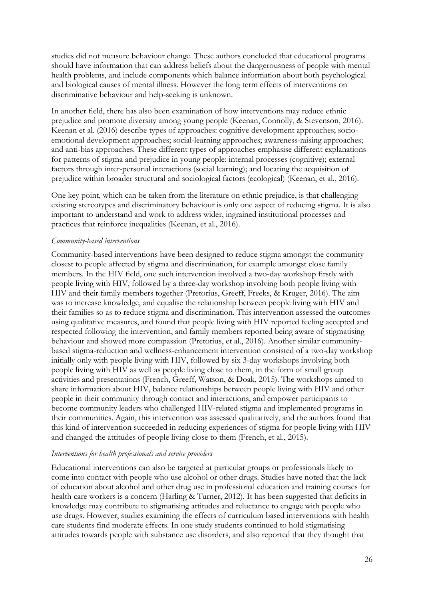studies did not measure behaviour change. These authors concluded that educational programs should have information that can address beliefs about the dangerousness of people with mental health problems, and include components which balance information about both psychological and biological causes of mental illness. However the long term effects of interventions on discriminative behaviour and help-seeking is unknown.

In another field, there has also been examination of how interventions may reduce ethnic prejudice and promote diversity among young people [\(Keenan, Connolly, & Stevenson, 2016\)](#page-118-12). Keenan et al. [\(2016\)](#page-118-12) describe types of approaches: cognitive development approaches; socioemotional development approaches; social-learning approaches; awareness-raising approaches; and anti-bias approaches. These different types of approaches emphasise different explanations for patterns of stigma and prejudice in young people: internal processes (cognitive); external factors through inter-personal interactions (social learning); and locating the acquisition of prejudice within broader structural and sociological factors (ecological) [\(Keenan, et al., 2016\)](#page-118-12).

One key point, which can be taken from the literature on ethnic prejudice, is that challenging existing stereotypes and discriminatory behaviour is only one aspect of reducing stigma. It is also important to understand and work to address wider, ingrained institutional processes and practices that reinforce inequalities [\(Keenan, et al., 2016\)](#page-118-12).

#### *Community-based interventions*

Community-based interventions have been designed to reduce stigma amongst the community closest to people affected by stigma and discrimination, for example amongst close family members. In the HIV field, one such intervention involved a two-day workshop firstly with people living with HIV, followed by a three-day workshop involving both people living with HIV and their family members together [\(Pretorius, Greeff, Freeks, & Kruger, 2016\)](#page-120-13). The aim was to increase knowledge, and equalise the relationship between people living with HIV and their families so as to reduce stigma and discrimination. This intervention assessed the outcomes using qualitative measures, and found that people living with HIV reported feeling accepted and respected following the intervention, and family members reported being aware of stigmatising behaviour and showed more compassion [\(Pretorius, et al., 2016\)](#page-120-13). Another similar communitybased stigma-reduction and wellness-enhancement intervention consisted of a two-day workshop initially only with people living with HIV, followed by six 3-day workshops involving both people living with HIV as well as people living close to them, in the form of small group activities and presentations (French, [Greeff, Watson, & Doak, 2015\)](#page-117-11). The workshops aimed to share information about HIV, balance relationships between people living with HIV and other people in their community through contact and interactions, and empower participants to become community leaders who challenged HIV-related stigma and implemented programs in their communities. Again, this intervention was assessed qualitatively, and the authors found that this kind of intervention succeeded in reducing experiences of stigma for people living with HIV and changed the attitudes of people living close to them [\(French, et al., 2015\)](#page-117-11).

#### *Interventions for health professionals and service providers*

Educational interventions can also be targeted at particular groups or professionals likely to come into contact with people who use alcohol or other drugs. Studies have noted that the lack of education about alcohol and other drug use in professional education and training courses for health care workers is a concern [\(Harling & Turner, 2012\)](#page-117-12). It has been suggested that deficits in knowledge may contribute to stigmatising attitudes and reluctance to engage with people who use drugs. However, studies examining the effects of curriculum based interventions with health care students find moderate effects. In one study students continued to hold stigmatising attitudes towards people with substance use disorders, and also reported that they thought that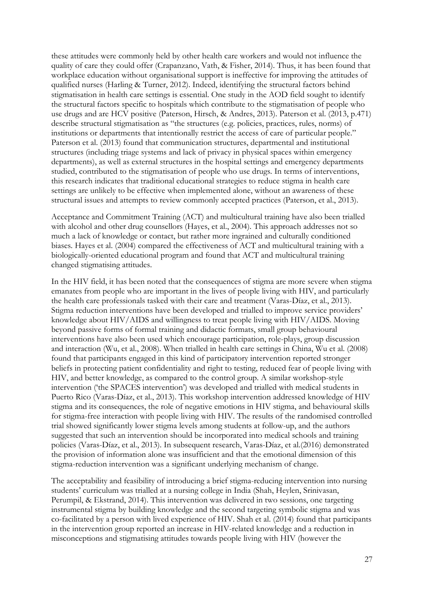these attitudes were commonly held by other health care workers and would not influence the quality of care they could offer [\(Crapanzano, Vath, & Fisher, 2014\)](#page-116-14). Thus, it has been found that workplace education without organisational support is ineffective for improving the attitudes of qualified nurses [\(Harling & Turner, 2012\)](#page-117-12). Indeed, identifying the structural factors behind stigmatisation in health care settings is essential. One study in the AOD field sought to identify the structural factors specific to hospitals which contribute to the stigmatisation of people who use drugs and are HCV positive [\(Paterson, Hirsch, & Andres, 2013\)](#page-119-13). Paterson et al. [\(2013, p.471\)](#page-119-13) describe structural stigmatisation as "the structures (e.g. policies, practices, rules, norms) of institutions or departments that intentionally restrict the access of care of particular people." Paterson et al. [\(2013\)](#page-119-13) found that communication structures, departmental and institutional structures (including triage systems and lack of privacy in physical spaces within emergency departments), as well as external structures in the hospital settings and emergency departments studied, contributed to the stigmatisation of people who use drugs. In terms of interventions, this research indicates that traditional educational strategies to reduce stigma in health care settings are unlikely to be effective when implemented alone, without an awareness of these structural issues and attempts to review commonly accepted practices [\(Paterson, et al., 2013\)](#page-119-13).

Acceptance and Commitment Training (ACT) and multicultural training have also been trialled with alcohol and other drug counsellors [\(Hayes, et al., 2004\)](#page-117-13). This approach addresses not so much a lack of knowledge or contact, but rather more ingrained and culturally conditioned biases. Hayes et al. [\(2004\)](#page-117-13) compared the effectiveness of ACT and multicultural training with a biologically-oriented educational program and found that ACT and multicultural training changed stigmatising attitudes.

In the HIV field, it has been noted that the consequences of stigma are more severe when stigma emanates from people who are important in the lives of people living with HIV, and particularly the health care professionals tasked with their care and treatment [\(Varas-Díaz, et al., 2013\)](#page-121-7). Stigma reduction interventions have been developed and trialled to improve service providers' knowledge about HIV/AIDS and willingness to treat people living with HIV/AIDS. Moving beyond passive forms of formal training and didactic formats, small group behavioural interventions have also been used which encourage participation, role-plays, group discussion and interaction [\(Wu, et al., 2008\)](#page-122-3). When trialled in health care settings in China, Wu et al. [\(2008\)](#page-122-3) found that participants engaged in this kind of participatory intervention reported stronger beliefs in protecting patient confidentiality and right to testing, reduced fear of people living with HIV, and better knowledge, as compared to the control group. A similar workshop-style intervention ('the SPACES intervention') was developed and trialled with medical students in Puerto Rico [\(Varas-Díaz, et al., 2013\)](#page-121-7). This workshop intervention addressed knowledge of HIV stigma and its consequences, the role of negative emotions in HIV stigma, and behavioural skills for stigma-free interaction with people living with HIV. The results of the randomised controlled trial showed significantly lower stigma levels among students at follow-up, and the authors suggested that such an intervention should be incorporated into medical schools and training policies [\(Varas-Díaz, et al., 2013\)](#page-121-7). In subsequent research, Varas-Díaz, et al.[\(2016\)](#page-121-13) demonstrated the provision of information alone was insufficient and that the emotional dimension of this stigma-reduction intervention was a significant underlying mechanism of change.

The acceptability and feasibility of introducing a brief stigma-reducing intervention into nursing students' curriculum was trialled at a nursing college in India [\(Shah, Heylen, Srinivasan,](#page-121-14)  [Perumpil, & Ekstrand, 2014\)](#page-121-14). This intervention was delivered in two sessions, one targeting instrumental stigma by building knowledge and the second targeting symbolic stigma and was co-facilitated by a person with lived experience of HIV. Shah et al. [\(2014\)](#page-121-14) found that participants in the intervention group reported an increase in HIV-related knowledge and a reduction in misconceptions and stigmatising attitudes towards people living with HIV (however the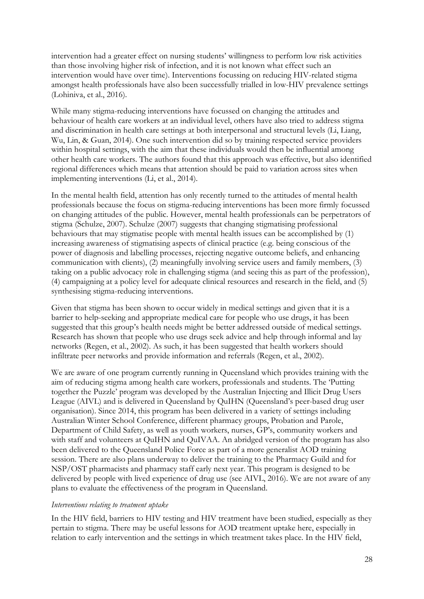intervention had a greater effect on nursing students' willingness to perform low risk activities than those involving higher risk of infection, and it is not known what effect such an intervention would have over time). Interventions focussing on reducing HIV-related stigma amongst health professionals have also been successfully trialled in low-HIV prevalence settings [\(Lohiniva, et al., 2016\)](#page-118-13).

While many stigma-reducing interventions have focussed on changing the attitudes and behaviour of health care workers at an individual level, others have also tried to address stigma and discrimination in health care settings at both interpersonal and structural levels [\(Li, Liang,](#page-118-14)  [Wu, Lin, & Guan, 2014\)](#page-118-14). One such intervention did so by training respected service providers within hospital settings, with the aim that these individuals would then be influential among other health care workers. The authors found that this approach was effective, but also identified regional differences which means that attention should be paid to variation across sites when implementing interventions [\(Li, et al., 2014\)](#page-118-14).

In the mental health field, attention has only recently turned to the attitudes of mental health professionals because the focus on stigma-reducing interventions has been more firmly focussed on changing attitudes of the public. However, mental health professionals can be perpetrators of stigma [\(Schulze, 2007\)](#page-121-0). Schulze [\(2007\)](#page-121-0) suggests that changing stigmatising professional behaviours that may stigmatise people with mental health issues can be accomplished by (1) increasing awareness of stigmatising aspects of clinical practice (e.g. being conscious of the power of diagnosis and labelling processes, rejecting negative outcome beliefs, and enhancing communication with clients), (2) meaningfully involving service users and family members, (3) taking on a public advocacy role in challenging stigma (and seeing this as part of the profession), (4) campaigning at a policy level for adequate clinical resources and research in the field, and (5) synthesising stigma-reducing interventions.

Given that stigma has been shown to occur widely in medical settings and given that it is a barrier to help-seeking and appropriate medical care for people who use drugs, it has been suggested that this group's health needs might be better addressed outside of medical settings. Research has shown that people who use drugs seek advice and help through informal and lay networks [\(Regen, et al., 2002\)](#page-120-8). As such, it has been suggested that health workers should infiltrate peer networks and provide information and referrals [\(Regen, et al., 2002\)](#page-120-8).

We are aware of one program currently running in Queensland which provides training with the aim of reducing stigma among health care workers, professionals and students. The 'Putting together the Puzzle' program was developed by the Australian Injecting and Illicit Drug Users League (AIVL) and is delivered in Queensland by QuIHN (Queensland's peer-based drug user organisation). Since 2014, this program has been delivered in a variety of settings including Australian Winter School Conference, different pharmacy groups, Probation and Parole, Department of Child Safety, as well as youth workers, nurses, GP's, community workers and with staff and volunteers at QuIHN and QuIVAA. An abridged version of the program has also been delivered to the Queensland Police Force as part of a more generalist AOD training session. There are also plans underway to deliver the training to the Pharmacy Guild and for NSP/OST pharmacists and pharmacy staff early next year. This program is designed to be delivered by people with lived experience of drug use [\(see AIVL, 2016\)](#page-115-13). We are not aware of any plans to evaluate the effectiveness of the program in Queensland.

### *Interventions relating to treatment uptake*

In the HIV field, barriers to HIV testing and HIV treatment have been studied, especially as they pertain to stigma. There may be useful lessons for AOD treatment uptake here, especially in relation to early intervention and the settings in which treatment takes place. In the HIV field,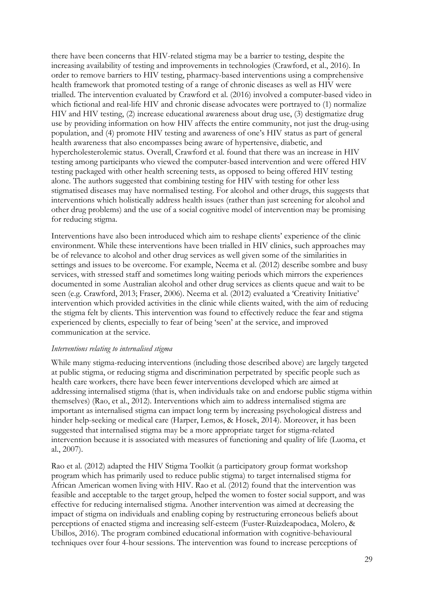there have been concerns that HIV-related stigma may be a barrier to testing, despite the increasing availability of testing and improvements in technologies [\(Crawford, et al., 2016\)](#page-116-15). In order to remove barriers to HIV testing, pharmacy-based interventions using a comprehensive health framework that promoted testing of a range of chronic diseases as well as HIV were trialled. The intervention evaluated by Crawford et al. [\(2016\)](#page-116-15) involved a computer-based video in which fictional and real-life HIV and chronic disease advocates were portrayed to (1) normalize HIV and HIV testing, (2) increase educational awareness about drug use, (3) destigmatize drug use by providing information on how HIV affects the entire community, not just the drug-using population, and (4) promote HIV testing and awareness of one's HIV status as part of general health awareness that also encompasses being aware of hypertensive, diabetic, and hypercholesterolemic status. Overall, Crawford et al. found that there was an increase in HIV testing among participants who viewed the computer-based intervention and were offered HIV testing packaged with other health screening tests, as opposed to being offered HIV testing alone. The authors suggested that combining testing for HIV with testing for other less stigmatised diseases may have normalised testing. For alcohol and other drugs, this suggests that interventions which holistically address health issues (rather than just screening for alcohol and other drug problems) and the use of a social cognitive model of intervention may be promising for reducing stigma.

Interventions have also been introduced which aim to reshape clients' experience of the clinic environment. While these interventions have been trialled in HIV clinics, such approaches may be of relevance to alcohol and other drug services as well given some of the similarities in settings and issues to be overcome. For example, Neema et al. [\(2012\)](#page-119-11) describe sombre and busy services, with stressed staff and sometimes long waiting periods which mirrors the experiences documented in some Australian alcohol and other drug services as clients queue and wait to be seen (e.g. [Crawford, 2013;](#page-117-3) [Fraser, 2006\)](#page-117-14). Neema et al. [\(2012\)](#page-119-11) evaluated a 'Creativity Initiative' intervention which provided activities in the clinic while clients waited, with the aim of reducing the stigma felt by clients. This intervention was found to effectively reduce the fear and stigma experienced by clients, especially to fear of being 'seen' at the service, and improved communication at the service.

### *Interventions relating to internalised stigma*

While many stigma-reducing interventions (including those described above) are largely targeted at public stigma, or reducing stigma and discrimination perpetrated by specific people such as health care workers, there have been fewer interventions developed which are aimed at addressing internalised stigma (that is, when individuals take on and endorse public stigma within themselves) [\(Rao, et al., 2012\)](#page-120-10). Interventions which aim to address internalised stigma are important as internalised stigma can impact long term by increasing psychological distress and hinder help-seeking or medical care [\(Harper, Lemos, & Hosek, 2014\)](#page-117-15). Moreover, it has been suggested that internalised stigma may be a more appropriate target for stigma-related intervention because it is associated with measures of functioning and quality of life [\(Luoma, et](#page-119-4)  [al., 2007\)](#page-119-4).

Rao et al. [\(2012\)](#page-120-10) adapted the HIV Stigma Toolkit (a participatory group format workshop program which has primarily used to reduce public stigma) to target internalised stigma for African American women living with HIV. Rao et al. [\(2012\)](#page-120-10) found that the intervention was feasible and acceptable to the target group, helped the women to foster social support, and was effective for reducing internalised stigma. Another intervention was aimed at decreasing the impact of stigma on individuals and enabling coping by restructuring erroneous beliefs about perceptions of enacted stigma and increasing self-esteem [\(Fuster-Ruizdeapodaca, Molero, &](#page-117-16)  [Ubillos, 2016\)](#page-117-16). The program combined educational information with cognitive-behavioural techniques over four 4-hour sessions. The intervention was found to increase perceptions of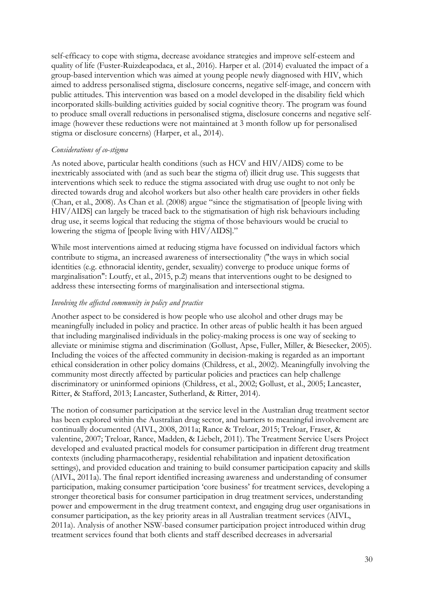self-efficacy to cope with stigma, decrease avoidance strategies and improve self-esteem and quality of life [\(Fuster-Ruizdeapodaca, et al., 2016\)](#page-117-16). Harper et al. [\(2014\)](#page-117-15) evaluated the impact of a group-based intervention which was aimed at young people newly diagnosed with HIV, which aimed to address personalised stigma, disclosure concerns, negative self-image, and concern with public attitudes. This intervention was based on a model developed in the disability field which incorporated skills-building activities guided by social cognitive theory. The program was found to produce small overall reductions in personalised stigma, disclosure concerns and negative selfimage (however these reductions were not maintained at 3 month follow up for personalised stigma or disclosure concerns) [\(Harper, et al., 2014\)](#page-117-15).

### *Considerations of co-stigma*

As noted above, particular health conditions (such as HCV and HIV/AIDS) come to be inextricably associated with (and as such bear the stigma of) illicit drug use. This suggests that interventions which seek to reduce the stigma associated with drug use ought to not only be directed towards drug and alcohol workers but also other health care providers in other fields [\(Chan, et al., 2008\)](#page-116-9). As Chan et al. [\(2008\)](#page-116-9) argue "since the stigmatisation of [people living with HIV/AIDS] can largely be traced back to the stigmatisation of high risk behaviours including drug use, it seems logical that reducing the stigma of those behaviours would be crucial to lowering the stigma of [people living with HIV/AIDS]."

While most interventions aimed at reducing stigma have focussed on individual factors which contribute to stigma, an increased awareness of intersectionality [\("the ways in which social](#page-119-14)  [identities \(e.g. ethnoracial identity, gender, sexuality\) converge to produce unique forms of](#page-119-14)  [marginalisation": Loutfy, et al., 2015, p.2\)](#page-119-14) means that interventions ought to be designed to address these intersecting forms of marginalisation and intersectional stigma.

### *Involving the affected community in policy and practice*

Another aspect to be considered is how people who use alcohol and other drugs may be meaningfully included in policy and practice. In other areas of public health it has been argued that including marginalised individuals in the policy-making process is one way of seeking to alleviate or minimise stigma and discrimination [\(Gollust, Apse, Fuller, Miller, & Biesecker, 2005\)](#page-117-17). Including the voices of the affected community in decision-making is regarded as an important ethical consideration in other policy domains [\(Childress, et al., 2002\)](#page-116-16). Meaningfully involving the community most directly affected by particular policies and practices can help challenge discriminatory or uninformed opinions [\(Childress, et al., 2002;](#page-116-16) [Gollust, et al., 2005;](#page-117-17) [Lancaster,](#page-118-15)  [Ritter, & Stafford, 2013;](#page-118-15) [Lancaster, Sutherland, & Ritter, 2014\)](#page-118-16).

The notion of consumer participation at the service level in the Australian drug treatment sector has been explored within the Australian drug sector, and barriers to meaningful involvement are continually documented [\(AIVL, 2008,](#page-115-14) [2011a;](#page-115-15) [Rance & Treloar, 2015;](#page-120-14) [Treloar, Fraser, &](#page-121-15)  [valentine, 2007;](#page-121-15) [Treloar, Rance, Madden, & Liebelt, 2011\)](#page-121-16). The Treatment Service Users Project developed and evaluated practical models for consumer participation in different drug treatment contexts (including pharmacotherapy, residential rehabilitation and inpatient detoxification settings), and provided education and training to build consumer participation capacity and skills [\(AIVL, 2011a\)](#page-115-15). The final report identified increasing awareness and understanding of consumer participation, making consumer participation 'core business' for treatment services, developing a stronger theoretical basis for consumer participation in drug treatment services, understanding power and empowerment in the drug treatment context, and engaging drug user organisations in consumer participation, as the key priority areas in all Australian treatment services [\(AIVL,](#page-115-15)  [2011a\)](#page-115-15). Analysis of another NSW-based consumer participation project introduced within drug treatment services found that both clients and staff described decreases in adversarial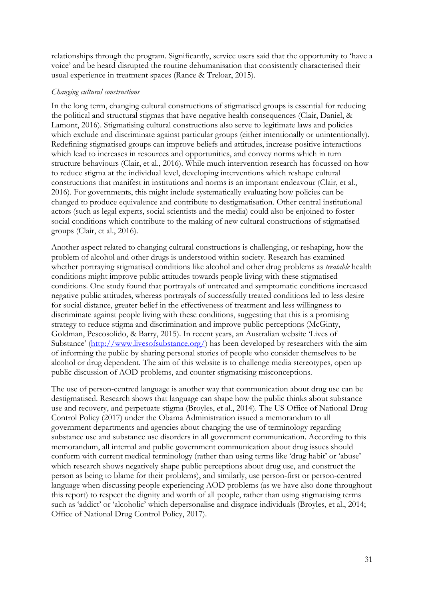relationships through the program. Significantly, service users said that the opportunity to 'have a voice' and be heard disrupted the routine dehumanisation that consistently characterised their usual experience in treatment spaces [\(Rance & Treloar, 2015\)](#page-120-0).

## *Changing cultural constructions*

In the long term, changing cultural constructions of stigmatised groups is essential for reducing the political and structural stigmas that have negative health consequences [\(Clair, Daniel, &](#page-116-0)  [Lamont, 2016\)](#page-116-0). Stigmatising cultural constructions also serve to legitimate laws and policies which exclude and discriminate against particular groups (either intentionally or unintentionally). Redefining stigmatised groups can improve beliefs and attitudes, increase positive interactions which lead to increases in resources and opportunities, and convey norms which in turn structure behaviours [\(Clair, et al., 2016\)](#page-116-0). While much intervention research has focussed on how to reduce stigma at the individual level, developing interventions which reshape cultural constructions that manifest in institutions and norms is an important endeavour [\(Clair, et al.,](#page-116-0)  [2016\)](#page-116-0). For governments, this might include systematically evaluating how policies can be changed to produce equivalence and contribute to destigmatisation. Other central institutional actors (such as legal experts, social scientists and the media) could also be enjoined to foster social conditions which contribute to the making of new cultural constructions of stigmatised groups [\(Clair, et al., 2016\)](#page-116-0).

Another aspect related to changing cultural constructions is challenging, or reshaping, how the problem of alcohol and other drugs is understood within society. Research has examined whether portraying stigmatised conditions like alcohol and other drug problems as *treatable* health conditions might improve public attitudes towards people living with these stigmatised conditions. One study found that portrayals of untreated and symptomatic conditions increased negative public attitudes, whereas portrayals of successfully treated conditions led to less desire for social distance, greater belief in the effectiveness of treatment and less willingness to discriminate against people living with these conditions, suggesting that this is a promising strategy to reduce stigma and discrimination and improve public perceptions [\(McGinty,](#page-119-0)  [Goldman, Pescosolido, & Barry, 2015\)](#page-119-0). In recent years, an Australian website 'Lives of Substance' [\(http://www.livesofsubstance.org/\)](http://www.livesofsubstance.org/) has been developed by researchers with the aim of informing the public by sharing personal stories of people who consider themselves to be alcohol or drug dependent. The aim of this website is to challenge media stereotypes, open up public discussion of AOD problems, and counter stigmatising misconceptions.

The use of person-centred language is another way that communication about drug use can be destigmatised. Research shows that language can shape how the public thinks about substance use and recovery, and perpetuate stigma [\(Broyles, et al., 2014\)](#page-115-0). The US Office of National Drug Control Policy [\(2017\)](#page-119-1) under the Obama Administration issued a memorandum to all government departments and agencies about changing the use of terminology regarding substance use and substance use disorders in all government communication. According to this memorandum, all internal and public government communication about drug issues should conform with current medical terminology (rather than using terms like 'drug habit' or 'abuse' which research shows negatively shape public perceptions about drug use, and construct the person as being to blame for their problems), and similarly, use person-first or person-centred language when discussing people experiencing AOD problems (as we have also done throughout this report) to respect the dignity and worth of all people, rather than using stigmatising terms such as 'addict' or 'alcoholic' which depersonalise and disgrace individuals [\(Broyles, et al., 2014;](#page-115-0) [Office of National Drug Control Policy, 2017\)](#page-119-1).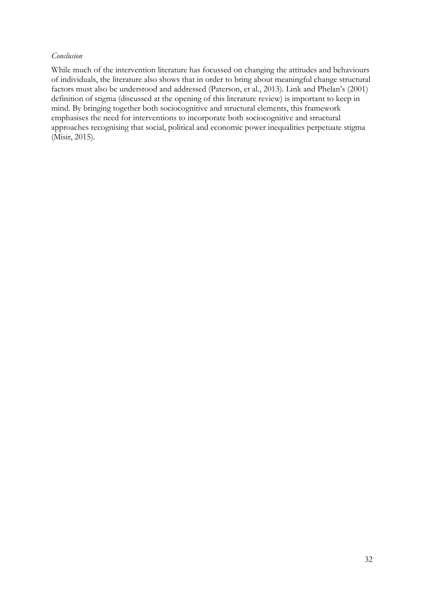### *Conclusion*

While much of the intervention literature has focussed on changing the attitudes and behaviours of individuals, the literature also shows that in order to bring about meaningful change structural factors must also be understood and addressed [\(Paterson, et al., 2013\)](#page-119-2). Link and Phelan's [\(2001\)](#page-118-0) definition of stigma (discussed at the opening of this literature review) is important to keep in mind. By bringing together both sociocognitive and structural elements, this framework emphasises the need for interventions to incorporate both sociocognitive and structural approaches recognising that social, political and economic power inequalities perpetuate stigma [\(Misir, 2015\)](#page-119-3).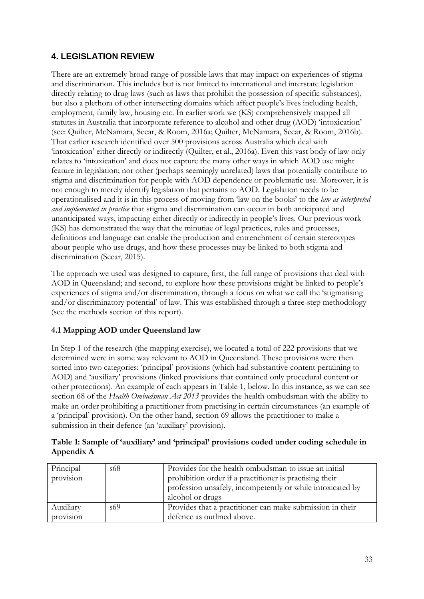## **4. LEGISLATION REVIEW**

There are an extremely broad range of possible laws that may impact on experiences of stigma and discrimination. This includes but is not limited to international and interstate legislation directly relating to drug laws (such as laws that prohibit the possession of specific substances), but also a plethora of other intersecting domains which affect people's lives including health, employment, family law, housing etc. In earlier work we (KS) comprehensively mapped all statutes in Australia that incorporate reference to alcohol and other drug (AOD) 'intoxication' (see: [Quilter, McNamara, Seear, & Room, 2016a;](#page-115-1) [Quilter, McNamara, Seear, & Room, 2016b\)](#page-115-2). That earlier research identified over 500 provisions across Australia which deal with 'intoxication' either directly or indirectly [\(Quilter, et al., 2016a\)](#page-120-1). Even this vast body of law only relates to 'intoxication' and does not capture the many other ways in which AOD use might feature in legislation; nor other (perhaps seemingly unrelated) laws that potentially contribute to stigma and discrimination for people with AOD dependence or problematic use. Moreover, it is not enough to merely identify legislation that pertains to AOD. Legislation needs to be operationalised and it is in this process of moving from 'law on the books' to the *law as interpreted and implemented in practice* that stigma and discrimination can occur in both anticipated and unanticipated ways, impacting either directly or indirectly in people's lives. Our previous work (KS) has demonstrated the way that the minutiae of legal practices, rules and processes, definitions and language can enable the production and entrenchment of certain stereotypes about people who use drugs, and how these processes may be linked to both stigma and discrimination [\(Seear, 2015\)](#page-121-0).

The approach we used was designed to capture, first, the full range of provisions that deal with AOD in Queensland; and second, to explore how these provisions might be linked to people's experiences of stigma and/or discrimination, through a focus on what we call the 'stigmatising and/or discriminatory potential' of law. This was established through a three-step methodology (see the methods section of this report).

## **4.1 Mapping AOD under Queensland law**

In Step 1 of the research (the mapping exercise), we located a total of 222 provisions that we determined were in some way relevant to AOD in Queensland. These provisions were then sorted into two categories: 'principal' provisions (which had substantive content pertaining to AOD) and 'auxiliary' provisions (linked provisions that contained only procedural content or other protections). An example of each appears in Table 1, below. In this instance, as we can see section 68 of the *Health Ombudsman Act 2013* provides the health ombudsman with the ability to make an order prohibiting a practitioner from practising in certain circumstances (an example of a 'principal' provision). On the other hand, section 69 allows the practitioner to make a submission in their defence (an 'auxiliary' provision).

| Table 1: Sample of 'auxiliary' and 'principal' provisions coded under coding schedule in |  |  |
|------------------------------------------------------------------------------------------|--|--|
| Appendix A                                                                               |  |  |

| Principal | s68 | Provides for the health ombudsman to issue an initial      |
|-----------|-----|------------------------------------------------------------|
| provision |     | prohibition order if a practitioner is practising their    |
|           |     | profession unsafely, incompetently or while intoxicated by |
|           |     | alcohol or drugs                                           |
| Auxiliary | s69 | Provides that a practitioner can make submission in their  |
| provision |     | defence as outlined above.                                 |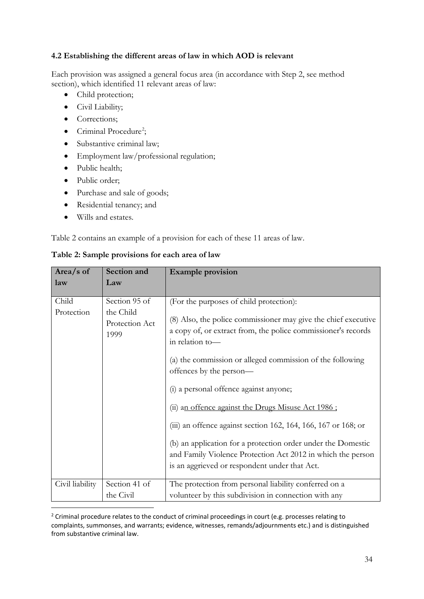## **4.2 Establishing the different areas of law in which AOD is relevant**

Each provision was assigned a general focus area (in accordance with Step 2, see method section), which identified 11 relevant areas of law:

- Child protection;
- Civil Liability;
- Corrections;
- Criminal Procedure<sup>[2](#page-39-0)</sup>;
- Substantive criminal law;
- Employment law/professional regulation;
- Public health:
- Public order;
- Purchase and sale of goods;
- Residential tenancy; and
- Wills and estates.

Table 2 contains an example of a provision for each of these 11 areas of law.

**Table 2: Sample provisions for each area of law** 

| Area/s of<br>law    | Section and<br>Law                                   | <b>Example provision</b>                                                                                                                                                                                                                                                                                                                                                                                                                                                                                                                                                                                                                |
|---------------------|------------------------------------------------------|-----------------------------------------------------------------------------------------------------------------------------------------------------------------------------------------------------------------------------------------------------------------------------------------------------------------------------------------------------------------------------------------------------------------------------------------------------------------------------------------------------------------------------------------------------------------------------------------------------------------------------------------|
|                     |                                                      |                                                                                                                                                                                                                                                                                                                                                                                                                                                                                                                                                                                                                                         |
| Child<br>Protection | Section 95 of<br>the Child<br>Protection Act<br>1999 | (For the purposes of child protection):<br>(8) Also, the police commissioner may give the chief executive<br>a copy of, or extract from, the police commissioner's records<br>in relation to-<br>(a) the commission or alleged commission of the following<br>offences by the person-<br>(i) a personal offence against anyone;<br>(ii) an offence against the Drugs Misuse Act 1986;<br>(iii) an offence against section 162, 164, 166, 167 or 168; or<br>(b) an application for a protection order under the Domestic<br>and Family Violence Protection Act 2012 in which the person<br>is an aggrieved or respondent under that Act. |
| Civil liability     | Section 41 of<br>the Civil                           | The protection from personal liability conferred on a<br>volunteer by this subdivision in connection with any                                                                                                                                                                                                                                                                                                                                                                                                                                                                                                                           |
|                     |                                                      |                                                                                                                                                                                                                                                                                                                                                                                                                                                                                                                                                                                                                                         |

<span id="page-39-0"></span><sup>&</sup>lt;sup>2</sup> Criminal procedure relates to the conduct of criminal proceedings in court (e.g. processes relating to complaints, summonses, and warrants; evidence, witnesses, remands/adjournments etc.) and is distinguished from substantive criminal law.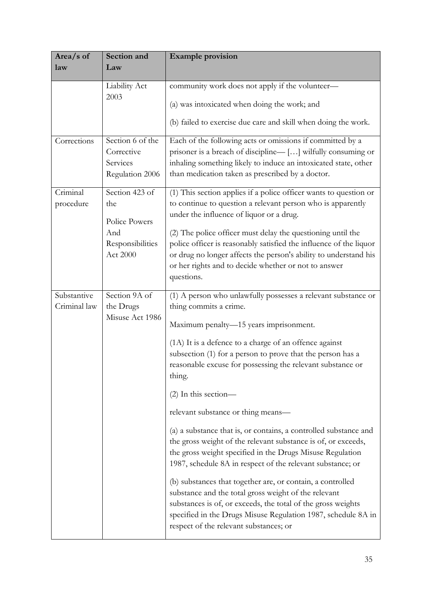| Area/s of                   | Section and                                                   | <b>Example provision</b>                                                                                                                                                                                                                                                                      |
|-----------------------------|---------------------------------------------------------------|-----------------------------------------------------------------------------------------------------------------------------------------------------------------------------------------------------------------------------------------------------------------------------------------------|
| law                         | Law                                                           |                                                                                                                                                                                                                                                                                               |
|                             | Liability Act                                                 | community work does not apply if the volunteer-                                                                                                                                                                                                                                               |
|                             | 2003                                                          | (a) was intoxicated when doing the work; and                                                                                                                                                                                                                                                  |
|                             |                                                               | (b) failed to exercise due care and skill when doing the work.                                                                                                                                                                                                                                |
| Corrections                 | Section 6 of the<br>Corrective<br>Services<br>Regulation 2006 | Each of the following acts or omissions if committed by a<br>prisoner is a breach of discipline-[] wilfully consuming or<br>inhaling something likely to induce an intoxicated state, other<br>than medication taken as prescribed by a doctor.                                               |
| Criminal<br>procedure       | Section 423 of<br>the<br>Police Powers                        | (1) This section applies if a police officer wants to question or<br>to continue to question a relevant person who is apparently<br>under the influence of liquor or a drug.                                                                                                                  |
|                             | And<br>Responsibilities<br>Act 2000                           | (2) The police officer must delay the questioning until the<br>police officer is reasonably satisfied the influence of the liquor<br>or drug no longer affects the person's ability to understand his<br>or her rights and to decide whether or not to answer<br>questions.                   |
| Substantive<br>Criminal law | Section 9A of<br>the Drugs                                    | (1) A person who unlawfully possesses a relevant substance or<br>thing commits a crime.                                                                                                                                                                                                       |
|                             | Misuse Act 1986                                               | Maximum penalty-15 years imprisonment.                                                                                                                                                                                                                                                        |
|                             |                                                               | (1A) It is a defence to a charge of an offence against<br>subsection (1) for a person to prove that the person has a<br>reasonable excuse for possessing the relevant substance or<br>thing.                                                                                                  |
|                             |                                                               | $(2)$ In this section-                                                                                                                                                                                                                                                                        |
|                             |                                                               | relevant substance or thing means-                                                                                                                                                                                                                                                            |
|                             |                                                               | (a) a substance that is, or contains, a controlled substance and<br>the gross weight of the relevant substance is of, or exceeds,<br>the gross weight specified in the Drugs Misuse Regulation<br>1987, schedule 8A in respect of the relevant substance; or                                  |
|                             |                                                               | (b) substances that together are, or contain, a controlled<br>substance and the total gross weight of the relevant<br>substances is of, or exceeds, the total of the gross weights<br>specified in the Drugs Misuse Regulation 1987, schedule 8A in<br>respect of the relevant substances; or |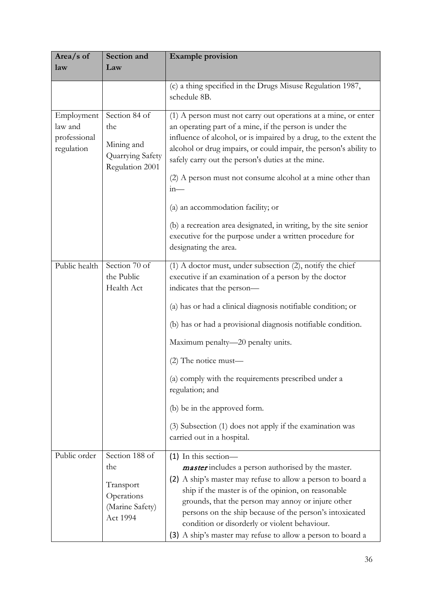| Area/s of                                           | Section and                                                                     | <b>Example provision</b>                                                                                                                                                                                                                                                                                                                                                                                                                                                                                                                                                                     |
|-----------------------------------------------------|---------------------------------------------------------------------------------|----------------------------------------------------------------------------------------------------------------------------------------------------------------------------------------------------------------------------------------------------------------------------------------------------------------------------------------------------------------------------------------------------------------------------------------------------------------------------------------------------------------------------------------------------------------------------------------------|
| law                                                 | Law                                                                             |                                                                                                                                                                                                                                                                                                                                                                                                                                                                                                                                                                                              |
|                                                     |                                                                                 | (c) a thing specified in the Drugs Misuse Regulation 1987,<br>schedule 8B.                                                                                                                                                                                                                                                                                                                                                                                                                                                                                                                   |
| Employment<br>law and<br>professional<br>regulation | Section 84 of<br>the<br>Mining and<br>Quarrying Safety<br>Regulation 2001       | (1) A person must not carry out operations at a mine, or enter<br>an operating part of a mine, if the person is under the<br>influence of alcohol, or is impaired by a drug, to the extent the<br>alcohol or drug impairs, or could impair, the person's ability to<br>safely carry out the person's duties at the mine.<br>(2) A person must not consume alcohol at a mine other than<br>$in-$<br>(a) an accommodation facility; or<br>(b) a recreation area designated, in writing, by the site senior<br>executive for the purpose under a written procedure for<br>designating the area. |
| Public health                                       | Section 70 of<br>the Public<br>Health Act                                       | (1) A doctor must, under subsection (2), notify the chief<br>executive if an examination of a person by the doctor<br>indicates that the person-<br>(a) has or had a clinical diagnosis notifiable condition; or<br>(b) has or had a provisional diagnosis notifiable condition.<br>Maximum penalty—20 penalty units.<br>$(2)$ The notice must—<br>(a) comply with the requirements prescribed under a<br>regulation; and<br>(b) be in the approved form.<br>(3) Subsection (1) does not apply if the examination was<br>carried out in a hospital.                                          |
| Public order                                        | Section 188 of<br>the<br>Transport<br>Operations<br>(Marine Safety)<br>Act 1994 | $(1)$ In this section—<br><i>master</i> includes a person authorised by the master.<br>(2) A ship's master may refuse to allow a person to board a<br>ship if the master is of the opinion, on reasonable<br>grounds, that the person may annoy or injure other<br>persons on the ship because of the person's intoxicated<br>condition or disorderly or violent behaviour.<br>(3) A ship's master may refuse to allow a person to board a                                                                                                                                                   |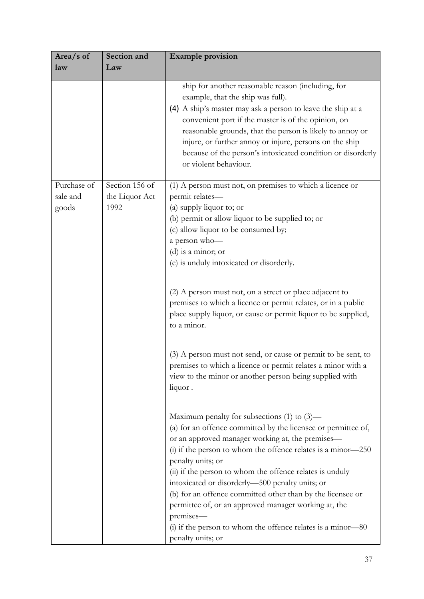| Area/s of<br>law                 | Section and<br>Law                       | <b>Example provision</b>                                                                                                                                                                                                                                                                                                                                                                                                                                                                                                                                                                                                                                                                                                                                                                                                                                                                                                                                                    |
|----------------------------------|------------------------------------------|-----------------------------------------------------------------------------------------------------------------------------------------------------------------------------------------------------------------------------------------------------------------------------------------------------------------------------------------------------------------------------------------------------------------------------------------------------------------------------------------------------------------------------------------------------------------------------------------------------------------------------------------------------------------------------------------------------------------------------------------------------------------------------------------------------------------------------------------------------------------------------------------------------------------------------------------------------------------------------|
|                                  |                                          |                                                                                                                                                                                                                                                                                                                                                                                                                                                                                                                                                                                                                                                                                                                                                                                                                                                                                                                                                                             |
|                                  |                                          | ship for another reasonable reason (including, for<br>example, that the ship was full).<br>(4) A ship's master may ask a person to leave the ship at a<br>convenient port if the master is of the opinion, on<br>reasonable grounds, that the person is likely to annoy or<br>injure, or further annoy or injure, persons on the ship<br>because of the person's intoxicated condition or disorderly<br>or violent behaviour.                                                                                                                                                                                                                                                                                                                                                                                                                                                                                                                                               |
| Purchase of<br>sale and<br>goods | Section 156 of<br>the Liquor Act<br>1992 | (1) A person must not, on premises to which a licence or<br>permit relates-<br>(a) supply liquor to; or<br>(b) permit or allow liquor to be supplied to; or<br>(c) allow liquor to be consumed by;<br>a person who-<br>$(d)$ is a minor; or<br>(e) is unduly intoxicated or disorderly.<br>(2) A person must not, on a street or place adjacent to<br>premises to which a licence or permit relates, or in a public<br>place supply liquor, or cause or permit liquor to be supplied,<br>to a minor.<br>(3) A person must not send, or cause or permit to be sent, to<br>premises to which a licence or permit relates a minor with a<br>view to the minor or another person being supplied with<br>liquor.<br>Maximum penalty for subsections $(1)$ to $(3)$ —<br>(a) for an offence committed by the licensee or permittee of,<br>or an approved manager working at, the premises-<br>$(i)$ if the person to whom the offence relates is a minor-250<br>penalty units; or |
|                                  |                                          | (ii) if the person to whom the offence relates is unduly<br>intoxicated or disorderly—500 penalty units; or<br>(b) for an offence committed other than by the licensee or<br>permittee of, or an approved manager working at, the<br>premises—<br>(i) if the person to whom the offence relates is a minor— $80$<br>penalty units; or                                                                                                                                                                                                                                                                                                                                                                                                                                                                                                                                                                                                                                       |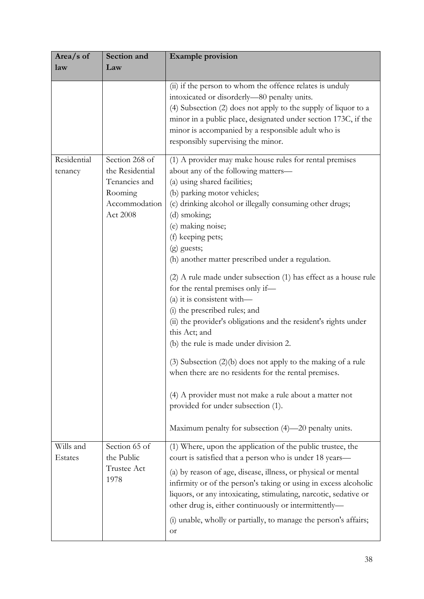| Area/s of              | Section and                                           | <b>Example provision</b>                                                                                                                                                                                                                                                                                                                                                                                                                                                                                                                                                                                                                                                                                                                                                                                                                        |
|------------------------|-------------------------------------------------------|-------------------------------------------------------------------------------------------------------------------------------------------------------------------------------------------------------------------------------------------------------------------------------------------------------------------------------------------------------------------------------------------------------------------------------------------------------------------------------------------------------------------------------------------------------------------------------------------------------------------------------------------------------------------------------------------------------------------------------------------------------------------------------------------------------------------------------------------------|
| law                    | Law                                                   |                                                                                                                                                                                                                                                                                                                                                                                                                                                                                                                                                                                                                                                                                                                                                                                                                                                 |
| Residential<br>tenancy | Section 268 of<br>the Residential                     | (ii) if the person to whom the offence relates is unduly<br>intoxicated or disorderly-80 penalty units.<br>(4) Subsection (2) does not apply to the supply of liquor to a<br>minor in a public place, designated under section 173C, if the<br>minor is accompanied by a responsible adult who is<br>responsibly supervising the minor.<br>(1) A provider may make house rules for rental premises<br>about any of the following matters-                                                                                                                                                                                                                                                                                                                                                                                                       |
|                        | Tenancies and<br>Rooming<br>Accommodation<br>Act 2008 | (a) using shared facilities;<br>(b) parking motor vehicles;<br>(c) drinking alcohol or illegally consuming other drugs;<br>(d) smoking;<br>(e) making noise;<br>(f) keeping pets;<br>$(g)$ guests;<br>(h) another matter prescribed under a regulation.<br>(2) A rule made under subsection (1) has effect as a house rule<br>for the rental premises only if—<br>(a) it is consistent with-<br>(i) the prescribed rules; and<br>(ii) the provider's obligations and the resident's rights under<br>this Act; and<br>(b) the rule is made under division 2.<br>$(3)$ Subsection $(2)(b)$ does not apply to the making of a rule<br>when there are no residents for the rental premises.<br>(4) A provider must not make a rule about a matter not<br>provided for under subsection (1).<br>Maximum penalty for subsection (4)—20 penalty units. |
| Wills and<br>Estates   | Section 65 of<br>the Public<br>Trustee Act<br>1978    | (1) Where, upon the application of the public trustee, the<br>court is satisfied that a person who is under 18 years—<br>(a) by reason of age, disease, illness, or physical or mental<br>infirmity or of the person's taking or using in excess alcoholic<br>liquors, or any intoxicating, stimulating, narcotic, sedative or<br>other drug is, either continuously or intermittently-<br>(i) unable, wholly or partially, to manage the person's affairs;<br>or                                                                                                                                                                                                                                                                                                                                                                               |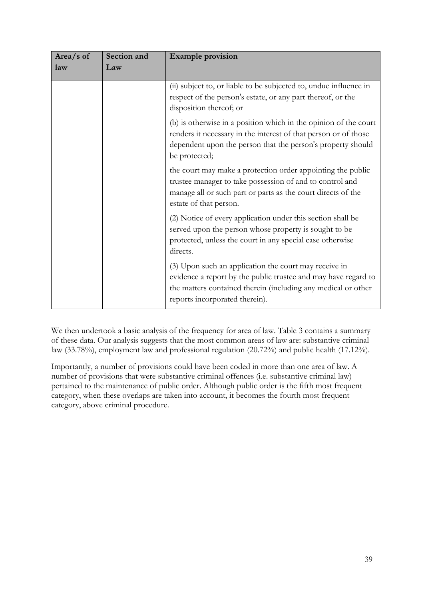| Area/s of | Section and | <b>Example provision</b>                                                                                                                                                                                                   |
|-----------|-------------|----------------------------------------------------------------------------------------------------------------------------------------------------------------------------------------------------------------------------|
| law       | Law         |                                                                                                                                                                                                                            |
|           |             | (ii) subject to, or liable to be subjected to, undue influence in<br>respect of the person's estate, or any part thereof, or the<br>disposition thereof; or                                                                |
|           |             | (b) is otherwise in a position which in the opinion of the court<br>renders it necessary in the interest of that person or of those<br>dependent upon the person that the person's property should<br>be protected;        |
|           |             | the court may make a protection order appointing the public<br>trustee manager to take possession of and to control and<br>manage all or such part or parts as the court directs of the<br>estate of that person.          |
|           |             | (2) Notice of every application under this section shall be<br>served upon the person whose property is sought to be<br>protected, unless the court in any special case otherwise<br>directs.                              |
|           |             | (3) Upon such an application the court may receive in<br>evidence a report by the public trustee and may have regard to<br>the matters contained therein (including any medical or other<br>reports incorporated therein). |

We then undertook a basic analysis of the frequency for area of law. Table 3 contains a summary of these data. Our analysis suggests that the most common areas of law are: substantive criminal law (33.78%), employment law and professional regulation (20.72%) and public health (17.12%).

Importantly, a number of provisions could have been coded in more than one area of law. A number of provisions that were substantive criminal offences (i.e. substantive criminal law) pertained to the maintenance of public order. Although public order is the fifth most frequent category, when these overlaps are taken into account, it becomes the fourth most frequent category, above criminal procedure.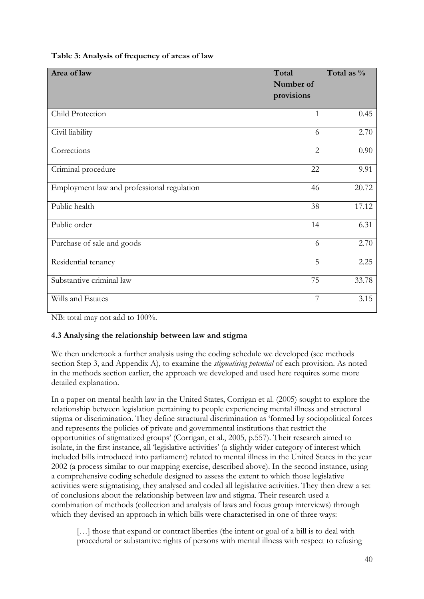| Area of law                                | Total<br>Number of<br>provisions | Total as % |
|--------------------------------------------|----------------------------------|------------|
| Child Protection                           | 1                                | 0.45       |
| Civil liability                            | 6                                | 2.70       |
| Corrections                                | $\overline{2}$                   | 0.90       |
| Criminal procedure                         | 22                               | 9.91       |
| Employment law and professional regulation | 46                               | 20.72      |
| Public health                              | 38                               | 17.12      |
| Public order                               | 14                               | 6.31       |
| Purchase of sale and goods                 | 6                                | 2.70       |
| Residential tenancy                        | 5                                | 2.25       |
| Substantive criminal law                   | 75                               | 33.78      |
| Wills and Estates                          | 7                                | 3.15       |

NB: total may not add to 100%.

## **4.3 Analysing the relationship between law and stigma**

We then undertook a further analysis using the coding schedule we developed (see methods section Step 3, and Appendix A), to examine the *stigmatising potential* of each provision. As noted in the methods section earlier, the approach we developed and used here requires some more detailed explanation.

In a paper on mental health law in the United States, Corrigan et al. [\(2005\)](#page-116-1) sought to explore the relationship between legislation pertaining to people experiencing mental illness and structural stigma or discrimination. They define structural discrimination as 'formed by sociopolitical forces and represents the policies of private and governmental institutions that restrict the opportunities of stigmatized groups' [\(Corrigan, et al., 2005, p.557\)](#page-116-1). Their research aimed to isolate, in the first instance, all 'legislative activities' (a slightly wider category of interest which included bills introduced into parliament) related to mental illness in the United States in the year 2002 (a process similar to our mapping exercise, described above). In the second instance, using a comprehensive coding schedule designed to assess the extent to which those legislative activities were stigmatising, they analysed and coded all legislative activities. They then drew a set of conclusions about the relationship between law and stigma. Their research used a combination of methods (collection and analysis of laws and focus group interviews) through which they devised an approach in which bills were characterised in one of three ways:

[...] those that expand or contract liberties (the intent or goal of a bill is to deal with procedural or substantive rights of persons with mental illness with respect to refusing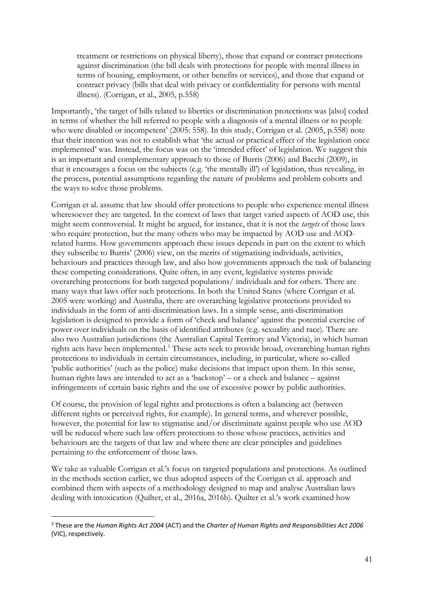treatment or restrictions on physical liberty), those that expand or contract protections against discrimination (the bill deals with protections for people with mental illness in terms of housing, employment, or other benefits or services), and those that expand or contract privacy (bills that deal with privacy or confidentiality for persons with mental illness). (Corrigan, et [al., 2005, p.558\)](#page-116-1)

Importantly, 'the target of bills related to liberties or discrimination protections was [also] coded in terms of whether the bill referred to people with a diagnosis of a mental illness or to people who were disabled or incompetent' (2005: 558). In this study, Corrigan et al. [\(2005, p.558\)](#page-116-1) note that their intention was not to establish what 'the actual or practical effect of the legislation once implemented' was. Instead, the focus was on the 'intended effect' of legislation. We suggest this is an important and complementary approach to those of Burris [\(2006\)](#page-116-2) and Bacchi [\(2009\)](#page-115-3), in that it encourages a focus on the subjects (e.g. 'the mentally ill') of legislation, thus revealing, in the process, potential assumptions regarding the nature of problems and problem cohorts and the ways to solve those problems.

Corrigan et al. assume that law should offer protections to people who experience mental illness wheresoever they are targeted. In the context of laws that target varied aspects of AOD use, this might seem controversial. It might be argued, for instance, that it is not the *targets* of those laws who require protection, but the many others who may be impacted by AOD use and AODrelated harms. How governments approach these issues depends in part on the extent to which they subscribe to Burris' (2006) view, on the merits of stigmatising individuals, activities, behaviours and practices through law, and also how governments approach the task of balancing these competing considerations. Quite often, in any event, legislative systems provide overarching protections for both targeted populations/ individuals and for others. There are many ways that laws offer such protections. In both the United States (where Corrigan et al. 2005 were working) and Australia, there are overarching legislative protections provided to individuals in the form of anti-discrimination laws. In a simple sense, anti-discrimination legislation is designed to provide a form of 'check and balance' against the potential exercise of power over individuals on the basis of identified attributes (e.g. sexuality and race). There are also two Australian jurisdictions (the Australian Capital Territory and Victoria), in which human rights acts have been implemented.<sup>[3](#page-46-0)</sup> These acts seek to provide broad, overarching human rights protections to individuals in certain circumstances, including, in particular, where so-called 'public authorities' (such as the police) make decisions that impact upon them. In this sense, human rights laws are intended to act as a 'backstop' – or a check and balance – against infringements of certain basic rights and the use of excessive power by public authorities.

Of course, the provision of legal rights and protections is often a balancing act (between different rights or perceived rights, for example). In general terms, and wherever possible, however, the potential for law to stigmatise and/or discriminate against people who use AOD will be reduced where such law offers protections to those whose practices, activities and behaviours are the targets of that law and where there are clear principles and guidelines pertaining to the enforcement of those laws.

We take as valuable Corrigan et al.'s focus on targeted populations and protections. As outlined in the methods section earlier, we thus adopted aspects of the Corrigan et al. approach and combined them with aspects of a methodology designed to map and analyse Australian laws dealing with intoxication [\(Quilter, et al., 2016a,](#page-120-1) [2016b\)](#page-120-2). Quilter et al.'s work examined how

-

<span id="page-46-0"></span><sup>3</sup> These are the *Human Rights Act 2004* (ACT) and the *Charter of Human Rights and Responsibilities Act 2006* (VIC), respectively.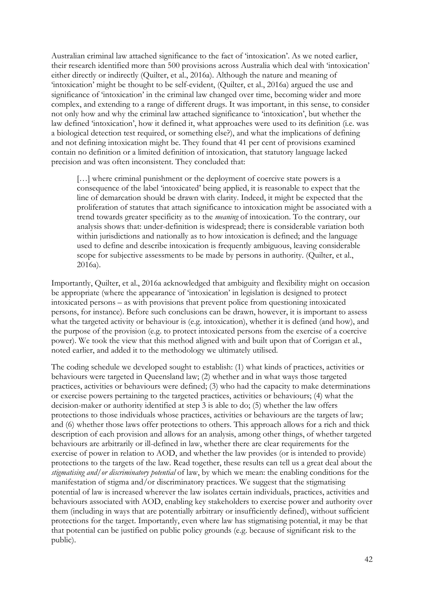Australian criminal law attached significance to the fact of 'intoxication'. As we noted earlier, their research identified more than 500 provisions across Australia which deal with 'intoxication' either directly or indirectly [\(Quilter, et al., 2016a\)](#page-120-1). Although the nature and meaning of 'intoxication' might be thought to be self-evident, [\(Quilter, et al., 2016a\)](#page-120-1) argued the use and significance of 'intoxication' in the criminal law changed over time, becoming wider and more complex, and extending to a range of different drugs. It was important, in this sense, to consider not only how and why the criminal law attached significance to 'intoxication', but whether the law defined 'intoxication', how it defined it, what approaches were used to its definition (i.e. was a biological detection test required, or something else?), and what the implications of defining and not defining intoxication might be. They found that 41 per cent of provisions examined contain no definition or a limited definition of intoxication, that statutory language lacked precision and was often inconsistent. They concluded that:

[...] where criminal punishment or the deployment of coercive state powers is a consequence of the label 'intoxicated' being applied, it is reasonable to expect that the line of demarcation should be drawn with clarity. Indeed, it might be expected that the proliferation of statutes that attach significance to intoxication might be associated with a trend towards greater specificity as to the *meaning* of intoxication. To the contrary, our analysis shows that: under-definition is widespread; there is considerable variation both within jurisdictions and nationally as to how intoxication is defined; and the language used to define and describe intoxication is frequently ambiguous, leaving considerable scope for subjective assessments to be made by persons in authority. [\(Quilter, et al.,](#page-120-1)  [2016a\)](#page-120-1).

Importantly, [Quilter, et al., 2016a](#page-120-2) acknowledged that ambiguity and flexibility might on occasion be appropriate (where the appearance of 'intoxication' in legislation is designed to protect intoxicated persons – as with provisions that prevent police from questioning intoxicated persons, for instance). Before such conclusions can be drawn, however, it is important to assess what the targeted activity or behaviour is (e.g. intoxication), whether it is defined (and how), and the purpose of the provision (e.g. to protect intoxicated persons from the exercise of a coercive power). We took the view that this method aligned with and built upon that of Corrigan et al., noted earlier, and added it to the methodology we ultimately utilised.

The coding schedule we developed sought to establish: (1) what kinds of practices, activities or behaviours were targeted in Queensland law; (2) whether and in what ways those targeted practices, activities or behaviours were defined; (3) who had the capacity to make determinations or exercise powers pertaining to the targeted practices, activities or behaviours; (4) what the decision-maker or authority identified at step 3 is able to do; (5) whether the law offers protections to those individuals whose practices, activities or behaviours are the targets of law; and (6) whether those laws offer protections to others. This approach allows for a rich and thick description of each provision and allows for an analysis, among other things, of whether targeted behaviours are arbitrarily or ill-defined in law, whether there are clear requirements for the exercise of power in relation to AOD, and whether the law provides (or is intended to provide) protections to the targets of the law. Read together, these results can tell us a great deal about the *stigmatising and/or discriminatory potential* of law, by which we mean: the enabling conditions for the manifestation of stigma and/or discriminatory practices. We suggest that the stigmatising potential of law is increased wherever the law isolates certain individuals, practices, activities and behaviours associated with AOD, enabling key stakeholders to exercise power and authority over them (including in ways that are potentially arbitrary or insufficiently defined), without sufficient protections for the target. Importantly, even where law has stigmatising potential, it may be that that potential can be justified on public policy grounds (e.g. because of significant risk to the public).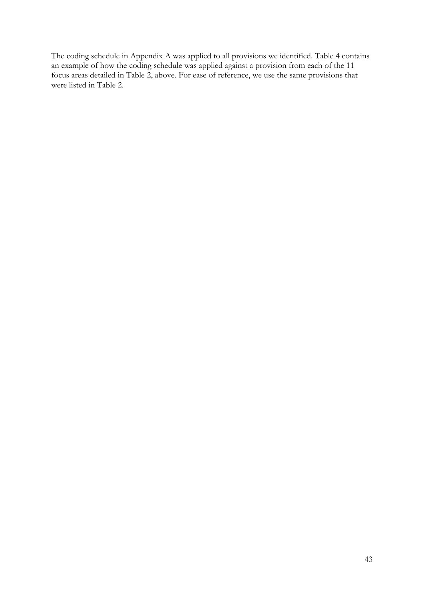The coding schedule in Appendix A was applied to all provisions we identified. Table 4 contains an example of how the coding schedule was applied against a provision from each of the 11 focus areas detailed in Table 2, above. For ease of reference, we use the same provisions that were listed in Table 2.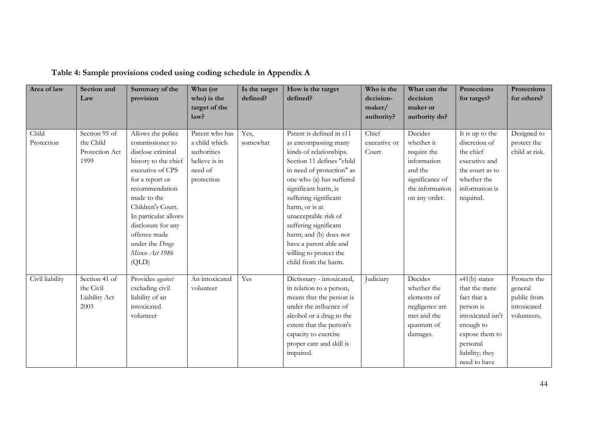| Area of law     | Section and    | Summary of the       | What (or              | Is the target | How is the target         | Who is the          | What can the         | <b>Protections</b> | <b>Protections</b> |
|-----------------|----------------|----------------------|-----------------------|---------------|---------------------------|---------------------|----------------------|--------------------|--------------------|
|                 | Law            | provision            | who) is the           | defined?      | defined?                  | decision-<br>maker/ | decision<br>maker or | for target?        | for others?        |
|                 |                |                      | target of the<br>law? |               |                           | authority?          | authority do?        |                    |                    |
|                 |                |                      |                       |               |                           |                     |                      |                    |                    |
| Child           | Section 95 of  | Allows the police    | Parent who has        | Yes,          | Parent is defined in s11  | Chief               | Decides              | It is up to the    | Designed to        |
| Protection      | the Child      | commissioner to      | a child which         | somewhat      | as encompassing many      | executive or        | whether it           | discretion of      | protect the        |
|                 | Protection Act | disclose criminal    | authorities           |               | kinds of relationships.   | Court               | require the          | the chief          | child at risk.     |
|                 | 1999           | history to the chief | believe is in         |               | Section 11 defines "child |                     | information          | executive and      |                    |
|                 |                | executive of CPS     | need of               |               | in need of protection" as |                     | and the              | the court as to    |                    |
|                 |                | for a report or      | protection            |               | one who (a) has suffered  |                     | significance of      | whether the        |                    |
|                 |                | recommendation       |                       |               | significant harm, is      |                     | the information      | information is     |                    |
|                 |                | made to the          |                       |               | suffering significant     |                     | on any order.        | required.          |                    |
|                 |                | Children's Court.    |                       |               | harm, or is at            |                     |                      |                    |                    |
|                 |                | In particular allows |                       |               | unacceptable risk of      |                     |                      |                    |                    |
|                 |                | disclosure for any   |                       |               | suffering significant     |                     |                      |                    |                    |
|                 |                | offence made         |                       |               | harm; and (b) does not    |                     |                      |                    |                    |
|                 |                | under the Drugs      |                       |               | have a parent able and    |                     |                      |                    |                    |
|                 |                | Misuse Act 1986      |                       |               | willing to protect the    |                     |                      |                    |                    |
|                 |                | (QLD)                |                       |               | child from the harm.      |                     |                      |                    |                    |
| Civil liability | Section 41 of  | Provides against     | An intoxicated        | Yes           | Dictionary - intoxicated, | Judiciary           | Decides              | s41(b) states      | Protects the       |
|                 | the Civil      | excluding civil      | volunteer             |               | in relation to a person,  |                     | whether the          | that the mere      | general            |
|                 | Liability Act  | liability of an      |                       |               | means that the person is  |                     | elements of          | fact that a        | public from        |
|                 | 2003           | intoxicated          |                       |               | under the influence of    |                     | negligence are       | person is          | intoxicated        |
|                 |                | volunteer            |                       |               | alcohol or a drug to the  |                     | met and the          | intoxicated isn't  | volunteers.        |
|                 |                |                      |                       |               | extent that the person's  |                     | quantum of           | enough to          |                    |
|                 |                |                      |                       |               | capacity to exercise      |                     | damages.             | expose them to     |                    |
|                 |                |                      |                       |               | proper care and skill is  |                     |                      | personal           |                    |
|                 |                |                      |                       |               | impaired.                 |                     |                      | liability; they    |                    |
|                 |                |                      |                       |               |                           |                     |                      | need to have       |                    |

# **Table 4: Sample provisions coded using coding schedule in Appendix A**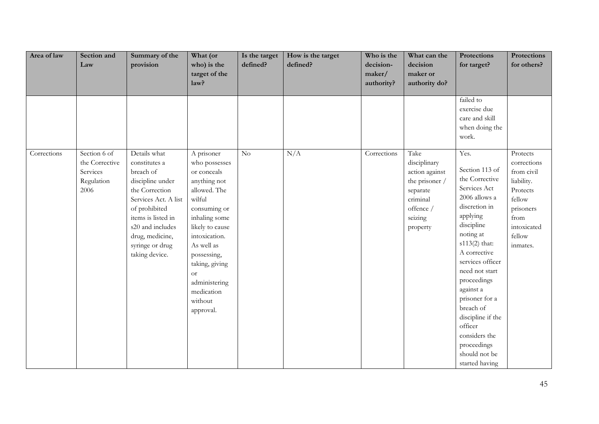| Area of law | Section and<br>Law                                               | Summary of the<br>provision                                                                                                                                                                                                 | What (or<br>who) is the<br>target of the<br>law?                                                                                                                                                                                                                                 | Is the target<br>defined? | How is the target<br>defined? | Who is the<br>decision-<br>maker/<br>authority? | What can the<br>decision<br>maker or<br>authority do?                                                                | <b>Protections</b><br>for target?                                                                                                                                                                                                                                                                                                                                      | <b>Protections</b><br>for others?                                                                                                   |
|-------------|------------------------------------------------------------------|-----------------------------------------------------------------------------------------------------------------------------------------------------------------------------------------------------------------------------|----------------------------------------------------------------------------------------------------------------------------------------------------------------------------------------------------------------------------------------------------------------------------------|---------------------------|-------------------------------|-------------------------------------------------|----------------------------------------------------------------------------------------------------------------------|------------------------------------------------------------------------------------------------------------------------------------------------------------------------------------------------------------------------------------------------------------------------------------------------------------------------------------------------------------------------|-------------------------------------------------------------------------------------------------------------------------------------|
|             |                                                                  |                                                                                                                                                                                                                             |                                                                                                                                                                                                                                                                                  |                           |                               |                                                 |                                                                                                                      | failed to<br>exercise due<br>care and skill<br>when doing the<br>work.                                                                                                                                                                                                                                                                                                 |                                                                                                                                     |
| Corrections | Section 6 of<br>the Corrective<br>Services<br>Regulation<br>2006 | Details what<br>constitutes a<br>breach of<br>discipline under<br>the Correction<br>Services Act. A list<br>of prohibited<br>items is listed in<br>s20 and includes<br>drug, medicine,<br>syringe or drug<br>taking device. | A prisoner<br>who possesses<br>or conceals<br>anything not<br>allowed. The<br>wilful<br>consuming or<br>inhaling some<br>likely to cause<br>intoxication.<br>As well as<br>possessing,<br>taking, giving<br><sub>or</sub><br>administering<br>medication<br>without<br>approval. | $\rm No$                  | N/A                           | Corrections                                     | Take<br>disciplinary<br>action against<br>the prisoner /<br>separate<br>criminal<br>offence /<br>seizing<br>property | Yes.<br>Section 113 of<br>the Corrective<br>Services Act<br>2006 allows a<br>discretion in<br>applying<br>discipline<br>noting at<br>s113(2) that:<br>A corrective<br>services officer<br>need not start<br>proceedings<br>against a<br>prisoner for a<br>breach of<br>discipline if the<br>officer<br>considers the<br>proceedings<br>should not be<br>started having | Protects<br>corrections<br>from civil<br>liability.<br>Protects<br>fellow<br>prisoners<br>from<br>intoxicated<br>fellow<br>inmates. |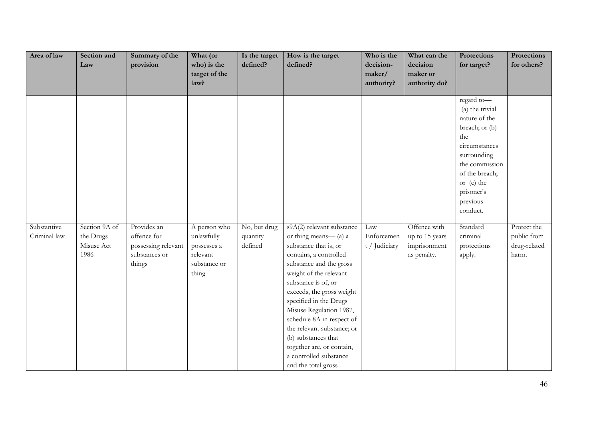| Area of law                 | Section and<br>Law         | Summary of the<br>provision                    | What (or<br>who) is the<br>target of the         | Is the target<br>defined? | How is the target<br>defined?                                                                                                                                                                                                                                                                                                                                                 | Who is the<br>decision-<br>maker/ | What can the<br>decision<br>maker or            | Protections<br>for target?                                                                                                                                                                                              | Protections<br>for others? |
|-----------------------------|----------------------------|------------------------------------------------|--------------------------------------------------|---------------------------|-------------------------------------------------------------------------------------------------------------------------------------------------------------------------------------------------------------------------------------------------------------------------------------------------------------------------------------------------------------------------------|-----------------------------------|-------------------------------------------------|-------------------------------------------------------------------------------------------------------------------------------------------------------------------------------------------------------------------------|----------------------------|
| Substantive<br>Criminal law | Section 9A of<br>the Drugs | Provides an<br>offence for                     | law?<br>A person who<br>unlawfully               | No, but drug<br>quantity  | s9A(2) relevant substance<br>or thing means— (a) a                                                                                                                                                                                                                                                                                                                            | authority?<br>Law<br>Enforcemen   | authority do?<br>Offence with<br>up to 15 years | regard to-<br>(a) the trivial<br>nature of the<br>breach; or (b)<br>the<br>circumstances<br>surrounding<br>the commission<br>of the breach;<br>or (c) the<br>prisoner's<br>previous<br>conduct.<br>Standard<br>criminal | Protect the<br>public from |
|                             | Misuse Act<br>1986         | possessing relevant<br>substances or<br>things | possesses a<br>relevant<br>substance or<br>thing | defined                   | substance that is, or<br>contains, a controlled<br>substance and the gross<br>weight of the relevant<br>substance is of, or<br>exceeds, the gross weight<br>specified in the Drugs<br>Misuse Regulation 1987,<br>schedule 8A in respect of<br>the relevant substance; or<br>(b) substances that<br>together are, or contain,<br>a controlled substance<br>and the total gross | t / Judiciary                     | imprisonment<br>as penalty.                     | protections<br>apply.                                                                                                                                                                                                   | drug-related<br>harm.      |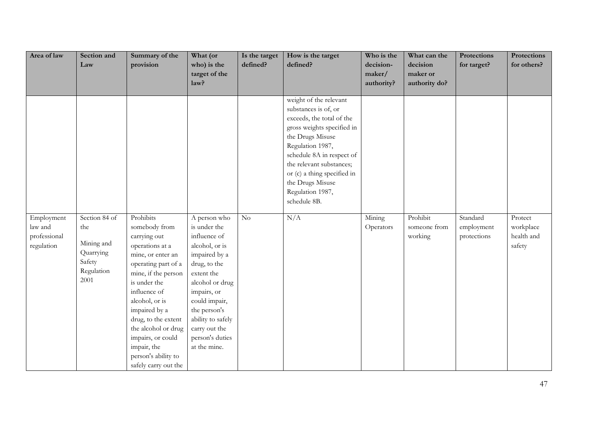| Area of law                                         | Section and<br>Law                                                              | Summary of the<br>provision                                                                                                                                                                                                                                                                                                          | What (or<br>who) is the<br>target of the                                                                                                                                                                                                                  | Is the target<br>defined? | How is the target<br>defined?                                                                                                                                                                                                                                                                     | Who is the<br>decision-<br>maker/ | What can the<br>decision<br>maker or | Protections<br>for target?            | Protections<br>for others?                   |
|-----------------------------------------------------|---------------------------------------------------------------------------------|--------------------------------------------------------------------------------------------------------------------------------------------------------------------------------------------------------------------------------------------------------------------------------------------------------------------------------------|-----------------------------------------------------------------------------------------------------------------------------------------------------------------------------------------------------------------------------------------------------------|---------------------------|---------------------------------------------------------------------------------------------------------------------------------------------------------------------------------------------------------------------------------------------------------------------------------------------------|-----------------------------------|--------------------------------------|---------------------------------------|----------------------------------------------|
|                                                     |                                                                                 |                                                                                                                                                                                                                                                                                                                                      | law?                                                                                                                                                                                                                                                      |                           |                                                                                                                                                                                                                                                                                                   | authority?                        | authority do?                        |                                       |                                              |
|                                                     |                                                                                 |                                                                                                                                                                                                                                                                                                                                      |                                                                                                                                                                                                                                                           |                           | weight of the relevant<br>substances is of, or<br>exceeds, the total of the<br>gross weights specified in<br>the Drugs Misuse<br>Regulation 1987,<br>schedule 8A in respect of<br>the relevant substances;<br>or (c) a thing specified in<br>the Drugs Misuse<br>Regulation 1987,<br>schedule 8B. |                                   |                                      |                                       |                                              |
| Employment<br>law and<br>professional<br>regulation | Section 84 of<br>the<br>Mining and<br>Quarrying<br>Safety<br>Regulation<br>2001 | Prohibits<br>somebody from<br>carrying out<br>operations at a<br>mine, or enter an<br>operating part of a<br>mine, if the person<br>is under the<br>influence of<br>alcohol, or is<br>impaired by a<br>drug, to the extent<br>the alcohol or drug<br>impairs, or could<br>impair, the<br>person's ability to<br>safely carry out the | A person who<br>is under the<br>influence of<br>alcohol, or is<br>impaired by a<br>drug, to the<br>extent the<br>alcohol or drug<br>impairs, or<br>could impair,<br>the person's<br>ability to safely<br>carry out the<br>person's duties<br>at the mine. | No                        | N/A                                                                                                                                                                                                                                                                                               | Mining<br>Operators               | Prohibit<br>someone from<br>working  | Standard<br>employment<br>protections | Protect<br>workplace<br>health and<br>safety |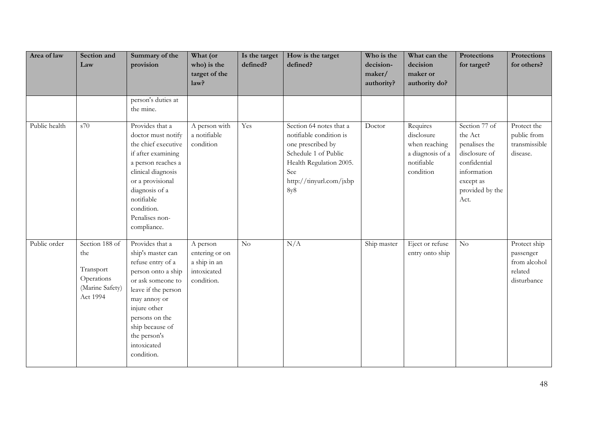| Area of law   | Section and<br>Law                                                              | Summary of the<br>provision                                                                                                                                                                                                                   | What (or<br>who) is the<br>target of the<br>law?                        | Is the target<br>defined? | How is the target<br>defined?                                                                                                                                       | Who is the<br>decision-<br>maker/<br>authority? | What can the<br>decision<br>maker or<br>authority do?                                  | Protections<br>for target?                                                                                                        | Protections<br>for others?                                          |
|---------------|---------------------------------------------------------------------------------|-----------------------------------------------------------------------------------------------------------------------------------------------------------------------------------------------------------------------------------------------|-------------------------------------------------------------------------|---------------------------|---------------------------------------------------------------------------------------------------------------------------------------------------------------------|-------------------------------------------------|----------------------------------------------------------------------------------------|-----------------------------------------------------------------------------------------------------------------------------------|---------------------------------------------------------------------|
|               |                                                                                 | person's duties at<br>the mine.                                                                                                                                                                                                               |                                                                         |                           |                                                                                                                                                                     |                                                 |                                                                                        |                                                                                                                                   |                                                                     |
| Public health | s70                                                                             | Provides that a<br>doctor must notify<br>the chief executive<br>if after examining<br>a person reaches a<br>clinical diagnosis<br>or a provisional<br>diagnosis of a<br>notifiable<br>condition.<br>Penalises non-<br>compliance.             | A person with<br>a notifiable<br>condition                              | Yes                       | Section 64 notes that a<br>notifiable condition is<br>one prescribed by<br>Schedule 1 of Public<br>Health Regulation 2005.<br>See<br>http://tinyurl.com/jxbp<br>8y8 | Doctor                                          | Requires<br>disclosure<br>when reaching<br>a diagnosis of a<br>notifiable<br>condition | Section 77 of<br>the Act<br>penalises the<br>disclosure of<br>confidential<br>information<br>except as<br>provided by the<br>Act. | Protect the<br>public from<br>transmissible<br>disease.             |
| Public order  | Section 188 of<br>the<br>Transport<br>Operations<br>(Marine Safety)<br>Act 1994 | Provides that a<br>ship's master can<br>refuse entry of a<br>person onto a ship<br>or ask someone to<br>leave if the person<br>may annoy or<br>injure other<br>persons on the<br>ship because of<br>the person's<br>intoxicated<br>condition. | A person<br>entering or on<br>a ship in an<br>intoxicated<br>condition. | $\rm No$                  | N/A                                                                                                                                                                 | Ship master                                     | Eject or refuse<br>entry onto ship                                                     | $\rm No$                                                                                                                          | Protect ship<br>passenger<br>from alcohol<br>related<br>disturbance |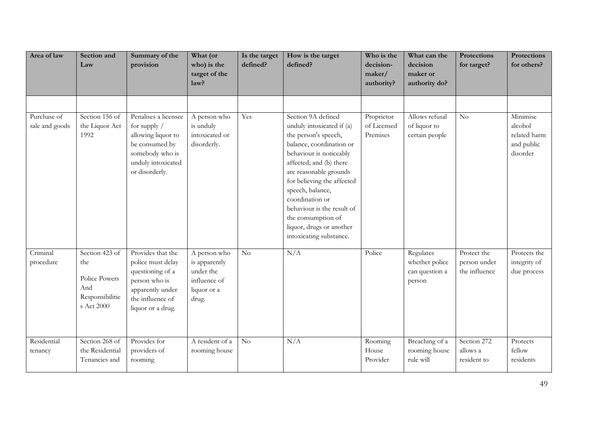| Area of law                   | Section and<br>Law                                                             | Summary of the<br>provision                                                                                                              | What (or<br>who) is the<br>target of the<br>law?                                   | Is the target<br>defined? | How is the target<br>defined?                                                                                                                                                                                                                                                                                                                                       | Who is the<br>decision-<br>maker/<br>authority? | What can the<br>decision<br>maker or<br>authority do?   | Protections<br>for target?                   | Protections<br>for others?                                    |
|-------------------------------|--------------------------------------------------------------------------------|------------------------------------------------------------------------------------------------------------------------------------------|------------------------------------------------------------------------------------|---------------------------|---------------------------------------------------------------------------------------------------------------------------------------------------------------------------------------------------------------------------------------------------------------------------------------------------------------------------------------------------------------------|-------------------------------------------------|---------------------------------------------------------|----------------------------------------------|---------------------------------------------------------------|
| Purchase of<br>sale and goods | Section 156 of<br>the Liquor Act<br>1992                                       | Penalises a licensee<br>for supply /<br>allowing liquor to<br>be consumed by<br>somebody who is<br>unduly intoxicated<br>or disorderly.  | A person who<br>is unduly<br>intoxicated or<br>disorderly.                         | Yes                       | Section 9A defined<br>unduly intoxicated if (a)<br>the person's speech,<br>balance, coordination or<br>behaviour is noticeably<br>affected; and (b) there<br>are reasonable grounds<br>for believing the affected<br>speech, balance,<br>coordination or<br>behaviour is the result of<br>the consumption of<br>liquor, drugs or another<br>intoxicating substance. | Proprietor<br>of Licensed<br>Premises           | Allows refusal<br>of liquor to<br>certain people        | $\overline{No}$                              | Minimise<br>alcohol<br>related harm<br>and public<br>disorder |
| Criminal<br>procedure         | Section 423 of<br>the<br>Police Powers<br>And<br>Responsibilitie<br>s Act 2000 | Provides that the<br>police must delay<br>questioning of a<br>person who is<br>apparently under<br>the influence of<br>liquor or a drug. | A person who<br>is apparently<br>under the<br>influence of<br>liquor or a<br>drug. | $\rm No$                  | N/A                                                                                                                                                                                                                                                                                                                                                                 | Police                                          | Regulates<br>whether police<br>can question a<br>person | Protect the<br>person under<br>the influence | Protects the<br>integrity of<br>due process                   |
| Residential<br>tenancy        | Section 268 of<br>the Residential<br>Tenancies and                             | Provides for<br>providers of<br>rooming                                                                                                  | A resident of a<br>rooming house                                                   | No                        | N/A                                                                                                                                                                                                                                                                                                                                                                 | Rooming<br>House<br>Provider                    | Breaching of a<br>rooming house<br>rule will            | Section 272<br>allows a<br>resident to       | Protects<br>fellow<br>residents                               |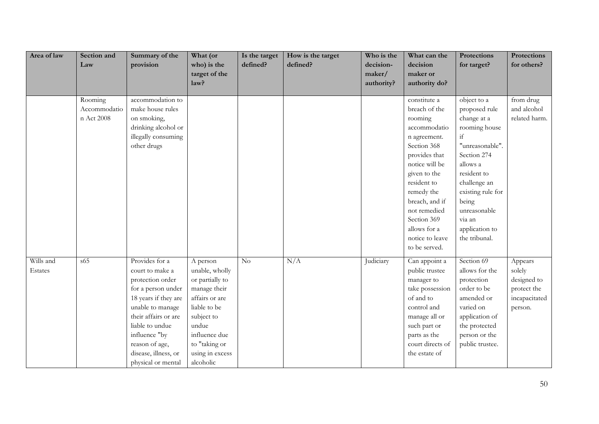| Area of law | Section and  | Summary of the       | What (or        | Is the target | How is the target | Who is the | What can the     | Protections       | <b>Protections</b> |
|-------------|--------------|----------------------|-----------------|---------------|-------------------|------------|------------------|-------------------|--------------------|
|             | Law          | provision            | who) is the     | defined?      | defined?          | decision-  | decision         | for target?       | for others?        |
|             |              |                      | target of the   |               |                   | maker/     | maker or         |                   |                    |
|             |              |                      | law?            |               |                   | authority? | authority do?    |                   |                    |
|             | Rooming      | accommodation to     |                 |               |                   |            | constitute a     | object to a       | from drug          |
|             | Accommodatio | make house rules     |                 |               |                   |            | breach of the    | proposed rule     | and alcohol        |
|             | n Act 2008   | on smoking,          |                 |               |                   |            | rooming          | change at a       | related harm.      |
|             |              | drinking alcohol or  |                 |               |                   |            | accommodatio     | rooming house     |                    |
|             |              | illegally consuming  |                 |               |                   |            | n agreement.     | if                |                    |
|             |              | other drugs          |                 |               |                   |            | Section 368      | "unreasonable".   |                    |
|             |              |                      |                 |               |                   |            | provides that    | Section 274       |                    |
|             |              |                      |                 |               |                   |            | notice will be   | allows a          |                    |
|             |              |                      |                 |               |                   |            | given to the     | resident to       |                    |
|             |              |                      |                 |               |                   |            | resident to      | challenge an      |                    |
|             |              |                      |                 |               |                   |            | remedy the       | existing rule for |                    |
|             |              |                      |                 |               |                   |            | breach, and if   | being             |                    |
|             |              |                      |                 |               |                   |            | not remedied     | unreasonable      |                    |
|             |              |                      |                 |               |                   |            | Section 369      | via an            |                    |
|             |              |                      |                 |               |                   |            | allows for a     | application to    |                    |
|             |              |                      |                 |               |                   |            | notice to leave  | the tribunal.     |                    |
|             |              |                      |                 |               |                   |            | to be served.    |                   |                    |
| Wills and   | s65          | Provides for a       | A person        | $\rm No$      | N/A               | Judiciary  | Can appoint a    | Section 69        | Appears            |
| Estates     |              | court to make a      | unable, wholly  |               |                   |            | public trustee   | allows for the    | solely             |
|             |              | protection order     | or partially to |               |                   |            | manager to       | protection        | designed to        |
|             |              | for a person under   | manage their    |               |                   |            | take possession  | order to be       | protect the        |
|             |              | 18 years if they are | affairs or are  |               |                   |            | of and to        | amended or        | incapacitated      |
|             |              | unable to manage     | liable to be    |               |                   |            | control and      | varied on         | person.            |
|             |              | their affairs or are | subject to      |               |                   |            | manage all or    | application of    |                    |
|             |              | liable to undue      | undue           |               |                   |            | such part or     | the protected     |                    |
|             |              | influence "by        | influence due   |               |                   |            | parts as the     | person or the     |                    |
|             |              | reason of age,       | to "taking or   |               |                   |            | court directs of | public trustee.   |                    |
|             |              | disease, illness, or | using in excess |               |                   |            | the estate of    |                   |                    |
|             |              | physical or mental   | alcoholic       |               |                   |            |                  |                   |                    |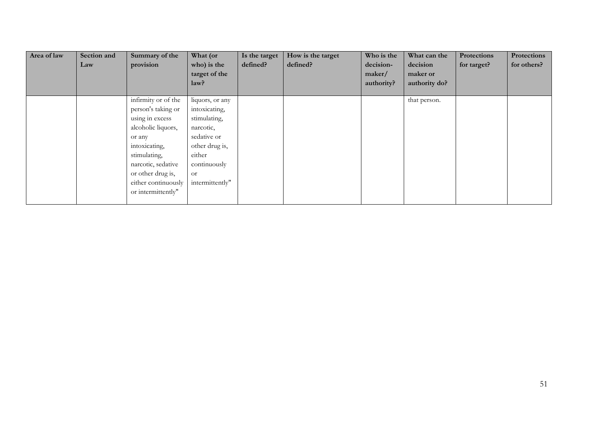| Area of law | Section and<br>Law | Summary of the<br>provision                                                                                                                                                                                           | What (or<br>who) is the                                                                                                                                  | Is the target<br>defined? | How is the target<br>defined? | Who is the<br>decision- | What can the<br>decision  | Protections<br>for target? | Protections<br>for others? |
|-------------|--------------------|-----------------------------------------------------------------------------------------------------------------------------------------------------------------------------------------------------------------------|----------------------------------------------------------------------------------------------------------------------------------------------------------|---------------------------|-------------------------------|-------------------------|---------------------------|----------------------------|----------------------------|
|             |                    |                                                                                                                                                                                                                       | target of the<br>law?                                                                                                                                    |                           |                               | maker/<br>authority?    | maker or<br>authority do? |                            |                            |
|             |                    | infirmity or of the<br>person's taking or<br>using in excess<br>alcoholic liquors,<br>or any<br>intoxicating,<br>stimulating,<br>narcotic, sedative<br>or other drug is,<br>either continuously<br>or intermittently" | liquors, or any<br>intoxicating,<br>stimulating,<br>narcotic,<br>sedative or<br>other drug is,<br>either<br>continuously<br><b>or</b><br>intermittently" |                           |                               |                         | that person.              |                            |                            |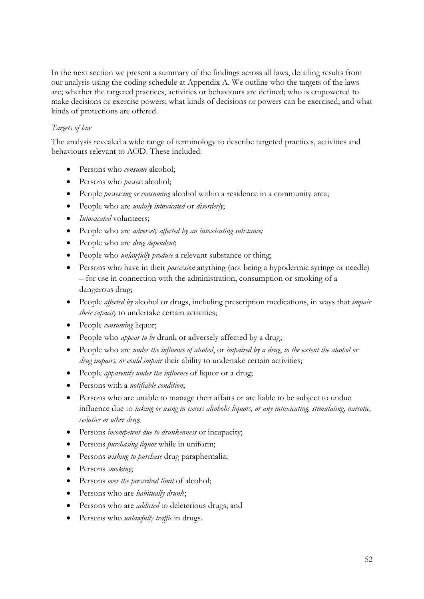In the next section we present a summary of the findings across all laws, detailing results from our analysis using the coding schedule at Appendix A. We outline who the targets of the laws are; whether the targeted practices, activities or behaviours are defined; who is empowered to make decisions or exercise powers; what kinds of decisions or powers can be exercised; and what kinds of protections are offered.

## *Targets of law*

The analysis revealed a wide range of terminology to describe targeted practices, activities and behaviours relevant to AOD. These included:

- Persons who *consume* alcohol;
- Persons who *possess* alcohol;
- People *possessing or consuming* alcohol within a residence in a community area;
- People who are *unduly intoxicated* or *disorderly*;
- *Intoxicated* volunteers;
- People who are *adversely affected by an intoxicating substance;*
- People who are *drug dependent*;
- People who *unlawfully produce* a relevant substance or thing;
- Persons who have in their *possession* anything (not being a hypodermic syringe or needle) – for use in connection with the administration, consumption or smoking of a dangerous drug;
- People *affected by* alcohol or drugs, including prescription medications, in ways that *impair their capacity* to undertake certain activities;
- People *consuming* liquor;
- People who *appear to be* drunk or adversely affected by a drug;
- People who are *under the influence of alcohol*, or *impaired by a drug*, *to the extent the alcohol or drug impairs, or could impair* their ability to undertake certain activities;
- People *apparently under the influence* of liquor or a drug;
- Persons with a *notifiable condition*;
- Persons who are unable to manage their affairs or are liable to be subject to undue influence due to *taking or using in excess alcoholic liquors, or any intoxicating, stimulating, narcotic, sedative or other drug*;
- Persons *incompetent due to drunkenness* or incapacity;
- Persons *purchasing liquor* while in uniform;
- Persons *wishing to purchase* drug paraphernalia;
- Persons *smoking*;
- Persons *over the prescribed limit* of alcohol;
- Persons who are *habitually drunk*;
- Persons who are *addicted* to deleterious drugs; and
- Persons who *unlawfully traffic* in drugs.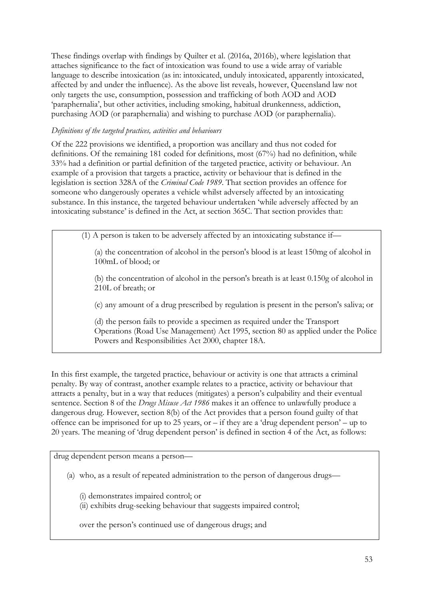These findings overlap with findings by Quilter et al. (2016a, 2016b), where legislation that attaches significance to the fact of intoxication was found to use a wide array of variable language to describe intoxication (as in: intoxicated, unduly intoxicated, apparently intoxicated, affected by and under the influence). As the above list reveals, however, Queensland law not only targets the use, consumption, possession and trafficking of both AOD and AOD 'paraphernalia', but other activities, including smoking, habitual drunkenness, addiction, purchasing AOD (or paraphernalia) and wishing to purchase AOD (or paraphernalia).

## *Definitions of the targeted practices, activities and behaviours*

Of the 222 provisions we identified, a proportion was ancillary and thus not coded for definitions. Of the remaining 181 coded for definitions, most (67%) had no definition, while 33% had a definition or partial definition of the targeted practice, activity or behaviour. An example of a provision that targets a practice, activity or behaviour that is defined in the legislation is section 328A of the *Criminal Code 1989*. That section provides an offence for someone who dangerously operates a vehicle whilst adversely affected by an intoxicating substance. In this instance, the targeted behaviour undertaken 'while adversely affected by an intoxicating substance' is defined in the Act, at section 365C. That section provides that:

(1) A person is taken to be adversely affected by an intoxicating substance if—

(a) the concentration of alcohol in the person's blood is at least 150mg of alcohol in 100mL of blood; or

(b) the concentration of alcohol in the person's breath is at least 0.150g of alcohol in 210L of breath; or

(c) any amount of a drug prescribed by regulation is present in the person's saliva; or

(d) the person fails to provide a specimen as required under the Transport Operations (Road Use Management) Act 1995, section 80 as applied under the Police Powers and Responsibilities Act 2000, chapter 18A.

In this first example, the targeted practice, behaviour or activity is one that attracts a criminal penalty. By way of contrast, another example relates to a practice, activity or behaviour that attracts a penalty, but in a way that reduces (mitigates) a person's culpability and their eventual sentence. Section 8 of the *Drugs Misuse Act 1986* makes it an offence to unlawfully produce a dangerous drug. However, section 8(b) of the Act provides that a person found guilty of that offence can be imprisoned for up to 25 years, or – if they are a 'drug dependent person' – up to 20 years. The meaning of 'drug dependent person' is defined in section 4 of the Act, as follows:

drug dependent person means a person—

- (a) who, as a result of repeated administration to the person of dangerous drugs—
	- (i) demonstrates impaired control; or
	- (ii) exhibits drug-seeking behaviour that suggests impaired control;

over the person's continued use of dangerous drugs; and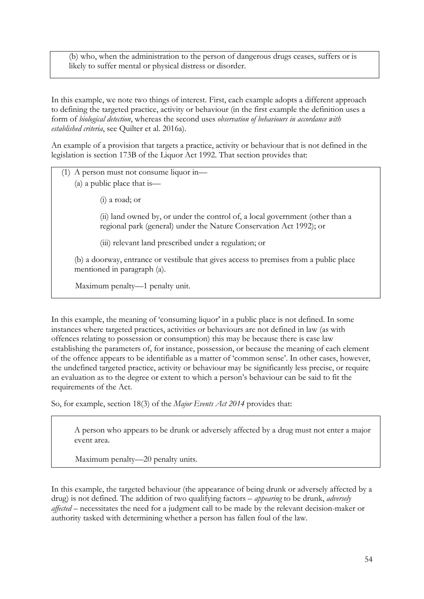(b) who, when the administration to the person of dangerous drugs ceases, suffers or is likely to suffer mental or physical distress or disorder.

In this example, we note two things of interest. First, each example adopts a different approach to defining the targeted practice, activity or behaviour (in the first example the definition uses a form of *biological detection*, whereas the second uses *observation of behaviours in accordance with established criteria*, see Quilter et al. 2016a).

An example of a provision that targets a practice, activity or behaviour that is not defined in the legislation is section 173B of the Liquor Act 1992. That section provides that:

(1) A person must not consume liquor in— (a) a public place that is—

(i) a road; or

(ii) land owned by, or under the control of, a local government (other than a regional park (general) under the Nature Conservation Act 1992); or

(iii) relevant land prescribed under a regulation; or

(b) a doorway, entrance or vestibule that gives access to premises from a public place mentioned in paragraph (a).

Maximum penalty—1 penalty unit.

In this example, the meaning of 'consuming liquor' in a public place is not defined. In some instances where targeted practices, activities or behaviours are not defined in law (as with offences relating to possession or consumption) this may be because there is case law establishing the parameters of, for instance, possession, or because the meaning of each element of the offence appears to be identifiable as a matter of 'common sense'. In other cases, however, the undefined targeted practice, activity or behaviour may be significantly less precise, or require an evaluation as to the degree or extent to which a person's behaviour can be said to fit the requirements of the Act.

So, for example, section 18(3) of the *Major Events Act 2014* provides that:

A person who appears to be drunk or adversely affected by a drug must not enter a major event area.

Maximum penalty—20 penalty units.

In this example, the targeted behaviour (the appearance of being drunk or adversely affected by a drug) is not defined. The addition of two qualifying factors – *appearing* to be drunk, *adversely affected* – necessitates the need for a judgment call to be made by the relevant decision-maker or authority tasked with determining whether a person has fallen foul of the law.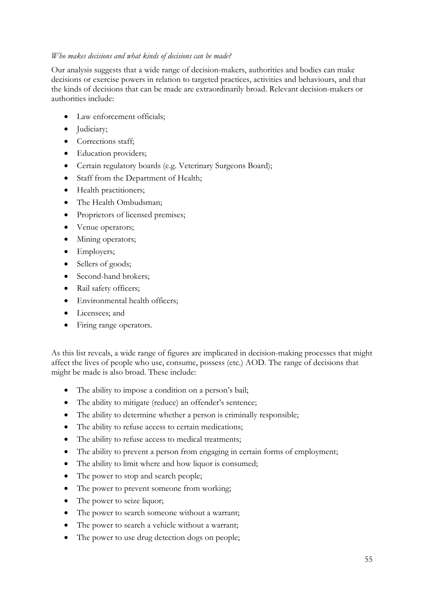## *Who makes decisions and what kinds of decisions can be made?*

Our analysis suggests that a wide range of decision-makers, authorities and bodies can make decisions or exercise powers in relation to targeted practices, activities and behaviours, and that the kinds of decisions that can be made are extraordinarily broad. Relevant decision-makers or authorities include:

- Law enforcement officials;
- Judiciary;
- Corrections staff;
- Education providers;
- Certain regulatory boards (e.g. Veterinary Surgeons Board);
- Staff from the Department of Health;
- Health practitioners;
- The Health Ombudsman;
- Proprietors of licensed premises;
- Venue operators;
- Mining operators;
- Employers;
- Sellers of goods;
- Second-hand brokers;
- Rail safety officers;
- Environmental health officers;
- Licensees; and
- Firing range operators.

As this list reveals, a wide range of figures are implicated in decision-making processes that might affect the lives of people who use, consume, possess (etc.) AOD. The range of decisions that might be made is also broad. These include:

- The ability to impose a condition on a person's bail;
- The ability to mitigate (reduce) an offender's sentence;
- The ability to determine whether a person is criminally responsible;
- The ability to refuse access to certain medications;
- The ability to refuse access to medical treatments;
- The ability to prevent a person from engaging in certain forms of employment;
- The ability to limit where and how liquor is consumed;
- The power to stop and search people;
- The power to prevent someone from working;
- The power to seize liquor;
- The power to search someone without a warrant;
- The power to search a vehicle without a warrant;
- The power to use drug detection dogs on people;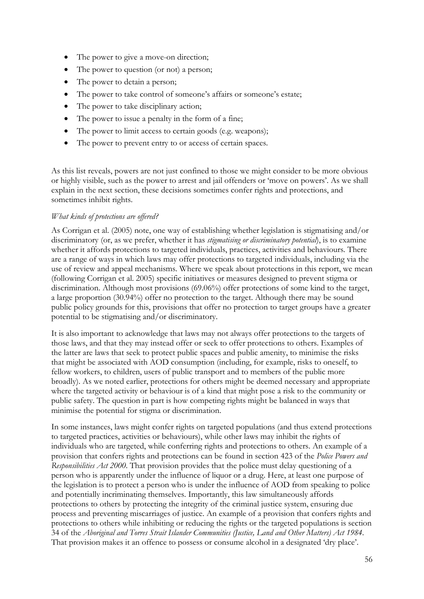- The power to give a move-on direction;
- The power to question (or not) a person;
- The power to detain a person;
- The power to take control of someone's affairs or someone's estate;
- The power to take disciplinary action;
- The power to issue a penalty in the form of a fine;
- The power to limit access to certain goods (e.g. weapons);
- The power to prevent entry to or access of certain spaces.

As this list reveals, powers are not just confined to those we might consider to be more obvious or highly visible, such as the power to arrest and jail offenders or 'move on powers'. As we shall explain in the next section, these decisions sometimes confer rights and protections, and sometimes inhibit rights.

## *What kinds of protections are offered?*

As Corrigan et al. (2005) note, one way of establishing whether legislation is stigmatising and/or discriminatory (or, as we prefer, whether it has *stigmatising or discriminatory potential*), is to examine whether it affords protections to targeted individuals, practices, activities and behaviours. There are a range of ways in which laws may offer protections to targeted individuals, including via the use of review and appeal mechanisms. Where we speak about protections in this report, we mean (following Corrigan et al. 2005) specific initiatives or measures designed to prevent stigma or discrimination. Although most provisions (69.06%) offer protections of some kind to the target, a large proportion (30.94%) offer no protection to the target. Although there may be sound public policy grounds for this, provisions that offer no protection to target groups have a greater potential to be stigmatising and/or discriminatory.

It is also important to acknowledge that laws may not always offer protections to the targets of those laws, and that they may instead offer or seek to offer protections to others. Examples of the latter are laws that seek to protect public spaces and public amenity, to minimise the risks that might be associated with AOD consumption (including, for example, risks to oneself, to fellow workers, to children, users of public transport and to members of the public more broadly). As we noted earlier, protections for others might be deemed necessary and appropriate where the targeted activity or behaviour is of a kind that might pose a risk to the community or public safety. The question in part is how competing rights might be balanced in ways that minimise the potential for stigma or discrimination.

In some instances, laws might confer rights on targeted populations (and thus extend protections to targeted practices, activities or behaviours), while other laws may inhibit the rights of individuals who are targeted, while conferring rights and protections to others. An example of a provision that confers rights and protections can be found in section 423 of the *Police Powers and Responsibilities Act 2000*. That provision provides that the police must delay questioning of a person who is apparently under the influence of liquor or a drug. Here, at least one purpose of the legislation is to protect a person who is under the influence of AOD from speaking to police and potentially incriminating themselves. Importantly, this law simultaneously affords protections to others by protecting the integrity of the criminal justice system, ensuring due process and preventing miscarriages of justice. An example of a provision that confers rights and protections to others while inhibiting or reducing the rights or the targeted populations is section 34 of the *Aboriginal and Torres Strait Islander Communities (Justice, Land and Other Matters) Act 1984*. That provision makes it an offence to possess or consume alcohol in a designated 'dry place'.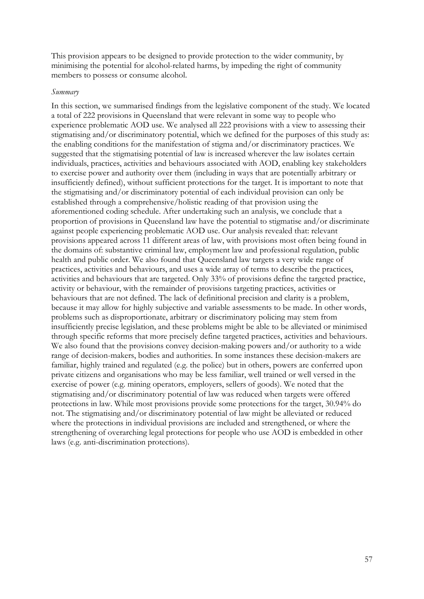This provision appears to be designed to provide protection to the wider community, by minimising the potential for alcohol-related harms, by impeding the right of community members to possess or consume alcohol.

#### *Summary*

In this section, we summarised findings from the legislative component of the study. We located a total of 222 provisions in Queensland that were relevant in some way to people who experience problematic AOD use. We analysed all 222 provisions with a view to assessing their stigmatising and/or discriminatory potential, which we defined for the purposes of this study as: the enabling conditions for the manifestation of stigma and/or discriminatory practices. We suggested that the stigmatising potential of law is increased wherever the law isolates certain individuals, practices, activities and behaviours associated with AOD, enabling key stakeholders to exercise power and authority over them (including in ways that are potentially arbitrary or insufficiently defined), without sufficient protections for the target. It is important to note that the stigmatising and/or discriminatory potential of each individual provision can only be established through a comprehensive/holistic reading of that provision using the aforementioned coding schedule. After undertaking such an analysis, we conclude that a proportion of provisions in Queensland law have the potential to stigmatise and/or discriminate against people experiencing problematic AOD use. Our analysis revealed that: relevant provisions appeared across 11 different areas of law, with provisions most often being found in the domains of: substantive criminal law, employment law and professional regulation, public health and public order. We also found that Queensland law targets a very wide range of practices, activities and behaviours, and uses a wide array of terms to describe the practices, activities and behaviours that are targeted. Only 33% of provisions define the targeted practice, activity or behaviour, with the remainder of provisions targeting practices, activities or behaviours that are not defined. The lack of definitional precision and clarity is a problem, because it may allow for highly subjective and variable assessments to be made. In other words, problems such as disproportionate, arbitrary or discriminatory policing may stem from insufficiently precise legislation, and these problems might be able to be alleviated or minimised through specific reforms that more precisely define targeted practices, activities and behaviours. We also found that the provisions convey decision-making powers and/or authority to a wide range of decision-makers, bodies and authorities. In some instances these decision-makers are familiar, highly trained and regulated (e.g. the police) but in others, powers are conferred upon private citizens and organisations who may be less familiar, well trained or well versed in the exercise of power (e.g. mining operators, employers, sellers of goods). We noted that the stigmatising and/or discriminatory potential of law was reduced when targets were offered protections in law. While most provisions provide some protections for the target, 30.94% do not. The stigmatising and/or discriminatory potential of law might be alleviated or reduced where the protections in individual provisions are included and strengthened, or where the strengthening of overarching legal protections for people who use AOD is embedded in other laws (e.g. anti-discrimination protections).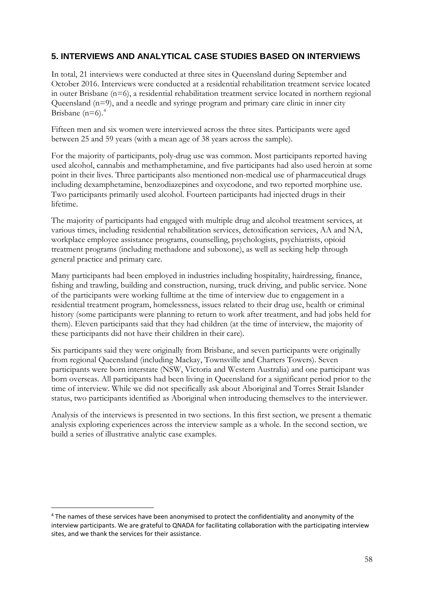## **5. INTERVIEWS AND ANALYTICAL CASE STUDIES BASED ON INTERVIEWS**

In total, 21 interviews were conducted at three sites in Queensland during September and October 2016. Interviews were conducted at a residential rehabilitation treatment service located in outer Brisbane (n=6), a residential rehabilitation treatment service located in northern regional Queensland (n=9), and a needle and syringe program and primary care clinic in inner city Brisbane  $(n=6)$ .<sup>[4](#page-63-0)</sup>

Fifteen men and six women were interviewed across the three sites. Participants were aged between 25 and 59 years (with a mean age of 38 years across the sample).

For the majority of participants, poly-drug use was common. Most participants reported having used alcohol, cannabis and methamphetamine, and five participants had also used heroin at some point in their lives. Three participants also mentioned non-medical use of pharmaceutical drugs including dexamphetamine, benzodiazepines and oxycodone, and two reported morphine use. Two participants primarily used alcohol. Fourteen participants had injected drugs in their lifetime.

The majority of participants had engaged with multiple drug and alcohol treatment services, at various times, including residential rehabilitation services, detoxification services, AA and NA, workplace employee assistance programs, counselling, psychologists, psychiatrists, opioid treatment programs (including methadone and suboxone), as well as seeking help through general practice and primary care.

Many participants had been employed in industries including hospitality, hairdressing, finance, fishing and trawling, building and construction, nursing, truck driving, and public service. None of the participants were working fulltime at the time of interview due to engagement in a residential treatment program, homelessness, issues related to their drug use, health or criminal history (some participants were planning to return to work after treatment, and had jobs held for them). Eleven participants said that they had children (at the time of interview, the majority of these participants did not have their children in their care).

Six participants said they were originally from Brisbane, and seven participants were originally from regional Queensland (including Mackay, Townsville and Charters Towers). Seven participants were born interstate (NSW, Victoria and Western Australia) and one participant was born overseas. All participants had been living in Queensland for a significant period prior to the time of interview. While we did not specifically ask about Aboriginal and Torres Strait Islander status, two participants identified as Aboriginal when introducing themselves to the interviewer.

Analysis of the interviews is presented in two sections. In this first section, we present a thematic analysis exploring experiences across the interview sample as a whole. In the second section, we build a series of illustrative analytic case examples.

-

<span id="page-63-0"></span><sup>4</sup> The names of these services have been anonymised to protect the confidentiality and anonymity of the interview participants. We are grateful to QNADA for facilitating collaboration with the participating interview sites, and we thank the services for their assistance.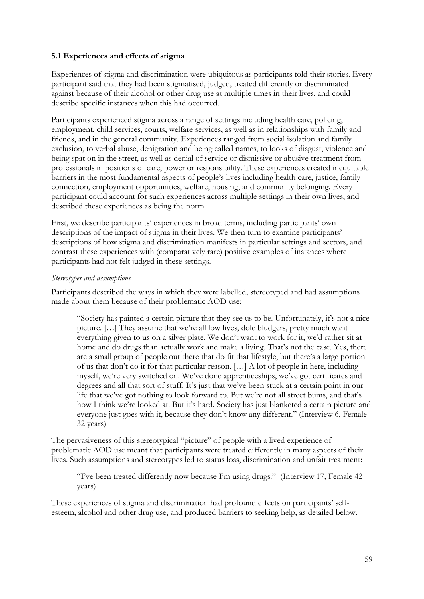## **5.1 Experiences and effects of stigma**

Experiences of stigma and discrimination were ubiquitous as participants told their stories. Every participant said that they had been stigmatised, judged, treated differently or discriminated against because of their alcohol or other drug use at multiple times in their lives, and could describe specific instances when this had occurred.

Participants experienced stigma across a range of settings including health care, policing, employment, child services, courts, welfare services, as well as in relationships with family and friends, and in the general community. Experiences ranged from social isolation and family exclusion, to verbal abuse, denigration and being called names, to looks of disgust, violence and being spat on in the street, as well as denial of service or dismissive or abusive treatment from professionals in positions of care, power or responsibility. These experiences created inequitable barriers in the most fundamental aspects of people's lives including health care, justice, family connection, employment opportunities, welfare, housing, and community belonging. Every participant could account for such experiences across multiple settings in their own lives, and described these experiences as being the norm.

First, we describe participants' experiences in broad terms, including participants' own descriptions of the impact of stigma in their lives. We then turn to examine participants' descriptions of how stigma and discrimination manifests in particular settings and sectors, and contrast these experiences with (comparatively rare) positive examples of instances where participants had not felt judged in these settings.

## *Stereotypes and assumptions*

Participants described the ways in which they were labelled, stereotyped and had assumptions made about them because of their problematic AOD use:

"Society has painted a certain picture that they see us to be. Unfortunately, it's not a nice picture. […] They assume that we're all low lives, dole bludgers, pretty much want everything given to us on a silver plate. We don't want to work for it, we'd rather sit at home and do drugs than actually work and make a living. That's not the case. Yes, there are a small group of people out there that do fit that lifestyle, but there's a large portion of us that don't do it for that particular reason. […] A lot of people in here, including myself, we're very switched on. We've done apprenticeships, we've got certificates and degrees and all that sort of stuff. It's just that we've been stuck at a certain point in our life that we've got nothing to look forward to. But we're not all street bums, and that's how I think we're looked at. But it's hard. Society has just blanketed a certain picture and everyone just goes with it, because they don't know any different." (Interview 6, Female 32 years)

The pervasiveness of this stereotypical "picture" of people with a lived experience of problematic AOD use meant that participants were treated differently in many aspects of their lives. Such assumptions and stereotypes led to status loss, discrimination and unfair treatment:

"I've been treated differently now because I'm using drugs." (Interview 17, Female 42 years)

These experiences of stigma and discrimination had profound effects on participants' selfesteem, alcohol and other drug use, and produced barriers to seeking help, as detailed below.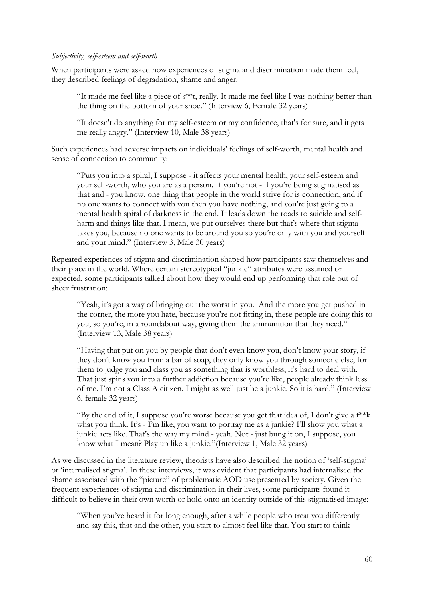### *Subjectivity, self-esteem and self-worth*

When participants were asked how experiences of stigma and discrimination made them feel, they described feelings of degradation, shame and anger:

"It made me feel like a piece of s\*\*t, really. It made me feel like I was nothing better than the thing on the bottom of your shoe." (Interview 6, Female 32 years)

"It doesn't do anything for my self-esteem or my confidence, that's for sure, and it gets me really angry." (Interview 10, Male 38 years)

Such experiences had adverse impacts on individuals' feelings of self-worth, mental health and sense of connection to community:

"Puts you into a spiral, I suppose - it affects your mental health, your self-esteem and your self-worth, who you are as a person. If you're not - if you're being stigmatised as that and - you know, one thing that people in the world strive for is connection, and if no one wants to connect with you then you have nothing, and you're just going to a mental health spiral of darkness in the end. It leads down the roads to suicide and selfharm and things like that. I mean, we put ourselves there but that's where that stigma takes you, because no one wants to be around you so you're only with you and yourself and your mind." (Interview 3, Male 30 years)

Repeated experiences of stigma and discrimination shaped how participants saw themselves and their place in the world. Where certain stereotypical "junkie" attributes were assumed or expected, some participants talked about how they would end up performing that role out of sheer frustration:

"Yeah, it's got a way of bringing out the worst in you. And the more you get pushed in the corner, the more you hate, because you're not fitting in, these people are doing this to you, so you're, in a roundabout way, giving them the ammunition that they need." (Interview 13, Male 38 years)

"Having that put on you by people that don't even know you, don't know your story, if they don't know you from a bar of soap, they only know you through someone else, for them to judge you and class you as something that is worthless, it's hard to deal with. That just spins you into a further addiction because you're like, people already think less of me. I'm not a Class A citizen. I might as well just be a junkie. So it is hard." (Interview 6, female 32 years)

"By the end of it, I suppose you're worse because you get that idea of, I don't give a  $f^{\ast\ast}k$ what you think. It's - I'm like, you want to portray me as a junkie? I'll show you what a junkie acts like. That's the way my mind - yeah. Not - just bung it on, I suppose, you know what I mean? Play up like a junkie."(Interview 1, Male 32 years)

As we discussed in the literature review, theorists have also described the notion of 'self-stigma' or 'internalised stigma'. In these interviews, it was evident that participants had internalised the shame associated with the "picture" of problematic AOD use presented by society. Given the frequent experiences of stigma and discrimination in their lives, some participants found it difficult to believe in their own worth or hold onto an identity outside of this stigmatised image:

"When you've heard it for long enough, after a while people who treat you differently and say this, that and the other, you start to almost feel like that. You start to think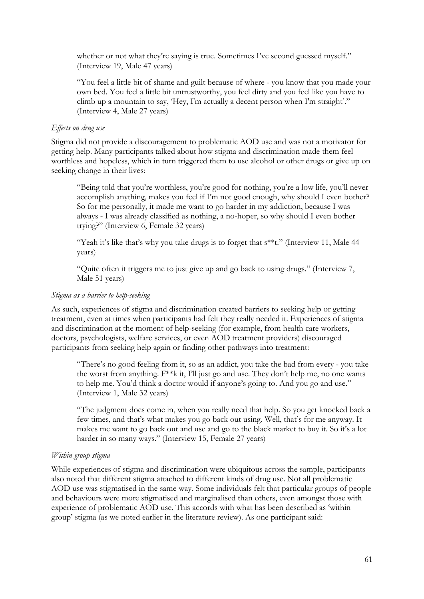whether or not what they're saying is true. Sometimes I've second guessed myself." (Interview 19, Male 47 years)

"You feel a little bit of shame and guilt because of where - you know that you made your own bed. You feel a little bit untrustworthy, you feel dirty and you feel like you have to climb up a mountain to say, 'Hey, I'm actually a decent person when I'm straight'." (Interview 4, Male 27 years)

### *Effects on drug use*

Stigma did not provide a discouragement to problematic AOD use and was not a motivator for getting help. Many participants talked about how stigma and discrimination made them feel worthless and hopeless, which in turn triggered them to use alcohol or other drugs or give up on seeking change in their lives:

"Being told that you're worthless, you're good for nothing, you're a low life, you'll never accomplish anything, makes you feel if I'm not good enough, why should I even bother? So for me personally, it made me want to go harder in my addiction, because I was always - I was already classified as nothing, a no-hoper, so why should I even bother trying?" (Interview 6, Female 32 years)

"Yeah it's like that's why you take drugs is to forget that s\*\*t." (Interview 11, Male 44 years)

"Quite often it triggers me to just give up and go back to using drugs." (Interview 7, Male 51 years)

### *Stigma as a barrier to help-seeking*

As such, experiences of stigma and discrimination created barriers to seeking help or getting treatment, even at times when participants had felt they really needed it. Experiences of stigma and discrimination at the moment of help-seeking (for example, from health care workers, doctors, psychologists, welfare services, or even AOD treatment providers) discouraged participants from seeking help again or finding other pathways into treatment:

"There's no good feeling from it, so as an addict, you take the bad from every - you take the worst from anything. F\*\*k it, I'll just go and use. They don't help me, no one wants to help me. You'd think a doctor would if anyone's going to. And you go and use." (Interview 1, Male 32 years)

"The judgment does come in, when you really need that help. So you get knocked back a few times, and that's what makes you go back out using. Well, that's for me anyway. It makes me want to go back out and use and go to the black market to buy it. So it's a lot harder in so many ways." (Interview 15, Female 27 years)

#### *Within group stigma*

While experiences of stigma and discrimination were ubiquitous across the sample, participants also noted that different stigma attached to different kinds of drug use. Not all problematic AOD use was stigmatised in the same way. Some individuals felt that particular groups of people and behaviours were more stigmatised and marginalised than others, even amongst those with experience of problematic AOD use. This accords with what has been described as 'within group' stigma (as we noted earlier in the literature review). As one participant said: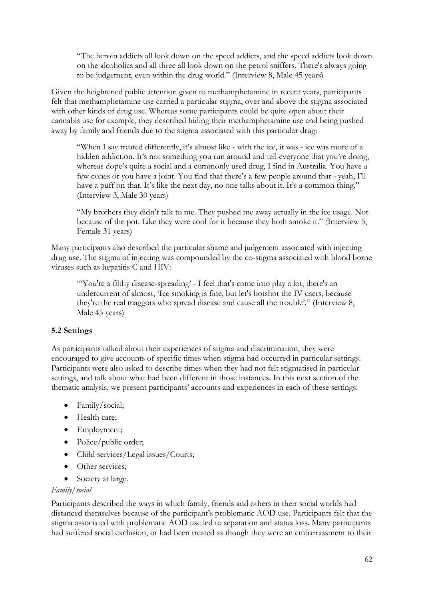"The heroin addicts all look down on the speed addicts, and the speed addicts look down on the alcoholics and all three all look down on the petrol sniffers. There's always going to be judgement, even within the drug world." (Interview 8, Male 45 years)

Given the heightened public attention given to methamphetamine in recent years, participants felt that methamphetamine use carried a particular stigma, over and above the stigma associated with other kinds of drug use. Whereas some participants could be quite open about their cannabis use for example, they described hiding their methamphetamine use and being pushed away by family and friends due to the stigma associated with this particular drug:

"When I say treated differently, it's almost like - with the ice, it was - ice was more of a hidden addiction. It's not something you run around and tell everyone that you're doing, whereas dope's quite a social and a commonly used drug, I find in Australia. You have a few cones or you have a joint. You find that there's a few people around that - yeah, I'll have a puff on that. It's like the next day, no one talks about it. It's a common thing." (Interview 3, Male 30 years)

"My brothers they didn't talk to me. They pushed me away actually in the ice usage. Not because of the pot. Like they were cool for it because they both smoke it." (Interview 5, Female 31 years)

Many participants also described the particular shame and judgement associated with injecting drug use. The stigma of injecting was compounded by the co-stigma associated with blood borne viruses such as hepatitis C and HIV:

"'You're a filthy disease-spreading' - I feel that's come into play a lot, there's an undercurrent of almost, 'Ice smoking is fine, but let's hotshot the IV users, because they're the real maggots who spread disease and cause all the trouble'." (Interview 8, Male 45 years)

## **5.2 Settings**

As participants talked about their experiences of stigma and discrimination, they were encouraged to give accounts of specific times when stigma had occurred in particular settings. Participants were also asked to describe times when they had not felt stigmatised in particular settings, and talk about what had been different in those instances. In this next section of the thematic analysis, we present participants' accounts and experiences in each of these settings:

- Family/social;
- Health care;
- Employment;
- Police/public order;
- Child services/Legal issues/Courts;
- Other services;
- Society at large.

## *Family/social*

Participants described the ways in which family, friends and others in their social worlds had distanced themselves because of the participant's problematic AOD use. Participants felt that the stigma associated with problematic AOD use led to separation and status loss. Many participants had suffered social exclusion, or had been treated as though they were an embarrassment to their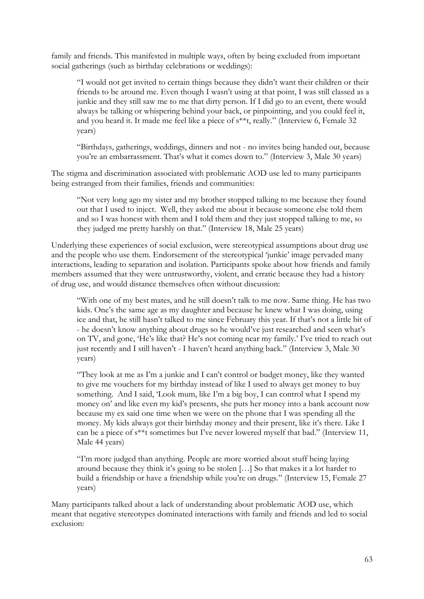family and friends. This manifested in multiple ways, often by being excluded from important social gatherings (such as birthday celebrations or weddings):

"I would not get invited to certain things because they didn't want their children or their friends to be around me. Even though I wasn't using at that point, I was still classed as a junkie and they still saw me to me that dirty person. If I did go to an event, there would always be talking or whispering behind your back, or pinpointing, and you could feel it, and you heard it. It made me feel like a piece of s\*\*t, really." (Interview 6, Female 32 years)

"Birthdays, gatherings, weddings, dinners and not - no invites being handed out, because you're an embarrassment. That's what it comes down to." (Interview 3, Male 30 years)

The stigma and discrimination associated with problematic AOD use led to many participants being estranged from their families, friends and communities:

"Not very long ago my sister and my brother stopped talking to me because they found out that I used to inject. Well, they asked me about it because someone else told them and so I was honest with them and I told them and they just stopped talking to me, so they judged me pretty harshly on that." (Interview 18, Male 25 years)

Underlying these experiences of social exclusion, were stereotypical assumptions about drug use and the people who use them. Endorsement of the stereotypical 'junkie' image pervaded many interactions, leading to separation and isolation. Participants spoke about how friends and family members assumed that they were untrustworthy, violent, and erratic because they had a history of drug use, and would distance themselves often without discussion:

"With one of my best mates, and he still doesn't talk to me now. Same thing. He has two kids. One's the same age as my daughter and because he knew what I was doing, using ice and that, he still hasn't talked to me since February this year. If that's not a little bit of - he doesn't know anything about drugs so he would've just researched and seen what's on TV, and gone, 'He's like that? He's not coming near my family.' I've tried to reach out just recently and I still haven't - I haven't heard anything back." (Interview 3, Male 30 years)

"They look at me as I'm a junkie and I can't control or budget money, like they wanted to give me vouchers for my birthday instead of like I used to always get money to buy something. And I said, 'Look mum, like I'm a big boy, I can control what I spend my money on' and like even my kid's presents, she puts her money into a bank account now because my ex said one time when we were on the phone that I was spending all the money. My kids always got their birthday money and their present, like it's there. Like I can be a piece of s\*\*t sometimes but I've never lowered myself that bad." (Interview 11, Male 44 years)

"I'm more judged than anything. People are more worried about stuff being laying around because they think it's going to be stolen […] So that makes it a lot harder to build a friendship or have a friendship while you're on drugs." (Interview 15, Female 27 years)

Many participants talked about a lack of understanding about problematic AOD use, which meant that negative stereotypes dominated interactions with family and friends and led to social exclusion: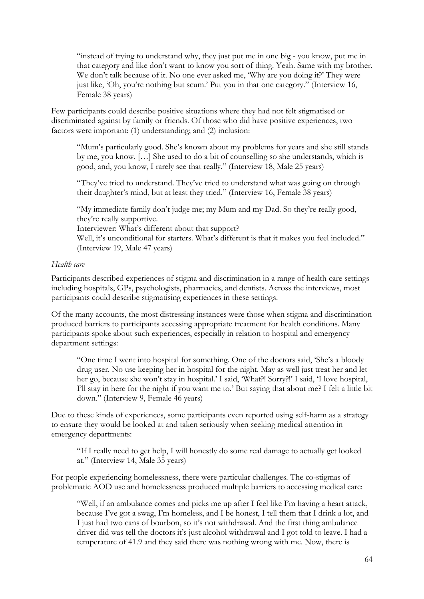"instead of trying to understand why, they just put me in one big - you know, put me in that category and like don't want to know you sort of thing. Yeah. Same with my brother. We don't talk because of it. No one ever asked me, 'Why are you doing it?' They were just like, 'Oh, you're nothing but scum.' Put you in that one category." (Interview 16, Female 38 years)

Few participants could describe positive situations where they had not felt stigmatised or discriminated against by family or friends. Of those who did have positive experiences, two factors were important: (1) understanding; and (2) inclusion:

"Mum's particularly good. She's known about my problems for years and she still stands by me, you know. […] She used to do a bit of counselling so she understands, which is good, and, you know, I rarely see that really." (Interview 18, Male 25 years)

"They've tried to understand. They've tried to understand what was going on through their daughter's mind, but at least they tried." (Interview 16, Female 38 years)

"My immediate family don't judge me; my Mum and my Dad. So they're really good, they're really supportive.

Interviewer: What's different about that support?

Well, it's unconditional for starters. What's different is that it makes you feel included." (Interview 19, Male 47 years)

### *Health care*

Participants described experiences of stigma and discrimination in a range of health care settings including hospitals, GPs, psychologists, pharmacies, and dentists. Across the interviews, most participants could describe stigmatising experiences in these settings.

Of the many accounts, the most distressing instances were those when stigma and discrimination produced barriers to participants accessing appropriate treatment for health conditions. Many participants spoke about such experiences, especially in relation to hospital and emergency department settings:

"One time I went into hospital for something. One of the doctors said, 'She's a bloody drug user. No use keeping her in hospital for the night. May as well just treat her and let her go, because she won't stay in hospital.' I said, 'What?! Sorry?!' I said, 'I love hospital, I'll stay in here for the night if you want me to.' But saying that about me? I felt a little bit down." (Interview 9, Female 46 years)

Due to these kinds of experiences, some participants even reported using self-harm as a strategy to ensure they would be looked at and taken seriously when seeking medical attention in emergency departments:

"If I really need to get help, I will honestly do some real damage to actually get looked at." (Interview 14, Male 35 years)

For people experiencing homelessness, there were particular challenges. The co-stigmas of problematic AOD use and homelessness produced multiple barriers to accessing medical care:

"Well, if an ambulance comes and picks me up after I feel like I'm having a heart attack, because I've got a swag, I'm homeless, and I be honest, I tell them that I drink a lot, and I just had two cans of bourbon, so it's not withdrawal. And the first thing ambulance driver did was tell the doctors it's just alcohol withdrawal and I got told to leave. I had a temperature of 41.9 and they said there was nothing wrong with me. Now, there is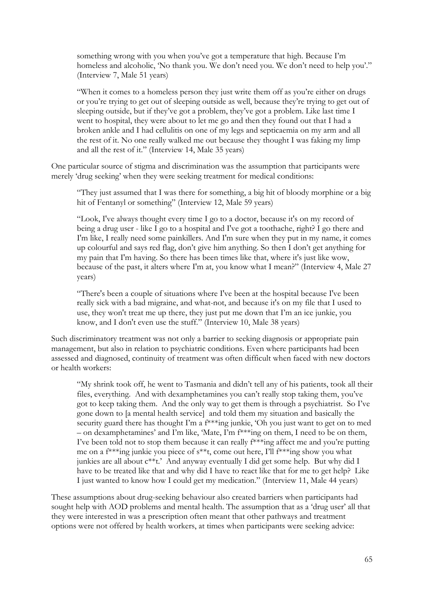something wrong with you when you've got a temperature that high. Because I'm homeless and alcoholic, 'No thank you. We don't need you. We don't need to help you'." (Interview 7, Male 51 years)

"When it comes to a homeless person they just write them off as you're either on drugs or you're trying to get out of sleeping outside as well, because they're trying to get out of sleeping outside, but if they've got a problem, they've got a problem. Like last time I went to hospital, they were about to let me go and then they found out that I had a broken ankle and I had cellulitis on one of my legs and septicaemia on my arm and all the rest of it. No one really walked me out because they thought I was faking my limp and all the rest of it." (Interview 14, Male 35 years)

One particular source of stigma and discrimination was the assumption that participants were merely 'drug seeking' when they were seeking treatment for medical conditions:

"They just assumed that I was there for something, a big hit of bloody morphine or a big hit of Fentanyl or something" (Interview 12, Male 59 years)

"Look, I've always thought every time I go to a doctor, because it's on my record of being a drug user - like I go to a hospital and I've got a toothache, right? I go there and I'm like, I really need some painkillers. And I'm sure when they put in my name, it comes up colourful and says red flag, don't give him anything. So then I don't get anything for my pain that I'm having. So there has been times like that, where it's just like wow, because of the past, it alters where I'm at, you know what I mean?" (Interview 4, Male 27 years)

"There's been a couple of situations where I've been at the hospital because I've been really sick with a bad migraine, and what-not, and because it's on my file that I used to use, they won't treat me up there, they just put me down that I'm an ice junkie, you know, and I don't even use the stuff." (Interview 10, Male 38 years)

Such discriminatory treatment was not only a barrier to seeking diagnosis or appropriate pain management, but also in relation to psychiatric conditions. Even where participants had been assessed and diagnosed, continuity of treatment was often difficult when faced with new doctors or health workers:

"My shrink took off, he went to Tasmania and didn't tell any of his patients, took all their files, everything. And with dexamphetamines you can't really stop taking them, you've got to keep taking them. And the only way to get them is through a psychiatrist. So I've gone down to [a mental health service] and told them my situation and basically the security guard there has thought I'm a f<sup>\*\*\*ing</sup> junkie, 'Oh you just want to get on to med – on dexamphetamines' and I'm like, 'Mate, I'm f\*\*\*ing on them, I need to be on them, I've been told not to stop them because it can really f\*\*\*ing affect me and you're putting me on a f\*\*\*ing junkie you piece of s\*\*t, come out here, I'll f\*\*\*ing show you what junkies are all about  $c^{**}t$ .' And anyway eventually I did get some help. But why did I have to be treated like that and why did I have to react like that for me to get help? Like I just wanted to know how I could get my medication." (Interview 11, Male 44 years)

These assumptions about drug-seeking behaviour also created barriers when participants had sought help with AOD problems and mental health. The assumption that as a 'drug user' all that they were interested in was a prescription often meant that other pathways and treatment options were not offered by health workers, at times when participants were seeking advice: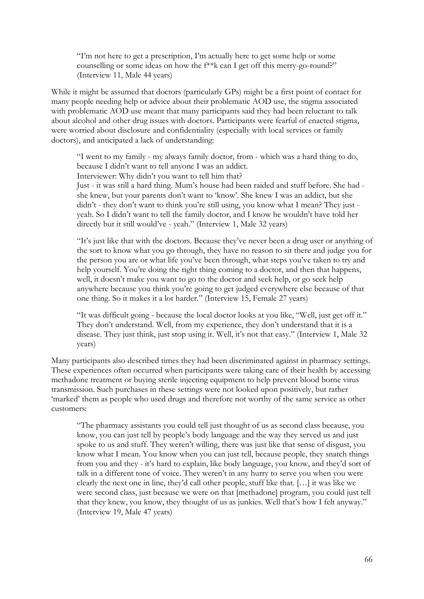"I'm not here to get a prescription, I'm actually here to get some help or some counselling or some ideas on how the f\*\*k can I get off this merry-go-round?" (Interview 11, Male 44 years)

While it might be assumed that doctors (particularly GPs) might be a first point of contact for many people needing help or advice about their problematic AOD use, the stigma associated with problematic AOD use meant that many participants said they had been reluctant to talk about alcohol and other drug issues with doctors. Participants were fearful of enacted stigma, were worried about disclosure and confidentiality (especially with local services or family doctors), and anticipated a lack of understanding:

"I went to my family - my always family doctor, from - which was a hard thing to do, because I didn't want to tell anyone I was an addict. Interviewer: Why didn't you want to tell him that?

Just - it was still a hard thing. Mum's house had been raided and stuff before. She had she knew, but your parents don't want to 'know'. She knew I was an addict, but she didn't - they don't want to think you're still using, you know what I mean? They just yeah. So I didn't want to tell the family doctor, and I know he wouldn't have told her directly but it still would've - yeah." (Interview 1, Male 32 years)

"It's just like that with the doctors. Because they've never been a drug user or anything of the sort to know what you go through, they have no reason to sit there and judge you for the person you are or what life you've been through, what steps you've taken to try and help yourself. You're doing the right thing coming to a doctor, and then that happens, well, it doesn't make you want to go to the doctor and seek help, or go seek help anywhere because you think you're going to get judged everywhere else because of that one thing. So it makes it a lot harder." (Interview 15, Female 27 years)

"It was difficult going - because the local doctor looks at you like, "Well, just get off it." They don't understand. Well, from my experience, they don't understand that it is a disease. They just think, just stop using it. Well, it's not that easy." (Interview 1, Male 32 years)

Many participants also described times they had been discriminated against in pharmacy settings. These experiences often occurred when participants were taking care of their health by accessing methadone treatment or buying sterile injecting equipment to help prevent blood borne virus transmission. Such purchases in these settings were not looked upon positively, but rather 'marked' them as people who used drugs and therefore not worthy of the same service as other customers:

"The pharmacy assistants you could tell just thought of us as second class because, you know, you can just tell by people's body language and the way they served us and just spoke to us and stuff. They weren't willing, there was just like that sense of disgust, you know what I mean. You know when you can just tell, because people, they snatch things from you and they - it's hard to explain, like body language, you know, and they'd sort of talk in a different tone of voice. They weren't in any hurry to serve you when you were clearly the next one in line, they'd call other people, stuff like that. […] it was like we were second class, just because we were on that [methadone] program, you could just tell that they knew, you know, they thought of us as junkies. Well that's how I felt anyway." (Interview 19, Male 47 years)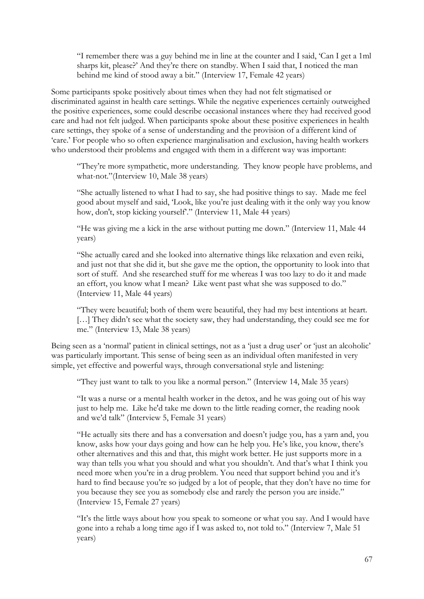"I remember there was a guy behind me in line at the counter and I said, 'Can I get a 1ml sharps kit, please?' And they're there on standby. When I said that, I noticed the man behind me kind of stood away a bit." (Interview 17, Female 42 years)

Some participants spoke positively about times when they had not felt stigmatised or discriminated against in health care settings. While the negative experiences certainly outweighed the positive experiences, some could describe occasional instances where they had received good care and had not felt judged. When participants spoke about these positive experiences in health care settings, they spoke of a sense of understanding and the provision of a different kind of 'care.' For people who so often experience marginalisation and exclusion, having health workers who understood their problems and engaged with them in a different way was important:

"They're more sympathetic, more understanding. They know people have problems, and what-not."(Interview 10, Male 38 years)

"She actually listened to what I had to say, she had positive things to say. Made me feel good about myself and said, 'Look, like you're just dealing with it the only way you know how, don't, stop kicking yourself." (Interview 11, Male 44 years)

"He was giving me a kick in the arse without putting me down." (Interview 11, Male 44 years)

"She actually cared and she looked into alternative things like relaxation and even reiki, and just not that she did it, but she gave me the option, the opportunity to look into that sort of stuff. And she researched stuff for me whereas I was too lazy to do it and made an effort, you know what I mean? Like went past what she was supposed to do." (Interview 11, Male 44 years)

"They were beautiful; both of them were beautiful, they had my best intentions at heart. [...] They didn't see what the society saw, they had understanding, they could see me for me." (Interview 13, Male 38 years)

Being seen as a 'normal' patient in clinical settings, not as a 'just a drug user' or 'just an alcoholic' was particularly important. This sense of being seen as an individual often manifested in very simple, yet effective and powerful ways, through conversational style and listening:

"They just want to talk to you like a normal person." (Interview 14, Male 35 years)

"It was a nurse or a mental health worker in the detox, and he was going out of his way just to help me. Like he'd take me down to the little reading corner, the reading nook and we'd talk" (Interview 5, Female 31 years)

"He actually sits there and has a conversation and doesn't judge you, has a yarn and, you know, asks how your days going and how can he help you. He's like, you know, there's other alternatives and this and that, this might work better. He just supports more in a way than tells you what you should and what you shouldn't. And that's what I think you need more when you're in a drug problem. You need that support behind you and it's hard to find because you're so judged by a lot of people, that they don't have no time for you because they see you as somebody else and rarely the person you are inside." (Interview 15, Female 27 years)

"It's the little ways about how you speak to someone or what you say. And I would have gone into a rehab a long time ago if I was asked to, not told to." (Interview 7, Male 51 years)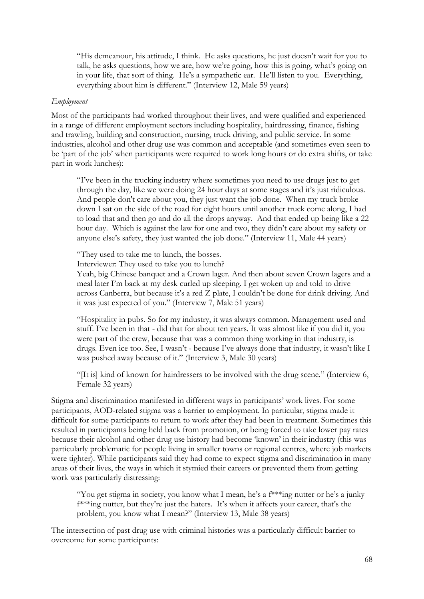"His demeanour, his attitude, I think. He asks questions, he just doesn't wait for you to talk, he asks questions, how we are, how we're going, how this is going, what's going on in your life, that sort of thing. He's a sympathetic ear. He'll listen to you. Everything, everything about him is different." (Interview 12, Male 59 years)

#### *Employment*

Most of the participants had worked throughout their lives, and were qualified and experienced in a range of different employment sectors including hospitality, hairdressing, finance, fishing and trawling, building and construction, nursing, truck driving, and public service. In some industries, alcohol and other drug use was common and acceptable (and sometimes even seen to be 'part of the job' when participants were required to work long hours or do extra shifts, or take part in work lunches):

"I've been in the trucking industry where sometimes you need to use drugs just to get through the day, like we were doing 24 hour days at some stages and it's just ridiculous. And people don't care about you, they just want the job done. When my truck broke down I sat on the side of the road for eight hours until another truck come along, I had to load that and then go and do all the drops anyway. And that ended up being like a 22 hour day. Which is against the law for one and two, they didn't care about my safety or anyone else's safety, they just wanted the job done." (Interview 11, Male 44 years)

"They used to take me to lunch, the bosses.

Interviewer: They used to take you to lunch?

Yeah, big Chinese banquet and a Crown lager. And then about seven Crown lagers and a meal later I'm back at my desk curled up sleeping. I get woken up and told to drive across Canberra, but because it's a red Z plate, I couldn't be done for drink driving. And it was just expected of you." (Interview 7, Male 51 years)

"Hospitality in pubs. So for my industry, it was always common. Management used and stuff. I've been in that - did that for about ten years. It was almost like if you did it, you were part of the crew, because that was a common thing working in that industry, is drugs. Even ice too. See, I wasn't - because I've always done that industry, it wasn't like I was pushed away because of it." (Interview 3, Male 30 years)

"[It is] kind of known for hairdressers to be involved with the drug scene." (Interview 6, Female 32 years)

Stigma and discrimination manifested in different ways in participants' work lives. For some participants, AOD-related stigma was a barrier to employment. In particular, stigma made it difficult for some participants to return to work after they had been in treatment. Sometimes this resulted in participants being held back from promotion, or being forced to take lower pay rates because their alcohol and other drug use history had become 'known' in their industry (this was particularly problematic for people living in smaller towns or regional centres, where job markets were tighter). While participants said they had come to expect stigma and discrimination in many areas of their lives, the ways in which it stymied their careers or prevented them from getting work was particularly distressing:

"You get stigma in society, you know what I mean, he's a f\*\*\*ing nutter or he's a junky f\*\*\*ing nutter, but they're just the haters. It's when it affects your career, that's the problem, you know what I mean?" (Interview 13, Male 38 years)

The intersection of past drug use with criminal histories was a particularly difficult barrier to overcome for some participants: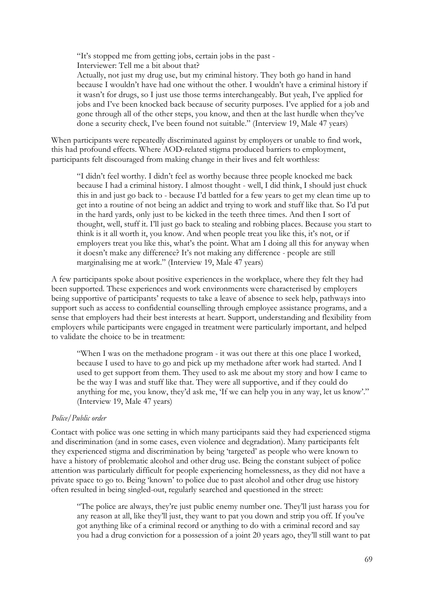"It's stopped me from getting jobs, certain jobs in the past - Interviewer: Tell me a bit about that?

Actually, not just my drug use, but my criminal history. They both go hand in hand because I wouldn't have had one without the other. I wouldn't have a criminal history if it wasn't for drugs, so I just use those terms interchangeably. But yeah, I've applied for jobs and I've been knocked back because of security purposes. I've applied for a job and gone through all of the other steps, you know, and then at the last hurdle when they've done a security check, I've been found not suitable." (Interview 19, Male 47 years)

When participants were repeatedly discriminated against by employers or unable to find work, this had profound effects. Where AOD-related stigma produced barriers to employment, participants felt discouraged from making change in their lives and felt worthless:

"I didn't feel worthy. I didn't feel as worthy because three people knocked me back because I had a criminal history. I almost thought - well, I did think, I should just chuck this in and just go back to - because I'd battled for a few years to get my clean time up to get into a routine of not being an addict and trying to work and stuff like that. So I'd put in the hard yards, only just to be kicked in the teeth three times. And then I sort of thought, well, stuff it. I'll just go back to stealing and robbing places. Because you start to think is it all worth it, you know. And when people treat you like this, it's not, or if employers treat you like this, what's the point. What am I doing all this for anyway when it doesn't make any difference? It's not making any difference - people are still marginalising me at work." (Interview 19, Male 47 years)

A few participants spoke about positive experiences in the workplace, where they felt they had been supported. These experiences and work environments were characterised by employers being supportive of participants' requests to take a leave of absence to seek help, pathways into support such as access to confidential counselling through employee assistance programs, and a sense that employers had their best interests at heart. Support, understanding and flexibility from employers while participants were engaged in treatment were particularly important, and helped to validate the choice to be in treatment:

"When I was on the methadone program - it was out there at this one place I worked, because I used to have to go and pick up my methadone after work had started. And I used to get support from them. They used to ask me about my story and how I came to be the way I was and stuff like that. They were all supportive, and if they could do anything for me, you know, they'd ask me, 'If we can help you in any way, let us know'." (Interview 19, Male 47 years)

### *Police/Public order*

Contact with police was one setting in which many participants said they had experienced stigma and discrimination (and in some cases, even violence and degradation). Many participants felt they experienced stigma and discrimination by being 'targeted' as people who were known to have a history of problematic alcohol and other drug use. Being the constant subject of police attention was particularly difficult for people experiencing homelessness, as they did not have a private space to go to. Being 'known' to police due to past alcohol and other drug use history often resulted in being singled-out, regularly searched and questioned in the street:

"The police are always, they're just public enemy number one. They'll just harass you for any reason at all, like they'll just, they want to pat you down and strip you off. If you've got anything like of a criminal record or anything to do with a criminal record and say you had a drug conviction for a possession of a joint 20 years ago, they'll still want to pat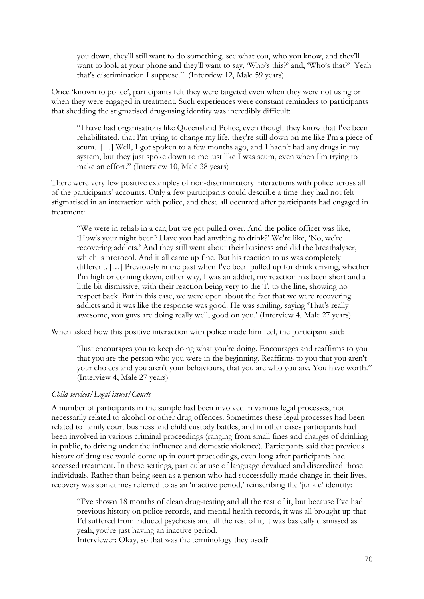you down, they'll still want to do something, see what you, who you know, and they'll want to look at your phone and they'll want to say, 'Who's this?' and, 'Who's that?' Yeah that's discrimination I suppose." (Interview 12, Male 59 years)

Once 'known to police', participants felt they were targeted even when they were not using or when they were engaged in treatment. Such experiences were constant reminders to participants that shedding the stigmatised drug-using identity was incredibly difficult:

"I have had organisations like Queensland Police, even though they know that I've been rehabilitated, that I'm trying to change my life, they're still down on me like I'm a piece of scum. […] Well, I got spoken to a few months ago, and I hadn't had any drugs in my system, but they just spoke down to me just like I was scum, even when I'm trying to make an effort." (Interview 10, Male 38 years)

There were very few positive examples of non-discriminatory interactions with police across all of the participants' accounts. Only a few participants could describe a time they had not felt stigmatised in an interaction with police, and these all occurred after participants had engaged in treatment:

"We were in rehab in a car, but we got pulled over. And the police officer was like, 'How's your night been? Have you had anything to drink?' We're like, 'No, we're recovering addicts.' And they still went about their business and did the breathalyser, which is protocol. And it all came up fine. But his reaction to us was completely different. […] Previously in the past when I've been pulled up for drink driving, whether I'm high or coming down, either way, I was an addict, my reaction has been short and a little bit dismissive, with their reaction being very to the T, to the line, showing no respect back. But in this case, we were open about the fact that we were recovering addicts and it was like the response was good. He was smiling, saying 'That's really awesome, you guys are doing really well, good on you.' (Interview 4, Male 27 years)

When asked how this positive interaction with police made him feel, the participant said:

"Just encourages you to keep doing what you're doing. Encourages and reaffirms to you that you are the person who you were in the beginning. Reaffirms to you that you aren't your choices and you aren't your behaviours, that you are who you are. You have worth." (Interview 4, Male 27 years)

#### *Child services/Legal issues/Courts*

A number of participants in the sample had been involved in various legal processes, not necessarily related to alcohol or other drug offences. Sometimes these legal processes had been related to family court business and child custody battles, and in other cases participants had been involved in various criminal proceedings (ranging from small fines and charges of drinking in public, to driving under the influence and domestic violence). Participants said that previous history of drug use would come up in court proceedings, even long after participants had accessed treatment. In these settings, particular use of language devalued and discredited those individuals. Rather than being seen as a person who had successfully made change in their lives, recovery was sometimes referred to as an 'inactive period,' reinscribing the 'junkie' identity:

"I've shown 18 months of clean drug-testing and all the rest of it, but because I've had previous history on police records, and mental health records, it was all brought up that I'd suffered from induced psychosis and all the rest of it, it was basically dismissed as yeah, you're just having an inactive period.

Interviewer: Okay, so that was the terminology they used?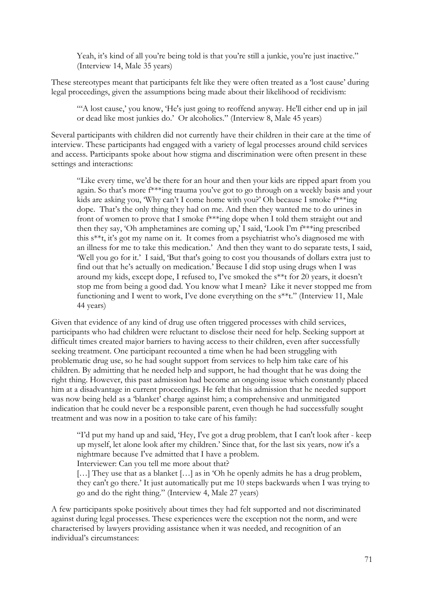Yeah, it's kind of all you're being told is that you're still a junkie, you're just inactive." (Interview 14, Male 35 years)

These stereotypes meant that participants felt like they were often treated as a 'lost cause' during legal proceedings, given the assumptions being made about their likelihood of recidivism:

""A lost cause,' you know, 'He's just going to reoffend anyway. He'll either end up in jail or dead like most junkies do.' Or alcoholics." (Interview 8, Male 45 years)

Several participants with children did not currently have their children in their care at the time of interview. These participants had engaged with a variety of legal processes around child services and access. Participants spoke about how stigma and discrimination were often present in these settings and interactions:

"Like every time, we'd be there for an hour and then your kids are ripped apart from you again. So that's more f\*\*\*ing trauma you've got to go through on a weekly basis and your kids are asking you, 'Why can't I come home with you?' Oh because I smoke  $f^{***}$ ing dope. That's the only thing they had on me. And then they wanted me to do urines in front of women to prove that I smoke f\*\*\*ing dope when I told them straight out and then they say, 'Oh amphetamines are coming up,' I said, 'Look I'm f\*\*\*ing prescribed this s\*\*t, it's got my name on it. It comes from a psychiatrist who's diagnosed me with an illness for me to take this medication.' And then they want to do separate tests, I said, 'Well you go for it.' I said, 'But that's going to cost you thousands of dollars extra just to find out that he's actually on medication.' Because I did stop using drugs when I was around my kids, except dope, I refused to, I've smoked the s\*\*t for 20 years, it doesn't stop me from being a good dad. You know what I mean? Like it never stopped me from functioning and I went to work, I've done everything on the s\*\*t." (Interview 11, Male 44 years)

Given that evidence of any kind of drug use often triggered processes with child services, participants who had children were reluctant to disclose their need for help. Seeking support at difficult times created major barriers to having access to their children, even after successfully seeking treatment. One participant recounted a time when he had been struggling with problematic drug use, so he had sought support from services to help him take care of his children. By admitting that he needed help and support, he had thought that he was doing the right thing. However, this past admission had become an ongoing issue which constantly placed him at a disadvantage in current proceedings. He felt that his admission that he needed support was now being held as a 'blanket' charge against him; a comprehensive and unmitigated indication that he could never be a responsible parent, even though he had successfully sought treatment and was now in a position to take care of his family:

"I'd put my hand up and said, 'Hey, I've got a drug problem, that I can't look after - keep up myself, let alone look after my children.' Since that, for the last six years, now it's a nightmare because I've admitted that I have a problem.

Interviewer: Can you tell me more about that?

[...] They use that as a blanket [...] as in 'Oh he openly admits he has a drug problem, they can't go there.' It just automatically put me 10 steps backwards when I was trying to go and do the right thing." (Interview 4, Male 27 years)

A few participants spoke positively about times they had felt supported and not discriminated against during legal processes. These experiences were the exception not the norm, and were characterised by lawyers providing assistance when it was needed, and recognition of an individual's circumstances: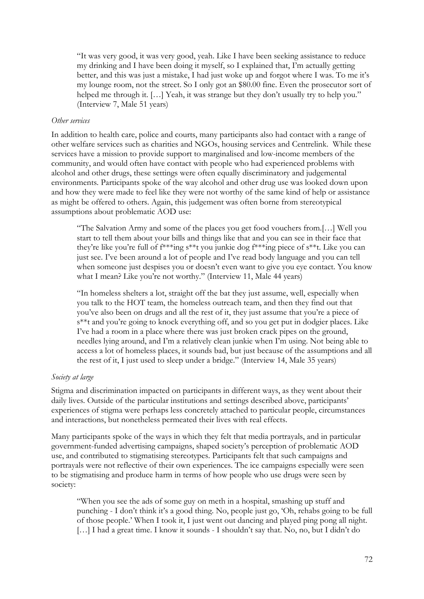"It was very good, it was very good, yeah. Like I have been seeking assistance to reduce my drinking and I have been doing it myself, so I explained that, I'm actually getting better, and this was just a mistake, I had just woke up and forgot where I was. To me it's my lounge room, not the street. So I only got an \$80.00 fine. Even the prosecutor sort of helped me through it. [...] Yeah, it was strange but they don't usually try to help you." (Interview 7, Male 51 years)

#### *Other services*

In addition to health care, police and courts, many participants also had contact with a range of other welfare services such as charities and NGOs, housing services and Centrelink. While these services have a mission to provide support to marginalised and low-income members of the community, and would often have contact with people who had experienced problems with alcohol and other drugs, these settings were often equally discriminatory and judgemental environments. Participants spoke of the way alcohol and other drug use was looked down upon and how they were made to feel like they were not worthy of the same kind of help or assistance as might be offered to others. Again, this judgement was often borne from stereotypical assumptions about problematic AOD use:

"The Salvation Army and some of the places you get food vouchers from.[…] Well you start to tell them about your bills and things like that and you can see in their face that they're like you're full of f\*\*\*ing s\*\*t you junkie dog f\*\*\*ing piece of s\*\*t. Like you can just see. I've been around a lot of people and I've read body language and you can tell when someone just despises you or doesn't even want to give you eye contact. You know what I mean? Like you're not worthy." (Interview 11, Male 44 years)

"In homeless shelters a lot, straight off the bat they just assume, well, especially when you talk to the HOT team, the homeless outreach team, and then they find out that you've also been on drugs and all the rest of it, they just assume that you're a piece of s\*\*t and you're going to knock everything off, and so you get put in dodgier places. Like I've had a room in a place where there was just broken crack pipes on the ground, needles lying around, and I'm a relatively clean junkie when I'm using. Not being able to access a lot of homeless places, it sounds bad, but just because of the assumptions and all the rest of it, I just used to sleep under a bridge." (Interview 14, Male 35 years)

#### *Society at large*

Stigma and discrimination impacted on participants in different ways, as they went about their daily lives. Outside of the particular institutions and settings described above, participants' experiences of stigma were perhaps less concretely attached to particular people, circumstances and interactions, but nonetheless permeated their lives with real effects.

Many participants spoke of the ways in which they felt that media portrayals, and in particular government-funded advertising campaigns, shaped society's perception of problematic AOD use, and contributed to stigmatising stereotypes. Participants felt that such campaigns and portrayals were not reflective of their own experiences. The ice campaigns especially were seen to be stigmatising and produce harm in terms of how people who use drugs were seen by society:

"When you see the ads of some guy on meth in a hospital, smashing up stuff and punching - I don't think it's a good thing. No, people just go, 'Oh, rehabs going to be full of those people.' When I took it, I just went out dancing and played ping pong all night. [...] I had a great time. I know it sounds - I shouldn't say that. No, no, but I didn't do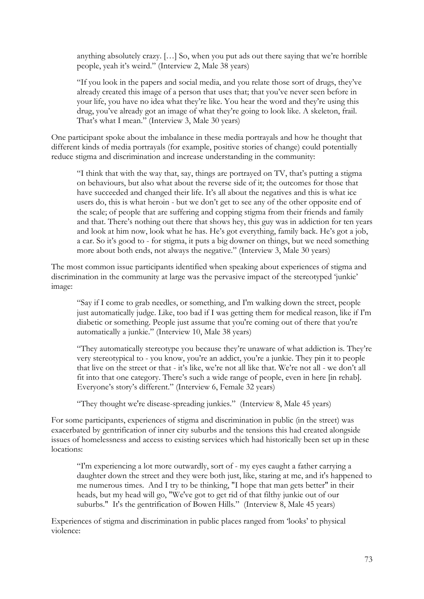anything absolutely crazy. […] So, when you put ads out there saying that we're horrible people, yeah it's weird." (Interview 2, Male 38 years)

"If you look in the papers and social media, and you relate those sort of drugs, they've already created this image of a person that uses that; that you've never seen before in your life, you have no idea what they're like. You hear the word and they're using this drug, you've already got an image of what they're going to look like. A skeleton, frail. That's what I mean." (Interview 3, Male 30 years)

One participant spoke about the imbalance in these media portrayals and how he thought that different kinds of media portrayals (for example, positive stories of change) could potentially reduce stigma and discrimination and increase understanding in the community:

"I think that with the way that, say, things are portrayed on TV, that's putting a stigma on behaviours, but also what about the reverse side of it; the outcomes for those that have succeeded and changed their life. It's all about the negatives and this is what ice users do, this is what heroin - but we don't get to see any of the other opposite end of the scale; of people that are suffering and copping stigma from their friends and family and that. There's nothing out there that shows hey, this guy was in addiction for ten years and look at him now, look what he has. He's got everything, family back. He's got a job, a car. So it's good to - for stigma, it puts a big downer on things, but we need something more about both ends, not always the negative." (Interview 3, Male 30 years)

The most common issue participants identified when speaking about experiences of stigma and discrimination in the community at large was the pervasive impact of the stereotyped 'junkie' image:

"Say if I come to grab needles, or something, and I'm walking down the street, people just automatically judge. Like, too bad if I was getting them for medical reason, like if I'm diabetic or something. People just assume that you're coming out of there that you're automatically a junkie." (Interview 10, Male 38 years)

"They automatically stereotype you because they're unaware of what addiction is. They're very stereotypical to - you know, you're an addict, you're a junkie. They pin it to people that live on the street or that - it's like, we're not all like that. We're not all - we don't all fit into that one category. There's such a wide range of people, even in here [in rehab]. Everyone's story's different." (Interview 6, Female 32 years)

"They thought we're disease-spreading junkies." (Interview 8, Male 45 years)

For some participants, experiences of stigma and discrimination in public (in the street) was exacerbated by gentrification of inner city suburbs and the tensions this had created alongside issues of homelessness and access to existing services which had historically been set up in these locations:

"I'm experiencing a lot more outwardly, sort of - my eyes caught a father carrying a daughter down the street and they were both just, like, staring at me, and it's happened to me numerous times. And I try to be thinking, "I hope that man gets better" in their heads, but my head will go, "We've got to get rid of that filthy junkie out of our suburbs." It's the gentrification of Bowen Hills." (Interview 8, Male 45 years)

Experiences of stigma and discrimination in public places ranged from 'looks' to physical violence: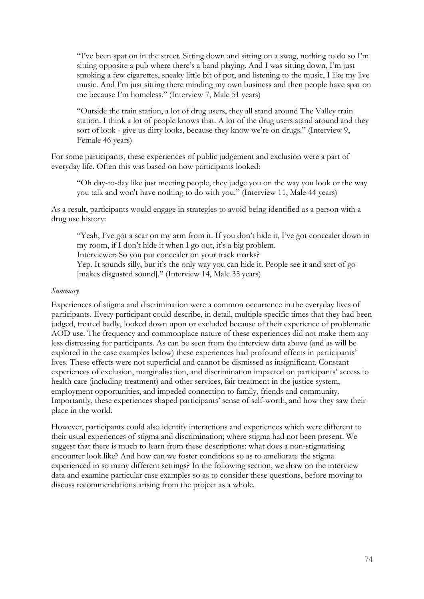"I've been spat on in the street. Sitting down and sitting on a swag, nothing to do so I'm sitting opposite a pub where there's a band playing. And I was sitting down, I'm just smoking a few cigarettes, sneaky little bit of pot, and listening to the music, I like my live music. And I'm just sitting there minding my own business and then people have spat on me because I'm homeless." (Interview 7, Male 51 years)

"Outside the train station, a lot of drug users, they all stand around The Valley train station. I think a lot of people knows that. A lot of the drug users stand around and they sort of look - give us dirty looks, because they know we're on drugs." (Interview 9, Female 46 years)

For some participants, these experiences of public judgement and exclusion were a part of everyday life. Often this was based on how participants looked:

"Oh day-to-day like just meeting people, they judge you on the way you look or the way you talk and won't have nothing to do with you." (Interview 11, Male 44 years)

As a result, participants would engage in strategies to avoid being identified as a person with a drug use history:

"Yeah, I've got a scar on my arm from it. If you don't hide it, I've got concealer down in my room, if I don't hide it when I go out, it's a big problem. Interviewer: So you put concealer on your track marks? Yep. It sounds silly, but it's the only way you can hide it. People see it and sort of go [makes disgusted sound]." (Interview 14, Male 35 years)

#### *Summary*

Experiences of stigma and discrimination were a common occurrence in the everyday lives of participants. Every participant could describe, in detail, multiple specific times that they had been judged, treated badly, looked down upon or excluded because of their experience of problematic AOD use. The frequency and commonplace nature of these experiences did not make them any less distressing for participants. As can be seen from the interview data above (and as will be explored in the case examples below) these experiences had profound effects in participants' lives. These effects were not superficial and cannot be dismissed as insignificant. Constant experiences of exclusion, marginalisation, and discrimination impacted on participants' access to health care (including treatment) and other services, fair treatment in the justice system, employment opportunities, and impeded connection to family, friends and community. Importantly, these experiences shaped participants' sense of self-worth, and how they saw their place in the world.

However, participants could also identify interactions and experiences which were different to their usual experiences of stigma and discrimination; where stigma had not been present. We suggest that there is much to learn from these descriptions: what does a non-stigmatising encounter look like? And how can we foster conditions so as to ameliorate the stigma experienced in so many different settings? In the following section, we draw on the interview data and examine particular case examples so as to consider these questions, before moving to discuss recommendations arising from the project as a whole.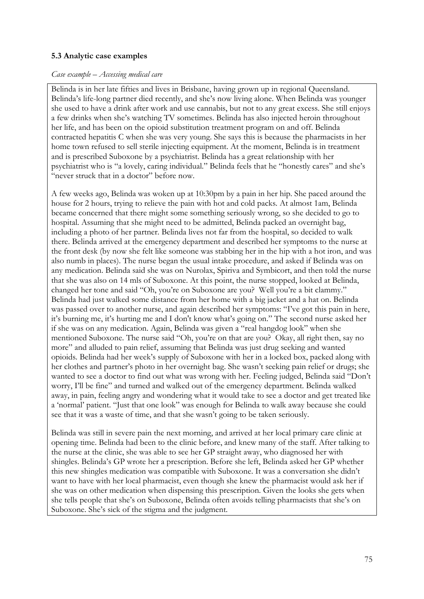# **5.3 Analytic case examples**

### *Case example – Accessing medical care*

Belinda is in her late fifties and lives in Brisbane, having grown up in regional Queensland. Belinda's life-long partner died recently, and she's now living alone. When Belinda was younger she used to have a drink after work and use cannabis, but not to any great excess. She still enjoys a few drinks when she's watching TV sometimes. Belinda has also injected heroin throughout her life, and has been on the opioid substitution treatment program on and off. Belinda contracted hepatitis C when she was very young. She says this is because the pharmacists in her home town refused to sell sterile injecting equipment. At the moment, Belinda is in treatment and is prescribed Suboxone by a psychiatrist. Belinda has a great relationship with her psychiatrist who is "a lovely, caring individual." Belinda feels that he "honestly cares" and she's "never struck that in a doctor" before now.

A few weeks ago, Belinda was woken up at 10:30pm by a pain in her hip. She paced around the house for 2 hours, trying to relieve the pain with hot and cold packs. At almost 1am, Belinda became concerned that there might some something seriously wrong, so she decided to go to hospital. Assuming that she might need to be admitted, Belinda packed an overnight bag, including a photo of her partner. Belinda lives not far from the hospital, so decided to walk there. Belinda arrived at the emergency department and described her symptoms to the nurse at the front desk (by now she felt like someone was stabbing her in the hip with a hot iron, and was also numb in places). The nurse began the usual intake procedure, and asked if Belinda was on any medication. Belinda said she was on Nurolax, Spiriva and Symbicort, and then told the nurse that she was also on 14 mls of Suboxone. At this point, the nurse stopped, looked at Belinda, changed her tone and said "Oh, you're on Suboxone are you? Well you're a bit clammy." Belinda had just walked some distance from her home with a big jacket and a hat on. Belinda was passed over to another nurse, and again described her symptoms: "I've got this pain in here, it's burning me, it's hurting me and I don't know what's going on." The second nurse asked her if she was on any medication. Again, Belinda was given a "real hangdog look" when she mentioned Suboxone. The nurse said "Oh, you're on that are you? Okay, all right then, say no more" and alluded to pain relief, assuming that Belinda was just drug seeking and wanted opioids. Belinda had her week's supply of Suboxone with her in a locked box, packed along with her clothes and partner's photo in her overnight bag. She wasn't seeking pain relief or drugs; she wanted to see a doctor to find out what was wrong with her. Feeling judged, Belinda said "Don't worry, I'll be fine" and turned and walked out of the emergency department. Belinda walked away, in pain, feeling angry and wondering what it would take to see a doctor and get treated like a 'normal' patient. "Just that one look" was enough for Belinda to walk away because she could see that it was a waste of time, and that she wasn't going to be taken seriously.

Belinda was still in severe pain the next morning, and arrived at her local primary care clinic at opening time. Belinda had been to the clinic before, and knew many of the staff. After talking to the nurse at the clinic, she was able to see her GP straight away, who diagnosed her with shingles. Belinda's GP wrote her a prescription. Before she left, Belinda asked her GP whether this new shingles medication was compatible with Suboxone. It was a conversation she didn't want to have with her local pharmacist, even though she knew the pharmacist would ask her if she was on other medication when dispensing this prescription. Given the looks she gets when she tells people that she's on Suboxone, Belinda often avoids telling pharmacists that she's on Suboxone. She's sick of the stigma and the judgment.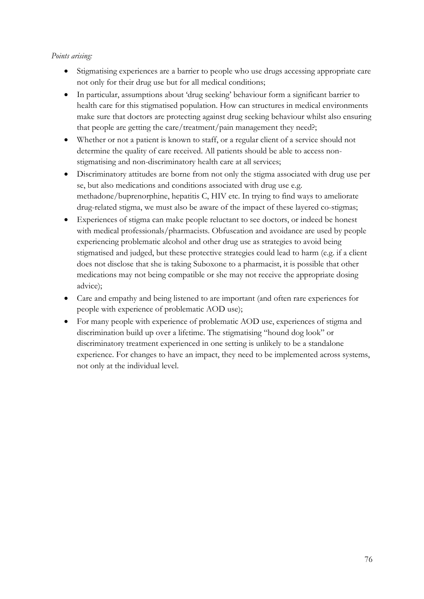- Stigmatising experiences are a barrier to people who use drugs accessing appropriate care not only for their drug use but for all medical conditions;
- In particular, assumptions about 'drug seeking' behaviour form a significant barrier to health care for this stigmatised population. How can structures in medical environments make sure that doctors are protecting against drug seeking behaviour whilst also ensuring that people are getting the care/treatment/pain management they need?;
- Whether or not a patient is known to staff, or a regular client of a service should not determine the quality of care received. All patients should be able to access nonstigmatising and non-discriminatory health care at all services;
- Discriminatory attitudes are borne from not only the stigma associated with drug use per se, but also medications and conditions associated with drug use e.g. methadone/buprenorphine, hepatitis C, HIV etc. In trying to find ways to ameliorate drug-related stigma, we must also be aware of the impact of these layered co-stigmas;
- Experiences of stigma can make people reluctant to see doctors, or indeed be honest with medical professionals/pharmacists. Obfuscation and avoidance are used by people experiencing problematic alcohol and other drug use as strategies to avoid being stigmatised and judged, but these protective strategies could lead to harm (e.g. if a client does not disclose that she is taking Suboxone to a pharmacist, it is possible that other medications may not being compatible or she may not receive the appropriate dosing advice);
- Care and empathy and being listened to are important (and often rare experiences for people with experience of problematic AOD use);
- For many people with experience of problematic AOD use, experiences of stigma and discrimination build up over a lifetime. The stigmatising "hound dog look" or discriminatory treatment experienced in one setting is unlikely to be a standalone experience. For changes to have an impact, they need to be implemented across systems, not only at the individual level.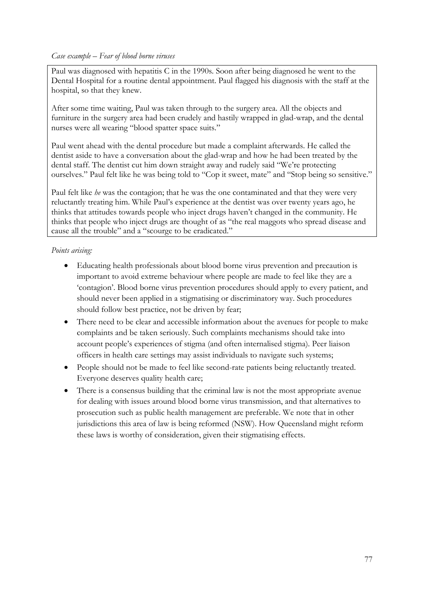# *Case example – Fear of blood borne viruses*

Paul was diagnosed with hepatitis C in the 1990s. Soon after being diagnosed he went to the Dental Hospital for a routine dental appointment. Paul flagged his diagnosis with the staff at the hospital, so that they knew.

After some time waiting, Paul was taken through to the surgery area. All the objects and furniture in the surgery area had been crudely and hastily wrapped in glad-wrap, and the dental nurses were all wearing "blood spatter space suits."

Paul went ahead with the dental procedure but made a complaint afterwards. He called the dentist aside to have a conversation about the glad-wrap and how he had been treated by the dental staff. The dentist cut him down straight away and rudely said "We're protecting ourselves." Paul felt like he was being told to "Cop it sweet, mate" and "Stop being so sensitive."

Paul felt like *he* was the contagion; that he was the one contaminated and that they were very reluctantly treating him. While Paul's experience at the dentist was over twenty years ago, he thinks that attitudes towards people who inject drugs haven't changed in the community. He thinks that people who inject drugs are thought of as "the real maggots who spread disease and cause all the trouble" and a "scourge to be eradicated."

- Educating health professionals about blood borne virus prevention and precaution is important to avoid extreme behaviour where people are made to feel like they are a 'contagion'. Blood borne virus prevention procedures should apply to every patient, and should never been applied in a stigmatising or discriminatory way. Such procedures should follow best practice, not be driven by fear;
- There need to be clear and accessible information about the avenues for people to make complaints and be taken seriously. Such complaints mechanisms should take into account people's experiences of stigma (and often internalised stigma). Peer liaison officers in health care settings may assist individuals to navigate such systems;
- People should not be made to feel like second-rate patients being reluctantly treated. Everyone deserves quality health care;
- There is a consensus building that the criminal law is not the most appropriate avenue for dealing with issues around blood borne virus transmission, and that alternatives to prosecution such as public health management are preferable. We note that in other jurisdictions this area of law is being reformed (NSW). How Queensland might reform these laws is worthy of consideration, given their stigmatising effects.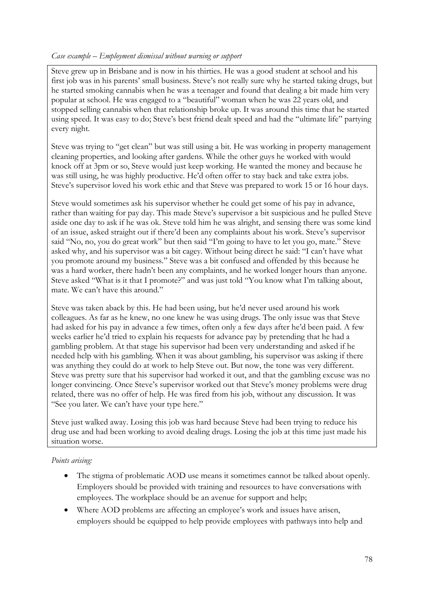# *Case example – Employment dismissal without warning or support*

Steve grew up in Brisbane and is now in his thirties. He was a good student at school and his first job was in his parents' small business. Steve's not really sure why he started taking drugs, but he started smoking cannabis when he was a teenager and found that dealing a bit made him very popular at school. He was engaged to a "beautiful" woman when he was 22 years old, and stopped selling cannabis when that relationship broke up. It was around this time that he started using speed. It was easy to do; Steve's best friend dealt speed and had the "ultimate life" partying every night.

Steve was trying to "get clean" but was still using a bit. He was working in property management cleaning properties, and looking after gardens. While the other guys he worked with would knock off at 3pm or so, Steve would just keep working. He wanted the money and because he was still using, he was highly productive. He'd often offer to stay back and take extra jobs. Steve's supervisor loved his work ethic and that Steve was prepared to work 15 or 16 hour days.

Steve would sometimes ask his supervisor whether he could get some of his pay in advance, rather than waiting for pay day. This made Steve's supervisor a bit suspicious and he pulled Steve aside one day to ask if he was ok. Steve told him he was alright, and sensing there was some kind of an issue, asked straight out if there'd been any complaints about his work. Steve's supervisor said "No, no, you do great work" but then said "I'm going to have to let you go, mate." Steve asked why, and his supervisor was a bit cagey. Without being direct he said: "I can't have what you promote around my business." Steve was a bit confused and offended by this because he was a hard worker, there hadn't been any complaints, and he worked longer hours than anyone. Steve asked "What is it that I promote?" and was just told "You know what I'm talking about, mate. We can't have this around."

Steve was taken aback by this. He had been using, but he'd never used around his work colleagues. As far as he knew, no one knew he was using drugs. The only issue was that Steve had asked for his pay in advance a few times, often only a few days after he'd been paid. A few weeks earlier he'd tried to explain his requests for advance pay by pretending that he had a gambling problem. At that stage his supervisor had been very understanding and asked if he needed help with his gambling. When it was about gambling, his supervisor was asking if there was anything they could do at work to help Steve out. But now, the tone was very different. Steve was pretty sure that his supervisor had worked it out, and that the gambling excuse was no longer convincing. Once Steve's supervisor worked out that Steve's money problems were drug related, there was no offer of help. He was fired from his job, without any discussion. It was "See you later. We can't have your type here."

Steve just walked away. Losing this job was hard because Steve had been trying to reduce his drug use and had been working to avoid dealing drugs. Losing the job at this time just made his situation worse.

- The stigma of problematic AOD use means it sometimes cannot be talked about openly. Employers should be provided with training and resources to have conversations with employees. The workplace should be an avenue for support and help;
- Where AOD problems are affecting an employee's work and issues have arisen, employers should be equipped to help provide employees with pathways into help and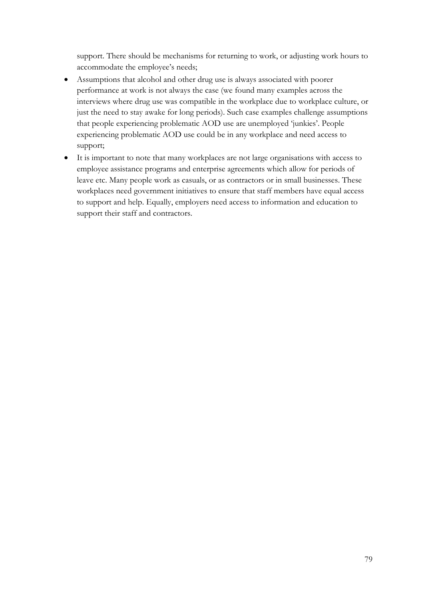support. There should be mechanisms for returning to work, or adjusting work hours to accommodate the employee's needs;

- Assumptions that alcohol and other drug use is always associated with poorer performance at work is not always the case (we found many examples across the interviews where drug use was compatible in the workplace due to workplace culture, or just the need to stay awake for long periods). Such case examples challenge assumptions that people experiencing problematic AOD use are unemployed 'junkies'. People experiencing problematic AOD use could be in any workplace and need access to support;
- It is important to note that many workplaces are not large organisations with access to employee assistance programs and enterprise agreements which allow for periods of leave etc. Many people work as casuals, or as contractors or in small businesses. These workplaces need government initiatives to ensure that staff members have equal access to support and help. Equally, employers need access to information and education to support their staff and contractors.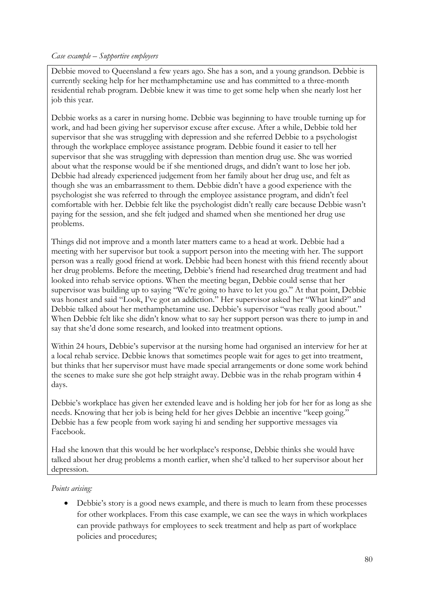# *Case example – Supportive employers*

Debbie moved to Queensland a few years ago. She has a son, and a young grandson. Debbie is currently seeking help for her methamphetamine use and has committed to a three-month residential rehab program. Debbie knew it was time to get some help when she nearly lost her job this year.

Debbie works as a carer in nursing home. Debbie was beginning to have trouble turning up for work, and had been giving her supervisor excuse after excuse. After a while, Debbie told her supervisor that she was struggling with depression and she referred Debbie to a psychologist through the workplace employee assistance program. Debbie found it easier to tell her supervisor that she was struggling with depression than mention drug use. She was worried about what the response would be if she mentioned drugs, and didn't want to lose her job. Debbie had already experienced judgement from her family about her drug use, and felt as though she was an embarrassment to them. Debbie didn't have a good experience with the psychologist she was referred to through the employee assistance program, and didn't feel comfortable with her. Debbie felt like the psychologist didn't really care because Debbie wasn't paying for the session, and she felt judged and shamed when she mentioned her drug use problems.

Things did not improve and a month later matters came to a head at work. Debbie had a meeting with her supervisor but took a support person into the meeting with her. The support person was a really good friend at work. Debbie had been honest with this friend recently about her drug problems. Before the meeting, Debbie's friend had researched drug treatment and had looked into rehab service options. When the meeting began, Debbie could sense that her supervisor was building up to saying "We're going to have to let you go." At that point, Debbie was honest and said "Look, I've got an addiction." Her supervisor asked her "What kind?" and Debbie talked about her methamphetamine use. Debbie's supervisor "was really good about." When Debbie felt like she didn't know what to say her support person was there to jump in and say that she'd done some research, and looked into treatment options.

Within 24 hours, Debbie's supervisor at the nursing home had organised an interview for her at a local rehab service. Debbie knows that sometimes people wait for ages to get into treatment, but thinks that her supervisor must have made special arrangements or done some work behind the scenes to make sure she got help straight away. Debbie was in the rehab program within 4 days.

Debbie's workplace has given her extended leave and is holding her job for her for as long as she needs. Knowing that her job is being held for her gives Debbie an incentive "keep going." Debbie has a few people from work saying hi and sending her supportive messages via Facebook.

Had she known that this would be her workplace's response, Debbie thinks she would have talked about her drug problems a month earlier, when she'd talked to her supervisor about her depression.

# *Points arising:*

• Debbie's story is a good news example, and there is much to learn from these processes for other workplaces. From this case example, we can see the ways in which workplaces can provide pathways for employees to seek treatment and help as part of workplace policies and procedures;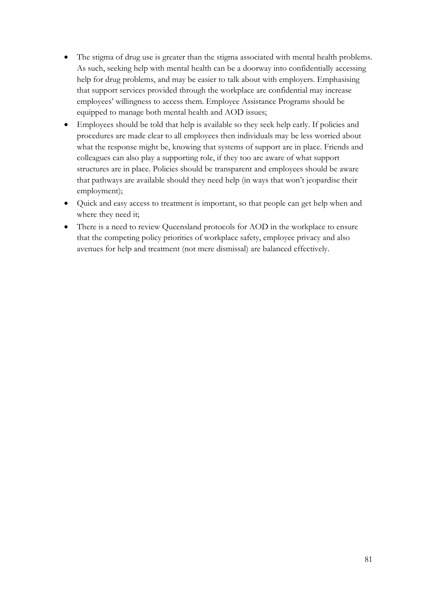- The stigma of drug use is greater than the stigma associated with mental health problems. As such, seeking help with mental health can be a doorway into confidentially accessing help for drug problems, and may be easier to talk about with employers. Emphasising that support services provided through the workplace are confidential may increase employees' willingness to access them. Employee Assistance Programs should be equipped to manage both mental health and AOD issues;
- Employees should be told that help is available so they seek help early. If policies and procedures are made clear to all employees then individuals may be less worried about what the response might be, knowing that systems of support are in place. Friends and colleagues can also play a supporting role, if they too are aware of what support structures are in place. Policies should be transparent and employees should be aware that pathways are available should they need help (in ways that won't jeopardise their employment);
- Quick and easy access to treatment is important, so that people can get help when and where they need it;
- There is a need to review Queensland protocols for AOD in the workplace to ensure that the competing policy priorities of workplace safety, employee privacy and also avenues for help and treatment (not mere dismissal) are balanced effectively.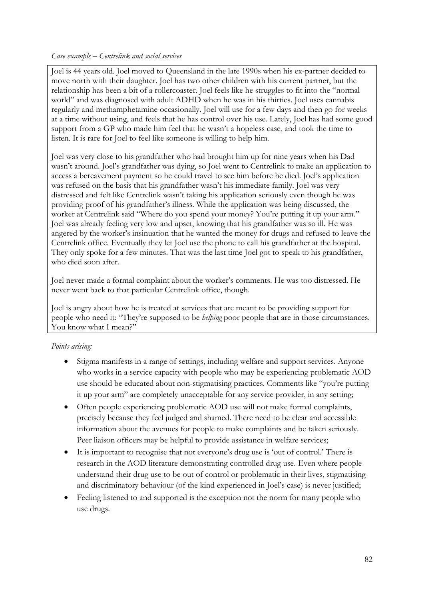### *Case example – Centrelink and social services*

Joel is 44 years old. Joel moved to Queensland in the late 1990s when his ex-partner decided to move north with their daughter. Joel has two other children with his current partner, but the relationship has been a bit of a rollercoaster. Joel feels like he struggles to fit into the "normal world" and was diagnosed with adult ADHD when he was in his thirties. Joel uses cannabis regularly and methamphetamine occasionally. Joel will use for a few days and then go for weeks at a time without using, and feels that he has control over his use. Lately, Joel has had some good support from a GP who made him feel that he wasn't a hopeless case, and took the time to listen. It is rare for Joel to feel like someone is willing to help him.

Joel was very close to his grandfather who had brought him up for nine years when his Dad wasn't around. Joel's grandfather was dying, so Joel went to Centrelink to make an application to access a bereavement payment so he could travel to see him before he died. Joel's application was refused on the basis that his grandfather wasn't his immediate family. Joel was very distressed and felt like Centrelink wasn't taking his application seriously even though he was providing proof of his grandfather's illness. While the application was being discussed, the worker at Centrelink said "Where do you spend your money? You're putting it up your arm." Joel was already feeling very low and upset, knowing that his grandfather was so ill. He was angered by the worker's insinuation that he wanted the money for drugs and refused to leave the Centrelink office. Eventually they let Joel use the phone to call his grandfather at the hospital. They only spoke for a few minutes. That was the last time Joel got to speak to his grandfather, who died soon after.

Joel never made a formal complaint about the worker's comments. He was too distressed. He never went back to that particular Centrelink office, though.

Joel is angry about how he is treated at services that are meant to be providing support for people who need it: "They're supposed to be *helping* poor people that are in those circumstances. You know what I mean?"

- Stigma manifests in a range of settings, including welfare and support services. Anyone who works in a service capacity with people who may be experiencing problematic AOD use should be educated about non-stigmatising practices. Comments like "you're putting it up your arm" are completely unacceptable for any service provider, in any setting;
- Often people experiencing problematic AOD use will not make formal complaints, precisely because they feel judged and shamed. There need to be clear and accessible information about the avenues for people to make complaints and be taken seriously. Peer liaison officers may be helpful to provide assistance in welfare services;
- It is important to recognise that not everyone's drug use is 'out of control.' There is research in the AOD literature demonstrating controlled drug use. Even where people understand their drug use to be out of control or problematic in their lives, stigmatising and discriminatory behaviour (of the kind experienced in Joel's case) is never justified;
- Feeling listened to and supported is the exception not the norm for many people who use drugs.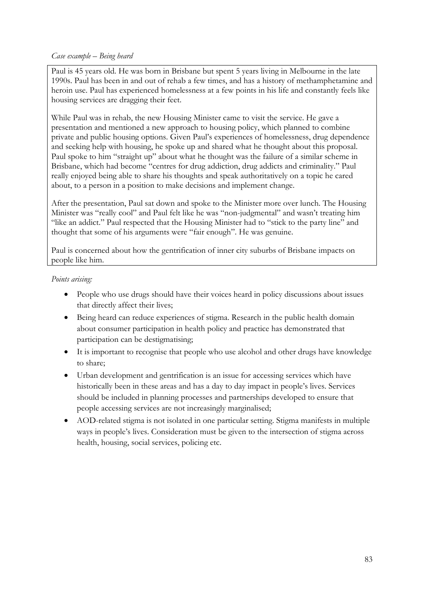# *Case example – Being heard*

Paul is 45 years old. He was born in Brisbane but spent 5 years living in Melbourne in the late 1990s. Paul has been in and out of rehab a few times, and has a history of methamphetamine and heroin use. Paul has experienced homelessness at a few points in his life and constantly feels like housing services are dragging their feet.

While Paul was in rehab, the new Housing Minister came to visit the service. He gave a presentation and mentioned a new approach to housing policy, which planned to combine private and public housing options. Given Paul's experiences of homelessness, drug dependence and seeking help with housing, he spoke up and shared what he thought about this proposal. Paul spoke to him "straight up" about what he thought was the failure of a similar scheme in Brisbane, which had become "centres for drug addiction, drug addicts and criminality." Paul really enjoyed being able to share his thoughts and speak authoritatively on a topic he cared about, to a person in a position to make decisions and implement change.

After the presentation, Paul sat down and spoke to the Minister more over lunch. The Housing Minister was "really cool" and Paul felt like he was "non-judgmental" and wasn't treating him "like an addict." Paul respected that the Housing Minister had to "stick to the party line" and thought that some of his arguments were "fair enough". He was genuine.

Paul is concerned about how the gentrification of inner city suburbs of Brisbane impacts on people like him.

- People who use drugs should have their voices heard in policy discussions about issues that directly affect their lives;
- Being heard can reduce experiences of stigma. Research in the public health domain about consumer participation in health policy and practice has demonstrated that participation can be destigmatising;
- It is important to recognise that people who use alcohol and other drugs have knowledge to share;
- Urban development and gentrification is an issue for accessing services which have historically been in these areas and has a day to day impact in people's lives. Services should be included in planning processes and partnerships developed to ensure that people accessing services are not increasingly marginalised;
- AOD-related stigma is not isolated in one particular setting. Stigma manifests in multiple ways in people's lives. Consideration must be given to the intersection of stigma across health, housing, social services, policing etc.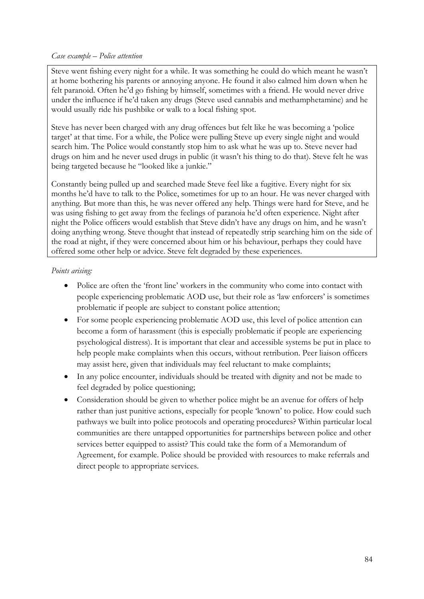### *Case example – Police attention*

Steve went fishing every night for a while. It was something he could do which meant he wasn't at home bothering his parents or annoying anyone. He found it also calmed him down when he felt paranoid. Often he'd go fishing by himself, sometimes with a friend. He would never drive under the influence if he'd taken any drugs (Steve used cannabis and methamphetamine) and he would usually ride his pushbike or walk to a local fishing spot.

Steve has never been charged with any drug offences but felt like he was becoming a 'police target' at that time. For a while, the Police were pulling Steve up every single night and would search him. The Police would constantly stop him to ask what he was up to. Steve never had drugs on him and he never used drugs in public (it wasn't his thing to do that). Steve felt he was being targeted because he "looked like a junkie."

Constantly being pulled up and searched made Steve feel like a fugitive. Every night for six months he'd have to talk to the Police, sometimes for up to an hour. He was never charged with anything. But more than this, he was never offered any help. Things were hard for Steve, and he was using fishing to get away from the feelings of paranoia he'd often experience. Night after night the Police officers would establish that Steve didn't have any drugs on him, and he wasn't doing anything wrong. Steve thought that instead of repeatedly strip searching him on the side of the road at night, if they were concerned about him or his behaviour, perhaps they could have offered some other help or advice. Steve felt degraded by these experiences.

- Police are often the 'front line' workers in the community who come into contact with people experiencing problematic AOD use, but their role as 'law enforcers' is sometimes problematic if people are subject to constant police attention;
- For some people experiencing problematic AOD use, this level of police attention can become a form of harassment (this is especially problematic if people are experiencing psychological distress). It is important that clear and accessible systems be put in place to help people make complaints when this occurs, without retribution. Peer liaison officers may assist here, given that individuals may feel reluctant to make complaints;
- In any police encounter, individuals should be treated with dignity and not be made to feel degraded by police questioning;
- Consideration should be given to whether police might be an avenue for offers of help rather than just punitive actions, especially for people 'known' to police. How could such pathways we built into police protocols and operating procedures? Within particular local communities are there untapped opportunities for partnerships between police and other services better equipped to assist? This could take the form of a Memorandum of Agreement, for example. Police should be provided with resources to make referrals and direct people to appropriate services.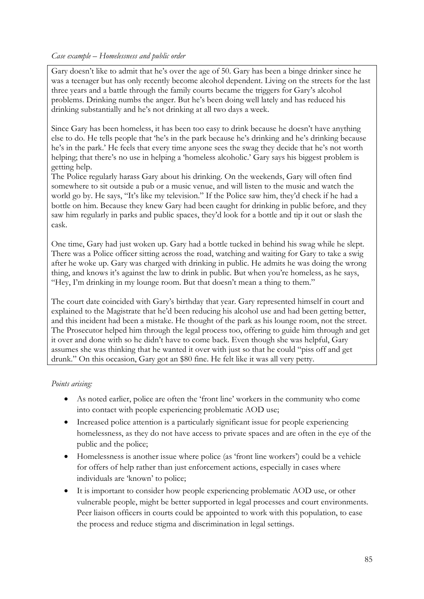# *Case example – Homelessness and public order*

Gary doesn't like to admit that he's over the age of 50. Gary has been a binge drinker since he was a teenager but has only recently become alcohol dependent. Living on the streets for the last three years and a battle through the family courts became the triggers for Gary's alcohol problems. Drinking numbs the anger. But he's been doing well lately and has reduced his drinking substantially and he's not drinking at all two days a week.

Since Gary has been homeless, it has been too easy to drink because he doesn't have anything else to do. He tells people that 'he's in the park because he's drinking and he's drinking because he's in the park.' He feels that every time anyone sees the swag they decide that he's not worth helping; that there's no use in helping a 'homeless alcoholic.' Gary says his biggest problem is getting help.

The Police regularly harass Gary about his drinking. On the weekends, Gary will often find somewhere to sit outside a pub or a music venue, and will listen to the music and watch the world go by. He says, "It's like my television." If the Police saw him, they'd check if he had a bottle on him. Because they knew Gary had been caught for drinking in public before, and they saw him regularly in parks and public spaces, they'd look for a bottle and tip it out or slash the cask.

One time, Gary had just woken up. Gary had a bottle tucked in behind his swag while he slept. There was a Police officer sitting across the road, watching and waiting for Gary to take a swig after he woke up. Gary was charged with drinking in public. He admits he was doing the wrong thing, and knows it's against the law to drink in public. But when you're homeless, as he says, "Hey, I'm drinking in my lounge room. But that doesn't mean a thing to them."

The court date coincided with Gary's birthday that year. Gary represented himself in court and explained to the Magistrate that he'd been reducing his alcohol use and had been getting better, and this incident had been a mistake. He thought of the park as his lounge room, not the street. The Prosecutor helped him through the legal process too, offering to guide him through and get it over and done with so he didn't have to come back. Even though she was helpful, Gary assumes she was thinking that he wanted it over with just so that he could "piss off and get drunk." On this occasion, Gary got an \$80 fine. He felt like it was all very petty.

- As noted earlier, police are often the 'front line' workers in the community who come into contact with people experiencing problematic AOD use;
- Increased police attention is a particularly significant issue for people experiencing homelessness, as they do not have access to private spaces and are often in the eye of the public and the police;
- Homelessness is another issue where police (as 'front line workers') could be a vehicle for offers of help rather than just enforcement actions, especially in cases where individuals are 'known' to police;
- It is important to consider how people experiencing problematic AOD use, or other vulnerable people, might be better supported in legal processes and court environments. Peer liaison officers in courts could be appointed to work with this population, to ease the process and reduce stigma and discrimination in legal settings.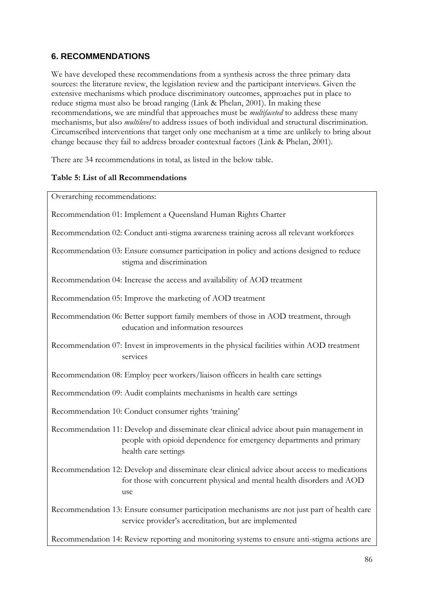# **6. RECOMMENDATIONS**

We have developed these recommendations from a synthesis across the three primary data sources: the literature review, the legislation review and the participant interviews. Given the extensive mechanisms which produce discriminatory outcomes, approaches put in place to reduce stigma must also be broad ranging [\(Link & Phelan, 2001\)](#page-118-0). In making these recommendations, we are mindful that approaches must be *multifaceted* to address these many mechanisms, but also *multilevel* to address issues of both individual and structural discrimination. Circumscribed interventions that target only one mechanism at a time are unlikely to bring about change because they fail to address broader contextual factors [\(Link & Phelan, 2001\)](#page-118-0).

There are 34 recommendations in total, as listed in the below table.

# **Table 5: List of all Recommendations**

Overarching recommendations:

| Recommendation 01: Implement a Queensland Human Rights Charter                                                                                                                           |
|------------------------------------------------------------------------------------------------------------------------------------------------------------------------------------------|
| Recommendation 02: Conduct anti-stigma awareness training across all relevant workforces                                                                                                 |
| Recommendation 03: Ensure consumer participation in policy and actions designed to reduce<br>stigma and discrimination                                                                   |
| Recommendation 04: Increase the access and availability of AOD treatment                                                                                                                 |
| Recommendation 05: Improve the marketing of AOD treatment                                                                                                                                |
| Recommendation 06: Better support family members of those in AOD treatment, through<br>education and information resources                                                               |
| Recommendation 07: Invest in improvements in the physical facilities within AOD treatment<br>services                                                                                    |
| Recommendation 08: Employ peer workers/liaison officers in health care settings                                                                                                          |
| Recommendation 09: Audit complaints mechanisms in health care settings                                                                                                                   |
| Recommendation 10: Conduct consumer rights 'training'                                                                                                                                    |
| Recommendation 11: Develop and disseminate clear clinical advice about pain management in<br>people with opioid dependence for emergency departments and primary<br>health care settings |
| Recommendation 12: Develop and disseminate clear clinical advice about access to medications<br>for those with concurrent physical and mental health disorders and AOD<br>use            |
| Recommendation 13: Ensure consumer participation mechanisms are not just part of health care                                                                                             |

service provider's accreditation, but are implemented

Recommendation 14: Review reporting and monitoring systems to ensure anti-stigma actions are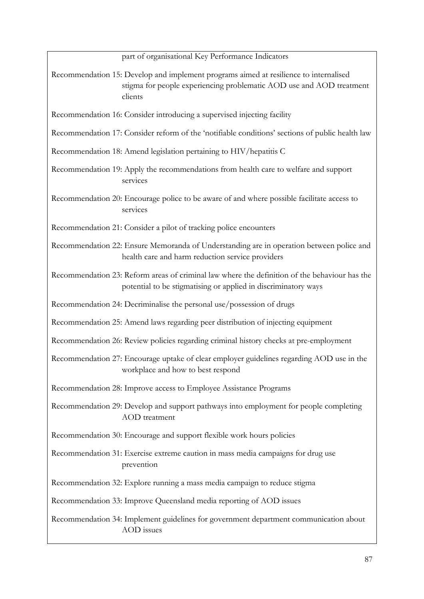part of organisational Key Performance Indicators

Recommendation 15: Develop and implement programs aimed at resilience to internalised stigma for people experiencing problematic AOD use and AOD treatment clients

Recommendation 16: Consider introducing a supervised injecting facility

Recommendation 17: Consider reform of the 'notifiable conditions' sections of public health law

Recommendation 18: Amend legislation pertaining to HIV/hepatitis C

Recommendation 19: Apply the recommendations from health care to welfare and support services

Recommendation 20: Encourage police to be aware of and where possible facilitate access to services

Recommendation 21: Consider a pilot of tracking police encounters

Recommendation 22: Ensure Memoranda of Understanding are in operation between police and health care and harm reduction service providers

Recommendation 23: Reform areas of criminal law where the definition of the behaviour has the potential to be stigmatising or applied in discriminatory ways

Recommendation 24: Decriminalise the personal use/possession of drugs

Recommendation 25: Amend laws regarding peer distribution of injecting equipment

Recommendation 26: Review policies regarding criminal history checks at pre-employment

Recommendation 27: Encourage uptake of clear employer guidelines regarding AOD use in the workplace and how to best respond

Recommendation 28: Improve access to Employee Assistance Programs

Recommendation 29: Develop and support pathways into employment for people completing AOD treatment

Recommendation 30: Encourage and support flexible work hours policies

Recommendation 31: Exercise extreme caution in mass media campaigns for drug use prevention

Recommendation 32: Explore running a mass media campaign to reduce stigma

Recommendation 33: Improve Queensland media reporting of AOD issues

Recommendation 34: Implement guidelines for government department communication about AOD issues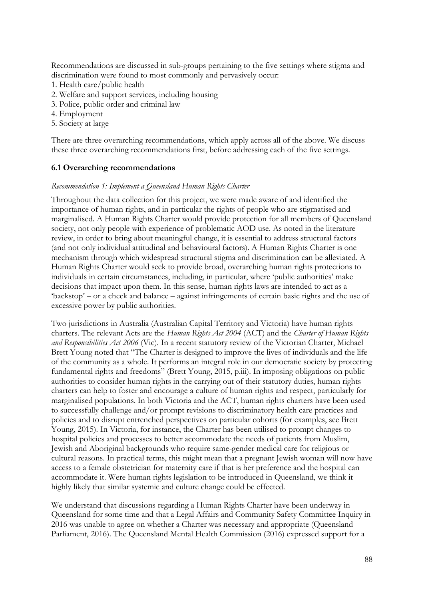Recommendations are discussed in sub-groups pertaining to the five settings where stigma and discrimination were found to most commonly and pervasively occur:

- 1. Health care/public health
- 2. Welfare and support services, including housing
- 3. Police, public order and criminal law
- 4. Employment
- 5. Society at large

There are three overarching recommendations, which apply across all of the above. We discuss these three overarching recommendations first, before addressing each of the five settings.

### **6.1 Overarching recommendations**

#### *Recommendation 1: Implement a Queensland Human Rights Charter*

Throughout the data collection for this project, we were made aware of and identified the importance of human rights, and in particular the rights of people who are stigmatised and marginalised. A Human Rights Charter would provide protection for all members of Queensland society, not only people with experience of problematic AOD use. As noted in the literature review, in order to bring about meaningful change, it is essential to address structural factors (and not only individual attitudinal and behavioural factors). A Human Rights Charter is one mechanism through which widespread structural stigma and discrimination can be alleviated. A Human Rights Charter would seek to provide broad, overarching human rights protections to individuals in certain circumstances, including, in particular, where 'public authorities' make decisions that impact upon them. In this sense, human rights laws are intended to act as a 'backstop' – or a check and balance – against infringements of certain basic rights and the use of excessive power by public authorities.

Two jurisdictions in Australia (Australian Capital Territory and Victoria) have human rights charters. The relevant Acts are the *Human Rights Act 2004* (ACT) and the *Charter of Human Rights and Responsibilities Act 2006* (Vic). In a recent statutory review of the Victorian Charter, Michael Brett Young noted that "The Charter is designed to improve the lives of individuals and the life of the community as a whole. It performs an integral role in our democratic society by protecting fundamental rights and freedoms" [\(Brett Young, 2015, p.iii\)](#page-115-0). In imposing obligations on public authorities to consider human rights in the carrying out of their statutory duties, human rights charters can help to foster and encourage a culture of human rights and respect, particularly for marginalised populations. In both Victoria and the ACT, human rights charters have been used to successfully challenge and/or prompt revisions to discriminatory health care practices and policies and to disrupt entrenched perspectives on particular cohorts [\(for examples, see Brett](#page-115-0)  [Young, 2015\)](#page-115-0). In Victoria, for instance, the Charter has been utilised to prompt changes to hospital policies and processes to better accommodate the needs of patients from Muslim, Jewish and Aboriginal backgrounds who require same-gender medical care for religious or cultural reasons. In practical terms, this might mean that a pregnant Jewish woman will now have access to a female obstetrician for maternity care if that is her preference and the hospital can accommodate it. Were human rights legislation to be introduced in Queensland, we think it highly likely that similar systemic and culture change could be effected.

We understand that discussions regarding a Human Rights Charter have been underway in Queensland for some time and that a Legal Affairs and Community Safety Committee Inquiry in 2016 was unable to agree on whether a Charter was necessary and appropriate [\(Queensland](#page-120-0)  [Parliament, 2016\)](#page-120-0). The Queensland Mental Health Commission [\(2016\)](#page-120-1) expressed support for a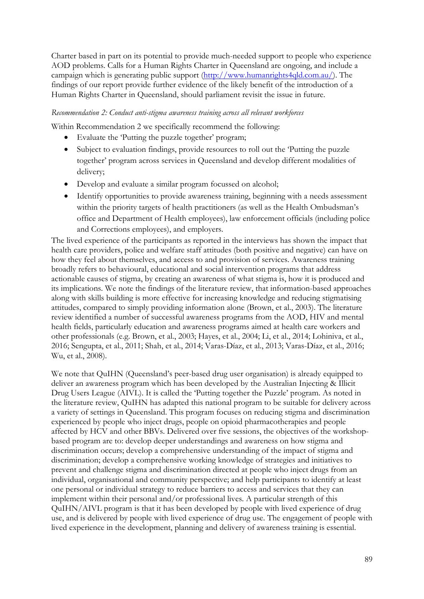Charter based in part on its potential to provide much-needed support to people who experience AOD problems. Calls for a Human Rights Charter in Queensland are ongoing, and include a campaign which is generating public support [\(http://www.humanrights4qld.com.au/\)](http://www.humanrights4qld.com.au/). The findings of our report provide further evidence of the likely benefit of the introduction of a Human Rights Charter in Queensland, should parliament revisit the issue in future.

### *Recommendation 2: Conduct anti-stigma awareness training across all relevant workforces*

Within Recommendation 2 we specifically recommend the following:

- Evaluate the 'Putting the puzzle together' program;
- Subject to evaluation findings, provide resources to roll out the 'Putting the puzzle together' program across services in Queensland and develop different modalities of delivery;
- Develop and evaluate a similar program focussed on alcohol;
- Identify opportunities to provide awareness training, beginning with a needs assessment within the priority targets of health practitioners (as well as the Health Ombudsman's office and Department of Health employees), law enforcement officials (including police and Corrections employees), and employers.

The lived experience of the participants as reported in the interviews has shown the impact that health care providers, police and welfare staff attitudes (both positive and negative) can have on how they feel about themselves, and access to and provision of services. Awareness training broadly refers to behavioural, educational and social intervention programs that address actionable causes of stigma, by creating an awareness of what stigma is, how it is produced and its implications. We note the findings of the literature review, that information-based approaches along with skills building is more effective for increasing knowledge and reducing stigmatising attitudes, compared to simply providing information alone [\(Brown, et al., 2003\)](#page-115-1). The literature review identified a number of successful awareness programs from the AOD, HIV and mental health fields, particularly education and awareness programs aimed at health care workers and other professionals (e.g. [Brown, et al., 2003;](#page-115-1) [Hayes, et al., 2004;](#page-117-0) [Li, et al., 2014;](#page-118-1) [Lohiniva, et al.,](#page-118-2)  [2016;](#page-118-2) [Sengupta, et al., 2011;](#page-121-0) [Shah, et al., 2014;](#page-121-1) [Varas-Díaz, et al., 2013;](#page-121-2) [Varas-Díaz, et al., 2016;](#page-121-3) [Wu, et al., 2008\)](#page-122-0).

We note that QuIHN (Queensland's peer-based drug user organisation) is already equipped to deliver an awareness program which has been developed by the Australian Injecting & Illicit Drug Users League (AIVL). It is called the 'Putting together the Puzzle' program. As noted in the literature review, QuIHN has adapted this national program to be suitable for delivery across a variety of settings in Queensland. This program focuses on reducing stigma and discrimination experienced by people who inject drugs, people on opioid pharmacotherapies and people affected by HCV and other BBVs. Delivered over five sessions, the objectives of the workshopbased program are to: develop deeper understandings and awareness on how stigma and discrimination occurs; develop a comprehensive understanding of the impact of stigma and discrimination; develop a comprehensive working knowledge of strategies and initiatives to prevent and challenge stigma and discrimination directed at people who inject drugs from an individual, organisational and community perspective; and help participants to identify at least one personal or individual strategy to reduce barriers to access and services that they can implement within their personal and/or professional lives. A particular strength of this QuIHN/AIVL program is that it has been developed by people with lived experience of drug use, and is delivered by people with lived experience of drug use. The engagement of people with lived experience in the development, planning and delivery of awareness training is essential.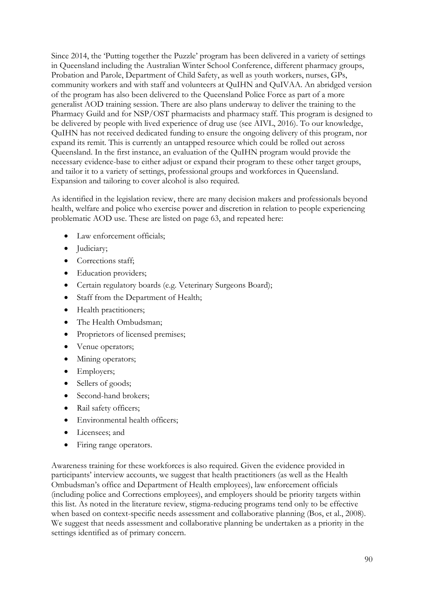Since 2014, the 'Putting together the Puzzle' program has been delivered in a variety of settings in Queensland including the Australian Winter School Conference, different pharmacy groups, Probation and Parole, Department of Child Safety, as well as youth workers, nurses, GPs, community workers and with staff and volunteers at QuIHN and QuIVAA. An abridged version of the program has also been delivered to the Queensland Police Force as part of a more generalist AOD training session. There are also plans underway to deliver the training to the Pharmacy Guild and for NSP/OST pharmacists and pharmacy staff. This program is designed to be delivered by people with lived experience of drug use (see AIVL, 2016). To our knowledge, QuIHN has not received dedicated funding to ensure the ongoing delivery of this program, nor expand its remit. This is currently an untapped resource which could be rolled out across Queensland. In the first instance, an evaluation of the QuIHN program would provide the necessary evidence-base to either adjust or expand their program to these other target groups, and tailor it to a variety of settings, professional groups and workforces in Queensland. Expansion and tailoring to cover alcohol is also required.

As identified in the legislation review, there are many decision makers and professionals beyond health, welfare and police who exercise power and discretion in relation to people experiencing problematic AOD use. These are listed on page 63, and repeated here:

- Law enforcement officials;
- Judiciary;
- Corrections staff;
- Education providers;
- Certain regulatory boards (e.g. Veterinary Surgeons Board);
- Staff from the Department of Health;
- Health practitioners;
- The Health Ombudsman;
- Proprietors of licensed premises;
- Venue operators;
- Mining operators;
- Employers;
- Sellers of goods;
- Second-hand brokers;
- Rail safety officers;
- Environmental health officers;
- Licensees; and
- Firing range operators.

Awareness training for these workforces is also required. Given the evidence provided in participants' interview accounts, we suggest that health practitioners (as well as the Health Ombudsman's office and Department of Health employees), law enforcement officials (including police and Corrections employees), and employers should be priority targets within this list. As noted in the literature review, stigma-reducing programs tend only to be effective when based on context-specific needs assessment and collaborative planning [\(Bos, et al., 2008\)](#page-115-2). We suggest that needs assessment and collaborative planning be undertaken as a priority in the settings identified as of primary concern.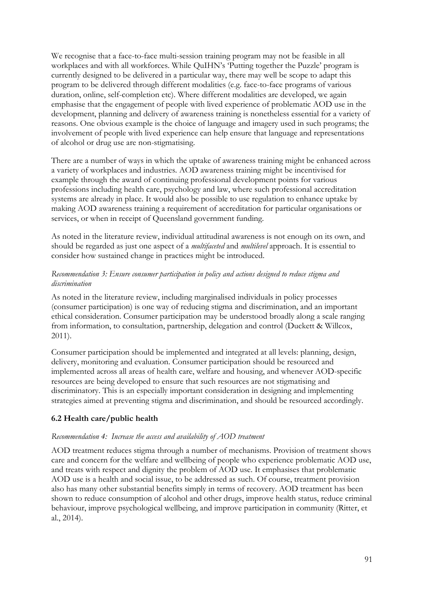We recognise that a face-to-face multi-session training program may not be feasible in all workplaces and with all workforces. While QuIHN's 'Putting together the Puzzle' program is currently designed to be delivered in a particular way, there may well be scope to adapt this program to be delivered through different modalities (e.g. face-to-face programs of various duration, online, self-completion etc). Where different modalities are developed, we again emphasise that the engagement of people with lived experience of problematic AOD use in the development, planning and delivery of awareness training is nonetheless essential for a variety of reasons. One obvious example is the choice of language and imagery used in such programs; the involvement of people with lived experience can help ensure that language and representations of alcohol or drug use are non-stigmatising.

There are a number of ways in which the uptake of awareness training might be enhanced across a variety of workplaces and industries. AOD awareness training might be incentivised for example through the award of continuing professional development points for various professions including health care, psychology and law, where such professional accreditation systems are already in place. It would also be possible to use regulation to enhance uptake by making AOD awareness training a requirement of accreditation for particular organisations or services, or when in receipt of Queensland government funding.

As noted in the literature review, individual attitudinal awareness is not enough on its own, and should be regarded as just one aspect of a *multifaceted* and *multilevel* approach. It is essential to consider how sustained change in practices might be introduced.

# *Recommendation 3: Ensure consumer participation in policy and actions designed to reduce stigma and discrimination*

As noted in the literature review, including marginalised individuals in policy processes (consumer participation) is one way of reducing stigma and discrimination, and an important ethical consideration. Consumer participation may be understood broadly along a scale ranging from information, to consultation, partnership, delegation and control [\(Duckett & Willcox,](#page-117-1)  [2011\)](#page-117-1).

Consumer participation should be implemented and integrated at all levels: planning, design, delivery, monitoring and evaluation. Consumer participation should be resourced and implemented across all areas of health care, welfare and housing, and whenever AOD-specific resources are being developed to ensure that such resources are not stigmatising and discriminatory. This is an especially important consideration in designing and implementing strategies aimed at preventing stigma and discrimination, and should be resourced accordingly.

# **6.2 Health care/public health**

### *Recommendation 4: Increase the access and availability of AOD treatment*

AOD treatment reduces stigma through a number of mechanisms. Provision of treatment shows care and concern for the welfare and wellbeing of people who experience problematic AOD use, and treats with respect and dignity the problem of AOD use. It emphasises that problematic AOD use is a health and social issue, to be addressed as such. Of course, treatment provision also has many other substantial benefits simply in terms of recovery. AOD treatment has been shown to reduce consumption of alcohol and other drugs, improve health status, reduce criminal behaviour, improve psychological wellbeing, and improve participation in community [\(Ritter, et](#page-120-2)  [al., 2014\)](#page-120-2).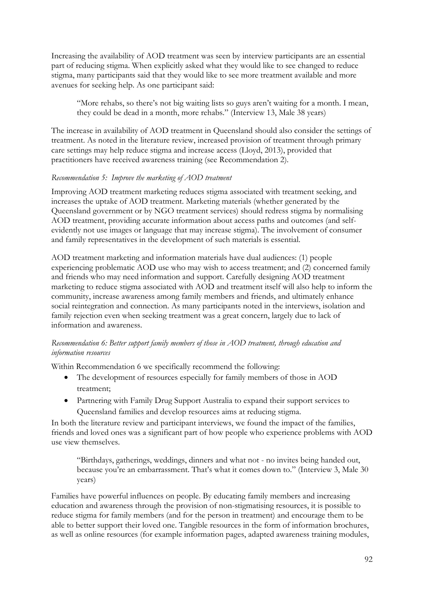Increasing the availability of AOD treatment was seen by interview participants are an essential part of reducing stigma. When explicitly asked what they would like to see changed to reduce stigma, many participants said that they would like to see more treatment available and more avenues for seeking help. As one participant said:

"More rehabs, so there's not big waiting lists so guys aren't waiting for a month. I mean, they could be dead in a month, more rehabs." (Interview 13, Male 38 years)

The increase in availability of AOD treatment in Queensland should also consider the settings of treatment. As noted in the literature review, increased provision of treatment through primary care settings may help reduce stigma and increase access [\(Lloyd, 2013\)](#page-118-3), provided that practitioners have received awareness training (see Recommendation 2).

### *Recommendation 5: Improve the marketing of AOD treatment*

Improving AOD treatment marketing reduces stigma associated with treatment seeking, and increases the uptake of AOD treatment. Marketing materials (whether generated by the Queensland government or by NGO treatment services) should redress stigma by normalising AOD treatment, providing accurate information about access paths and outcomes (and selfevidently not use images or language that may increase stigma). The involvement of consumer and family representatives in the development of such materials is essential.

AOD treatment marketing and information materials have dual audiences: (1) people experiencing problematic AOD use who may wish to access treatment; and (2) concerned family and friends who may need information and support. Carefully designing AOD treatment marketing to reduce stigma associated with AOD and treatment itself will also help to inform the community, increase awareness among family members and friends, and ultimately enhance social reintegration and connection. As many participants noted in the interviews, isolation and family rejection even when seeking treatment was a great concern, largely due to lack of information and awareness.

### *Recommendation 6: Better support family members of those in AOD treatment, through education and information resources*

Within Recommendation 6 we specifically recommend the following:

- The development of resources especially for family members of those in AOD treatment;
- Partnering with Family Drug Support Australia to expand their support services to Queensland families and develop resources aims at reducing stigma.

In both the literature review and participant interviews, we found the impact of the families, friends and loved ones was a significant part of how people who experience problems with AOD use view themselves.

"Birthdays, gatherings, weddings, dinners and what not - no invites being handed out, because you're an embarrassment. That's what it comes down to." (Interview 3, Male 30 years)

Families have powerful influences on people. By educating family members and increasing education and awareness through the provision of non-stigmatising resources, it is possible to reduce stigma for family members (and for the person in treatment) and encourage them to be able to better support their loved one. Tangible resources in the form of information brochures, as well as online resources (for example information pages, adapted awareness training modules,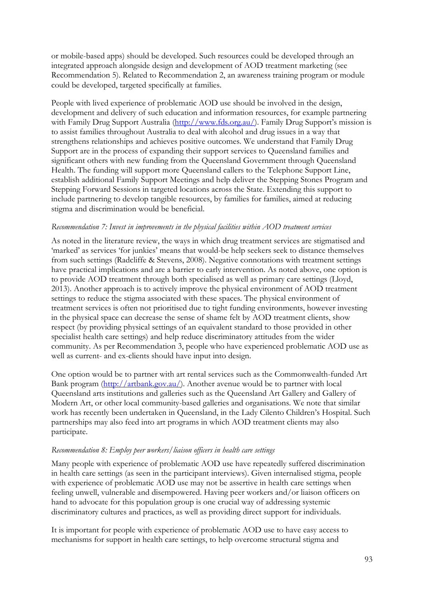or mobile-based apps) should be developed. Such resources could be developed through an integrated approach alongside design and development of AOD treatment marketing (see Recommendation 5). Related to Recommendation 2, an awareness training program or module could be developed, targeted specifically at families.

People with lived experience of problematic AOD use should be involved in the design, development and delivery of such education and information resources, for example partnering with Family Drug Support Australia [\(http://www.fds.org.au/\)](http://www.fds.org.au/). Family Drug Support's mission is to assist families throughout Australia to deal with alcohol and drug issues in a way that strengthens relationships and achieves positive outcomes. We understand that Family Drug Support are in the process of expanding their support services to Queensland families and significant others with new funding from the Queensland Government through Queensland Health. The funding will support more Queensland callers to the Telephone Support Line, establish additional Family Support Meetings and help deliver the Stepping Stones Program and Stepping Forward Sessions in targeted locations across the State. Extending this support to include partnering to develop tangible resources, by families for families, aimed at reducing stigma and discrimination would be beneficial.

### *Recommendation 7: Invest in improvements in the physical facilities within AOD treatment services*

As noted in the literature review, the ways in which drug treatment services are stigmatised and 'marked' as services 'for junkies' means that would-be help seekers seek to distance themselves from such settings [\(Radcliffe & Stevens, 2008\)](#page-120-3). Negative connotations with treatment settings have practical implications and are a barrier to early intervention. As noted above, one option is to provide AOD treatment through both specialised as well as primary care settings [\(Lloyd,](#page-118-3)  [2013\)](#page-118-3). Another approach is to actively improve the physical environment of AOD treatment settings to reduce the stigma associated with these spaces. The physical environment of treatment services is often not prioritised due to tight funding environments, however investing in the physical space can decrease the sense of shame felt by AOD treatment clients, show respect (by providing physical settings of an equivalent standard to those provided in other specialist health care settings) and help reduce discriminatory attitudes from the wider community. As per Recommendation 3, people who have experienced problematic AOD use as well as current- and ex-clients should have input into design.

One option would be to partner with art rental services such as the Commonwealth-funded Art Bank program [\(http://artbank.gov.au/\)](http://artbank.gov.au/). Another avenue would be to partner with local Queensland arts institutions and galleries such as the Queensland Art Gallery and Gallery of Modern Art, or other local community-based galleries and organisations. We note that similar work has recently been undertaken in Queensland, in the Lady Cilento Children's Hospital. Such partnerships may also feed into art programs in which AOD treatment clients may also participate.

#### *Recommendation 8: Employ peer workers/liaison officers in health care settings*

Many people with experience of problematic AOD use have repeatedly suffered discrimination in health care settings (as seen in the participant interviews). Given internalised stigma, people with experience of problematic AOD use may not be assertive in health care settings when feeling unwell, vulnerable and disempowered. Having peer workers and/or liaison officers on hand to advocate for this population group is one crucial way of addressing systemic discriminatory cultures and practices, as well as providing direct support for individuals.

It is important for people with experience of problematic AOD use to have easy access to mechanisms for support in health care settings, to help overcome structural stigma and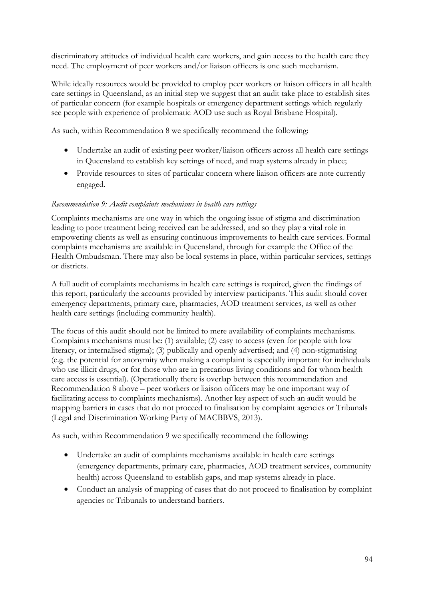discriminatory attitudes of individual health care workers, and gain access to the health care they need. The employment of peer workers and/or liaison officers is one such mechanism.

While ideally resources would be provided to employ peer workers or liaison officers in all health care settings in Queensland, as an initial step we suggest that an audit take place to establish sites of particular concern (for example hospitals or emergency department settings which regularly see people with experience of problematic AOD use such as Royal Brisbane Hospital).

As such, within Recommendation 8 we specifically recommend the following:

- Undertake an audit of existing peer worker/liaison officers across all health care settings in Queensland to establish key settings of need, and map systems already in place;
- Provide resources to sites of particular concern where liaison officers are note currently engaged.

# *Recommendation 9: Audit complaints mechanisms in health care settings*

Complaints mechanisms are one way in which the ongoing issue of stigma and discrimination leading to poor treatment being received can be addressed, and so they play a vital role in empowering clients as well as ensuring continuous improvements to health care services. Formal complaints mechanisms are available in Queensland, through for example the Office of the Health Ombudsman. There may also be local systems in place, within particular services, settings or districts.

A full audit of complaints mechanisms in health care settings is required, given the findings of this report, particularly the accounts provided by interview participants. This audit should cover emergency departments, primary care, pharmacies, AOD treatment services, as well as other health care settings (including community health).

The focus of this audit should not be limited to mere availability of complaints mechanisms. Complaints mechanisms must be: (1) available; (2) easy to access (even for people with low literacy, or internalised stigma); (3) publically and openly advertised; and (4) non-stigmatising (e.g. the potential for anonymity when making a complaint is especially important for individuals who use illicit drugs, or for those who are in precarious living conditions and for whom health care access is essential). (Operationally there is overlap between this recommendation and Recommendation 8 above – peer workers or liaison officers may be one important way of facilitating access to complaints mechanisms). Another key aspect of such an audit would be mapping barriers in cases that do not proceed to finalisation by complaint agencies or Tribunals [\(Legal and Discrimination Working Party of MACBBVS, 2013\)](#page-118-4).

As such, within Recommendation 9 we specifically recommend the following:

- Undertake an audit of complaints mechanisms available in health care settings (emergency departments, primary care, pharmacies, AOD treatment services, community health) across Queensland to establish gaps, and map systems already in place.
- Conduct an analysis of mapping of cases that do not proceed to finalisation by complaint agencies or Tribunals to understand barriers.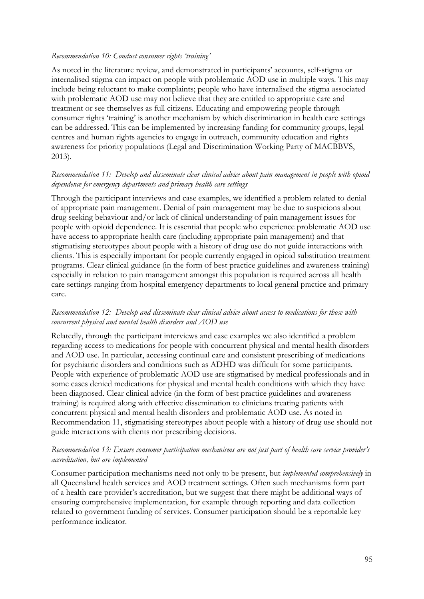### *Recommendation 10: Conduct consumer rights 'training'*

As noted in the literature review, and demonstrated in participants' accounts, self-stigma or internalised stigma can impact on people with problematic AOD use in multiple ways. This may include being reluctant to make complaints; people who have internalised the stigma associated with problematic AOD use may not believe that they are entitled to appropriate care and treatment or see themselves as full citizens. Educating and empowering people through consumer rights 'training' is another mechanism by which discrimination in health care settings can be addressed. This can be implemented by increasing funding for community groups, legal centres and human rights agencies to engage in outreach, community education and rights awareness for priority populations [\(Legal and Discrimination Working Party of](#page-118-4) MACBBVS, [2013\)](#page-118-4).

# *Recommendation 11: Develop and disseminate clear clinical advice about pain management in people with opioid dependence for emergency departments and primary health care settings*

Through the participant interviews and case examples, we identified a problem related to denial of appropriate pain management. Denial of pain management may be due to suspicions about drug seeking behaviour and/or lack of clinical understanding of pain management issues for people with opioid dependence. It is essential that people who experience problematic AOD use have access to appropriate health care (including appropriate pain management) and that stigmatising stereotypes about people with a history of drug use do not guide interactions with clients. This is especially important for people currently engaged in opioid substitution treatment programs. Clear clinical guidance (in the form of best practice guidelines and awareness training) especially in relation to pain management amongst this population is required across all health care settings ranging from hospital emergency departments to local general practice and primary care.

### *Recommendation 12: Develop and disseminate clear clinical advice about access to medications for those with concurrent physical and mental health disorders and AOD use*

Relatedly, through the participant interviews and case examples we also identified a problem regarding access to medications for people with concurrent physical and mental health disorders and AOD use. In particular, accessing continual care and consistent prescribing of medications for psychiatric disorders and conditions such as ADHD was difficult for some participants. People with experience of problematic AOD use are stigmatised by medical professionals and in some cases denied medications for physical and mental health conditions with which they have been diagnosed. Clear clinical advice (in the form of best practice guidelines and awareness training) is required along with effective dissemination to clinicians treating patients with concurrent physical and mental health disorders and problematic AOD use. As noted in Recommendation 11, stigmatising stereotypes about people with a history of drug use should not guide interactions with clients nor prescribing decisions.

### *Recommendation 13: Ensure consumer participation mechanisms are not just part of health care service provider's accreditation, but are implemented*

Consumer participation mechanisms need not only to be present, but *implemented comprehensively* in all Queensland health services and AOD treatment settings. Often such mechanisms form part of a health care provider's accreditation, but we suggest that there might be additional ways of ensuring comprehensive implementation, for example through reporting and data collection related to government funding of services. Consumer participation should be a reportable key performance indicator.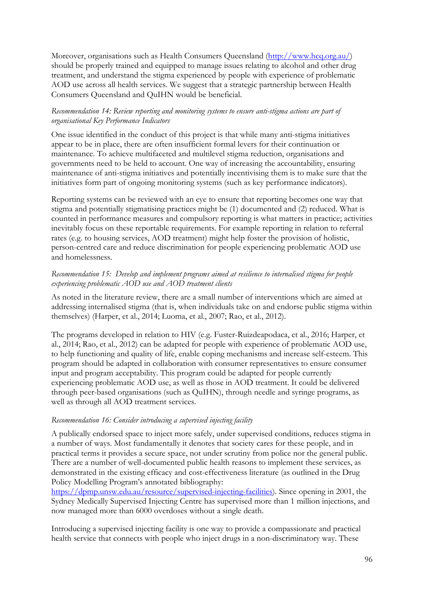Moreover, organisations such as Health Consumers Queensland [\(http://www.hcq.org.au/\)](http://www.hcq.org.au/) should be properly trained and equipped to manage issues relating to alcohol and other drug treatment, and understand the stigma experienced by people with experience of problematic AOD use across all health services. We suggest that a strategic partnership between Health Consumers Queensland and QuIHN would be beneficial.

# *Recommendation 14: Review reporting and monitoring systems to ensure anti-stigma actions are part of organisational Key Performance Indicators*

One issue identified in the conduct of this project is that while many anti-stigma initiatives appear to be in place, there are often insufficient formal levers for their continuation or maintenance. To achieve multifaceted and multilevel stigma reduction, organisations and governments need to be held to account. One way of increasing the accountability, ensuring maintenance of anti-stigma initiatives and potentially incentivising them is to make sure that the initiatives form part of ongoing monitoring systems (such as key performance indicators).

Reporting systems can be reviewed with an eye to ensure that reporting becomes one way that stigma and potentially stigmatising practices might be (1) documented and (2) reduced. What is counted in performance measures and compulsory reporting is what matters in practice; activities inevitably focus on these reportable requirements. For example reporting in relation to referral rates (e.g. to housing services, AOD treatment) might help foster the provision of holistic, person-centred care and reduce discrimination for people experiencing problematic AOD use and homelessness.

# *Recommendation 15: Develop and implement programs aimed at resilience to internalised stigma for people experiencing problematic AOD use and AOD treatment clients*

As noted in the literature review, there are a small number of interventions which are aimed at addressing internalised stigma (that is, when individuals take on and endorse public stigma within themselves) [\(Harper, et al., 2014;](#page-117-2) [Luoma, et al., 2007;](#page-119-0) [Rao, et al., 2012\)](#page-120-4).

The programs developed in relation to HIV (e.g. [Fuster-Ruizdeapodaca, et al., 2016;](#page-117-3) [Harper, et](#page-117-2)  [al., 2014;](#page-117-2) [Rao, et al., 2012\)](#page-120-4) can be adapted for people with experience of problematic AOD use, to help functioning and quality of life, enable coping mechanisms and increase self-esteem. This program should be adapted in collaboration with consumer representatives to ensure consumer input and program acceptability. This program could be adapted for people currently experiencing problematic AOD use, as well as those in AOD treatment. It could be delivered through peer-based organisations (such as QuIHN), through needle and syringe programs, as well as through all AOD treatment services.

#### *Recommendation 16: Consider introducing a supervised injecting facility*

A publically endorsed space to inject more safely, under supervised conditions, reduces stigma in a number of ways. Most fundamentally it denotes that society cares for these people, and in practical terms it provides a secure space, not under scrutiny from police nor the general public. There are a number of well-documented public health reasons to implement these services, as demonstrated in the existing efficacy and cost-effectiveness literature (as outlined in the Drug Policy Modelling Program's annotated bibliography:

[https://dpmp.unsw.edu.au/resource/supervised-injecting-facilities\)](https://dpmp.unsw.edu.au/resource/supervised-injecting-facilities). Since opening in 2001, the Sydney Medically Supervised Injecting Centre has supervised more than 1 million injections, and now managed more than 6000 overdoses without a single death.

Introducing a supervised injecting facility is one way to provide a compassionate and practical health service that connects with people who inject drugs in a non-discriminatory way. These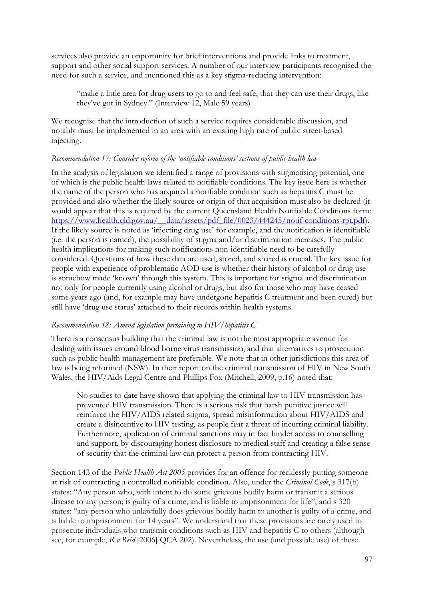services also provide an opportunity for brief interventions and provide links to treatment, support and other social support services. A number of our interview participants recognised the need for such a service, and mentioned this as a key stigma-reducing intervention:

"make a little area for drug users to go to and feel safe, that they can use their drugs, like they've got in Sydney." (Interview 12, Male 59 years)

We recognise that the introduction of such a service requires considerable discussion, and notably must be implemented in an area with an existing high rate of public street-based injecting.

# *Recommendation 17: Consider reform of the 'notifiable conditions' sections of public health law*

In the analysis of legislation we identified a range of provisions with stigmatising potential, one of which is the public health laws related to notifiable conditions. The key issue here is whether the name of the person who has acquired a notifiable condition such as hepatitis C must be provided and also whether the likely source or origin of that acquisition must also be declared (it would appear that this is required by the current Queensland Health Notifiable Conditions form: [https://www.health.qld.gov.au/\\_\\_data/assets/pdf\\_file/0023/444245/notif-conditions-rpt.pdf\)](https://www.health.qld.gov.au/__data/assets/pdf_file/0023/444245/notif-conditions-rpt.pdf). If the likely source is noted as 'injecting drug use' for example, and the notification is identifiable (i.e. the person is named), the possibility of stigma and/or discrimination increases. The public health implications for making such notifications non-identifiable need to be carefully considered. Questions of how these data are used, stored, and shared is crucial. The key issue for people with experience of problematic AOD use is whether their history of alcohol or drug use is somehow made 'known' through this system. This is important for stigma and discrimination not only for people currently using alcohol or drugs, but also for those who may have ceased some years ago (and, for example may have undergone hepatitis C treatment and been cured) but still have 'drug use status' attached to their records within health systems.

# *Recommendation 18: Amend legislation pertaining to HIV/hepatitis C*

There is a consensus building that the criminal law is not the most appropriate avenue for dealing with issues around blood borne virus transmission, and that alternatives to prosecution such as public health management are preferable. We note that in other jurisdictions this area of law is being reformed (NSW). In their report on the criminal transmission of HIV in New South Wales, the HIV/Aids Legal Centre and Phillips Fox [\(Mitchell, 2009, p.16\)](#page-119-1) noted that:

No studies to date have shown that applying the criminal law to HIV transmission has prevented HIV transmission. There is a serious risk that harsh punitive justice will reinforce the HIV/AIDS related stigma, spread misinformation about HIV/AIDS and create a disincentive to HIV testing, as people fear a threat of incurring criminal liability. Furthermore, application of criminal sanctions may in fact hinder access to counselling and support, by discouraging honest disclosure to medical staff and creating a false sense of security that the criminal law can protect a person from contracting HIV.

Section 143 of the *Public Health Act 2005* provides for an offence for recklessly putting someone at risk of contracting a controlled notifiable condition. Also, under the *Criminal Code*, s 317(b) states: "Any person who, with intent to do some grievous bodily harm or transmit a serious disease to any person; is guilty of a crime, and is liable to imprisonment for life", and s 320 states: "any person who unlawfully does grievous bodily harm to another is guilty of a crime, and is liable to imprisonment for 14 years". We understand that these provisions are rarely used to prosecute individuals who transmit conditions such as HIV and hepatitis C to others (although see, for example, *R v Reid* [2006] QCA 202). Nevertheless, the use (and possible use) of these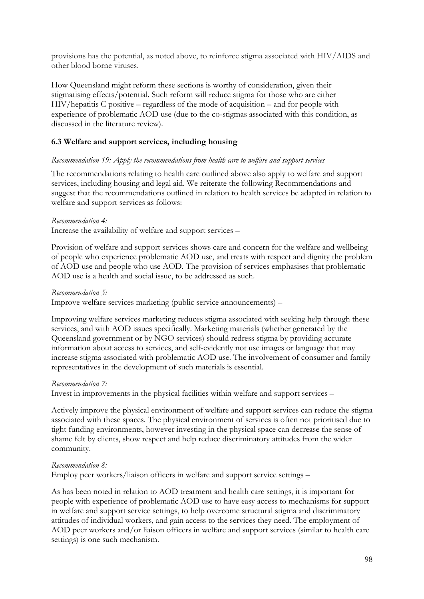provisions has the potential, as noted above, to reinforce stigma associated with HIV/AIDS and other blood borne viruses.

How Queensland might reform these sections is worthy of consideration, given their stigmatising effects/potential. Such reform will reduce stigma for those who are either HIV/hepatitis C positive – regardless of the mode of acquisition – and for people with experience of problematic AOD use (due to the co-stigmas associated with this condition, as discussed in the literature review).

# **6.3 Welfare and support services, including housing**

### *Recommendation 19: Apply the recommendations from health care to welfare and support services*

The recommendations relating to health care outlined above also apply to welfare and support services, including housing and legal aid. We reiterate the following Recommendations and suggest that the recommendations outlined in relation to health services be adapted in relation to welfare and support services as follows:

### *Recommendation 4:*

Increase the availability of welfare and support services –

Provision of welfare and support services shows care and concern for the welfare and wellbeing of people who experience problematic AOD use, and treats with respect and dignity the problem of AOD use and people who use AOD. The provision of services emphasises that problematic AOD use is a health and social issue, to be addressed as such.

### *Recommendation 5:*

Improve welfare services marketing (public service announcements) –

Improving welfare services marketing reduces stigma associated with seeking help through these services, and with AOD issues specifically. Marketing materials (whether generated by the Queensland government or by NGO services) should redress stigma by providing accurate information about access to services, and self-evidently not use images or language that may increase stigma associated with problematic AOD use. The involvement of consumer and family representatives in the development of such materials is essential.

#### *Recommendation 7:*

Invest in improvements in the physical facilities within welfare and support services –

Actively improve the physical environment of welfare and support services can reduce the stigma associated with these spaces. The physical environment of services is often not prioritised due to tight funding environments, however investing in the physical space can decrease the sense of shame felt by clients, show respect and help reduce discriminatory attitudes from the wider community.

### *Recommendation 8:*

Employ peer workers/liaison officers in welfare and support service settings –

As has been noted in relation to AOD treatment and health care settings, it is important for people with experience of problematic AOD use to have easy access to mechanisms for support in welfare and support service settings, to help overcome structural stigma and discriminatory attitudes of individual workers, and gain access to the services they need. The employment of AOD peer workers and/or liaison officers in welfare and support services (similar to health care settings) is one such mechanism.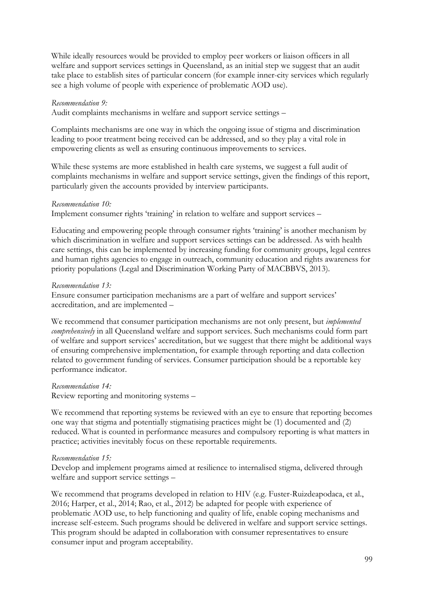While ideally resources would be provided to employ peer workers or liaison officers in all welfare and support services settings in Queensland, as an initial step we suggest that an audit take place to establish sites of particular concern (for example inner-city services which regularly see a high volume of people with experience of problematic AOD use).

#### *Recommendation 9:*

Audit complaints mechanisms in welfare and support service settings –

Complaints mechanisms are one way in which the ongoing issue of stigma and discrimination leading to poor treatment being received can be addressed, and so they play a vital role in empowering clients as well as ensuring continuous improvements to services.

While these systems are more established in health care systems, we suggest a full audit of complaints mechanisms in welfare and support service settings, given the findings of this report, particularly given the accounts provided by interview participants.

### *Recommendation 10:*

Implement consumer rights 'training' in relation to welfare and support services –

Educating and empowering people through consumer rights 'training' is another mechanism by which discrimination in welfare and support services settings can be addressed. As with health care settings, this can be implemented by increasing funding for community groups, legal centres and human rights agencies to engage in outreach, community education and rights awareness for priority populations (Legal and Discrimination Working Party of MACBBVS, 2013).

### *Recommendation 13:*

Ensure consumer participation mechanisms are a part of welfare and support services' accreditation, and are implemented –

We recommend that consumer participation mechanisms are not only present, but *implemented comprehensively* in all Queensland welfare and support services. Such mechanisms could form part of welfare and support services' accreditation, but we suggest that there might be additional ways of ensuring comprehensive implementation, for example through reporting and data collection related to government funding of services. Consumer participation should be a reportable key performance indicator.

### *Recommendation 14:*

Review reporting and monitoring systems –

We recommend that reporting systems be reviewed with an eye to ensure that reporting becomes one way that stigma and potentially stigmatising practices might be (1) documented and (2) reduced. What is counted in performance measures and compulsory reporting is what matters in practice; activities inevitably focus on these reportable requirements.

#### *Recommendation 15:*

Develop and implement programs aimed at resilience to internalised stigma, delivered through welfare and support service settings –

We recommend that programs developed in relation to HIV (e.g. [Fuster-Ruizdeapodaca, et al.,](#page-117-3)  [2016;](#page-117-3) [Harper, et al., 2014;](#page-117-2) [Rao, et al., 2012\)](#page-120-4) be adapted for people with experience of problematic AOD use, to help functioning and quality of life, enable coping mechanisms and increase self-esteem. Such programs should be delivered in welfare and support service settings. This program should be adapted in collaboration with consumer representatives to ensure consumer input and program acceptability.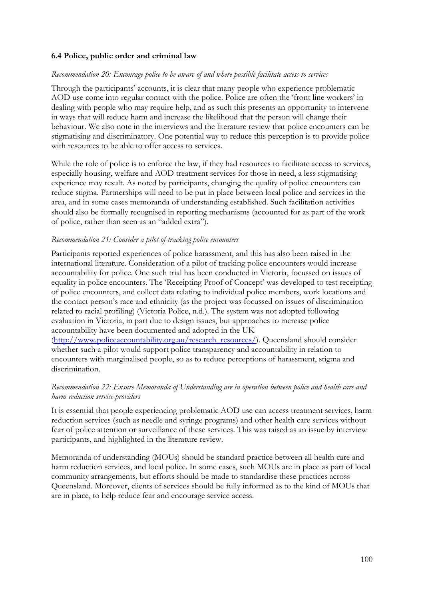### **6.4 Police, public order and criminal law**

#### *Recommendation 20: Encourage police to be aware of and where possible facilitate access to services*

Through the participants' accounts, it is clear that many people who experience problematic AOD use come into regular contact with the police. Police are often the 'front line workers' in dealing with people who may require help, and as such this presents an opportunity to intervene in ways that will reduce harm and increase the likelihood that the person will change their behaviour. We also note in the interviews and the literature review that police encounters can be stigmatising and discriminatory. One potential way to reduce this perception is to provide police with resources to be able to offer access to services.

While the role of police is to enforce the law, if they had resources to facilitate access to services, especially housing, welfare and AOD treatment services for those in need, a less stigmatising experience may result. As noted by participants, changing the quality of police encounters can reduce stigma. Partnerships will need to be put in place between local police and services in the area, and in some cases memoranda of understanding established. Such facilitation activities should also be formally recognised in reporting mechanisms (accounted for as part of the work of police, rather than seen as an "added extra").

### *Recommendation 21: Consider a pilot of tracking police encounters*

Participants reported experiences of police harassment, and this has also been raised in the international literature. Consideration of a pilot of tracking police encounters would increase accountability for police. One such trial has been conducted in Victoria, focussed on issues of equality in police encounters. The 'Receipting Proof of Concept' was developed to test receipting of police encounters, and collect data relating to individual police members, work locations and the contact person's race and ethnicity (as the project was focussed on issues of discrimination related to racial profiling) [\(Victoria Police, n.d.\)](#page-121-4). The system was not adopted following evaluation in Victoria, in part due to design issues, but approaches to increase police accountability have been documented and adopted in the UK [\(http://www.policeaccountability.org.au/research\\_resources/\)](http://www.policeaccountability.org.au/research_resources/). Queensland should consider

whether such a pilot would support police transparency and accountability in relation to encounters with marginalised people, so as to reduce perceptions of harassment, stigma and discrimination.

### *Recommendation 22: Ensure Memoranda of Understanding are in operation between police and health care and harm reduction service providers*

It is essential that people experiencing problematic AOD use can access treatment services, harm reduction services (such as needle and syringe programs) and other health care services without fear of police attention or surveillance of these services. This was raised as an issue by interview participants, and highlighted in the literature review.

Memoranda of understanding (MOUs) should be standard practice between all health care and harm reduction services, and local police. In some cases, such MOUs are in place as part of local community arrangements, but efforts should be made to standardise these practices across Queensland. Moreover, clients of services should be fully informed as to the kind of MOUs that are in place, to help reduce fear and encourage service access.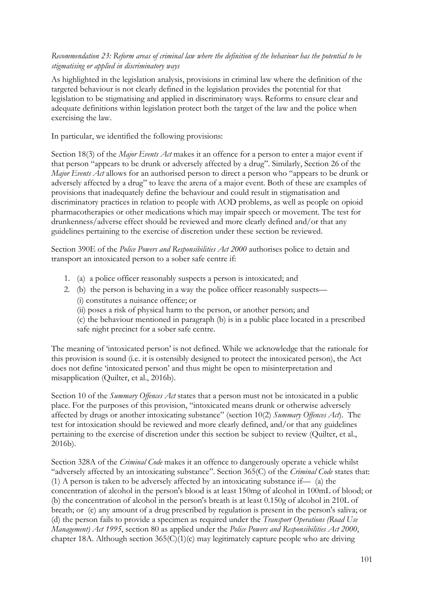# *Recommendation 23: Reform areas of criminal law where the definition of the behaviour has the potential to be stigmatising or applied in discriminatory ways*

As highlighted in the legislation analysis, provisions in criminal law where the definition of the targeted behaviour is not clearly defined in the legislation provides the potential for that legislation to be stigmatising and applied in discriminatory ways. Reforms to ensure clear and adequate definitions within legislation protect both the target of the law and the police when exercising the law.

In particular, we identified the following provisions:

Section 18(3) of the *Major Events Act* makes it an offence for a person to enter a major event if that person "appears to be drunk or adversely affected by a drug". Similarly, Section 26 of the *Major Events Act* allows for an authorised person to direct a person who "appears to be drunk or adversely affected by a drug" to leave the arena of a major event. Both of these are examples of provisions that inadequately define the behaviour and could result in stigmatisation and discriminatory practices in relation to people with AOD problems, as well as people on opioid pharmacotherapies or other medications which may impair speech or movement. The test for drunkenness/adverse effect should be reviewed and more clearly defined and/or that any guidelines pertaining to the exercise of discretion under these section be reviewed.

Section 390E of the *Police Powers and Responsibilities Act 2000* authorises police to detain and transport an intoxicated person to a sober safe centre if:

- 1. (a) a police officer reasonably suspects a person is intoxicated; and
- 2. (b) the person is behaving in a way the police officer reasonably suspects—
	- (i) constitutes a nuisance offence; or
	- (ii) poses a risk of physical harm to the person, or another person; and

(c) the behaviour mentioned in paragraph (b) is in a public place located in a prescribed safe night precinct for a sober safe centre.

The meaning of 'intoxicated person' is not defined. While we acknowledge that the rationale for this provision is sound (i.e. it is ostensibly designed to protect the intoxicated person), the Act does not define 'intoxicated person' and thus might be open to misinterpretation and misapplication [\(Quilter, et al., 2016b\)](#page-120-5).

Section 10 of the *Summary Offences Act* states that a person must not be intoxicated in a public place. For the purposes of this provision, "intoxicated means drunk or otherwise adversely affected by drugs or another intoxicating substance" (section 10(2) *Summary Offences Act*). The test for intoxication should be reviewed and more clearly defined, and/or that any guidelines pertaining to the exercise of discretion under this section be subject to review [\(Quilter, et al.,](#page-120-5)  [2016b\)](#page-120-5).

Section 328A of the *Criminal Code* makes it an offence to dangerously operate a vehicle whilst "adversely affected by an intoxicating substance". Section 365(C) of the *Criminal Code* states that: (1) A person is taken to be adversely affected by an intoxicating substance if— (a) the concentration of alcohol in the person's blood is at least 150mg of alcohol in 100mL of blood; or (b) the concentration of alcohol in the person's breath is at least 0.150g of alcohol in 210L of breath; or (c) any amount of a drug prescribed by regulation is present in the person's saliva; or (d) the person fails to provide a specimen as required under the *Transport Operations (Road Use Management) Act 1995*, section 80 as applied under the *Police Powers and Responsibilities Act 2000*, chapter 18A. Although section  $365(C)(1)(c)$  may legitimately capture people who are driving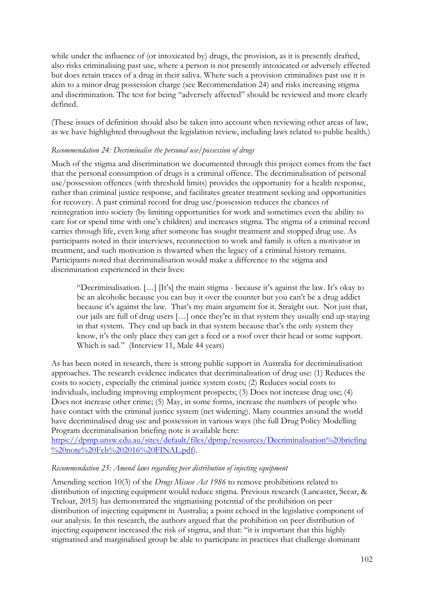while under the influence of (or intoxicated by) drugs, the provision, as it is presently drafted, also risks criminalising past use, where a person is not presently intoxicated or adversely effected but does retain traces of a drug in their saliva. Where such a provision criminalises past use it is akin to a minor drug possession charge (see Recommendation 24) and risks increasing stigma and discrimination. The test for being "adversely affected" should be reviewed and more clearly defined.

(These issues of definition should also be taken into account when reviewing other areas of law, as we have highlighted throughout the legislation review, including laws related to public health.)

# *Recommendation 24: Decriminalise the personal use/possession of drugs*

Much of the stigma and discrimination we documented through this project comes from the fact that the personal consumption of drugs is a criminal offence. The decriminalisation of personal use/possession offences (with threshold limits) provides the opportunity for a health response, rather than criminal justice response, and facilitates greater treatment seeking and opportunities for recovery. A past criminal record for drug use/possession reduces the chances of reintegration into society (by limiting opportunities for work and sometimes even the ability to care for or spend time with one's children) and increases stigma. The stigma of a criminal record carries through life, even long after someone has sought treatment and stopped drug use. As participants noted in their interviews, reconnection to work and family is often a motivator in treatment, and such motivation is thwarted when the legacy of a criminal history remains. Participants noted that decriminalisation would make a difference to the stigma and discrimination experienced in their lives:

"Decriminalisation. […] [It's] the main stigma - because it's against the law. It's okay to be an alcoholic because you can buy it over the counter but you can't be a drug addict because it's against the law. That's my main argument for it. Straight out. Not just that, our jails are full of drug users […] once they're in that system they usually end up staying in that system. They end up back in that system because that's the only system they know, it's the only place they can get a feed or a roof over their head or some support. Which is sad." (Interview 11, Male 44 years)

As has been noted in research, there is strong public support in Australia for decriminalisation approaches. The research evidence indicates that decriminalisation of drug use: (1) Reduces the costs to society, especially the criminal justice system costs; (2) Reduces social costs to individuals, including improving employment prospects; (3) Does not increase drug use; (4) Does not increase other crime; (5) May, in some forms, increase the numbers of people who have contact with the criminal justice system (net widening). Many countries around the world have decriminalised drug use and possession in various ways (the full Drug Policy Modelling Program decriminalisation briefing note is available here:

[https://dpmp.unsw.edu.au/sites/default/files/dpmp/resources/Decriminalisation%20briefing](https://dpmp.unsw.edu.au/sites/default/files/dpmp/resources/Decriminalisation%20briefing%20note%20Feb%202016%20FINAL.pdf) [%20note%20Feb%202016%20FINAL.pdf\)](https://dpmp.unsw.edu.au/sites/default/files/dpmp/resources/Decriminalisation%20briefing%20note%20Feb%202016%20FINAL.pdf).

### *Recommendation 25: Amend laws regarding peer distribution of injecting equipment*

Amending section 10(3) of the *Drugs Misuse Act 1986* to remove prohibitions related to distribution of injecting equipment would reduce stigma. Previous research [\(Lancaster, Seear, &](#page-118-5)  [Treloar, 2015\)](#page-118-5) has demonstrated the stigmatising potential of the prohibition on peer distribution of injecting equipment in Australia; a point echoed in the legislative component of our analysis. In this research, the authors argued that the prohibition on peer distribution of injecting equipment increased the risk of stigma, and that: "it is important that this highly stigmatised and marginalised group be able to participate in practices that challenge dominant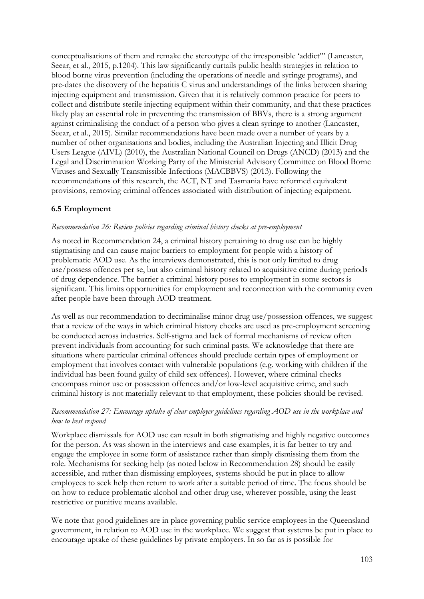conceptualisations of them and remake the stereotype of the irresponsible 'addict'" [\(Lancaster,](#page-118-0)  [Seear, et al., 2015, p.1204\)](#page-118-0). This law significantly curtails public health strategies in relation to blood borne virus prevention (including the operations of needle and syringe programs), and pre-dates the discovery of the hepatitis C virus and understandings of the links between sharing injecting equipment and transmission. Given that it is relatively common practice for peers to collect and distribute sterile injecting equipment within their community, and that these practices likely play an essential role in preventing the transmission of BBVs, there is a strong argument against criminalising the conduct of a person who gives a clean syringe to another [\(Lancaster,](#page-118-0)  [Seear, et al., 2015\)](#page-118-0). Similar recommendations have been made over a number of years by a number of other organisations and bodies, including the Australian Injecting and Illicit Drug Users League (AIVL) [\(2010\)](#page-115-0), the Australian National Council on Drugs (ANCD) [\(2013\)](#page-115-1) and the Legal and Discrimination Working Party of the Ministerial Advisory Committee on Blood Borne Viruses and Sexually Transmissible Infections (MACBBVS) [\(2013\)](#page-118-1). Following the recommendations of this research, the ACT, NT and Tasmania have reformed equivalent provisions, removing criminal offences associated with distribution of injecting equipment.

## **6.5 Employment**

#### *Recommendation 26: Review policies regarding criminal history checks at pre-employment*

As noted in Recommendation 24, a criminal history pertaining to drug use can be highly stigmatising and can cause major barriers to employment for people with a history of problematic AOD use. As the interviews demonstrated, this is not only limited to drug use/possess offences per se, but also criminal history related to acquisitive crime during periods of drug dependence. The barrier a criminal history poses to employment in some sectors is significant. This limits opportunities for employment and reconnection with the community even after people have been through AOD treatment.

As well as our recommendation to decriminalise minor drug use/possession offences, we suggest that a review of the ways in which criminal history checks are used as pre-employment screening be conducted across industries. Self-stigma and lack of formal mechanisms of review often prevent individuals from accounting for such criminal pasts. We acknowledge that there are situations where particular criminal offences should preclude certain types of employment or employment that involves contact with vulnerable populations (e.g. working with children if the individual has been found guilty of child sex offences). However, where criminal checks encompass minor use or possession offences and/or low-level acquisitive crime, and such criminal history is not materially relevant to that employment, these policies should be revised.

## *Recommendation 27: Encourage uptake of clear employer guidelines regarding AOD use in the workplace and how to best respond*

Workplace dismissals for AOD use can result in both stigmatising and highly negative outcomes for the person. As was shown in the interviews and case examples, it is far better to try and engage the employee in some form of assistance rather than simply dismissing them from the role. Mechanisms for seeking help (as noted below in Recommendation 28) should be easily accessible, and rather than dismissing employees, systems should be put in place to allow employees to seek help then return to work after a suitable period of time. The focus should be on how to reduce problematic alcohol and other drug use, wherever possible, using the least restrictive or punitive means available.

We note that good guidelines are in place governing public service employees in the Queensland government, in relation to AOD use in the workplace. We suggest that systems be put in place to encourage uptake of these guidelines by private employers. In so far as is possible for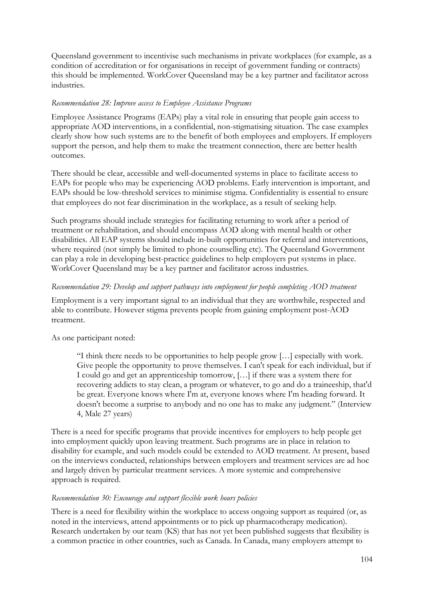Queensland government to incentivise such mechanisms in private workplaces (for example, as a condition of accreditation or for organisations in receipt of government funding or contracts) this should be implemented. WorkCover Queensland may be a key partner and facilitator across industries.

#### *Recommendation 28: Improve access to Employee Assistance Programs*

Employee Assistance Programs (EAPs) play a vital role in ensuring that people gain access to appropriate AOD interventions, in a confidential, non-stigmatising situation. The case examples clearly show how such systems are to the benefit of both employees and employers. If employers support the person, and help them to make the treatment connection, there are better health outcomes.

There should be clear, accessible and well-documented systems in place to facilitate access to EAPs for people who may be experiencing AOD problems. Early intervention is important, and EAPs should be low-threshold services to minimise stigma. Confidentiality is essential to ensure that employees do not fear discrimination in the workplace, as a result of seeking help.

Such programs should include strategies for facilitating returning to work after a period of treatment or rehabilitation, and should encompass AOD along with mental health or other disabilities. All EAP systems should include in-built opportunities for referral and interventions, where required (not simply be limited to phone counselling etc). The Queensland Government can play a role in developing best-practice guidelines to help employers put systems in place. WorkCover Queensland may be a key partner and facilitator across industries.

# *Recommendation 29: Develop and support pathways into employment for people completing AOD treatment*

Employment is a very important signal to an individual that they are worthwhile, respected and able to contribute. However stigma prevents people from gaining employment post-AOD treatment.

#### As one participant noted:

"I think there needs to be opportunities to help people grow […] especially with work. Give people the opportunity to prove themselves. I can't speak for each individual, but if I could go and get an apprenticeship tomorrow, […] if there was a system there for recovering addicts to stay clean, a program or whatever, to go and do a traineeship, that'd be great. Everyone knows where I'm at, everyone knows where I'm heading forward. It doesn't become a surprise to anybody and no one has to make any judgment." (Interview 4, Male 27 years)

There is a need for specific programs that provide incentives for employers to help people get into employment quickly upon leaving treatment. Such programs are in place in relation to disability for example, and such models could be extended to AOD treatment. At present, based on the interviews conducted, relationships between employers and treatment services are ad hoc and largely driven by particular treatment services. A more systemic and comprehensive approach is required.

#### *Recommendation 30: Encourage and support flexible work hours policies*

There is a need for flexibility within the workplace to access ongoing support as required (or, as noted in the interviews, attend appointments or to pick up pharmacotherapy medication). Research undertaken by our team (KS) that has not yet been published suggests that flexibility is a common practice in other countries, such as Canada. In Canada, many employers attempt to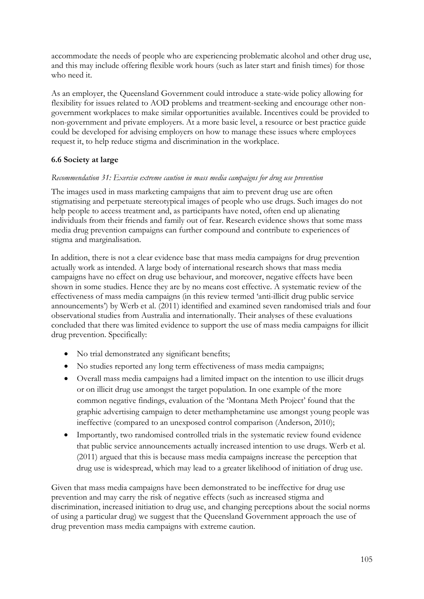accommodate the needs of people who are experiencing problematic alcohol and other drug use, and this may include offering flexible work hours (such as later start and finish times) for those who need it.

As an employer, the Queensland Government could introduce a state-wide policy allowing for flexibility for issues related to AOD problems and treatment-seeking and encourage other nongovernment workplaces to make similar opportunities available. Incentives could be provided to non-government and private employers. At a more basic level, a resource or best practice guide could be developed for advising employers on how to manage these issues where employees request it, to help reduce stigma and discrimination in the workplace.

# **6.6 Society at large**

## *Recommendation 31: Exercise extreme caution in mass media campaigns for drug use prevention*

The images used in mass marketing campaigns that aim to prevent drug use are often stigmatising and perpetuate stereotypical images of people who use drugs. Such images do not help people to access treatment and, as participants have noted, often end up alienating individuals from their friends and family out of fear. Research evidence shows that some mass media drug prevention campaigns can further compound and contribute to experiences of stigma and marginalisation.

In addition, there is not a clear evidence base that mass media campaigns for drug prevention actually work as intended. A large body of international research shows that mass media campaigns have no effect on drug use behaviour, and moreover, negative effects have been shown in some studies. Hence they are by no means cost effective. A systematic review of the effectiveness of mass media campaigns (in this review termed 'anti-illicit drug public service announcements') by Werb et al. [\(2011\)](#page-122-0) identified and examined seven randomised trials and four observational studies from Australia and internationally. Their analyses of these evaluations concluded that there was limited evidence to support the use of mass media campaigns for illicit drug prevention. Specifically:

- No trial demonstrated any significant benefits;
- No studies reported any long term effectiveness of mass media campaigns;
- Overall mass media campaigns had a limited impact on the intention to use illicit drugs or on illicit drug use amongst the target population. In one example of the more common negative findings, evaluation of the 'Montana Meth Project' found that the graphic advertising campaign to deter methamphetamine use amongst young people was ineffective (compared to an unexposed control comparison [\(Anderson, 2010\)](#page-115-2);
- Importantly, two randomised controlled trials in the systematic review found evidence that public service announcements actually increased intention to use drugs. Werb et al. [\(2011\)](#page-122-0) argued that this is because mass media campaigns increase the perception that drug use is widespread, which may lead to a greater likelihood of initiation of drug use.

Given that mass media campaigns have been demonstrated to be ineffective for drug use prevention and may carry the risk of negative effects (such as increased stigma and discrimination, increased initiation to drug use, and changing perceptions about the social norms of using a particular drug) we suggest that the Queensland Government approach the use of drug prevention mass media campaigns with extreme caution.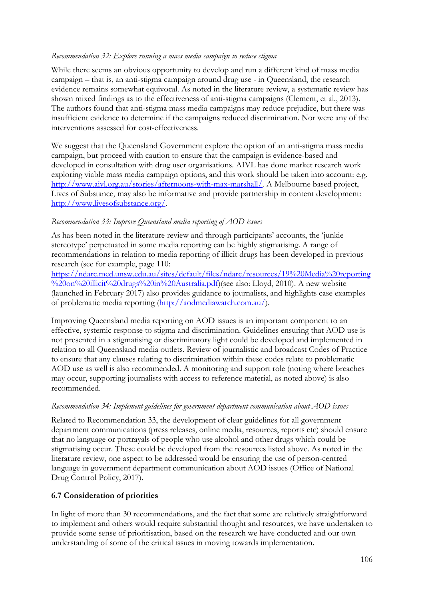#### *Recommendation 32: Explore running a mass media campaign to reduce stigma*

While there seems an obvious opportunity to develop and run a different kind of mass media campaign – that is, an anti-stigma campaign around drug use - in Queensland, the research evidence remains somewhat equivocal. As noted in the literature review, a systematic review has shown mixed findings as to the effectiveness of anti-stigma campaigns [\(Clement, et al., 2013\)](#page-116-0). The authors found that anti-stigma mass media campaigns may reduce prejudice, but there was insufficient evidence to determine if the campaigns reduced discrimination. Nor were any of the interventions assessed for cost-effectiveness.

We suggest that the Queensland Government explore the option of an anti-stigma mass media campaign, but proceed with caution to ensure that the campaign is evidence-based and developed in consultation with drug user organisations. AIVL has done market research work exploring viable mass media campaign options, and this work should be taken into account: e.g. [http://www.aivl.org.au/stories/afternoons-with-max-marshall/.](http://www.aivl.org.au/stories/afternoons-with-max-marshall/) A Melbourne based project, Lives of Substance, may also be informative and provide partnership in content development: [http://www.livesofsubstance.org/.](http://www.livesofsubstance.org/)

#### *Recommendation 33: Improve Queensland media reporting of AOD issues*

As has been noted in the literature review and through participants' accounts, the 'junkie stereotype' perpetuated in some media reporting can be highly stigmatising. A range of recommendations in relation to media reporting of illicit drugs has been developed in previous research (see for example, page 110:

[https://ndarc.med.unsw.edu.au/sites/default/files/ndarc/resources/19%20Media%20reporting](https://ndarc.med.unsw.edu.au/sites/default/files/ndarc/resources/19%20Media%20reporting%20on%20illicit%20drugs%20in%20Australia.pdf) [%20on%20illicit%20drugs%20in%20Australia.pdf\)](https://ndarc.med.unsw.edu.au/sites/default/files/ndarc/resources/19%20Media%20reporting%20on%20illicit%20drugs%20in%20Australia.pdf)[\(see also: Lloyd, 2010\)](#page-118-2). A new website (launched in February 2017) also provides guidance to journalists, and highlights case examples of problematic media reporting [\(http://aodmediawatch.com.au/\)](http://aodmediawatch.com.au/).

Improving Queensland media reporting on AOD issues is an important component to an effective, systemic response to stigma and discrimination. Guidelines ensuring that AOD use is not presented in a stigmatising or discriminatory light could be developed and implemented in relation to all Queensland media outlets. Review of journalistic and broadcast Codes of Practice to ensure that any clauses relating to discrimination within these codes relate to problematic AOD use as well is also recommended. A monitoring and support role (noting where breaches may occur, supporting journalists with access to reference material, as noted above) is also recommended.

#### *Recommendation 34: Implement guidelines for government department communication about AOD issues*

Related to Recommendation 33, the development of clear guidelines for all government department communications (press releases, online media, resources, reports etc) should ensure that no language or portrayals of people who use alcohol and other drugs which could be stigmatising occur. These could be developed from the resources listed above. As noted in the literature review, one aspect to be addressed would be ensuring the use of person-centred language in government department communication about AOD issues [\(Office of National](#page-119-0)  [Drug Control Policy, 2017\)](#page-119-0).

#### **6.7 Consideration of priorities**

In light of more than 30 recommendations, and the fact that some are relatively straightforward to implement and others would require substantial thought and resources, we have undertaken to provide some sense of prioritisation, based on the research we have conducted and our own understanding of some of the critical issues in moving towards implementation.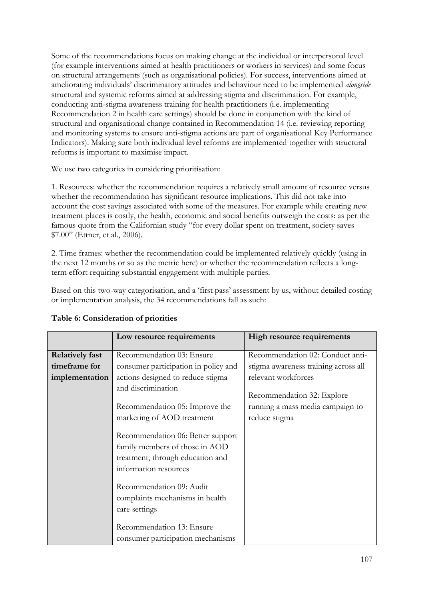Some of the recommendations focus on making change at the individual or interpersonal level (for example interventions aimed at health practitioners or workers in services) and some focus on structural arrangements (such as organisational policies). For success, interventions aimed at ameliorating individuals' discriminatory attitudes and behaviour need to be implemented *alongside* structural and systemic reforms aimed at addressing stigma and discrimination. For example, conducting anti-stigma awareness training for health practitioners (i.e. implementing Recommendation 2 in health care settings) should be done in conjunction with the kind of structural and organisational change contained in Recommendation 14 (i.e. reviewing reporting and monitoring systems to ensure anti-stigma actions are part of organisational Key Performance Indicators). Making sure both individual level reforms are implemented together with structural reforms is important to maximise impact.

We use two categories in considering prioritisation:

1. Resources: whether the recommendation requires a relatively small amount of resource versus whether the recommendation has significant resource implications. This did not take into account the cost savings associated with some of the measures. For example while creating new treatment places is costly, the health, economic and social benefits outweigh the costs: as per the famous quote from the Californian study "for every dollar spent on treatment, society saves \$7.00" [\(Ettner, et al., 2006\)](#page-117-0).

2. Time frames: whether the recommendation could be implemented relatively quickly (using in the next 12 months or so as the metric here) or whether the recommendation reflects a longterm effort requiring substantial engagement with multiple parties.

Based on this two-way categorisation, and a 'first pass' assessment by us, without detailed costing or implementation analysis, the 34 recommendations fall as such:

|                        | Low resource requirements                                                                                                        | High resource requirements           |
|------------------------|----------------------------------------------------------------------------------------------------------------------------------|--------------------------------------|
|                        |                                                                                                                                  |                                      |
| <b>Relatively fast</b> | Recommendation 03: Ensure                                                                                                        | Recommendation 02: Conduct anti-     |
| timeframe for          | consumer participation in policy and                                                                                             | stigma awareness training across all |
| implementation         | actions designed to reduce stigma                                                                                                | relevant workforces                  |
|                        | and discrimination                                                                                                               | Recommendation 32: Explore           |
|                        | Recommendation 05: Improve the                                                                                                   | running a mass media campaign to     |
|                        | marketing of AOD treatment                                                                                                       | reduce stigma                        |
|                        | Recommendation 06: Better support<br>family members of those in AOD<br>treatment, through education and<br>information resources |                                      |
|                        | Recommendation 09: Audit<br>complaints mechanisms in health<br>care settings                                                     |                                      |
|                        | Recommendation 13: Ensure<br>consumer participation mechanisms                                                                   |                                      |

#### **Table 6: Consideration of priorities**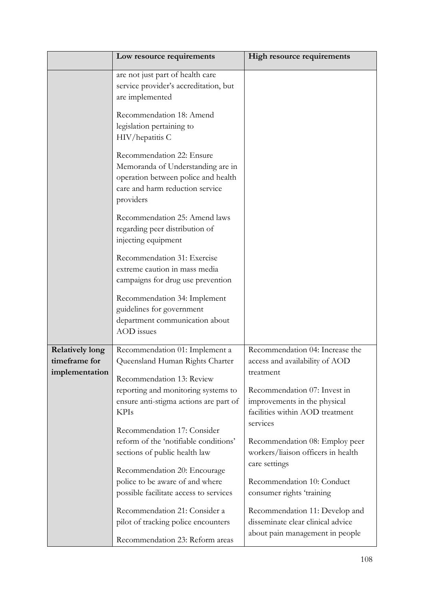|                                                           | Low resource requirements                                                                                                                                                | High resource requirements                                                                             |
|-----------------------------------------------------------|--------------------------------------------------------------------------------------------------------------------------------------------------------------------------|--------------------------------------------------------------------------------------------------------|
|                                                           | are not just part of health care<br>service provider's accreditation, but<br>are implemented<br>Recommendation 18: Amend<br>legislation pertaining to<br>HIV/hepatitis C |                                                                                                        |
|                                                           | Recommendation 22: Ensure<br>Memoranda of Understanding are in<br>operation between police and health<br>care and harm reduction service<br>providers                    |                                                                                                        |
|                                                           | Recommendation 25: Amend laws<br>regarding peer distribution of<br>injecting equipment                                                                                   |                                                                                                        |
|                                                           | Recommendation 31: Exercise<br>extreme caution in mass media<br>campaigns for drug use prevention                                                                        |                                                                                                        |
|                                                           | Recommendation 34: Implement<br>guidelines for government<br>department communication about<br>AOD issues                                                                |                                                                                                        |
| <b>Relatively long</b><br>timeframe for<br>implementation | Recommendation 01: Implement a<br>Queensland Human Rights Charter<br>Recommendation 13: Review                                                                           | Recommendation 04: Increase the<br>access and availability of AOD<br>treatment                         |
|                                                           | reporting and monitoring systems to<br>ensure anti-stigma actions are part of<br><b>KPIs</b>                                                                             | Recommendation 07: Invest in<br>improvements in the physical<br>facilities within AOD treatment        |
|                                                           | Recommendation 17: Consider<br>reform of the 'notifiable conditions'<br>sections of public health law                                                                    | services<br>Recommendation 08: Employ peer<br>workers/liaison officers in health<br>care settings      |
|                                                           | Recommendation 20: Encourage<br>police to be aware of and where<br>possible facilitate access to services                                                                | Recommendation 10: Conduct<br>consumer rights 'training                                                |
|                                                           | Recommendation 21: Consider a<br>pilot of tracking police encounters<br>Recommendation 23: Reform areas                                                                  | Recommendation 11: Develop and<br>disseminate clear clinical advice<br>about pain management in people |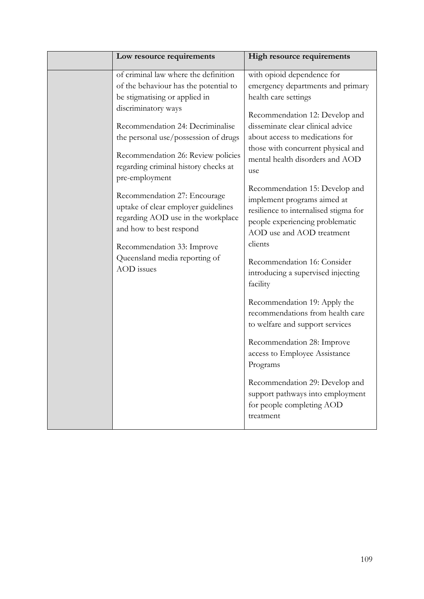| Low resource requirements                                                                                                                                                                                                                                                                                                                                                                                                                                                                                                              | High resource requirements                                                                                                                                                                                                                                                                                                                                                                                                                                                                                                                                                                                                                                                                                                                                                                                                                                |
|----------------------------------------------------------------------------------------------------------------------------------------------------------------------------------------------------------------------------------------------------------------------------------------------------------------------------------------------------------------------------------------------------------------------------------------------------------------------------------------------------------------------------------------|-----------------------------------------------------------------------------------------------------------------------------------------------------------------------------------------------------------------------------------------------------------------------------------------------------------------------------------------------------------------------------------------------------------------------------------------------------------------------------------------------------------------------------------------------------------------------------------------------------------------------------------------------------------------------------------------------------------------------------------------------------------------------------------------------------------------------------------------------------------|
| of criminal law where the definition<br>of the behaviour has the potential to<br>be stigmatising or applied in<br>discriminatory ways<br>Recommendation 24: Decriminalise<br>the personal use/possession of drugs<br>Recommendation 26: Review policies<br>regarding criminal history checks at<br>pre-employment<br>Recommendation 27: Encourage<br>uptake of clear employer guidelines<br>regarding AOD use in the workplace<br>and how to best respond<br>Recommendation 33: Improve<br>Queensland media reporting of<br>AOD issues | with opioid dependence for<br>emergency departments and primary<br>health care settings<br>Recommendation 12: Develop and<br>disseminate clear clinical advice<br>about access to medications for<br>those with concurrent physical and<br>mental health disorders and AOD<br>use<br>Recommendation 15: Develop and<br>implement programs aimed at<br>resilience to internalised stigma for<br>people experiencing problematic<br>AOD use and AOD treatment<br>clients<br>Recommendation 16: Consider<br>introducing a supervised injecting<br>facility<br>Recommendation 19: Apply the<br>recommendations from health care<br>to welfare and support services<br>Recommendation 28: Improve<br>access to Employee Assistance<br>Programs<br>Recommendation 29: Develop and<br>support pathways into employment<br>for people completing AOD<br>treatment |
|                                                                                                                                                                                                                                                                                                                                                                                                                                                                                                                                        |                                                                                                                                                                                                                                                                                                                                                                                                                                                                                                                                                                                                                                                                                                                                                                                                                                                           |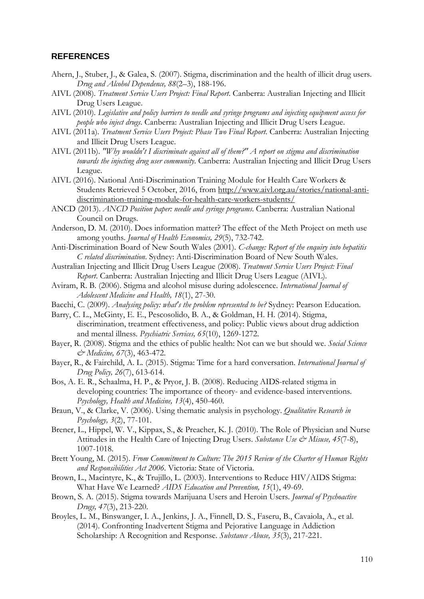#### **REFERENCES**

- Ahern, J., Stuber, J., & Galea, S. (2007). Stigma, discrimination and the health of illicit drug users. *Drug and Alcohol Dependence, 88*(2–3), 188-196.
- AIVL (2008). *Treatment Service Users Project: Final Report*. Canberra: Australian Injecting and Illicit Drug Users League.
- <span id="page-115-0"></span>AIVL (2010). *Legislative and policy barriers to needle and syringe programs and injecting equipment access for people who inject drugs*. Canberra: Australian Injecting and Illicit Drug Users League.
- AIVL (2011a). *Treatment Service Users Project: Phase Two Final Report*. Canberra: Australian Injecting and Illicit Drug Users League.
- AIVL (2011b). *"Why wouldn't I discriminate against all of them?" A report on stigma and discrimination towards the injecting drug user community*. Canberra: Australian Injecting and Illicit Drug Users League.
- AIVL (2016). National Anti-Discrimination Training Module for Health Care Workers & Students Retrieved 5 October, 2016, from [http://www.aivl.org.au/stories/national-anti](http://www.aivl.org.au/stories/national-anti-discrimination-training-module-for-health-care-workers-students/)[discrimination-training-module-for-health-care-workers-students/](http://www.aivl.org.au/stories/national-anti-discrimination-training-module-for-health-care-workers-students/)
- <span id="page-115-1"></span>ANCD (2013). *ANCD Position paper: needle and syringe programs*. Canberra: Australian National Council on Drugs.
- <span id="page-115-2"></span>Anderson, D. M. (2010). Does information matter? The effect of the Meth Project on meth use among youths. *Journal of Health Economics, 29*(5), 732-742.
- Anti-Discrimination Board of New South Wales (2001). *C-change: Report of the enquiry into hepatitis C related discrimination*. Sydney: Anti-Discrimination Board of New South Wales.
- Australian Injecting and Illicit Drug Users League (2008). *Treatment Service Users Project: Final Report*. Canberra: Australian Injecting and Illicit Drug Users League (AIVL).
- Aviram, R. B. (2006). Stigma and alcohol misuse during adolescence. *International Journal of Adolescent Medicine and Health, 18*(1), 27-30.
- Bacchi, C. (2009). *Analysing policy: what's the problem represented to be?* Sydney: Pearson Education.
- Barry, C. L., McGinty, E. E., Pescosolido, B. A., & Goldman, H. H. (2014). Stigma, discrimination, treatment effectiveness, and policy: Public views about drug addiction and mental illness. *Psychiatric Services, 65*(10), 1269-1272.
- Bayer, R. (2008). Stigma and the ethics of public health: Not can we but should we. *Social Science & Medicine, 67*(3), 463-472.
- Bayer, R., & Fairchild, A. L. (2015). Stigma: Time for a hard conversation. *International Journal of Drug Policy, 26*(7), 613-614.
- Bos, A. E. R., Schaalma, H. P., & Pryor, J. B. (2008). Reducing AIDS-related stigma in developing countries: The importance of theory- and evidence-based interventions. *Psychology, Health and Medicine, 13*(4), 450-460.
- Braun, V., & Clarke, V. (2006). Using thematic analysis in psychology. *Qualitative Research in Psychology, 3*(2), 77-101.
- Brener, L., Hippel, W. V., Kippax, S., & Preacher, K. J. (2010). The Role of Physician and Nurse Attitudes in the Health Care of Injecting Drug Users. *Substance Use & Misuse*, 45(7-8), 1007-1018.
- Brett Young, M. (2015). *From Commitment to Culture: The 2015 Review of the Charter of Human Rights and Responsibilities Act 2006*. Victoria: State of Victoria.
- Brown, L., Macintyre, K., & Trujillo, L. (2003). Interventions to Reduce HIV/AIDS Stigma: What Have We Learned? *AIDS Education and Prevention, 15*(1), 49-69.
- Brown, S. A. (2015). Stigma towards Marijuana Users and Heroin Users. *Journal of Psychoactive Drugs, 47*(3), 213-220.
- Broyles, L. M., Binswanger, I. A., Jenkins, J. A., Finnell, D. S., Faseru, B., Cavaiola, A., et al. (2014). Confronting Inadvertent Stigma and Pejorative Language in Addiction Scholarship: A Recognition and Response. *Substance Abuse, 35*(3), 217-221.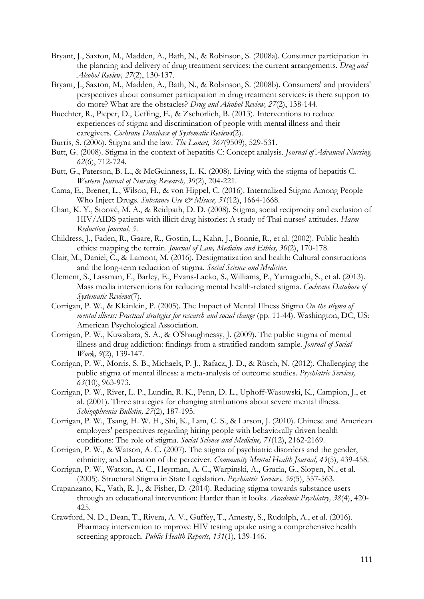- Bryant, J., Saxton, M., Madden, A., Bath, N., & Robinson, S. (2008a). Consumer participation in the planning and delivery of drug treatment services: the current arrangements. *Drug and Alcohol Review, 27*(2), 130-137.
- Bryant, J., Saxton, M., Madden, A., Bath, N., & Robinson, S. (2008b). Consumers' and providers' perspectives about consumer participation in drug treatment services: is there support to do more? What are the obstacles? *Drug and Alcohol Review, 27*(2), 138-144.
- Buechter, R., Pieper, D., Ueffing, E., & Zschorlich, B. (2013). Interventions to reduce experiences of stigma and discrimination of people with mental illness and their caregivers. *Cochrane Database of Systematic Reviews*(2).
- Burris, S. (2006). Stigma and the law. *The Lancet, 367*(9509), 529-531.
- Butt, G. (2008). Stigma in the context of hepatitis C: Concept analysis. *Journal of Advanced Nursing, 62*(6), 712-724.
- Butt, G., Paterson, B. L., & McGuinness, L. K. (2008). Living with the stigma of hepatitis C. *Western Journal of Nursing Research, 30*(2), 204-221.
- Cama, E., Brener, L., Wilson, H., & von Hippel, C. (2016). Internalized Stigma Among People Who Inject Drugs. *Substance Use & Misuse, 51*(12), 1664-1668.
- Chan, K. Y., Stoové, M. A., & Reidpath, D. D. (2008). Stigma, social reciprocity and exclusion of HIV/AIDS patients with illicit drug histories: A study of Thai nurses' attitudes. *Harm Reduction Journal, 5*.
- Childress, J., Faden, R., Gaare, R., Gostin, L., Kahn, J., Bonnie, R., et al. (2002). Public health ethics: mapping the terrain. *Journal of Law, Medicine and Ethics, 30*(2), 170-178.
- Clair, M., Daniel, C., & Lamont, M. (2016). Destigmatization and health: Cultural constructions and the long-term reduction of stigma. *Social Science and Medicine*.
- <span id="page-116-0"></span>Clement, S., Lassman, F., Barley, E., Evans-Lacko, S., Williams, P., Yamaguchi, S., et al. (2013). Mass media interventions for reducing mental health-related stigma. *Cochrane Database of Systematic Reviews*(7).
- Corrigan, P. W., & Kleinlein, P. (2005). The Impact of Mental Illness Stigma *On the stigma of mental illness: Practical strategies for research and social change* (pp. 11-44). Washington, DC, US: American Psychological Association.
- Corrigan, P. W., Kuwabara, S. A., & O'Shaughnessy, J. (2009). The public stigma of mental illness and drug addiction: findings from a stratified random sample. *Journal of Social Work, 9*(2), 139-147.
- Corrigan, P. W., Morris, S. B., Michaels, P. J., Rafacz, J. D., & Rüsch, N. (2012). Challenging the public stigma of mental illness: a meta-analysis of outcome studies. *Psychiatric Services, 63*(10), 963-973.
- Corrigan, P. W., River, L. P., Lundin, R. K., Penn, D. L., Uphoff-Wasowski, K., Campion, J., et al. (2001). Three strategies for changing attributions about severe mental illness. *Schizophrenia Bulletin, 27*(2), 187-195.
- Corrigan, P. W., Tsang, H. W. H., Shi, K., Lam, C. S., & Larson, J. (2010). Chinese and American employers' perspectives regarding hiring people with behaviorally driven health conditions: The role of stigma. *Social Science and Medicine, 71*(12), 2162-2169.
- Corrigan, P. W., & Watson, A. C. (2007). The stigma of psychiatric disorders and the gender, ethnicity, and education of the perceiver. *Community Mental Health Journal, 43*(5), 439-458.
- Corrigan, P. W., Watson, A. C., Heyrman, A. C., Warpinski, A., Gracia, G., Slopen, N., et al. (2005). Structural Stigma in State Legislation. *Psychiatric Services, 56*(5), 557-563.
- Crapanzano, K., Vath, R. J., & Fisher, D. (2014). Reducing stigma towards substance users through an educational intervention: Harder than it looks. *Academic Psychiatry, 38*(4), 420- 425.
- Crawford, N. D., Dean, T., Rivera, A. V., Guffey, T., Amesty, S., Rudolph, A., et al. (2016). Pharmacy intervention to improve HIV testing uptake using a comprehensive health screening approach. *Public Health Reports, 131*(1), 139-146.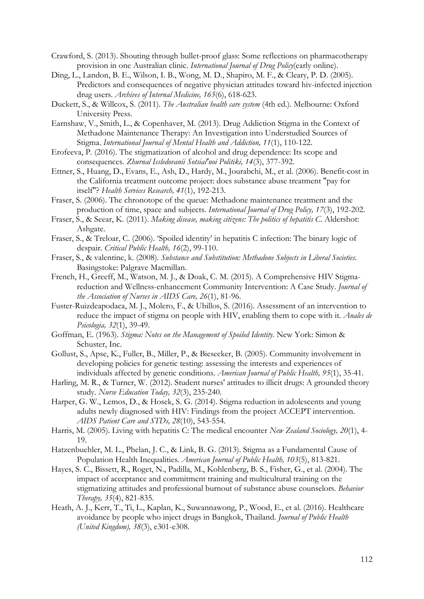- Crawford, S. (2013). Shouting through bullet-proof glass: Some reflections on pharmacotherapy provision in one Australian clinic. *International Journal of Drug Policy*(early online).
- Ding, L., Landon, B. E., Wilson, I. B., Wong, M. D., Shapiro, M. F., & Cleary, P. D. (2005). Predictors and consequences of negative physician attitudes toward hiv-infected injection drug users. *Archives of Internal Medicine, 165*(6), 618-623.
- Duckett, S., & Willcox, S. (2011). *The Australian health care system* (4th ed.). Melbourne: Oxford University Press.
- Earnshaw, V., Smith, L., & Copenhaver, M. (2013). Drug Addiction Stigma in the Context of Methadone Maintenance Therapy: An Investigation into Understudied Sources of Stigma. *International Journal of Mental Health and Addiction, 11*(1), 110-122.
- Erofeeva, P. (2016). The stigmatization of alcohol and drug dependence: Its scope and consequences. *Zhurnal Issledovanii Sotsial'noi Politiki, 14*(3), 377-392.
- <span id="page-117-0"></span>Ettner, S., Huang, D., Evans, E., Ash, D., Hardy, M., Jourabchi, M., et al. (2006). Benefit-cost in the California treatment outcome project: does substance abuse treatment "pay for itself"? *Health Services Research, 41*(1), 192-213.
- Fraser, S. (2006). The chronotope of the queue: Methadone maintenance treatment and the production of time, space and subjects. *International Journal of Drug Policy, 17*(3), 192-202.
- Fraser, S., & Seear, K. (2011). *Making disease, making citizens: The politics of hepatitis C*. Aldershot: Ashgate.
- Fraser, S., & Treloar, C. (2006). 'Spoiled identity' in hepatitis C infection: The binary logic of despair. *Critical Public Health, 16*(2), 99-110.
- Fraser, S., & valentine, k. (2008). *Substance and Substitution: Methadone Subjects in Liberal Societies*. Basingstoke: Palgrave Macmillan.
- French, H., Greeff, M., Watson, M. J., & Doak, C. M. (2015). A Comprehensive HIV Stigmareduction and Wellness-enhancement Community Intervention: A Case Study. *Journal of the Association of Nurses in AIDS Care, 26*(1), 81-96.
- Fuster-Ruizdeapodaca, M. J., Molero, F., & Ubillos, S. (2016). Assessment of an intervention to reduce the impact of stigma on people with HIV, enabling them to cope with it. *Anales de Psicologia, 32*(1), 39-49.
- Goffman, E. (1963). *Stigma: Notes on the Management of Spoiled Identity*. New York: Simon & Schuster, Inc.
- Gollust, S., Apse, K., Fuller, B., Miller, P., & Biesecker, B. (2005). Community involvement in developing policies for genetic testing: assessing the interests and experiences of individuals affected by genetic conditions. *American Journal of Public Health, 95*(1), 35-41.
- Harling, M. R., & Turner, W. (2012). Student nurses' attitudes to illicit drugs: A grounded theory study. *Nurse Education Today, 32*(3), 235-240.
- Harper, G. W., Lemos, D., & Hosek, S. G. (2014). Stigma reduction in adolescents and young adults newly diagnosed with HIV: Findings from the project ACCEPT intervention. *AIDS Patient Care and STDs, 28*(10), 543-554.
- Harris, M. (2005). Living with hepatitis C: The medical encounter *New Zealand Sociology, 20*(1), 4- 19.
- Hatzenbuehler, M. L., Phelan, J. C., & Link, B. G. (2013). Stigma as a Fundamental Cause of Population Health Inequalities. *American Journal of Public Health, 103*(5), 813-821.
- Hayes, S. C., Bissett, R., Roget, N., Padilla, M., Kohlenberg, B. S., Fisher, G., et al. (2004). The impact of acceptance and commitment training and multicultural training on the stigmatizing attitudes and professional burnout of substance abuse counselors. *Behavior Therapy, 35*(4), 821-835.
- Heath, A. J., Kerr, T., Ti, L., Kaplan, K., Suwannawong, P., Wood, E., et al. (2016). Healthcare avoidance by people who inject drugs in Bangkok, Thailand. *Journal of Public Health (United Kingdom), 38*(3), e301-e308.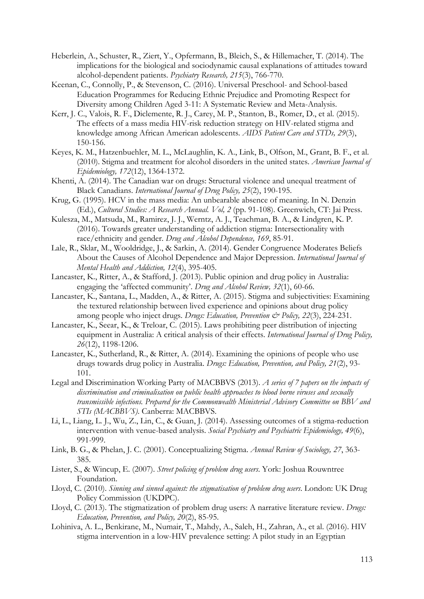- Heberlein, A., Schuster, R., Ziert, Y., Opfermann, B., Bleich, S., & Hillemacher, T. (2014). The implications for the biological and sociodynamic causal explanations of attitudes toward alcohol-dependent patients. *Psychiatry Research, 215*(3), 766-770.
- Keenan, C., Connolly, P., & Stevenson, C. (2016). Universal Preschool- and School-based Education Programmes for Reducing Ethnic Prejudice and Promoting Respect for Diversity among Children Aged 3-11: A Systematic Review and Meta-Analysis.
- Kerr, J. C., Valois, R. F., Diclemente, R. J., Carey, M. P., Stanton, B., Romer, D., et al. (2015). The effects of a mass media HIV-risk reduction strategy on HIV-related stigma and knowledge among African American adolescents. *AIDS Patient Care and STDs, 29*(3), 150-156.
- Keyes, K. M., Hatzenbuehler, M. L., McLaughlin, K. A., Link, B., Olfson, M., Grant, B. F., et al. (2010). Stigma and treatment for alcohol disorders in the united states. *American Journal of Epidemiology, 172*(12), 1364-1372.
- Khenti, A. (2014). The Canadian war on drugs: Structural violence and unequal treatment of Black Canadians. *International Journal of Drug Policy, 25*(2), 190-195.
- Krug, G. (1995). HCV in the mass media: An unbearable absence of meaning. In N. Denzin (Ed.), *Cultural Studies: A Research Annual. Vol, 2* (pp. 91-108). Greenwich, CT: Jai Press.
- Kulesza, M., Matsuda, M., Ramirez, J. J., Werntz, A. J., Teachman, B. A., & Lindgren, K. P. (2016). Towards greater understanding of addiction stigma: Intersectionality with race/ethnicity and gender. *Drug and Alcohol Dependence, 169*, 85-91.
- Lale, R., Sklar, M., Wooldridge, J., & Sarkin, A. (2014). Gender Congruence Moderates Beliefs About the Causes of Alcohol Dependence and Major Depression. *International Journal of Mental Health and Addiction, 12*(4), 395-405.
- Lancaster, K., Ritter, A., & Stafford, J. (2013). Public opinion and drug policy in Australia: engaging the 'affected community'. *Drug and Alcohol Review, 32*(1), 60-66.
- Lancaster, K., Santana, L., Madden, A., & Ritter, A. (2015). Stigma and subjectivities: Examining the textured relationship between lived experience and opinions about drug policy among people who inject drugs. *Drugs: Education, Prevention & Policy, 22*(3), 224-231.
- <span id="page-118-0"></span>Lancaster, K., Seear, K., & Treloar, C. (2015). Laws prohibiting peer distribution of injecting equipment in Australia: A critical analysis of their effects. *International Journal of Drug Policy, 26*(12), 1198-1206.
- Lancaster, K., Sutherland, R., & Ritter, A. (2014). Examining the opinions of people who use drugs towards drug policy in Australia. *Drugs: Education, Prevention, and Policy, 21*(2), 93- 101.
- <span id="page-118-1"></span>Legal and Discrimination Working Party of MACBBVS (2013). *A series of 7 papers on the impacts of discrimination and criminalisation on public health approaches to blood borne viruses and sexually transmissible infections. Prepared for the Commonwealth Ministerial Advisory Committee on BBV and STIs (MACBBVS)*. Canberra: MACBBVS.
- Li, L., Liang, L. J., Wu, Z., Lin, C., & Guan, J. (2014). Assessing outcomes of a stigma-reduction intervention with venue-based analysis. *Social Psychiatry and Psychiatric Epidemiology, 49*(6), 991-999.
- Link, B. G., & Phelan, J. C. (2001). Conceptualizing Stigma. *Annual Review of Sociology, 27*, 363- 385.
- Lister, S., & Wincup, E. (2007). *Street policing of problem drug users*. York: Joshua Rouwntree Foundation.
- <span id="page-118-2"></span>Lloyd, C. (2010). *Sinning and sinned against: the stigmatisation of problem drug users*. London: UK Drug Policy Commission (UKDPC).
- Lloyd, C. (2013). The stigmatization of problem drug users: A narrative literature review. *Drugs: Education, Prevention, and Policy, 20*(2), 85-95.
- Lohiniva, A. L., Benkirane, M., Numair, T., Mahdy, A., Saleh, H., Zahran, A., et al. (2016). HIV stigma intervention in a low-HIV prevalence setting: A pilot study in an Egyptian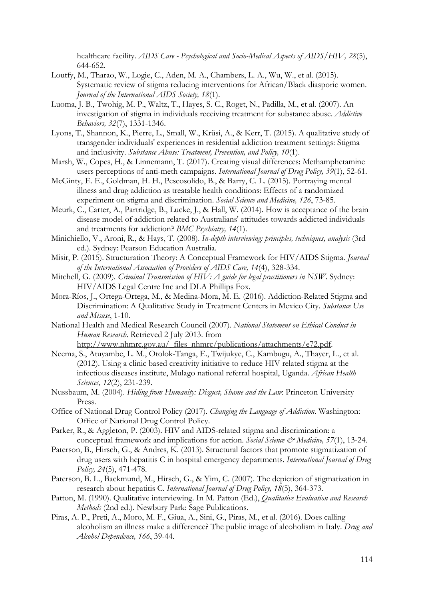healthcare facility. *AIDS Care - Psychological and Socio-Medical Aspects of AIDS/HIV, 28*(5), 644-652.

- Loutfy, M., Tharao, W., Logie, C., Aden, M. A., Chambers, L. A., Wu, W., et al. (2015). Systematic review of stigma reducing interventions for African/Black diasporic women. *Journal of the International AIDS Society, 18*(1).
- Luoma, J. B., Twohig, M. P., Waltz, T., Hayes, S. C., Roget, N., Padilla, M., et al. (2007). An investigation of stigma in individuals receiving treatment for substance abuse. *Addictive Behaviors, 32*(7), 1331-1346.
- Lyons, T., Shannon, K., Pierre, L., Small, W., Krüsi, A., & Kerr, T. (2015). A qualitative study of transgender individuals' experiences in residential addiction treatment settings: Stigma and inclusivity. *Substance Abuse: Treatment, Prevention, and Policy, 10*(1).
- Marsh, W., Copes, H., & Linnemann, T. (2017). Creating visual differences: Methamphetamine users perceptions of anti-meth campaigns. *International Journal of Drug Policy, 39*(1), 52-61.
- McGinty, E. E., Goldman, H. H., Pescosolido, B., & Barry, C. L. (2015). Portraying mental illness and drug addiction as treatable health conditions: Effects of a randomized experiment on stigma and discrimination. *Social Science and Medicine, 126*, 73-85.
- Meurk, C., Carter, A., Partridge, B., Lucke, J., & Hall, W. (2014). How is acceptance of the brain disease model of addiction related to Australians' attitudes towards addicted individuals and treatments for addiction? *BMC Psychiatry, 14*(1).
- Minichiello, V., Aroni, R., & Hays, T. (2008). *In-depth interviewing: principles, techniques, analysis* (3rd ed.). Sydney: Pearson Education Australia.
- Misir, P. (2015). Structuration Theory: A Conceptual Framework for HIV/AIDS Stigma. *Journal of the International Association of Providers of AIDS Care, 14*(4), 328-334.
- Mitchell, G. (2009). *Criminal Transmission of HIV: A guide for legal practitioners in NSW*. Sydney: HIV/AIDS Legal Centre Inc and DLA Phillips Fox.
- Mora-Ríos, J., Ortega-Ortega, M., & Medina-Mora, M. E. (2016). Addiction-Related Stigma and Discrimination: A Qualitative Study in Treatment Centers in Mexico City. *Substance Use and Misuse*, 1-10.
- National Health and Medical Research Council (2007). *National Statement on Ethical Conduct in Human Research*. Retrieved 2 July 2013. from [http://www.nhmrc.gov.au/\\_files\\_nhmrc/publications/attachments/e72.pdf.](http://www.nhmrc.gov.au/_files_nhmrc/publications/attachments/e72.pdf)
- Neema, S., Atuyambe, L. M., Otolok-Tanga, E., Twijukye, C., Kambugu, A., Thayer, L., et al. (2012). Using a clinic based creativity initiative to reduce HIV related stigma at the infectious diseases institute, Mulago national referral hospital, Uganda. *African Health Sciences, 12*(2), 231-239.
- Nussbaum, M. (2004). *Hiding from Humanity: Disgust, Shame and the Law*: Princeton University Press.
- <span id="page-119-0"></span>Office of National Drug Control Policy (2017). *Changing the Language of Addiction*. Washington: Office of National Drug Control Policy.
- Parker, R., & Aggleton, P. (2003). HIV and AIDS-related stigma and discrimination: a conceptual framework and implications for action. *Social Science & Medicine*, 57(1), 13-24.
- Paterson, B., Hirsch, G., & Andres, K. (2013). Structural factors that promote stigmatization of drug users with hepatitis C in hospital emergency departments. *International Journal of Drug Policy, 24*(5), 471-478.
- Paterson, B. L., Backmund, M., Hirsch, G., & Yim, C. (2007). The depiction of stigmatization in research about hepatitis C. *International Journal of Drug Policy, 18*(5), 364-373.
- Patton, M. (1990). Qualitative interviewing. In M. Patton (Ed.), *Qualitative Evaluation and Research Methods* (2nd ed.). Newbury Park: Sage Publications.
- Piras, A. P., Preti, A., Moro, M. F., Giua, A., Sini, G., Piras, M., et al. (2016). Does calling alcoholism an illness make a difference? The public image of alcoholism in Italy. *Drug and Alcohol Dependence, 166*, 39-44.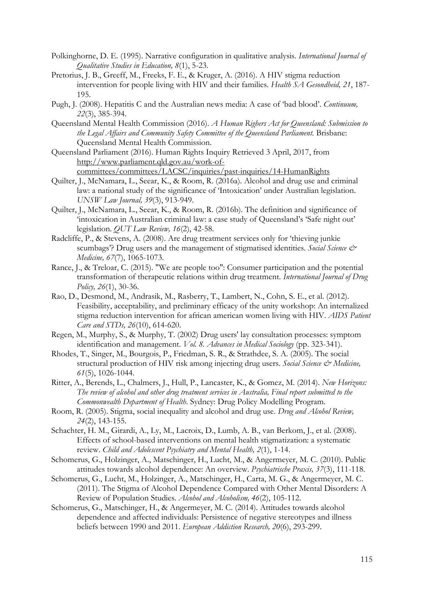- Polkinghorne, D. E. (1995). Narrative configuration in qualitative analysis. *International Journal of Qualitative Studies in Education, 8*(1), 5-23.
- Pretorius, J. B., Greeff, M., Freeks, F. E., & Kruger, A. (2016). A HIV stigma reduction intervention for people living with HIV and their families. *Health SA Gesondheid, 21*, 187- 195.
- Pugh, J. (2008). Hepatitis C and the Australian news media: A case of 'bad blood'. *Continuum, 22*(3), 385-394.
- Queensland Mental Health Commission (2016). *A Human Righers Act for Queensland: Submission to the Legal Affairs and Community Safety Committee of the Queensland Parliament*. Brisbane: Queensland Mental Health Commission.
- Queensland Parliament (2016). Human Rights Inquiry Retrieved 3 April, 2017, from [http://www.parliament.qld.gov.au/work-of](http://www.parliament.qld.gov.au/work-of-committees/committees/LACSC/inquiries/past-inquiries/14-HumanRights)[committees/committees/LACSC/inquiries/past-inquiries/14-HumanRights](http://www.parliament.qld.gov.au/work-of-committees/committees/LACSC/inquiries/past-inquiries/14-HumanRights)
- Quilter, J., McNamara, L., Seear, K., & Room, R. (2016a). Alcohol and drug use and criminal law: a national study of the significance of 'Intoxication' under Australian legislation. *UNSW Law Journal, 39*(3), 913-949.
- Quilter, J., McNamara, L., Seear, K., & Room, R. (2016b). The definition and significance of 'intoxication in Australian criminal law: a case study of Queensland's 'Safe night out' legislation. *QUT Law Review, 16*(2), 42-58.
- Radcliffe, P., & Stevens, A. (2008). Are drug treatment services only for 'thieving junkie scumbags'? Drug users and the management of stigmatised identities. *Social Science*  $\mathcal{O}^*$ *Medicine, 67*(7), 1065-1073.
- Rance, J., & Treloar, C. (2015). "We are people too": Consumer participation and the potential transformation of therapeutic relations within drug treatment. *International Journal of Drug Policy, 26*(1), 30-36.
- Rao, D., Desmond, M., Andrasik, M., Rasberry, T., Lambert, N., Cohn, S. E., et al. (2012). Feasibility, acceptability, and preliminary efficacy of the unity workshop: An internalized stigma reduction intervention for african american women living with HIV. *AIDS Patient Care and STDs, 26*(10), 614-620.
- Regen, M., Murphy, S., & Murphy, T. (2002) Drug users' lay consultation processes: symptom identification and management. *Vol. 8. Advances in Medical Sociology* (pp. 323-341).
- Rhodes, T., Singer, M., Bourgois, P., Friedman, S. R., & Strathdee, S. A. (2005). The social structural production of HIV risk among injecting drug users. *Social Science & Medicine*, *61*(5), 1026-1044.
- Ritter, A., Berends, L., Chalmers, J., Hull, P., Lancaster, K., & Gomez, M. (2014). *New Horizons: The review of alcohol and other drug treatment services in Australia, Final report submitted to the Commonwealth Department of Health*. Sydney: Drug Policy Modelling Program.
- Room, R. (2005). Stigma, social inequality and alcohol and drug use. *Drug and Alcohol Review, 24*(2), 143-155.
- Schachter, H. M., Girardi, A., Ly, M., Lacroix, D., Lumb, A. B., van Berkom, J., et al. (2008). Effects of school-based interventions on mental health stigmatization: a systematic review. *Child and Adolescent Psychiatry and Mental Health, 2*(1), 1-14.
- Schomerus, G., Holzinger, A., Matschinger, H., Lucht, M., & Angermeyer, M. C. (2010). Public attitudes towards alcohol dependence: An overview. *Psychiatrische Praxis, 37*(3), 111-118.
- Schomerus, G., Lucht, M., Holzinger, A., Matschinger, H., Carta, M. G., & Angermeyer, M. C. (2011). The Stigma of Alcohol Dependence Compared with Other Mental Disorders: A Review of Population Studies. *Alcohol and Alcoholism, 46*(2), 105-112.
- Schomerus, G., Matschinger, H., & Angermeyer, M. C. (2014). Attitudes towards alcohol dependence and affected individuals: Persistence of negative stereotypes and illness beliefs between 1990 and 2011. *European Addiction Research, 20*(6), 293-299.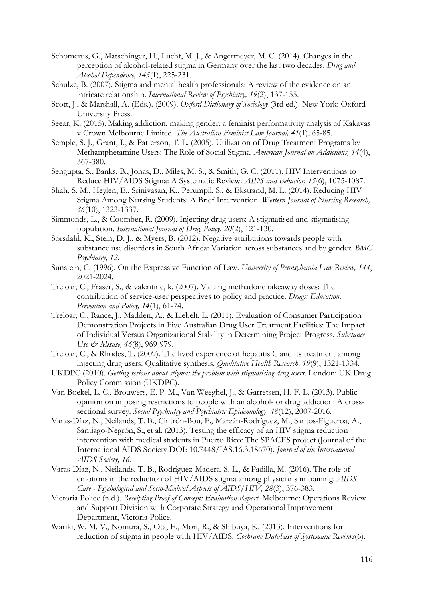- Schomerus, G., Matschinger, H., Lucht, M. J., & Angermeyer, M. C. (2014). Changes in the perception of alcohol-related stigma in Germany over the last two decades. *Drug and Alcohol Dependence, 143*(1), 225-231.
- Schulze, B. (2007). Stigma and mental health professionals: A review of the evidence on an intricate relationship. *International Review of Psychiatry, 19*(2), 137-155.
- Scott, J., & Marshall, A. (Eds.). (2009). *Oxford Dictionary of Sociology* (3rd ed.). New York: Oxford University Press.
- Seear, K. (2015). Making addiction, making gender: a feminist performativity analysis of Kakavas v Crown Melbourne Limited. *The Australian Feminist Law Journal, 41*(1), 65-85.
- Semple, S. J., Grant, I., & Patterson, T. L. (2005). Utilization of Drug Treatment Programs by Methamphetamine Users: The Role of Social Stigma. *American Journal on Addictions, 14*(4), 367-380.
- Sengupta, S., Banks, B., Jonas, D., Miles, M. S., & Smith, G. C. (2011). HIV Interventions to Reduce HIV/AIDS Stigma: A Systematic Review. *AIDS and Behavior, 15*(6), 1075-1087.
- Shah, S. M., Heylen, E., Srinivasan, K., Perumpil, S., & Ekstrand, M. L. (2014). Reducing HIV Stigma Among Nursing Students: A Brief Intervention. *Western Journal of Nursing Research, 36*(10), 1323-1337.
- Simmonds, L., & Coomber, R. (2009). Injecting drug users: A stigmatised and stigmatising population. *International Journal of Drug Policy, 20*(2), 121-130.
- Sorsdahl, K., Stein, D. J., & Myers, B. (2012). Negative attributions towards people with substance use disorders in South Africa: Variation across substances and by gender. *BMC Psychiatry, 12*.
- Sunstein, C. (1996). On the Expressive Function of Law. *University of Pennsylvania Law Review, 144*, 2021-2024.
- Treloar, C., Fraser, S., & valentine, k. (2007). Valuing methadone takeaway doses: The contribution of service-user perspectives to policy and practice. *Drugs: Education, Prevention and Policy, 14*(1), 61-74.
- Treloar, C., Rance, J., Madden, A., & Liebelt, L. (2011). Evaluation of Consumer Participation Demonstration Projects in Five Australian Drug User Treatment Facilities: The Impact of Individual Versus Organizational Stability in Determining Project Progress. *Substance Use & Misuse, 46*(8), 969-979.
- Treloar, C., & Rhodes, T. (2009). The lived experience of hepatitis C and its treatment among injecting drug users: Qualitative synthesis. *Qualitative Health Research, 19*(9), 1321-1334.
- UKDPC (2010). *Getting serious about stigma: the problem with stigmatising drug users*. London: UK Drug Policy Commission (UKDPC).
- Van Boekel, L. C., Brouwers, E. P. M., Van Weeghel, J., & Garretsen, H. F. L. (2013). Public opinion on imposing restrictions to people with an alcohol- or drug addiction: A crosssectional survey. *Social Psychiatry and Psychiatric Epidemiology, 48*(12), 2007-2016.
- Varas-Díaz, N., Neilands, T. B., Cintrón-Bou, F., Marzán-Rodríguez, M., Santos-Figueroa, A., Santiago-Negrón, S., et al. (2013). Testing the efficacy of an HIV stigma reduction intervention with medical students in Puerto Rico: The SPACES project (Journal of the International AIDS Society DOI: 10.7448/IAS.16.3.18670). *Journal of the International AIDS Society, 16*.
- Varas-Díaz, N., Neilands, T. B., Rodríguez-Madera, S. L., & Padilla, M. (2016). The role of emotions in the reduction of HIV/AIDS stigma among physicians in training. *AIDS Care - Psychological and Socio-Medical Aspects of AIDS/HIV, 28*(3), 376-383.
- Victoria Police (n.d.). *Receipting Proof of Concept: Evaluation Report*. Melbourne: Operations Review and Support Division with Corporate Strategy and Operational Improvement Department, Victoria Police.
- Wariki, W. M. V., Nomura, S., Ota, E., Mori, R., & Shibuya, K. (2013). Interventions for reduction of stigma in people with HIV/AIDS. *Cochrane Database of Systematic Reviews*(6).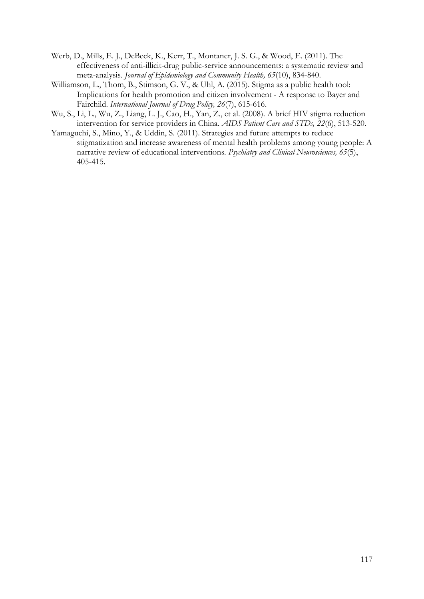- <span id="page-122-0"></span>Werb, D., Mills, E. J., DeBeck, K., Kerr, T., Montaner, J. S. G., & Wood, E. (2011). The effectiveness of anti-illicit-drug public-service announcements: a systematic review and meta-analysis. *Journal of Epidemiology and Community Health, 65*(10), 834-840.
- Williamson, L., Thom, B., Stimson, G. V., & Uhl, A. (2015). Stigma as a public health tool: Implications for health promotion and citizen involvement - A response to Bayer and Fairchild. *International Journal of Drug Policy, 26*(7), 615-616.
- Wu, S., Li, L., Wu, Z., Liang, L. J., Cao, H., Yan, Z., et al. (2008). A brief HIV stigma reduction intervention for service providers in China. *AIDS Patient Care and STDs, 22*(6), 513-520.
- Yamaguchi, S., Mino, Y., & Uddin, S. (2011). Strategies and future attempts to reduce stigmatization and increase awareness of mental health problems among young people: A narrative review of educational interventions. *Psychiatry and Clinical Neurosciences, 65*(5), 405-415.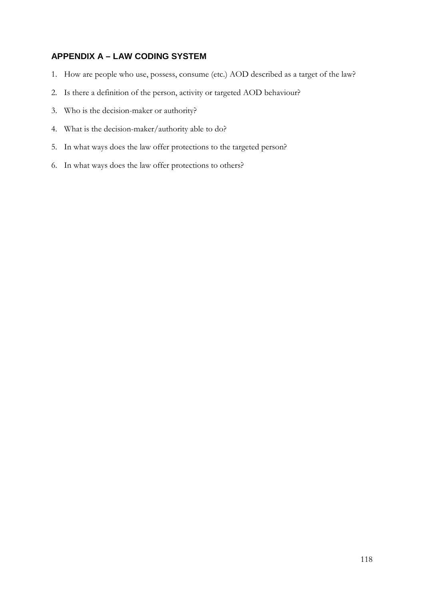# **APPENDIX A – LAW CODING SYSTEM**

- 1. How are people who use, possess, consume (etc.) AOD described as a target of the law?
- 2. Is there a definition of the person, activity or targeted AOD behaviour?
- 3. Who is the decision-maker or authority?
- 4. What is the decision-maker/authority able to do?
- 5. In what ways does the law offer protections to the targeted person?
- 6. In what ways does the law offer protections to others?